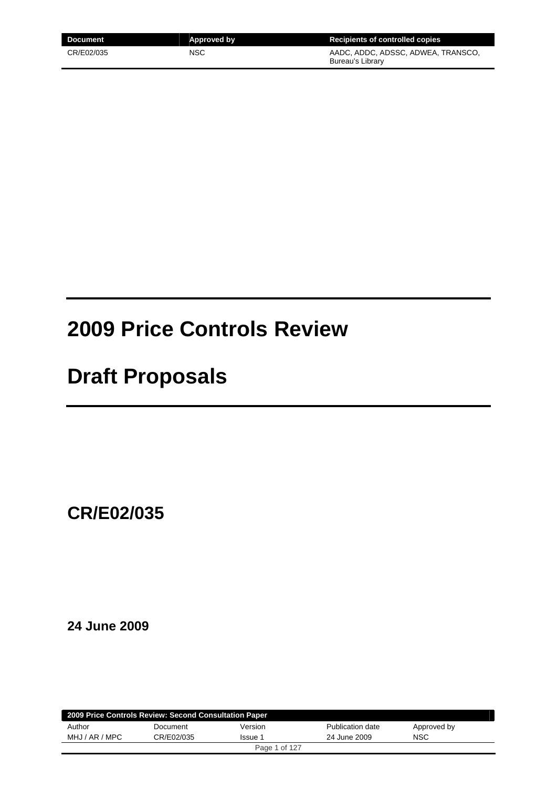| Document   | Approved by | Recipients of controlled copies                        |
|------------|-------------|--------------------------------------------------------|
| CR/E02/035 | NSC         | AADC, ADDC, ADSSC, ADWEA, TRANSCO,<br>Bureau's Library |

# **2009 Price Controls Review**

# **Draft Proposals**

**CR/E02/035** 

**24 June 2009** 

| 2009 Price Controls Review: Second Consultation Paper |            |               |                  |             |  |
|-------------------------------------------------------|------------|---------------|------------------|-------------|--|
| Author                                                | Document   | Version       | Publication date | Approved by |  |
| MHJ / AR / MPC                                        | CR/E02/035 | Issue 1       | 24 June 2009     | <b>NSC</b>  |  |
|                                                       |            | Page 1 of 127 |                  |             |  |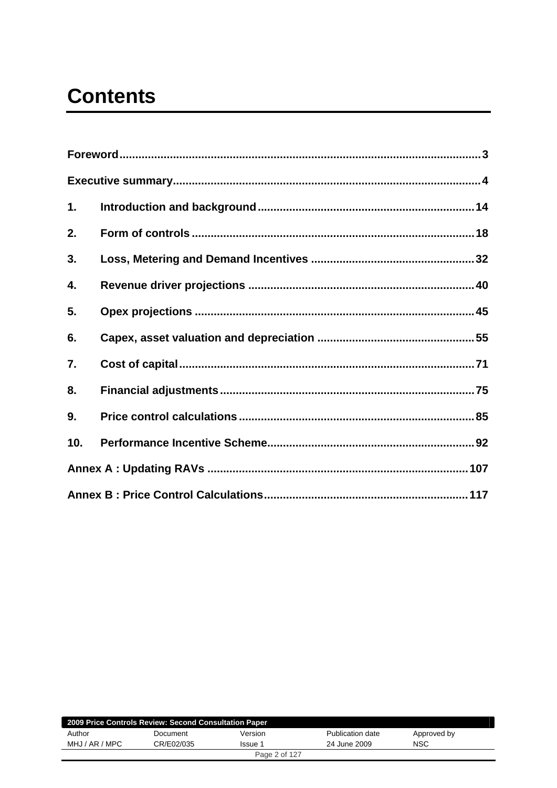# **Contents**

| 1.  |  |
|-----|--|
| 2.  |  |
| 3.  |  |
| 4.  |  |
| 5.  |  |
| 6.  |  |
| 7.  |  |
| 8.  |  |
| 9.  |  |
| 10. |  |
|     |  |
|     |  |

| 2009 Price Controls Review: Second Consultation Paper |            |               |                  |             |  |
|-------------------------------------------------------|------------|---------------|------------------|-------------|--|
| Author                                                | Document   | Version       | Publication date | Approved by |  |
| MHJ / AR / MPC                                        | CR/E02/035 | Issue 1       | 24 June 2009     | NSC         |  |
|                                                       |            | Page 2 of 127 |                  |             |  |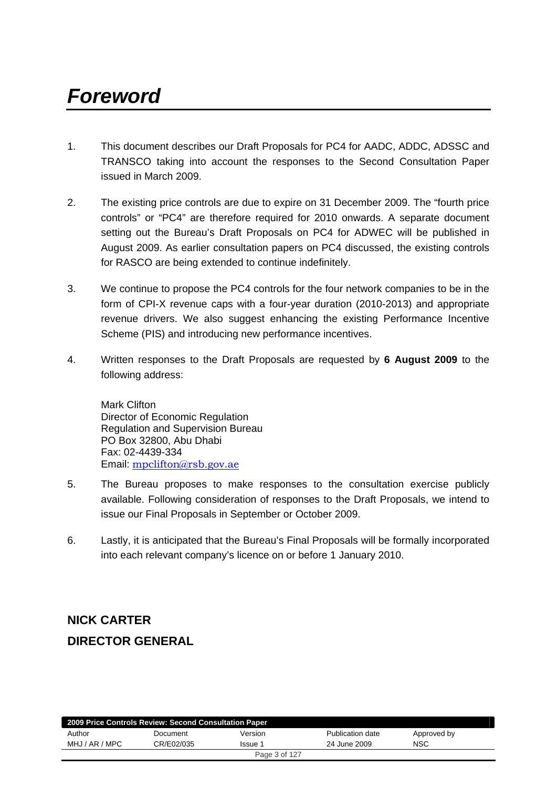# <span id="page-2-0"></span>*Foreword*

- 1. This document describes our Draft Proposals for PC4 for AADC, ADDC, ADSSC and TRANSCO taking into account the responses to the Second Consultation Paper issued in March 2009.
- 2. The existing price controls are due to expire on 31 December 2009. The "fourth price controls" or "PC4" are therefore required for 2010 onwards. A separate document setting out the Bureau's Draft Proposals on PC4 for ADWEC will be published in August 2009. As earlier consultation papers on PC4 discussed, the existing controls for RASCO are being extended to continue indefinitely.
- 3. We continue to propose the PC4 controls for the four network companies to be in the form of CPI-X revenue caps with a four-year duration (2010-2013) and appropriate revenue drivers. We also suggest enhancing the existing Performance Incentive Scheme (PIS) and introducing new performance incentives.
- 4. Written responses to the Draft Proposals are requested by **6 August 2009** to the following address:

Mark Clifton Director of Economic Regulation Regulation and Supervision Bureau PO Box 32800, Abu Dhabi Fax: 02-4439-334 Email: [mpclifton@rsb.gov.ae](mailto:mpclifton@rsb.gov.ae)

- 5. The Bureau proposes to make responses to the consultation exercise publicly available. Following consideration of responses to the Draft Proposals, we intend to issue our Final Proposals in September or October 2009.
- 6. Lastly, it is anticipated that the Bureau's Final Proposals will be formally incorporated into each relevant company's licence on or before 1 January 2010.

# **NICK CARTER DIRECTOR GENERAL**

| 2009 Price Controls Review: Second Consultation Paper |            |               |                  |             |  |
|-------------------------------------------------------|------------|---------------|------------------|-------------|--|
| Author                                                | Document   | Version       | Publication date | Approved by |  |
| MHJ / AR / MPC                                        | CR/E02/035 | Issue 1       | 24 June 2009     | NSC         |  |
|                                                       |            | Page 3 of 127 |                  |             |  |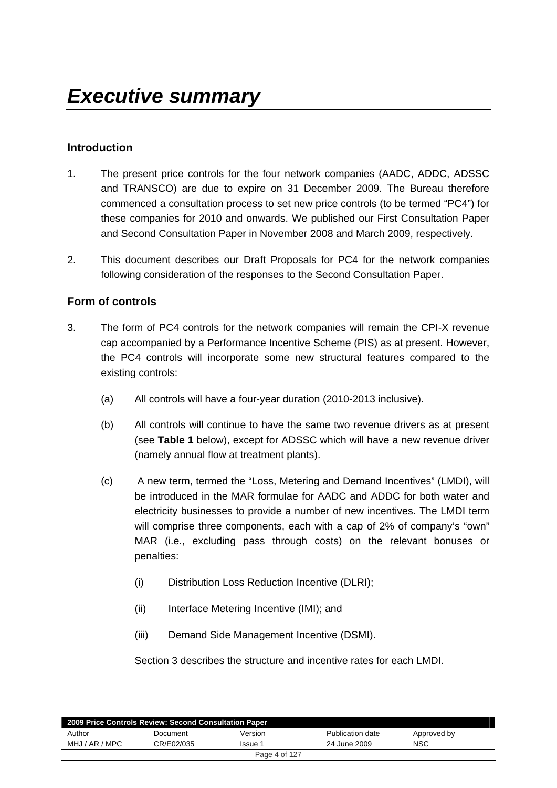## <span id="page-3-0"></span>**Introduction**

- 1. The present price controls for the four network companies (AADC, ADDC, ADSSC and TRANSCO) are due to expire on 31 December 2009. The Bureau therefore commenced a consultation process to set new price controls (to be termed "PC4") for these companies for 2010 and onwards. We published our First Consultation Paper and Second Consultation Paper in November 2008 and March 2009, respectively.
- 2. This document describes our Draft Proposals for PC4 for the network companies following consideration of the responses to the Second Consultation Paper.

### **Form of controls**

- 3. The form of PC4 controls for the network companies will remain the CPI-X revenue cap accompanied by a Performance Incentive Scheme (PIS) as at present. However, the PC4 controls will incorporate some new structural features compared to the existing controls:
	- (a) All controls will have a four-year duration (2010-2013 inclusive).
	- (b) All controls will continue to have the same two revenue drivers as at present (see **Table 1** below), except for ADSSC which will have a new revenue driver (namely annual flow at treatment plants).
	- (c) A new term, termed the "Loss, Metering and Demand Incentives" (LMDI), will be introduced in the MAR formulae for AADC and ADDC for both water and electricity businesses to provide a number of new incentives. The LMDI term will comprise three components, each with a cap of 2% of company's "own" MAR (i.e., excluding pass through costs) on the relevant bonuses or penalties:
		- (i) Distribution Loss Reduction Incentive (DLRI);
		- (ii) Interface Metering Incentive (IMI); and
		- (iii) Demand Side Management Incentive (DSMI).

Section 3 describes the structure and incentive rates for each LMDI.

| 2009 Price Controls Review: Second Consultation Paper |            |               |                  |             |  |
|-------------------------------------------------------|------------|---------------|------------------|-------------|--|
| Author                                                | Document   | Version       | Publication date | Approved by |  |
| MHJ / AR / MPC                                        | CR/E02/035 | Issue 1       | 24 June 2009     | <b>NSC</b>  |  |
|                                                       |            | Page 4 of 127 |                  |             |  |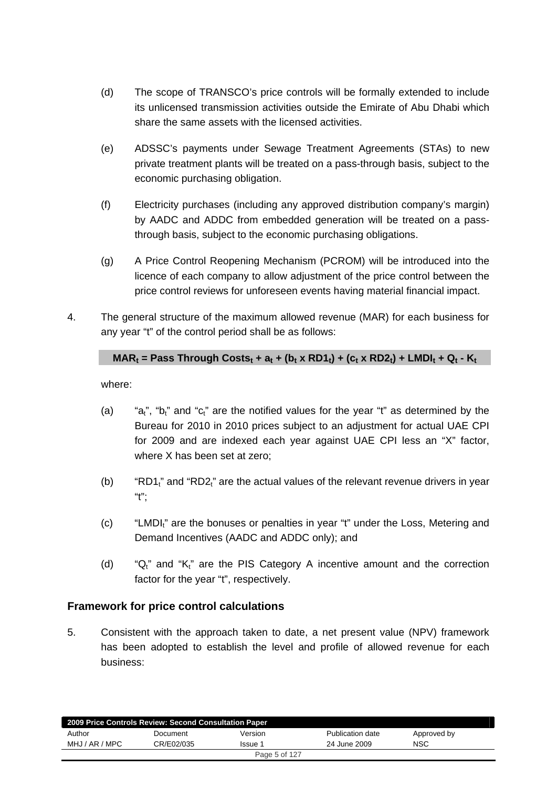- (d) The scope of TRANSCO's price controls will be formally extended to include its unlicensed transmission activities outside the Emirate of Abu Dhabi which share the same assets with the licensed activities.
- (e) ADSSC's payments under Sewage Treatment Agreements (STAs) to new private treatment plants will be treated on a pass-through basis, subject to the economic purchasing obligation.
- (f) Electricity purchases (including any approved distribution company's margin) by AADC and ADDC from embedded generation will be treated on a passthrough basis, subject to the economic purchasing obligations.
- (g) A Price Control Reopening Mechanism (PCROM) will be introduced into the licence of each company to allow adjustment of the price control between the price control reviews for unforeseen events having material financial impact.
- 4. The general structure of the maximum allowed revenue (MAR) for each business for any year "t" of the control period shall be as follows:

## $MAR_t$  = Pass Through Costs<sub>t</sub> + a<sub>t</sub> + (b<sub>t</sub> x RD1<sub>t</sub>) + (c<sub>t</sub> x RD2<sub>t</sub>) + LMDI<sub>t</sub> + Q<sub>t</sub> - K<sub>t</sub>

where:

- (a) " $a_t$ ", " $b_t$ " and " $c_t$ " are the notified values for the year "t" as determined by the Bureau for 2010 in 2010 prices subject to an adjustment for actual UAE CPI for 2009 and are indexed each year against UAE CPI less an "X" factor, where X has been set at zero;
- (b) "RD1 $_1$ " and "RD2 $_1$ " are the actual values of the relevant revenue drivers in year  $"t"$ ;
- $(c)$  "LMDI<sub>t</sub>" are the bonuses or penalties in year "t" under the Loss, Metering and Demand Incentives (AADC and ADDC only); and
- (d) " $Q_t$ " and " $K_t$ " are the PIS Category A incentive amount and the correction factor for the year "t", respectively.

### **Framework for price control calculations**

5. Consistent with the approach taken to date, a net present value (NPV) framework has been adopted to establish the level and profile of allowed revenue for each business:

| 2009 Price Controls Review: Second Consultation Paper |            |               |                  |             |  |
|-------------------------------------------------------|------------|---------------|------------------|-------------|--|
| Author                                                | Document   | Version       | Publication date | Approved by |  |
| MHJ / AR / MPC                                        | CR/E02/035 | Issue 1       | 24 June 2009     | NSC         |  |
|                                                       |            | Page 5 of 127 |                  |             |  |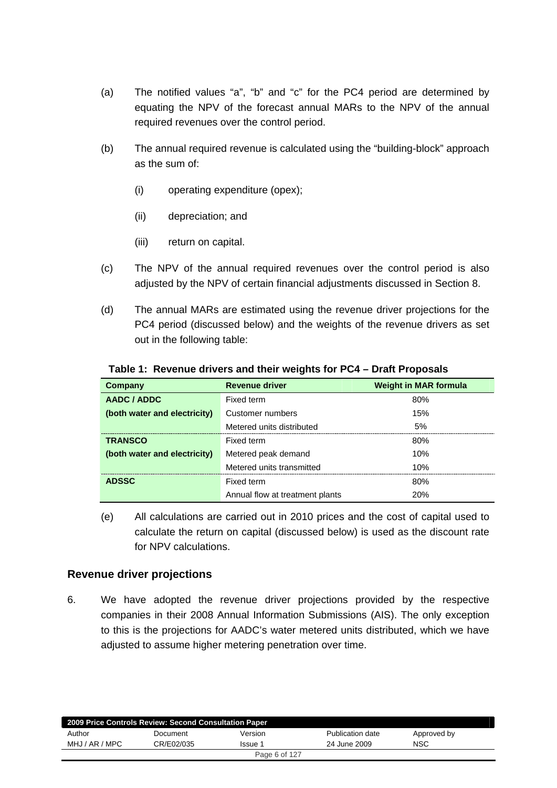- (a) The notified values "a", "b" and "c" for the PC4 period are determined by equating the NPV of the forecast annual MARs to the NPV of the annual required revenues over the control period.
- (b) The annual required revenue is calculated using the "building-block" approach as the sum of:
	- (i) operating expenditure (opex);
	- (ii) depreciation; and
	- (iii) return on capital.
- (c) The NPV of the annual required revenues over the control period is also adjusted by the NPV of certain financial adjustments discussed in Section 8.
- (d) The annual MARs are estimated using the revenue driver projections for the PC4 period (discussed below) and the weights of the revenue drivers as set out in the following table:

| Company                      | <b>Revenue driver</b>           | <b>Weight in MAR formula</b> |
|------------------------------|---------------------------------|------------------------------|
| AADC / ADDC                  | Fixed term                      | 80%                          |
| (both water and electricity) | Customer numbers                | 15%                          |
|                              | Metered units distributed       | 5%                           |
| <b>TRANSCO</b>               | Fixed term                      | 80%                          |
| (both water and electricity) | Metered peak demand             | 10%                          |
|                              | Metered units transmitted       | 10%                          |
| <b>ADSSC</b>                 | Fixed term                      | 80%                          |
|                              | Annual flow at treatment plants | <b>20%</b>                   |

#### **Table 1: Revenue drivers and their weights for PC4 – Draft Proposals**

(e) All calculations are carried out in 2010 prices and the cost of capital used to calculate the return on capital (discussed below) is used as the discount rate for NPV calculations.

### **Revenue driver projections**

6. We have adopted the revenue driver projections provided by the respective companies in their 2008 Annual Information Submissions (AIS). The only exception to this is the projections for AADC's water metered units distributed, which we have adjusted to assume higher metering penetration over time.

| 2009 Price Controls Review: Second Consultation Paper |            |               |                  |             |
|-------------------------------------------------------|------------|---------------|------------------|-------------|
| Author                                                | Document   | Version       | Publication date | Approved by |
| MHJ / AR / MPC                                        | CR/E02/035 | Issue 1       | 24 June 2009     | <b>NSC</b>  |
|                                                       |            | Page 6 of 127 |                  |             |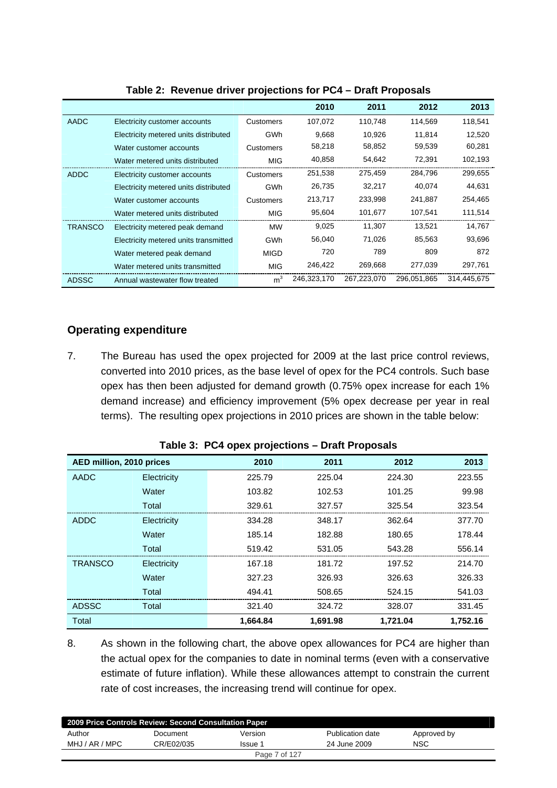|              |                                       |                | 2010        | 2011        | 2012        | 2013        |
|--------------|---------------------------------------|----------------|-------------|-------------|-------------|-------------|
| <b>AADC</b>  | Electricity customer accounts         | Customers      | 107,072     | 110,748     | 114,569     | 118,541     |
|              | Electricity metered units distributed | <b>GWh</b>     | 9,668       | 10,926      | 11.814      | 12,520      |
|              | Water customer accounts               | Customers      | 58,218      | 58,852      | 59,539      | 60,281      |
|              | Water metered units distributed       | <b>MIG</b>     | 40,858      | 54,642      | 72,391      | 102,193     |
| <b>ADDC</b>  | Electricity customer accounts         | Customers      | 251,538     | 275,459     | 284,796     | 299,655     |
|              | Electricity metered units distributed | <b>GWh</b>     | 26,735      | 32,217      | 40,074      | 44,631      |
|              | Water customer accounts               | Customers      | 213,717     | 233,998     | 241,887     | 254,465     |
|              | Water metered units distributed       | MIG            | 95,604      | 101,677     | 107,541     | 111,514     |
| TRANSCO      | Electricity metered peak demand       | <b>MW</b>      | 9,025       | 11,307      | 13,521      | 14,767      |
|              | Electricity metered units transmitted | <b>GWh</b>     | 56,040      | 71,026      | 85,563      | 93,696      |
|              | Water metered peak demand             | MIGD           | 720         | 789         | 809         | 872         |
|              | Water metered units transmitted       | <b>MIG</b>     | 246,422     | 269,668     | 277,039     | 297,761     |
| <b>ADSSC</b> | Annual wastewater flow treated        | m <sup>3</sup> | 246,323,170 | 267.223.070 | 296.051.865 | 314.445.675 |

#### **Table 2: Revenue driver projections for PC4 – Draft Proposals**

### **Operating expenditure**

7. The Bureau has used the opex projected for 2009 at the last price control reviews, converted into 2010 prices, as the base level of opex for the PC4 controls. Such base opex has then been adjusted for demand growth (0.75% opex increase for each 1% demand increase) and efficiency improvement (5% opex decrease per year in real terms). The resulting opex projections in 2010 prices are shown in the table below:

| AED million, 2010 prices |             | 2010     | 2011     | 2012     | 2013     |
|--------------------------|-------------|----------|----------|----------|----------|
| AADC                     | Electricity | 225.79   | 225.04   | 224.30   | 223.55   |
|                          | Water       | 103.82   | 102.53   | 101.25   | 99.98    |
|                          | Total       | 329.61   | 327.57   | 325.54   | 323.54   |
| ADDC                     | Electricity | 334.28   | 348.17   | 362.64   | 377.70   |
|                          | Water       | 185.14   | 182.88   | 180.65   | 178.44   |
|                          | Total       | 519.42   | 531.05   | 543.28   | 556.14   |
| <b>TRANSCO</b>           | Electricity | 167.18   | 181.72   | 197.52   | 214.70   |
|                          | Water       | 327.23   | 326.93   | 326.63   | 326.33   |
|                          | Total       | 494.41   | 508.65   | 524.15   | 541.03   |
| <b>ADSSC</b>             | Total       | 321.40   | 324.72   | 328.07   | 331.45   |
| Total                    |             | 1,664.84 | 1,691.98 | 1,721.04 | 1,752.16 |

**Table 3: PC4 opex projections – Draft Proposals** 

8. As shown in the following chart, the above opex allowances for PC4 are higher than the actual opex for the companies to date in nominal terms (even with a conservative estimate of future inflation). While these allowances attempt to constrain the current rate of cost increases, the increasing trend will continue for opex.

| 2009 Price Controls Review: Second Consultation Paper |            |               |                  |             |  |
|-------------------------------------------------------|------------|---------------|------------------|-------------|--|
| Author                                                | Document   | Version       | Publication date | Approved by |  |
| MHJ / AR / MPC                                        | CR/E02/035 | Issue 1       | 24 June 2009     | <b>NSC</b>  |  |
|                                                       |            | Page 7 of 127 |                  |             |  |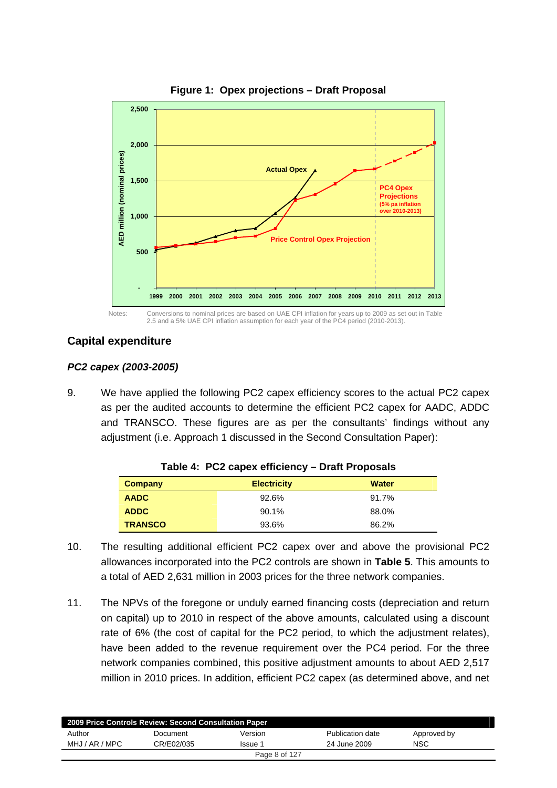

#### **Figure 1: Opex projections – Draft Proposal**

**Capital expenditure** 

#### *PC2 capex (2003-2005)*

9. We have applied the following PC2 capex efficiency scores to the actual PC2 capex as per the audited accounts to determine the efficient PC2 capex for AADC, ADDC and TRANSCO. These figures are as per the consultants' findings without any adjustment (i.e. Approach 1 discussed in the Second Consultation Paper):

| Company        | <b>Electricity</b> | Water |
|----------------|--------------------|-------|
| <b>AADC</b>    | 92.6%              | 91.7% |
| <b>ADDC</b>    | 90.1%              | 88.0% |
| <b>TRANSCO</b> | 93.6%              | 86.2% |

#### **Table 4: PC2 capex efficiency – Draft Proposals**

- 10. The resulting additional efficient PC2 capex over and above the provisional PC2 allowances incorporated into the PC2 controls are shown in **Table 5**. This amounts to a total of AED 2,631 million in 2003 prices for the three network companies.
- 11. The NPVs of the foregone or unduly earned financing costs (depreciation and return on capital) up to 2010 in respect of the above amounts, calculated using a discount rate of 6% (the cost of capital for the PC2 period, to which the adjustment relates), have been added to the revenue requirement over the PC4 period. For the three network companies combined, this positive adjustment amounts to about AED 2,517 million in 2010 prices. In addition, efficient PC2 capex (as determined above, and net

| 2009 Price Controls Review: Second Consultation Paper |            |         |                  |             |  |  |
|-------------------------------------------------------|------------|---------|------------------|-------------|--|--|
| Author                                                | Document   | Version | Publication date | Approved by |  |  |
| MHJ / AR / MPC                                        | CR/E02/035 | Issue 1 | 24 June 2009     | <b>NSC</b>  |  |  |
| Page 8 of 127                                         |            |         |                  |             |  |  |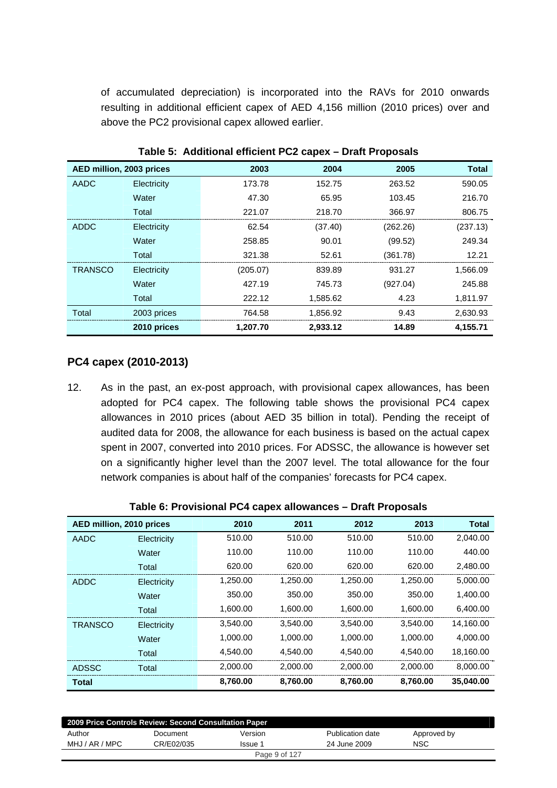of accumulated depreciation) is incorporated into the RAVs for 2010 onwards resulting in additional efficient capex of AED 4,156 million (2010 prices) over and above the PC2 provisional capex allowed earlier.

| AED million, 2003 prices |             | 2003     | 2004     | 2005     | <b>Total</b> |  |  |  |
|--------------------------|-------------|----------|----------|----------|--------------|--|--|--|
| AADC                     | Electricity | 173.78   | 152.75   | 263.52   | 590.05       |  |  |  |
|                          | Water       | 47.30    | 65.95    | 103.45   | 216.70       |  |  |  |
|                          | Total       | 221.07   | 218.70   | 366.97   | 806.75       |  |  |  |
| ADDC                     | Electricity | 62.54    | (37.40)  | (262.26) | (237.13)     |  |  |  |
|                          | Water       | 258.85   | 90.01    | (99.52)  | 249.34       |  |  |  |
|                          | Total       | 321.38   | 52.61    | (361.78) | 12.21        |  |  |  |
| <b>TRANSCO</b>           | Electricity | (205.07) | 839.89   | 931.27   | 1,566.09     |  |  |  |
|                          | Water       | 427.19   | 745.73   | (927.04) | 245.88       |  |  |  |
|                          | Total       | 222.12   | 1,585.62 | 4.23     | 1,811.97     |  |  |  |
| Total                    | 2003 prices | 764.58   | 1,856.92 | 9.43     | 2,630.93     |  |  |  |
|                          | 2010 prices | 1.207.70 | 2,933.12 | 14.89    | 4,155.71     |  |  |  |

**Table 5: Additional efficient PC2 capex – Draft Proposals** 

### **PC4 capex (2010-2013)**

12. As in the past, an ex-post approach, with provisional capex allowances, has been adopted for PC4 capex. The following table shows the provisional PC4 capex allowances in 2010 prices (about AED 35 billion in total). Pending the receipt of audited data for 2008, the allowance for each business is based on the actual capex spent in 2007, converted into 2010 prices. For ADSSC, the allowance is however set on a significantly higher level than the 2007 level. The total allowance for the four network companies is about half of the companies' forecasts for PC4 capex.

|                          | $14000$ v. The rightfield $9 + 04000$ and $10000$<br>PIULL I JUPUULU |          |          |          |          |              |  |  |  |  |
|--------------------------|----------------------------------------------------------------------|----------|----------|----------|----------|--------------|--|--|--|--|
| AED million, 2010 prices |                                                                      | 2010     | 2011     | 2012     | 2013     | <b>Total</b> |  |  |  |  |
| AADC                     | Electricity                                                          | 510.00   | 510.00   | 510.00   | 510.00   | 2,040.00     |  |  |  |  |
|                          | Water                                                                | 110.00   | 110.00   | 110.00   | 110.00   | 440.00       |  |  |  |  |
|                          | Total                                                                | 620.00   | 620.00   | 620.00   | 620.00   | 2,480.00     |  |  |  |  |
| <b>ADDC</b>              | Electricity                                                          | 1,250.00 | 1,250.00 | 1,250.00 | 1,250.00 | 5,000.00     |  |  |  |  |
|                          | Water                                                                | 350.00   | 350.00   | 350.00   | 350.00   | 1,400.00     |  |  |  |  |
|                          | Total                                                                | 1,600.00 | 1,600.00 | 1,600.00 | 1,600.00 | 6,400.00     |  |  |  |  |
| <b>TRANSCO</b>           | Electricity                                                          | 3,540.00 | 3,540.00 | 3,540.00 | 3,540.00 | 14,160.00    |  |  |  |  |
|                          | Water                                                                | 1,000.00 | 1,000.00 | 1,000.00 | 1,000.00 | 4,000.00     |  |  |  |  |
|                          | Total                                                                | 4,540.00 | 4,540.00 | 4,540.00 | 4,540.00 | 18,160.00    |  |  |  |  |
| <b>ADSSC</b>             | Total                                                                | 2,000.00 | 2,000.00 | 2,000.00 | 2,000.00 | 8,000.00     |  |  |  |  |
| <b>Total</b>             |                                                                      | 8,760.00 | 8,760.00 | 8,760.00 | 8,760.00 | 35,040.00    |  |  |  |  |

| 2009 Price Controls Review: Second Consultation Paper |            |         |                  |             |  |  |
|-------------------------------------------------------|------------|---------|------------------|-------------|--|--|
| Author                                                | Document   | Version | Publication date | Approved by |  |  |
| MHJ / AR / MPC                                        | CR/E02/035 | Issue 1 | 24 June 2009     | <b>NSC</b>  |  |  |
| Page 9 of 127                                         |            |         |                  |             |  |  |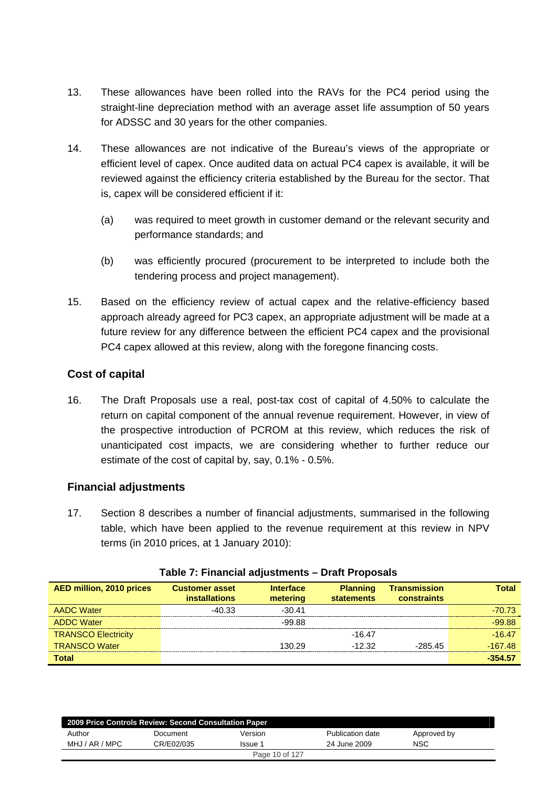- 13. These allowances have been rolled into the RAVs for the PC4 period using the straight-line depreciation method with an average asset life assumption of 50 years for ADSSC and 30 years for the other companies.
- 14. These allowances are not indicative of the Bureau's views of the appropriate or efficient level of capex. Once audited data on actual PC4 capex is available, it will be reviewed against the efficiency criteria established by the Bureau for the sector. That is, capex will be considered efficient if it:
	- (a) was required to meet growth in customer demand or the relevant security and performance standards; and
	- (b) was efficiently procured (procurement to be interpreted to include both the tendering process and project management).
- 15. Based on the efficiency review of actual capex and the relative-efficiency based approach already agreed for PC3 capex, an appropriate adjustment will be made at a future review for any difference between the efficient PC4 capex and the provisional PC4 capex allowed at this review, along with the foregone financing costs.

## **Cost of capital**

16. The Draft Proposals use a real, post-tax cost of capital of 4.50% to calculate the return on capital component of the annual revenue requirement. However, in view of the prospective introduction of PCROM at this review, which reduces the risk of unanticipated cost impacts, we are considering whether to further reduce our estimate of the cost of capital by, say, 0.1% - 0.5%.

## **Financial adjustments**

17. Section 8 describes a number of financial adjustments, summarised in the following table, which have been applied to the revenue requirement at this review in NPV terms (in 2010 prices, at 1 January 2010):

| <b>AED million, 2010 prices</b> | <b>Customer asset</b><br><b>installations</b> | <b>Interface</b><br>metering | <b>Planning</b><br><b>statements</b> | <b>Transmission</b><br><b>constraints</b> | <b>Total</b> |
|---------------------------------|-----------------------------------------------|------------------------------|--------------------------------------|-------------------------------------------|--------------|
| <b>AADC Water</b>               | $-40.33$                                      | $-30.41$                     |                                      |                                           | $-70.73$     |
| <b>ADDC Water</b>               |                                               | -99.88                       |                                      |                                           | $-99.88$     |
| <b>TRANSCO Electricity</b>      |                                               |                              | $-16.47$                             |                                           | $-16.47$     |
| <b>TRANSCO Water</b>            |                                               | 130.29                       | $-12.32$                             | $-28545$                                  | $-167.48$    |
| <b>Total</b>                    |                                               |                              |                                      |                                           | $-354.57$    |

#### **Table 7: Financial adjustments – Draft Proposals**

| 2009 Price Controls Review: Second Consultation Paper |            |         |                  |             |  |  |  |
|-------------------------------------------------------|------------|---------|------------------|-------------|--|--|--|
| Author                                                | Document   | Version | Publication date | Approved by |  |  |  |
| MHJ / AR / MPC                                        | CR/E02/035 | Issue 1 | 24 June 2009     | <b>NSC</b>  |  |  |  |
| Page 10 of 127                                        |            |         |                  |             |  |  |  |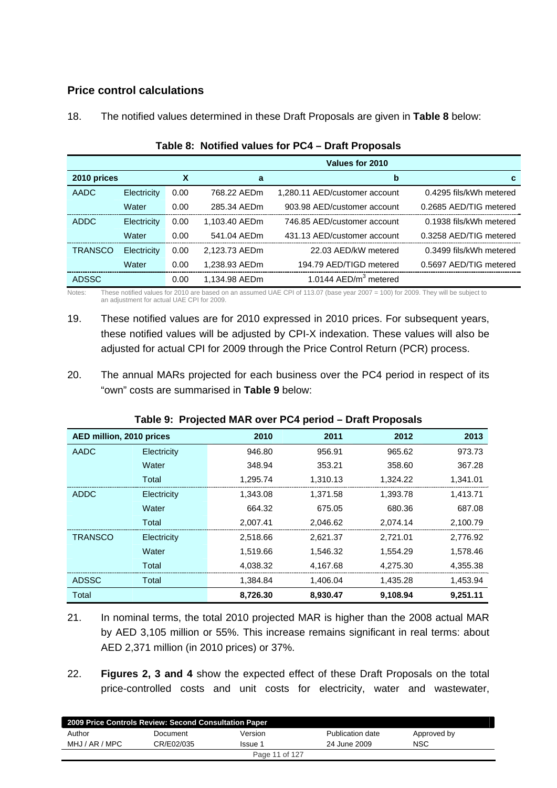## **Price control calculations**

| 18. |  | The notified values determined in these Draft Proposals are given in Table 8 below: |
|-----|--|-------------------------------------------------------------------------------------|
|     |  |                                                                                     |

|                |             |      |               | Values for 2010                   |                         |
|----------------|-------------|------|---------------|-----------------------------------|-------------------------|
| 2010 prices    |             | х    | a             | $\mathbf b$                       | c.                      |
| <b>AADC</b>    | Electricity | 0.00 | 768.22 AEDm   | 1,280.11 AED/customer account     | 0.4295 fils/kWh metered |
|                | Water       | 0.00 | 285.34 AEDm   | 903.98 AED/customer account       | 0.2685 AED/TIG metered  |
| <b>ADDC</b>    | Electricity | 0.00 | 1,103.40 AEDm | 746.85 AED/customer account       | 0.1938 fils/kWh metered |
|                | Water       | 0.00 | 541.04 AEDm   | 431.13 AED/customer account       | 0.3258 AED/TIG metered  |
| <b>TRANSCO</b> | Electricity | 0.00 | 2,123.73 AEDm | 22.03 AED/kW metered              | 0.3499 fils/kWh metered |
|                | Water       | 0.00 | 1,238.93 AEDm | 194.79 AED/TIGD metered           | 0.5697 AED/TIG metered  |
| <b>ADSSC</b>   |             | 0.00 | 1.134.98 AEDm | 1.0144 AED/m <sup>3</sup> metered |                         |

#### **Table 8: Notified values for PC4 – Draft Proposals**

Notes: These notified values for 2010 are based on an assumed UAE CPI of 113.07 (base year 2007 = 100) for 2009. They will be subject to an adjustment for actual UAE CPI for 2009.

- 19. These notified values are for 2010 expressed in 2010 prices. For subsequent years, these notified values will be adjusted by CPI-X indexation. These values will also be adjusted for actual CPI for 2009 through the Price Control Return (PCR) process.
- 20. The annual MARs projected for each business over the PC4 period in respect of its "own" costs are summarised in **Table 9** below:

| AED million, 2010 prices |             | 2010     | 2011     | 2012     | 2013     |
|--------------------------|-------------|----------|----------|----------|----------|
| AADC                     | Electricity | 946.80   | 956.91   | 965.62   | 973.73   |
|                          | Water       | 348.94   | 353.21   | 358.60   | 367.28   |
|                          | Total       | 1,295.74 | 1,310.13 | 1,324.22 | 1,341.01 |
| <b>ADDC</b>              | Electricity | 1,343.08 | 1,371.58 | 1,393.78 | 1,413.71 |
|                          | Water       | 664.32   | 675.05   | 680.36   | 687.08   |
|                          | Total       | 2,007.41 | 2,046.62 | 2,074.14 | 2,100.79 |
| <b>TRANSCO</b>           | Electricity | 2,518.66 | 2,621.37 | 2,721.01 | 2,776.92 |
|                          | Water       | 1.519.66 | 1.546.32 | 1,554.29 | 1.578.46 |
|                          | Total       | 4,038.32 | 4,167.68 | 4,275.30 | 4,355.38 |
| <b>ADSSC</b>             | Total       | 1,384.84 | 1,406.04 | 1,435.28 | 1,453.94 |
| Total                    |             | 8,726.30 | 8,930.47 | 9,108.94 | 9,251.11 |

### **Table 9: Projected MAR over PC4 period – Draft Proposals**

21. In nominal terms, the total 2010 projected MAR is higher than the 2008 actual MAR by AED 3,105 million or 55%. This increase remains significant in real terms: about AED 2,371 million (in 2010 prices) or 37%.

22. **Figures 2, 3 and 4** show the expected effect of these Draft Proposals on the total price-controlled costs and unit costs for electricity, water and wastewater,

| 2009 Price Controls Review: Second Consultation Paper |            |         |                  |             |  |  |
|-------------------------------------------------------|------------|---------|------------------|-------------|--|--|
| Author                                                | Document   | Version | Publication date | Approved by |  |  |
| MHJ / AR / MPC                                        | CR/E02/035 | Issue 1 | 24 June 2009     | NSC         |  |  |
| Page 11 of 127                                        |            |         |                  |             |  |  |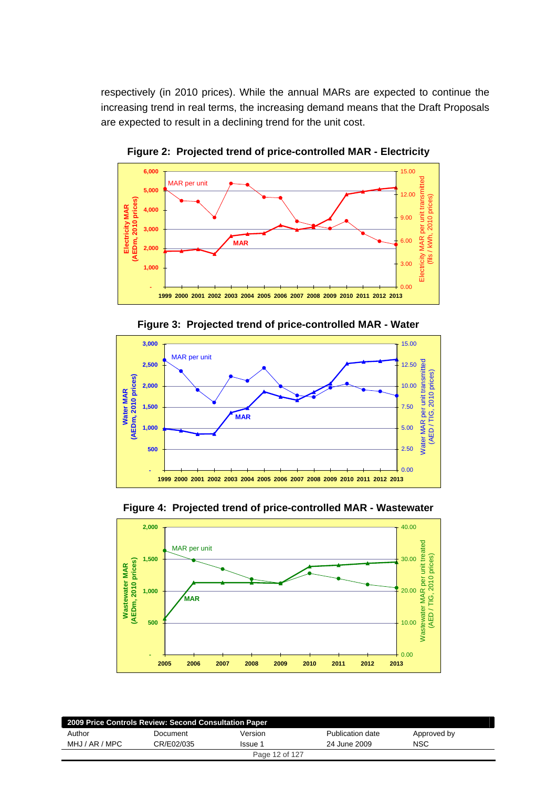respectively (in 2010 prices). While the annual MARs are expected to continue the increasing trend in real terms, the increasing demand means that the Draft Proposals are expected to result in a declining trend for the unit cost.



**Figure 2: Projected trend of price-controlled MAR - Electricity** 





**Figure 4: Projected trend of price-controlled MAR - Wastewater** 



| 2009 Price Controls Review: Second Consultation Paper |            |                |                  |             |  |
|-------------------------------------------------------|------------|----------------|------------------|-------------|--|
| Author                                                | Document   | Version        | Publication date | Approved by |  |
| MHJ / AR / MPC                                        | CR/E02/035 | Issue 1        | 24 June 2009     | <b>NSC</b>  |  |
|                                                       |            | Page 12 of 127 |                  |             |  |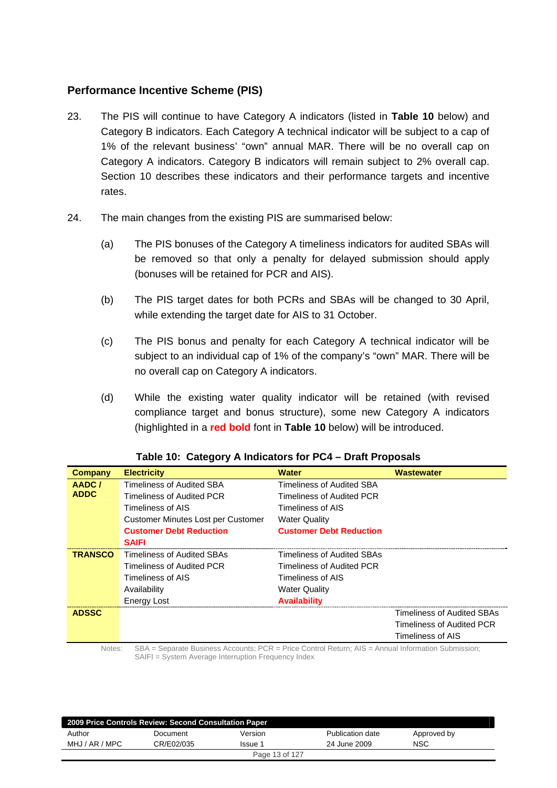### **Performance Incentive Scheme (PIS)**

- 23. The PIS will continue to have Category A indicators (listed in **Table 10** below) and Category B indicators. Each Category A technical indicator will be subject to a cap of 1% of the relevant business' "own" annual MAR. There will be no overall cap on Category A indicators. Category B indicators will remain subject to 2% overall cap. Section 10 describes these indicators and their performance targets and incentive rates.
- 24. The main changes from the existing PIS are summarised below:
	- (a) The PIS bonuses of the Category A timeliness indicators for audited SBAs will be removed so that only a penalty for delayed submission should apply (bonuses will be retained for PCR and AIS).
	- (b) The PIS target dates for both PCRs and SBAs will be changed to 30 April, while extending the target date for AIS to 31 October.
	- (c) The PIS bonus and penalty for each Category A technical indicator will be subject to an individual cap of 1% of the company's "own" MAR. There will be no overall cap on Category A indicators.
	- (d) While the existing water quality indicator will be retained (with revised compliance target and bonus structure), some new Category A indicators (highlighted in a **red bold** font in **Table 10** below) will be introduced.

| <b>Company</b> | <b>Electricity</b>                 | <b>Water</b>                   | <b>Wastewater</b>          |
|----------------|------------------------------------|--------------------------------|----------------------------|
| AADC/          | Timeliness of Audited SBA          | Timeliness of Audited SBA      |                            |
| <b>ADDC</b>    | Timeliness of Audited PCR          | Timeliness of Audited PCR      |                            |
|                | Timeliness of AIS                  | Timeliness of AIS              |                            |
|                | Customer Minutes Lost per Customer | <b>Water Quality</b>           |                            |
|                | <b>Customer Debt Reduction</b>     | <b>Customer Debt Reduction</b> |                            |
|                | <b>SAIFI</b>                       |                                |                            |
| <b>TRANSCO</b> | Timeliness of Audited SBAs         | Timeliness of Audited SBAs     |                            |
|                | Timeliness of Audited PCR          | Timeliness of Audited PCR      |                            |
|                | Timeliness of AIS                  | Timeliness of AIS              |                            |
|                | Availability                       | <b>Water Quality</b>           |                            |
|                | <b>Energy Lost</b>                 | <b>Availability</b>            |                            |
| <b>ADSSC</b>   |                                    |                                | Timeliness of Audited SBAs |
|                |                                    |                                | Timeliness of Audited PCR  |
|                |                                    |                                | Timeliness of AIS          |
|                |                                    |                                |                            |

#### **Table 10: Category A Indicators for PC4 – Draft Proposals**

Notes: SBA = Separate Business Accounts; PCR = Price Control Return; AIS = Annual Information Submission; SAIFI = System Average Interruption Frequency Index

| 2009 Price Controls Review: Second Consultation Paper |            |         |                  |             |
|-------------------------------------------------------|------------|---------|------------------|-------------|
| Author                                                | Document   | Version | Publication date | Approved by |
| MHJ / AR / MPC                                        | CR/E02/035 | Issue 1 | 24 June 2009     | NSC         |
| Page 13 of 127                                        |            |         |                  |             |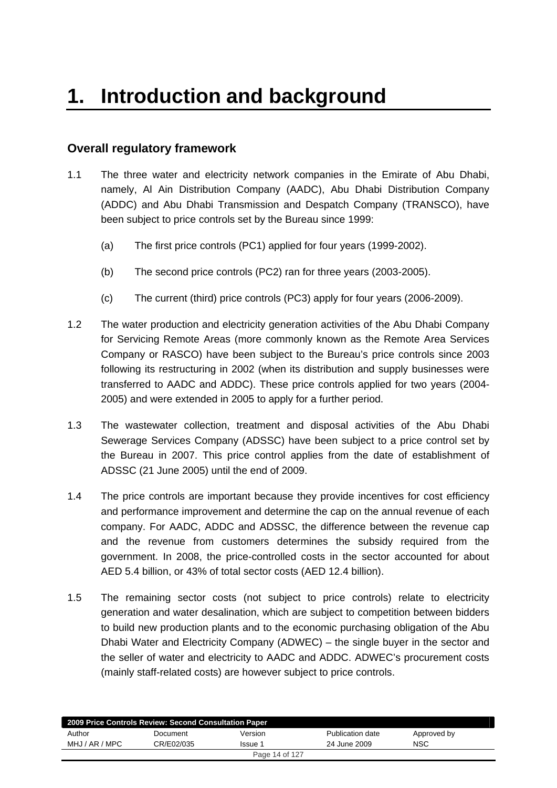# <span id="page-13-0"></span>**Overall regulatory framework**

- 1.1 The three water and electricity network companies in the Emirate of Abu Dhabi, namely, Al Ain Distribution Company (AADC), Abu Dhabi Distribution Company (ADDC) and Abu Dhabi Transmission and Despatch Company (TRANSCO), have been subject to price controls set by the Bureau since 1999:
	- (a) The first price controls (PC1) applied for four years (1999-2002).
	- (b) The second price controls (PC2) ran for three years (2003-2005).
	- (c) The current (third) price controls (PC3) apply for four years (2006-2009).
- 1.2 The water production and electricity generation activities of the Abu Dhabi Company for Servicing Remote Areas (more commonly known as the Remote Area Services Company or RASCO) have been subject to the Bureau's price controls since 2003 following its restructuring in 2002 (when its distribution and supply businesses were transferred to AADC and ADDC). These price controls applied for two years (2004- 2005) and were extended in 2005 to apply for a further period.
- 1.3 The wastewater collection, treatment and disposal activities of the Abu Dhabi Sewerage Services Company (ADSSC) have been subject to a price control set by the Bureau in 2007. This price control applies from the date of establishment of ADSSC (21 June 2005) until the end of 2009.
- 1.4 The price controls are important because they provide incentives for cost efficiency and performance improvement and determine the cap on the annual revenue of each company. For AADC, ADDC and ADSSC, the difference between the revenue cap and the revenue from customers determines the subsidy required from the government. In 2008, the price-controlled costs in the sector accounted for about AED 5.4 billion, or 43% of total sector costs (AED 12.4 billion).
- 1.5 The remaining sector costs (not subject to price controls) relate to electricity generation and water desalination, which are subject to competition between bidders to build new production plants and to the economic purchasing obligation of the Abu Dhabi Water and Electricity Company (ADWEC) – the single buyer in the sector and the seller of water and electricity to AADC and ADDC. ADWEC's procurement costs (mainly staff-related costs) are however subject to price controls.

| 2009 Price Controls Review: Second Consultation Paper |            |                |                  |             |  |
|-------------------------------------------------------|------------|----------------|------------------|-------------|--|
| Author                                                | Document   | Version        | Publication date | Approved by |  |
| MHJ / AR / MPC                                        | CR/E02/035 | Issue 1        | 24 June 2009     | <b>NSC</b>  |  |
|                                                       |            | Page 14 of 127 |                  |             |  |
|                                                       |            |                |                  |             |  |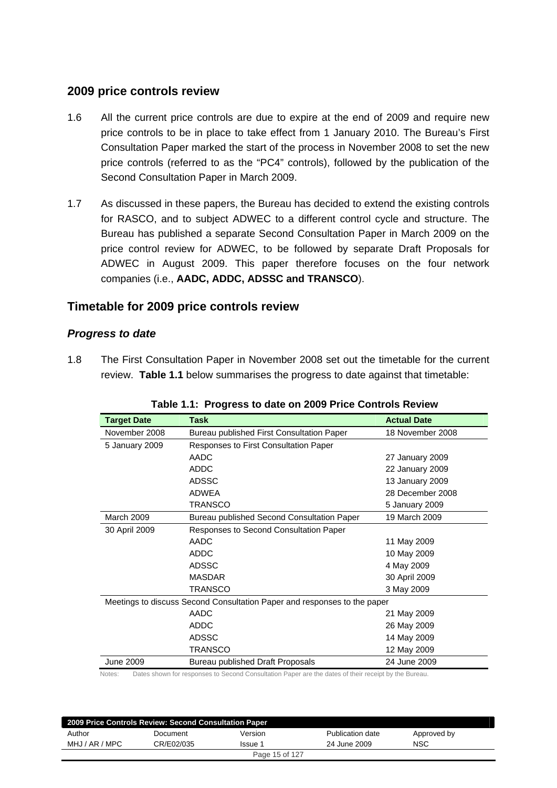## **2009 price controls review**

- 1.6 All the current price controls are due to expire at the end of 2009 and require new price controls to be in place to take effect from 1 January 2010. The Bureau's First Consultation Paper marked the start of the process in November 2008 to set the new price controls (referred to as the "PC4" controls), followed by the publication of the Second Consultation Paper in March 2009.
- 1.7 As discussed in these papers, the Bureau has decided to extend the existing controls for RASCO, and to subject ADWEC to a different control cycle and structure. The Bureau has published a separate Second Consultation Paper in March 2009 on the price control review for ADWEC, to be followed by separate Draft Proposals for ADWEC in August 2009. This paper therefore focuses on the four network companies (i.e., **AADC, ADDC, ADSSC and TRANSCO**).

## **Timetable for 2009 price controls review**

### *Progress to date*

1.8 The First Consultation Paper in November 2008 set out the timetable for the current review. **Table 1.1** below summarises the progress to date against that timetable:

| <b>Target Date</b> | <b>Task</b>                                                              | <b>Actual Date</b> |
|--------------------|--------------------------------------------------------------------------|--------------------|
| November 2008      | Bureau published First Consultation Paper                                | 18 November 2008   |
| 5 January 2009     | <b>Responses to First Consultation Paper</b>                             |                    |
|                    | AADC                                                                     | 27 January 2009    |
|                    | <b>ADDC</b>                                                              | 22 January 2009    |
|                    | <b>ADSSC</b>                                                             | 13 January 2009    |
|                    | <b>ADWEA</b>                                                             | 28 December 2008   |
|                    | <b>TRANSCO</b>                                                           | 5 January 2009     |
| <b>March 2009</b>  | Bureau published Second Consultation Paper                               | 19 March 2009      |
| 30 April 2009      | Responses to Second Consultation Paper                                   |                    |
|                    | AADC                                                                     | 11 May 2009        |
|                    | <b>ADDC</b>                                                              | 10 May 2009        |
|                    | <b>ADSSC</b>                                                             | 4 May 2009         |
|                    | <b>MASDAR</b>                                                            | 30 April 2009      |
|                    | TRANSCO                                                                  | 3 May 2009         |
|                    | Meetings to discuss Second Consultation Paper and responses to the paper |                    |
|                    | AADC                                                                     | 21 May 2009        |
|                    | <b>ADDC</b>                                                              | 26 May 2009        |
|                    | <b>ADSSC</b>                                                             | 14 May 2009        |
|                    | <b>TRANSCO</b>                                                           | 12 May 2009        |
| June 2009          | Bureau published Draft Proposals                                         | 24 June 2009       |

|  | Table 1.1: Progress to date on 2009 Price Controls Review |  |  |
|--|-----------------------------------------------------------|--|--|
|--|-----------------------------------------------------------|--|--|

Notes: Dates shown for responses to Second Consultation Paper are the dates of their receipt by the Bureau.

| 2009 Price Controls Review: Second Consultation Paper |            |                |                  |             |  |
|-------------------------------------------------------|------------|----------------|------------------|-------------|--|
| Author                                                | Document   | Version        | Publication date | Approved by |  |
| MHJ / AR / MPC                                        | CR/E02/035 | Issue 1        | 24 June 2009     | <b>NSC</b>  |  |
|                                                       |            | Page 15 of 127 |                  |             |  |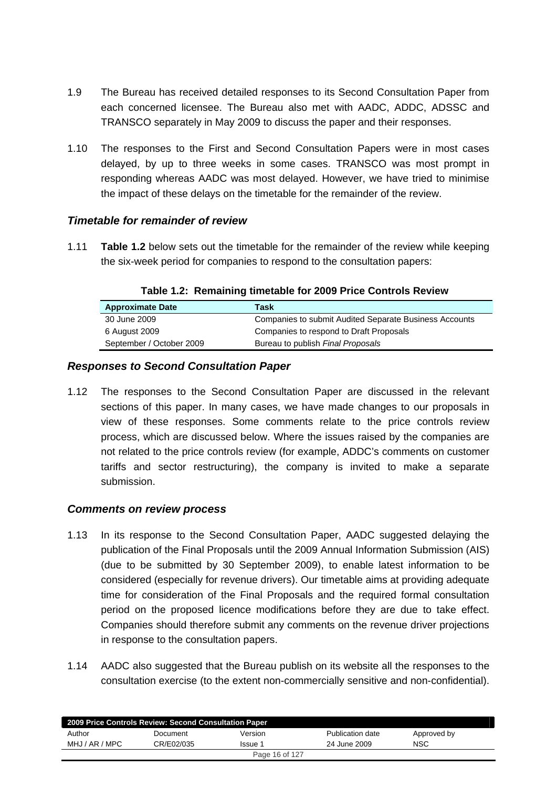- 1.9 The Bureau has received detailed responses to its Second Consultation Paper from each concerned licensee. The Bureau also met with AADC, ADDC, ADSSC and TRANSCO separately in May 2009 to discuss the paper and their responses.
- 1.10 The responses to the First and Second Consultation Papers were in most cases delayed, by up to three weeks in some cases. TRANSCO was most prompt in responding whereas AADC was most delayed. However, we have tried to minimise the impact of these delays on the timetable for the remainder of the review.

### *Timetable for remainder of review*

1.11 **Table 1.2** below sets out the timetable for the remainder of the review while keeping the six-week period for companies to respond to the consultation papers:

| <b>Approximate Date</b>  | Task                                                          |
|--------------------------|---------------------------------------------------------------|
| 30 June 2009             | <b>Companies to submit Audited Separate Business Accounts</b> |
| 6 August 2009            | Companies to respond to Draft Proposals                       |
| September / October 2009 | Bureau to publish Final Proposals                             |

**Table 1.2: Remaining timetable for 2009 Price Controls Review** 

#### *Responses to Second Consultation Paper*

1.12 The responses to the Second Consultation Paper are discussed in the relevant sections of this paper. In many cases, we have made changes to our proposals in view of these responses. Some comments relate to the price controls review process, which are discussed below. Where the issues raised by the companies are not related to the price controls review (for example, ADDC's comments on customer tariffs and sector restructuring), the company is invited to make a separate submission.

### *Comments on review process*

- 1.13 In its response to the Second Consultation Paper, AADC suggested delaying the publication of the Final Proposals until the 2009 Annual Information Submission (AIS) (due to be submitted by 30 September 2009), to enable latest information to be considered (especially for revenue drivers). Our timetable aims at providing adequate time for consideration of the Final Proposals and the required formal consultation period on the proposed licence modifications before they are due to take effect. Companies should therefore submit any comments on the revenue driver projections in response to the consultation papers.
- 1.14 AADC also suggested that the Bureau publish on its website all the responses to the consultation exercise (to the extent non-commercially sensitive and non-confidential).

| 2009 Price Controls Review: Second Consultation Paper |            |         |                  |             |  |
|-------------------------------------------------------|------------|---------|------------------|-------------|--|
| Author                                                | Document   | Version | Publication date | Approved by |  |
| MHJ / AR / MPC                                        | CR/E02/035 | Issue 1 | 24 June 2009     | <b>NSC</b>  |  |
| Page 16 of 127                                        |            |         |                  |             |  |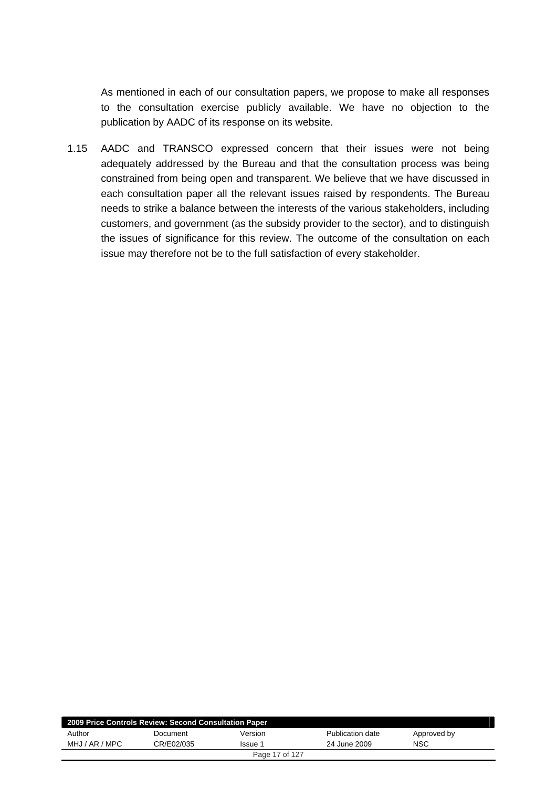As mentioned in each of our consultation papers, we propose to make all responses to the consultation exercise publicly available. We have no objection to the publication by AADC of its response on its website.

1.15 AADC and TRANSCO expressed concern that their issues were not being adequately addressed by the Bureau and that the consultation process was being constrained from being open and transparent. We believe that we have discussed in each consultation paper all the relevant issues raised by respondents. The Bureau needs to strike a balance between the interests of the various stakeholders, including customers, and government (as the subsidy provider to the sector), and to distinguish the issues of significance for this review. The outcome of the consultation on each issue may therefore not be to the full satisfaction of every stakeholder.

| 2009 Price Controls Review: Second Consultation Paper |            |         |                  |             |  |
|-------------------------------------------------------|------------|---------|------------------|-------------|--|
| Author                                                | Document   | Version | Publication date | Approved by |  |
| MHJ / AR / MPC                                        | CR/E02/035 | Issue 1 | 24 June 2009     | NSC         |  |
| Page 17 of 127                                        |            |         |                  |             |  |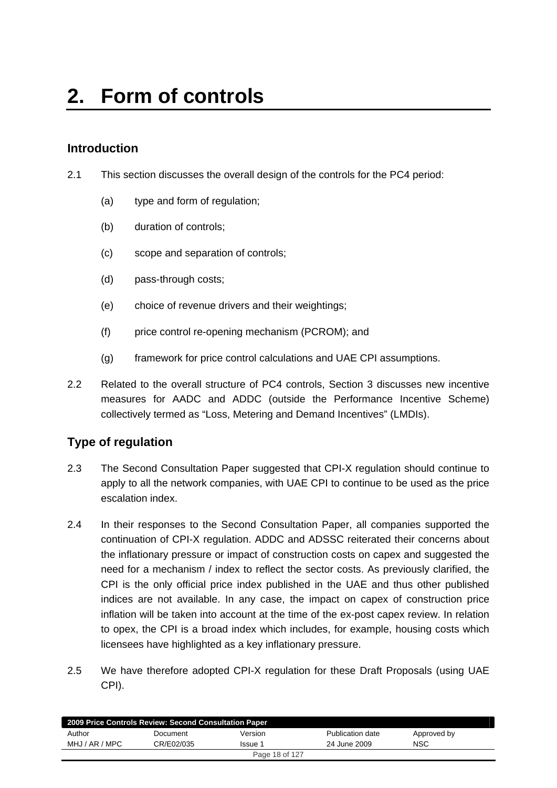# <span id="page-17-0"></span>**Introduction**

- 2.1 This section discusses the overall design of the controls for the PC4 period:
	- (a) type and form of regulation;
	- (b) duration of controls;
	- (c) scope and separation of controls;
	- (d) pass-through costs;
	- (e) choice of revenue drivers and their weightings;
	- (f) price control re-opening mechanism (PCROM); and
	- (g) framework for price control calculations and UAE CPI assumptions.
- 2.2 Related to the overall structure of PC4 controls, Section 3 discusses new incentive measures for AADC and ADDC (outside the Performance Incentive Scheme) collectively termed as "Loss, Metering and Demand Incentives" (LMDIs).

## **Type of regulation**

- 2.3 The Second Consultation Paper suggested that CPI-X regulation should continue to apply to all the network companies, with UAE CPI to continue to be used as the price escalation index.
- 2.4 In their responses to the Second Consultation Paper, all companies supported the continuation of CPI-X regulation. ADDC and ADSSC reiterated their concerns about the inflationary pressure or impact of construction costs on capex and suggested the need for a mechanism / index to reflect the sector costs. As previously clarified, the CPI is the only official price index published in the UAE and thus other published indices are not available. In any case, the impact on capex of construction price inflation will be taken into account at the time of the ex-post capex review. In relation to opex, the CPI is a broad index which includes, for example, housing costs which licensees have highlighted as a key inflationary pressure.
- 2.5 We have therefore adopted CPI-X regulation for these Draft Proposals (using UAE CPI).

| 2009 Price Controls Review: Second Consultation Paper |            |         |                  |             |  |
|-------------------------------------------------------|------------|---------|------------------|-------------|--|
| Author                                                | Document   | Version | Publication date | Approved by |  |
| MHJ / AR / MPC                                        | CR/E02/035 | Issue 1 | 24 June 2009     | <b>NSC</b>  |  |
| Page 18 of 127                                        |            |         |                  |             |  |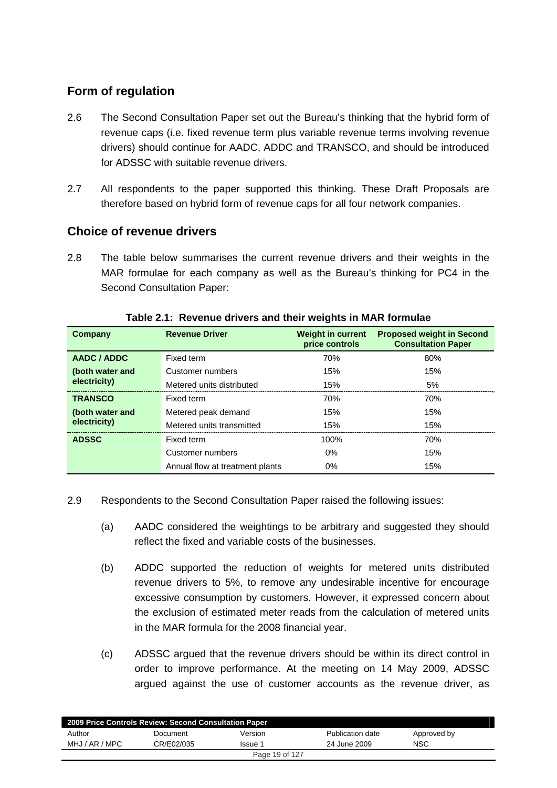# **Form of regulation**

- 2.6 The Second Consultation Paper set out the Bureau's thinking that the hybrid form of revenue caps (i.e. fixed revenue term plus variable revenue terms involving revenue drivers) should continue for AADC, ADDC and TRANSCO, and should be introduced for ADSSC with suitable revenue drivers.
- 2.7 All respondents to the paper supported this thinking. These Draft Proposals are therefore based on hybrid form of revenue caps for all four network companies.

## **Choice of revenue drivers**

2.8 The table below summarises the current revenue drivers and their weights in the MAR formulae for each company as well as the Bureau's thinking for PC4 in the Second Consultation Paper:

| Company         | <b>Revenue Driver</b>           | <b>Weight in current</b><br>price controls | <b>Proposed weight in Second</b><br><b>Consultation Paper</b> |
|-----------------|---------------------------------|--------------------------------------------|---------------------------------------------------------------|
| AADC / ADDC     | Fixed term                      | 70%                                        | 80%                                                           |
| (both water and | Customer numbers                | 15%                                        | 15%                                                           |
| electricity)    | Metered units distributed       | 15%                                        | 5%                                                            |
| <b>TRANSCO</b>  | Fixed term                      | 70%                                        | 70%                                                           |
| (both water and | Metered peak demand             | 15%                                        | 15%                                                           |
| electricity)    | Metered units transmitted       | 15%                                        | 15%                                                           |
| <b>ADSSC</b>    | Fixed term                      | 100%                                       | 70%                                                           |
|                 | Customer numbers                | $0\%$                                      | 15%                                                           |
|                 | Annual flow at treatment plants | $0\%$                                      | 15%                                                           |

**Table 2.1: Revenue drivers and their weights in MAR formulae** 

- 2.9 Respondents to the Second Consultation Paper raised the following issues:
	- (a) AADC considered the weightings to be arbitrary and suggested they should reflect the fixed and variable costs of the businesses.
	- (b) ADDC supported the reduction of weights for metered units distributed revenue drivers to 5%, to remove any undesirable incentive for encourage excessive consumption by customers. However, it expressed concern about the exclusion of estimated meter reads from the calculation of metered units in the MAR formula for the 2008 financial year.
	- (c) ADSSC argued that the revenue drivers should be within its direct control in order to improve performance. At the meeting on 14 May 2009, ADSSC argued against the use of customer accounts as the revenue driver, as

| 2009 Price Controls Review: Second Consultation Paper |            |                |                  |             |  |
|-------------------------------------------------------|------------|----------------|------------------|-------------|--|
| Author                                                | Document   | Version        | Publication date | Approved by |  |
| MHJ / AR / MPC                                        | CR/E02/035 | Issue 1        | 24 June 2009     | <b>NSC</b>  |  |
|                                                       |            | Page 19 of 127 |                  |             |  |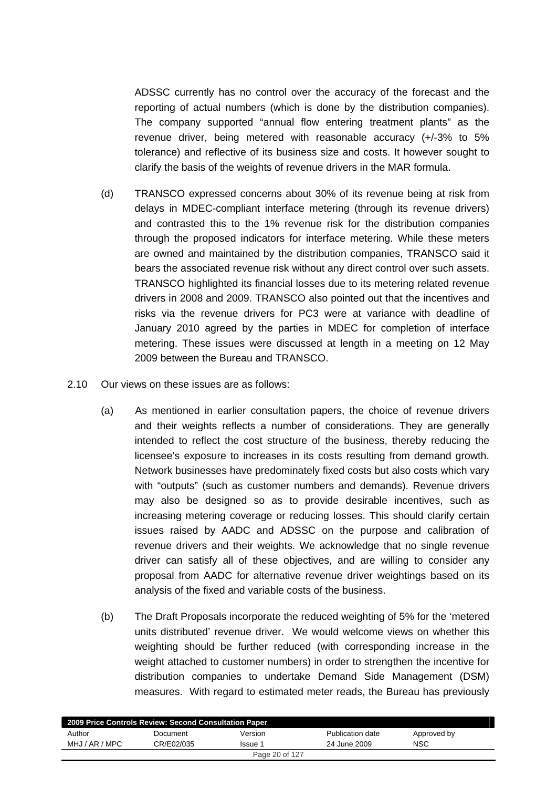ADSSC currently has no control over the accuracy of the forecast and the reporting of actual numbers (which is done by the distribution companies). The company supported "annual flow entering treatment plants" as the revenue driver, being metered with reasonable accuracy (+/-3% to 5% tolerance) and reflective of its business size and costs. It however sought to clarify the basis of the weights of revenue drivers in the MAR formula.

- (d) TRANSCO expressed concerns about 30% of its revenue being at risk from delays in MDEC-compliant interface metering (through its revenue drivers) and contrasted this to the 1% revenue risk for the distribution companies through the proposed indicators for interface metering. While these meters are owned and maintained by the distribution companies, TRANSCO said it bears the associated revenue risk without any direct control over such assets. TRANSCO highlighted its financial losses due to its metering related revenue drivers in 2008 and 2009. TRANSCO also pointed out that the incentives and risks via the revenue drivers for PC3 were at variance with deadline of January 2010 agreed by the parties in MDEC for completion of interface metering. These issues were discussed at length in a meeting on 12 May 2009 between the Bureau and TRANSCO.
- 2.10 Our views on these issues are as follows:
	- (a) As mentioned in earlier consultation papers, the choice of revenue drivers and their weights reflects a number of considerations. They are generally intended to reflect the cost structure of the business, thereby reducing the licensee's exposure to increases in its costs resulting from demand growth. Network businesses have predominately fixed costs but also costs which vary with "outputs" (such as customer numbers and demands). Revenue drivers may also be designed so as to provide desirable incentives, such as increasing metering coverage or reducing losses. This should clarify certain issues raised by AADC and ADSSC on the purpose and calibration of revenue drivers and their weights. We acknowledge that no single revenue driver can satisfy all of these objectives, and are willing to consider any proposal from AADC for alternative revenue driver weightings based on its analysis of the fixed and variable costs of the business.
	- (b) The Draft Proposals incorporate the reduced weighting of 5% for the 'metered units distributed' revenue driver. We would welcome views on whether this weighting should be further reduced (with corresponding increase in the weight attached to customer numbers) in order to strengthen the incentive for distribution companies to undertake Demand Side Management (DSM) measures. With regard to estimated meter reads, the Bureau has previously

| 2009 Price Controls Review: Second Consultation Paper |            |                |                  |             |  |
|-------------------------------------------------------|------------|----------------|------------------|-------------|--|
| Author                                                | Document   | Version        | Publication date | Approved by |  |
| MHJ / AR / MPC                                        | CR/E02/035 | Issue 1        | 24 June 2009     | NSC         |  |
|                                                       |            | Page 20 of 127 |                  |             |  |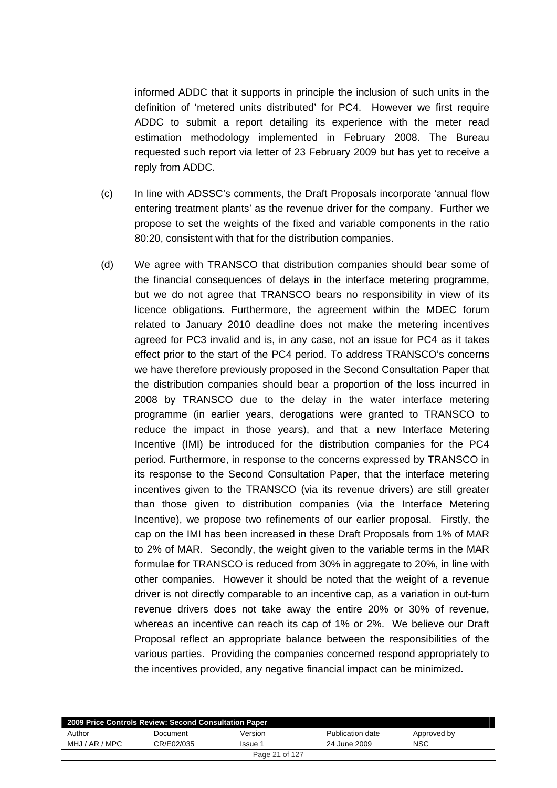informed ADDC that it supports in principle the inclusion of such units in the definition of 'metered units distributed' for PC4. However we first require ADDC to submit a report detailing its experience with the meter read estimation methodology implemented in February 2008. The Bureau requested such report via letter of 23 February 2009 but has yet to receive a reply from ADDC.

- (c) In line with ADSSC's comments, the Draft Proposals incorporate 'annual flow entering treatment plants' as the revenue driver for the company. Further we propose to set the weights of the fixed and variable components in the ratio 80:20, consistent with that for the distribution companies.
- (d) We agree with TRANSCO that distribution companies should bear some of the financial consequences of delays in the interface metering programme, but we do not agree that TRANSCO bears no responsibility in view of its licence obligations. Furthermore, the agreement within the MDEC forum related to January 2010 deadline does not make the metering incentives agreed for PC3 invalid and is, in any case, not an issue for PC4 as it takes effect prior to the start of the PC4 period. To address TRANSCO's concerns we have therefore previously proposed in the Second Consultation Paper that the distribution companies should bear a proportion of the loss incurred in 2008 by TRANSCO due to the delay in the water interface metering programme (in earlier years, derogations were granted to TRANSCO to reduce the impact in those years), and that a new Interface Metering Incentive (IMI) be introduced for the distribution companies for the PC4 period. Furthermore, in response to the concerns expressed by TRANSCO in its response to the Second Consultation Paper, that the interface metering incentives given to the TRANSCO (via its revenue drivers) are still greater than those given to distribution companies (via the Interface Metering Incentive), we propose two refinements of our earlier proposal. Firstly, the cap on the IMI has been increased in these Draft Proposals from 1% of MAR to 2% of MAR. Secondly, the weight given to the variable terms in the MAR formulae for TRANSCO is reduced from 30% in aggregate to 20%, in line with other companies. However it should be noted that the weight of a revenue driver is not directly comparable to an incentive cap, as a variation in out-turn revenue drivers does not take away the entire 20% or 30% of revenue, whereas an incentive can reach its cap of 1% or 2%. We believe our Draft Proposal reflect an appropriate balance between the responsibilities of the various parties. Providing the companies concerned respond appropriately to the incentives provided, any negative financial impact can be minimized.

| 2009 Price Controls Review: Second Consultation Paper |            |                |                  |             |  |
|-------------------------------------------------------|------------|----------------|------------------|-------------|--|
| Author                                                | Document   | Version        | Publication date | Approved by |  |
| MHJ / AR / MPC                                        | CR/E02/035 | Issue 1        | 24 June 2009     | <b>NSC</b>  |  |
|                                                       |            | Page 21 of 127 |                  |             |  |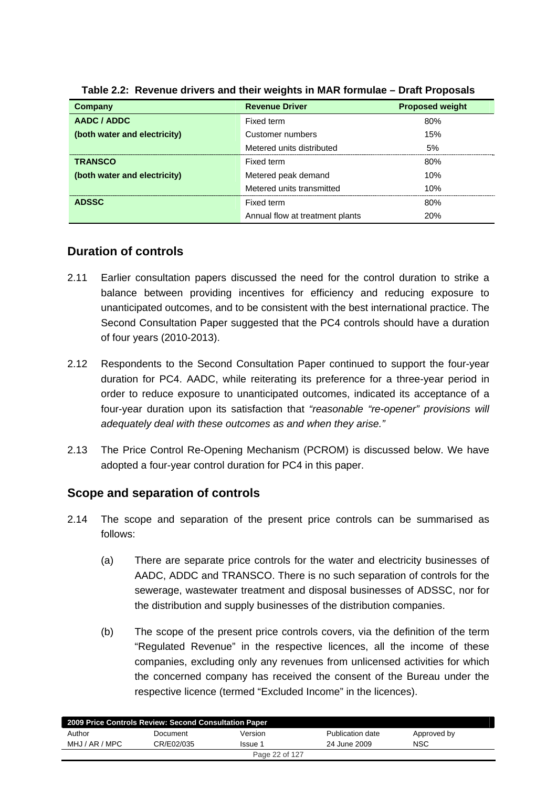| Company                      | <b>Revenue Driver</b>           | <b>Proposed weight</b> |
|------------------------------|---------------------------------|------------------------|
| AADC / ADDC                  | Fixed term                      | 80%                    |
| (both water and electricity) | Customer numbers                | 15%                    |
|                              | Metered units distributed       | 5%                     |
| <b>TRANSCO</b>               | Fixed term                      | 80%                    |
| (both water and electricity) | Metered peak demand             | 10%                    |
|                              | Metered units transmitted       | 10%                    |
| <b>ADSSC</b>                 | Fixed term                      | 80%                    |
|                              | Annual flow at treatment plants | <b>20%</b>             |

**Table 2.2: Revenue drivers and their weights in MAR formulae – Draft Proposals** 

# **Duration of controls**

- 2.11 Earlier consultation papers discussed the need for the control duration to strike a balance between providing incentives for efficiency and reducing exposure to unanticipated outcomes, and to be consistent with the best international practice. The Second Consultation Paper suggested that the PC4 controls should have a duration of four years (2010-2013).
- 2.12 Respondents to the Second Consultation Paper continued to support the four-year duration for PC4. AADC, while reiterating its preference for a three-year period in order to reduce exposure to unanticipated outcomes, indicated its acceptance of a four-year duration upon its satisfaction that *"reasonable "re-opener" provisions will adequately deal with these outcomes as and when they arise."*
- 2.13 The Price Control Re-Opening Mechanism (PCROM) is discussed below. We have adopted a four-year control duration for PC4 in this paper.

# **Scope and separation of controls**

- 2.14 The scope and separation of the present price controls can be summarised as follows:
	- (a) There are separate price controls for the water and electricity businesses of AADC, ADDC and TRANSCO. There is no such separation of controls for the sewerage, wastewater treatment and disposal businesses of ADSSC, nor for the distribution and supply businesses of the distribution companies.
	- (b) The scope of the present price controls covers, via the definition of the term "Regulated Revenue" in the respective licences, all the income of these companies, excluding only any revenues from unlicensed activities for which the concerned company has received the consent of the Bureau under the respective licence (termed "Excluded Income" in the licences).

| 2009 Price Controls Review: Second Consultation Paper |            |         |                  |             |  |
|-------------------------------------------------------|------------|---------|------------------|-------------|--|
| Author                                                | Document   | Version | Publication date | Approved by |  |
| MHJ / AR / MPC                                        | CR/E02/035 | Issue 1 | 24 June 2009     | NSC         |  |
| Page 22 of 127                                        |            |         |                  |             |  |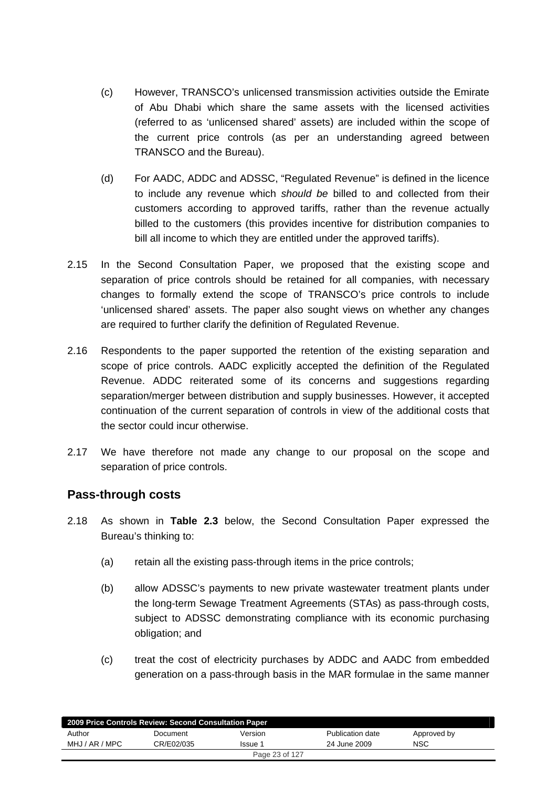- (c) However, TRANSCO's unlicensed transmission activities outside the Emirate of Abu Dhabi which share the same assets with the licensed activities (referred to as 'unlicensed shared' assets) are included within the scope of the current price controls (as per an understanding agreed between TRANSCO and the Bureau).
- (d) For AADC, ADDC and ADSSC, "Regulated Revenue" is defined in the licence to include any revenue which *should be* billed to and collected from their customers according to approved tariffs, rather than the revenue actually billed to the customers (this provides incentive for distribution companies to bill all income to which they are entitled under the approved tariffs).
- 2.15 In the Second Consultation Paper, we proposed that the existing scope and separation of price controls should be retained for all companies, with necessary changes to formally extend the scope of TRANSCO's price controls to include 'unlicensed shared' assets. The paper also sought views on whether any changes are required to further clarify the definition of Regulated Revenue.
- 2.16 Respondents to the paper supported the retention of the existing separation and scope of price controls. AADC explicitly accepted the definition of the Regulated Revenue. ADDC reiterated some of its concerns and suggestions regarding separation/merger between distribution and supply businesses. However, it accepted continuation of the current separation of controls in view of the additional costs that the sector could incur otherwise.
- 2.17 We have therefore not made any change to our proposal on the scope and separation of price controls.

## **Pass-through costs**

- 2.18 As shown in **Table 2.3** below, the Second Consultation Paper expressed the Bureau's thinking to:
	- (a) retain all the existing pass-through items in the price controls;
	- (b) allow ADSSC's payments to new private wastewater treatment plants under the long-term Sewage Treatment Agreements (STAs) as pass-through costs, subject to ADSSC demonstrating compliance with its economic purchasing obligation; and
	- (c) treat the cost of electricity purchases by ADDC and AADC from embedded generation on a pass-through basis in the MAR formulae in the same manner

|                | 2009 Price Controls Review: Second Consultation Paper |                |                  |             |  |
|----------------|-------------------------------------------------------|----------------|------------------|-------------|--|
| Author         | Document                                              | Version        | Publication date | Approved by |  |
| MHJ / AR / MPC | CR/E02/035                                            | Issue 1        | 24 June 2009     | <b>NSC</b>  |  |
|                |                                                       | Page 23 of 127 |                  |             |  |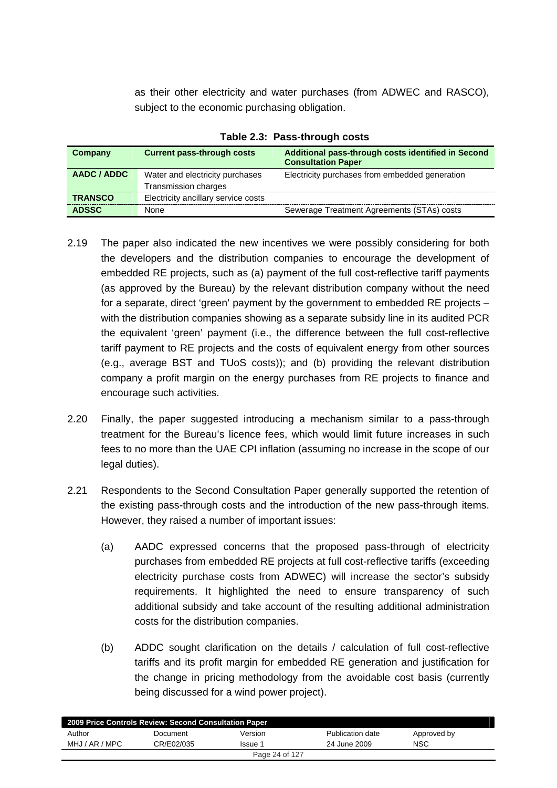as their other electricity and water purchases (from ADWEC and RASCO), subject to the economic purchasing obligation.

| Company        | <b>Current pass-through costs</b>   | Additional pass-through costs identified in Second<br><b>Consultation Paper</b> |
|----------------|-------------------------------------|---------------------------------------------------------------------------------|
| AADC / ADDC    | Water and electricity purchases     | Electricity purchases from embedded generation                                  |
|                | Transmission charges                |                                                                                 |
| <b>TRANSCO</b> | Electricity ancillary service costs |                                                                                 |
| <b>ADSSC</b>   | <b>None</b>                         | Sewerage Treatment Agreements (STAs) costs                                      |

**Table 2.3: Pass-through costs** 

- 2.19 The paper also indicated the new incentives we were possibly considering for both the developers and the distribution companies to encourage the development of embedded RE projects, such as (a) payment of the full cost-reflective tariff payments (as approved by the Bureau) by the relevant distribution company without the need for a separate, direct 'green' payment by the government to embedded RE projects – with the distribution companies showing as a separate subsidy line in its audited PCR the equivalent 'green' payment (i.e., the difference between the full cost-reflective tariff payment to RE projects and the costs of equivalent energy from other sources (e.g., average BST and TUoS costs)); and (b) providing the relevant distribution company a profit margin on the energy purchases from RE projects to finance and encourage such activities.
- 2.20 Finally, the paper suggested introducing a mechanism similar to a pass-through treatment for the Bureau's licence fees, which would limit future increases in such fees to no more than the UAE CPI inflation (assuming no increase in the scope of our legal duties).
- 2.21 Respondents to the Second Consultation Paper generally supported the retention of the existing pass-through costs and the introduction of the new pass-through items. However, they raised a number of important issues:
	- (a) AADC expressed concerns that the proposed pass-through of electricity purchases from embedded RE projects at full cost-reflective tariffs (exceeding electricity purchase costs from ADWEC) will increase the sector's subsidy requirements. It highlighted the need to ensure transparency of such additional subsidy and take account of the resulting additional administration costs for the distribution companies.
	- (b) ADDC sought clarification on the details / calculation of full cost-reflective tariffs and its profit margin for embedded RE generation and justification for the change in pricing methodology from the avoidable cost basis (currently being discussed for a wind power project).

| 2009 Price Controls Review: Second Consultation Paper |            |                |                  |             |  |
|-------------------------------------------------------|------------|----------------|------------------|-------------|--|
| Author                                                | Document   | Version        | Publication date | Approved by |  |
| MHJ / AR / MPC                                        | CR/E02/035 | Issue 1        | 24 June 2009     | <b>NSC</b>  |  |
|                                                       |            | Page 24 of 127 |                  |             |  |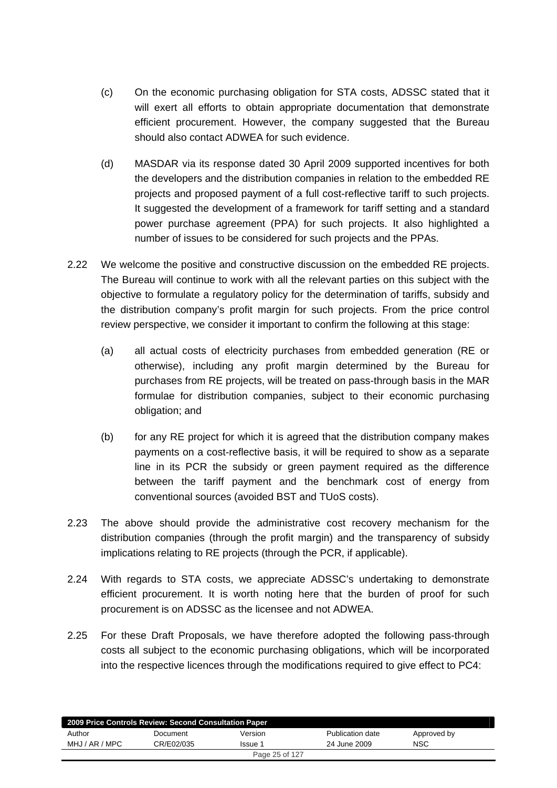- (c) On the economic purchasing obligation for STA costs, ADSSC stated that it will exert all efforts to obtain appropriate documentation that demonstrate efficient procurement. However, the company suggested that the Bureau should also contact ADWEA for such evidence.
- (d) MASDAR via its response dated 30 April 2009 supported incentives for both the developers and the distribution companies in relation to the embedded RE projects and proposed payment of a full cost-reflective tariff to such projects. It suggested the development of a framework for tariff setting and a standard power purchase agreement (PPA) for such projects. It also highlighted a number of issues to be considered for such projects and the PPAs.
- 2.22 We welcome the positive and constructive discussion on the embedded RE projects. The Bureau will continue to work with all the relevant parties on this subject with the objective to formulate a regulatory policy for the determination of tariffs, subsidy and the distribution company's profit margin for such projects. From the price control review perspective, we consider it important to confirm the following at this stage:
	- (a) all actual costs of electricity purchases from embedded generation (RE or otherwise), including any profit margin determined by the Bureau for purchases from RE projects, will be treated on pass-through basis in the MAR formulae for distribution companies, subject to their economic purchasing obligation; and
	- (b) for any RE project for which it is agreed that the distribution company makes payments on a cost-reflective basis, it will be required to show as a separate line in its PCR the subsidy or green payment required as the difference between the tariff payment and the benchmark cost of energy from conventional sources (avoided BST and TUoS costs).
- 2.23 The above should provide the administrative cost recovery mechanism for the distribution companies (through the profit margin) and the transparency of subsidy implications relating to RE projects (through the PCR, if applicable).
- 2.24 With regards to STA costs, we appreciate ADSSC's undertaking to demonstrate efficient procurement. It is worth noting here that the burden of proof for such procurement is on ADSSC as the licensee and not ADWEA.
- 2.25 For these Draft Proposals, we have therefore adopted the following pass-through costs all subject to the economic purchasing obligations, which will be incorporated into the respective licences through the modifications required to give effect to PC4:

| 2009 Price Controls Review: Second Consultation Paper |            |                |                  |             |  |
|-------------------------------------------------------|------------|----------------|------------------|-------------|--|
| Author                                                | Document   | Version        | Publication date | Approved by |  |
| MHJ / AR / MPC                                        | CR/E02/035 | Issue 1        | 24 June 2009     | <b>NSC</b>  |  |
|                                                       |            | Page 25 of 127 |                  |             |  |
|                                                       |            |                |                  |             |  |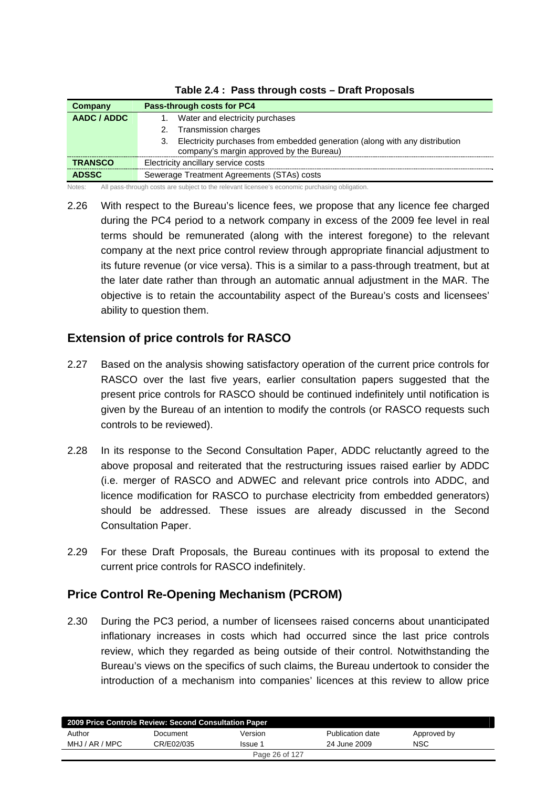| Company        | Pass-through costs for PC4                                                                                                    |
|----------------|-------------------------------------------------------------------------------------------------------------------------------|
| AADC / ADDC    | Water and electricity purchases                                                                                               |
|                | Transmission charges<br>2.                                                                                                    |
|                | Electricity purchases from embedded generation (along with any distribution<br>З.<br>company's margin approved by the Bureau) |
| <b>TRANSCO</b> | Electricity ancillary service costs                                                                                           |
| <b>ADSSC</b>   | Sewerage Treatment Agreements (STAs) costs                                                                                    |

|  | Table 2.4 : Pass through costs - Draft Proposals |  |
|--|--------------------------------------------------|--|
|--|--------------------------------------------------|--|

Notes: All pass-through costs are subject to the relevant licensee's economic purchasing obligation.

2.26 With respect to the Bureau's licence fees, we propose that any licence fee charged during the PC4 period to a network company in excess of the 2009 fee level in real terms should be remunerated (along with the interest foregone) to the relevant company at the next price control review through appropriate financial adjustment to its future revenue (or vice versa). This is a similar to a pass-through treatment, but at the later date rather than through an automatic annual adjustment in the MAR. The objective is to retain the accountability aspect of the Bureau's costs and licensees' ability to question them.

# **Extension of price controls for RASCO**

- 2.27 Based on the analysis showing satisfactory operation of the current price controls for RASCO over the last five years, earlier consultation papers suggested that the present price controls for RASCO should be continued indefinitely until notification is given by the Bureau of an intention to modify the controls (or RASCO requests such controls to be reviewed).
- 2.28 In its response to the Second Consultation Paper, ADDC reluctantly agreed to the above proposal and reiterated that the restructuring issues raised earlier by ADDC (i.e. merger of RASCO and ADWEC and relevant price controls into ADDC, and licence modification for RASCO to purchase electricity from embedded generators) should be addressed. These issues are already discussed in the Second Consultation Paper.
- 2.29 For these Draft Proposals, the Bureau continues with its proposal to extend the current price controls for RASCO indefinitely.

# **Price Control Re-Opening Mechanism (PCROM)**

2.30 During the PC3 period, a number of licensees raised concerns about unanticipated inflationary increases in costs which had occurred since the last price controls review, which they regarded as being outside of their control. Notwithstanding the Bureau's views on the specifics of such claims, the Bureau undertook to consider the introduction of a mechanism into companies' licences at this review to allow price

| 2009 Price Controls Review: Second Consultation Paper |            |                |                  |             |  |
|-------------------------------------------------------|------------|----------------|------------------|-------------|--|
| Author                                                | Document   | Version        | Publication date | Approved by |  |
| MHJ / AR / MPC                                        | CR/E02/035 | Issue 1        | 24 June 2009     | <b>NSC</b>  |  |
|                                                       |            | Page 26 of 127 |                  |             |  |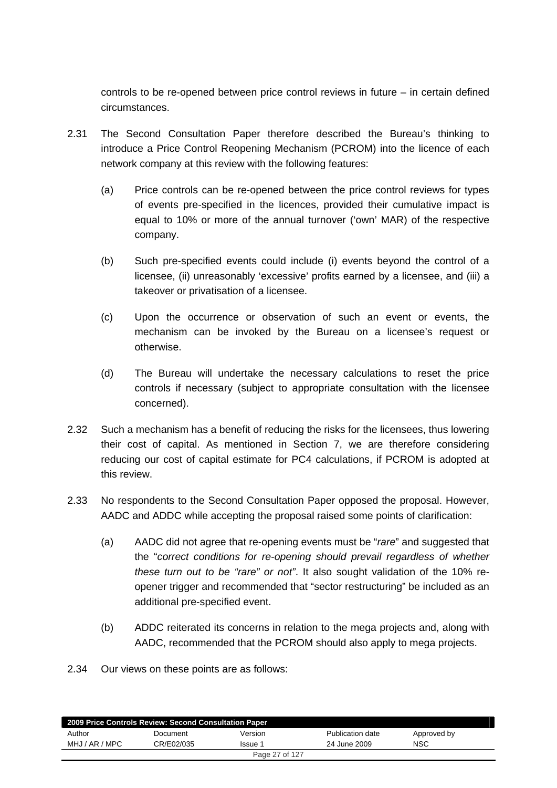controls to be re-opened between price control reviews in future – in certain defined circumstances.

- 2.31 The Second Consultation Paper therefore described the Bureau's thinking to introduce a Price Control Reopening Mechanism (PCROM) into the licence of each network company at this review with the following features:
	- (a) Price controls can be re-opened between the price control reviews for types of events pre-specified in the licences, provided their cumulative impact is equal to 10% or more of the annual turnover ('own' MAR) of the respective company.
	- (b) Such pre-specified events could include (i) events beyond the control of a licensee, (ii) unreasonably 'excessive' profits earned by a licensee, and (iii) a takeover or privatisation of a licensee.
	- (c) Upon the occurrence or observation of such an event or events, the mechanism can be invoked by the Bureau on a licensee's request or otherwise.
	- (d) The Bureau will undertake the necessary calculations to reset the price controls if necessary (subject to appropriate consultation with the licensee concerned).
- 2.32 Such a mechanism has a benefit of reducing the risks for the licensees, thus lowering their cost of capital. As mentioned in Section 7, we are therefore considering reducing our cost of capital estimate for PC4 calculations, if PCROM is adopted at this review.
- 2.33 No respondents to the Second Consultation Paper opposed the proposal. However, AADC and ADDC while accepting the proposal raised some points of clarification:
	- (a) AADC did not agree that re-opening events must be "*rare*" and suggested that the "*correct conditions for re-opening should prevail regardless of whether these turn out to be "rare" or not"*. It also sought validation of the 10% reopener trigger and recommended that "sector restructuring" be included as an additional pre-specified event.
	- (b) ADDC reiterated its concerns in relation to the mega projects and, along with AADC, recommended that the PCROM should also apply to mega projects.
- 2.34 Our views on these points are as follows:

|                | 2009 Price Controls Review: Second Consultation Paper |                |                  |             |  |
|----------------|-------------------------------------------------------|----------------|------------------|-------------|--|
| Author         | Document                                              | Version        | Publication date | Approved by |  |
| MHJ / AR / MPC | CR/E02/035                                            | Issue 1        | 24 June 2009     | NSC         |  |
|                |                                                       | Page 27 of 127 |                  |             |  |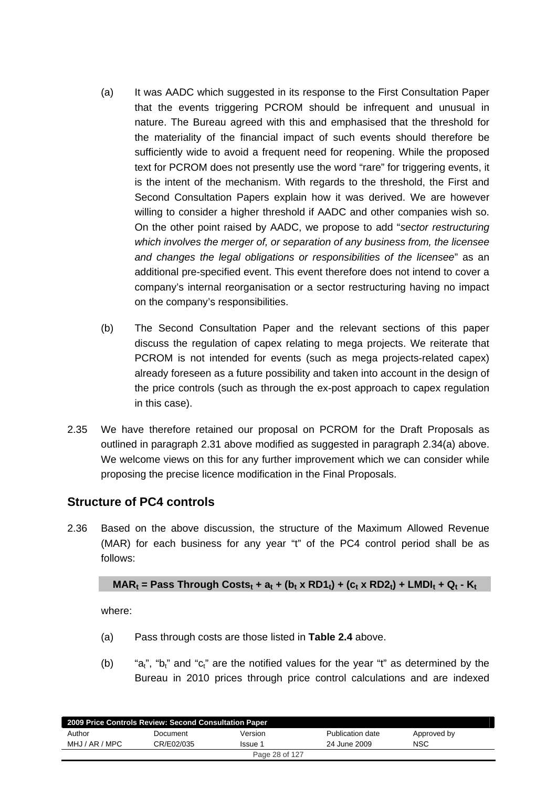- (a) It was AADC which suggested in its response to the First Consultation Paper that the events triggering PCROM should be infrequent and unusual in nature. The Bureau agreed with this and emphasised that the threshold for the materiality of the financial impact of such events should therefore be sufficiently wide to avoid a frequent need for reopening. While the proposed text for PCROM does not presently use the word "rare" for triggering events, it is the intent of the mechanism. With regards to the threshold, the First and Second Consultation Papers explain how it was derived. We are however willing to consider a higher threshold if AADC and other companies wish so. On the other point raised by AADC, we propose to add "*sector restructuring which involves the merger of, or separation of any business from, the licensee and changes the legal obligations or responsibilities of the licensee*" as an additional pre-specified event. This event therefore does not intend to cover a company's internal reorganisation or a sector restructuring having no impact on the company's responsibilities.
- (b) The Second Consultation Paper and the relevant sections of this paper discuss the regulation of capex relating to mega projects. We reiterate that PCROM is not intended for events (such as mega projects-related capex) already foreseen as a future possibility and taken into account in the design of the price controls (such as through the ex-post approach to capex regulation in this case).
- 2.35 We have therefore retained our proposal on PCROM for the Draft Proposals as outlined in paragraph 2.31 above modified as suggested in paragraph 2.34(a) above. We welcome views on this for any further improvement which we can consider while proposing the precise licence modification in the Final Proposals.

# **Structure of PC4 controls**

2.36 Based on the above discussion, the structure of the Maximum Allowed Revenue (MAR) for each business for any year "t" of the PC4 control period shall be as follows:

$$
MAR_t = Pass Through Costs_t + a_t + (b_t \times R D1_t) + (c_t \times R D2_t) + LMDI_t + Q_t - K_t
$$

where:

- (a) Pass through costs are those listed in **Table 2.4** above.
- (b)  $a_t$ ", "b<sub>t</sub>" and "c<sub>t</sub>" are the notified values for the year "t" as determined by the Bureau in 2010 prices through price control calculations and are indexed

| 2009 Price Controls Review: Second Consultation Paper |            |                |                  |             |  |  |  |  |  |
|-------------------------------------------------------|------------|----------------|------------------|-------------|--|--|--|--|--|
| Author                                                | Document   | Version        | Publication date | Approved by |  |  |  |  |  |
| MHJ / AR / MPC                                        | CR/E02/035 | Issue 1        | 24 June 2009     | NSC         |  |  |  |  |  |
|                                                       |            | Page 28 of 127 |                  |             |  |  |  |  |  |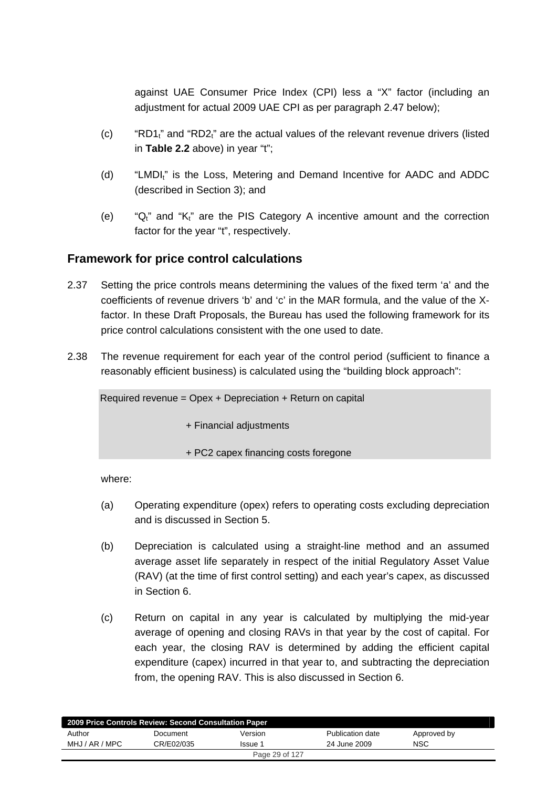against UAE Consumer Price Index (CPI) less a "X" factor (including an adjustment for actual 2009 UAE CPI as per paragraph 2.47 below);

- (c) "RD1 $_1$ " and "RD2 $_1$ " are the actual values of the relevant revenue drivers (listed in **Table 2.2** above) in year "t";
- (d) "LMDI<sub>t</sub>" is the Loss, Metering and Demand Incentive for AADC and ADDC (described in Section 3); and
- (e) " $Q_t$ " and " $K_t$ " are the PIS Category A incentive amount and the correction factor for the year "t", respectively.

## **Framework for price control calculations**

- 2.37 Setting the price controls means determining the values of the fixed term 'a' and the coefficients of revenue drivers 'b' and 'c' in the MAR formula, and the value of the Xfactor. In these Draft Proposals, the Bureau has used the following framework for its price control calculations consistent with the one used to date.
- 2.38 The revenue requirement for each year of the control period (sufficient to finance a reasonably efficient business) is calculated using the "building block approach":

Required revenue = Opex + Depreciation + Return on capital

+ Financial adjustments

+ PC2 capex financing costs foregone

where:

- (a) Operating expenditure (opex) refers to operating costs excluding depreciation and is discussed in Section 5.
- (b) Depreciation is calculated using a straight-line method and an assumed average asset life separately in respect of the initial Regulatory Asset Value (RAV) (at the time of first control setting) and each year's capex, as discussed in Section 6.
- (c) Return on capital in any year is calculated by multiplying the mid-year average of opening and closing RAVs in that year by the cost of capital. For each year, the closing RAV is determined by adding the efficient capital expenditure (capex) incurred in that year to, and subtracting the depreciation from, the opening RAV. This is also discussed in Section 6.

| 2009 Price Controls Review: Second Consultation Paper |            |                |                  |             |  |  |  |  |  |
|-------------------------------------------------------|------------|----------------|------------------|-------------|--|--|--|--|--|
| Author                                                | Document   | Version        | Publication date | Approved by |  |  |  |  |  |
| MHJ / AR / MPC                                        | CR/E02/035 | Issue 1        | 24 June 2009     | NSC         |  |  |  |  |  |
|                                                       |            | Page 29 of 127 |                  |             |  |  |  |  |  |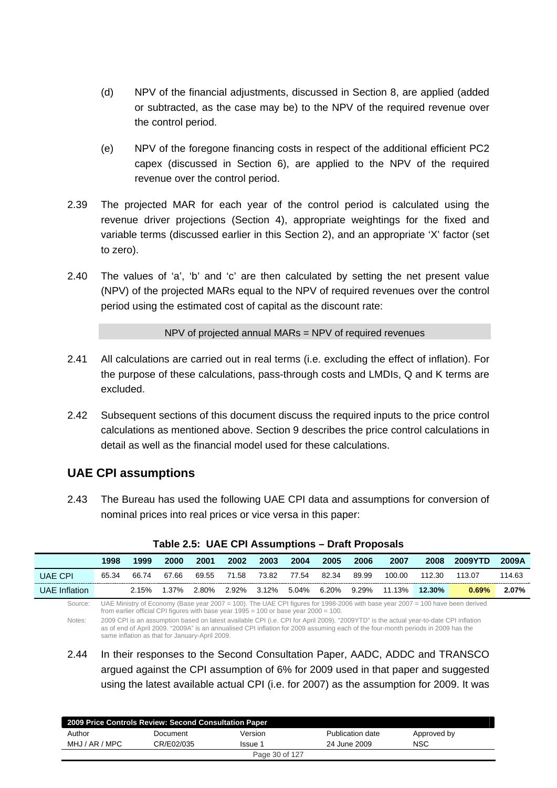- (d) NPV of the financial adjustments, discussed in Section 8, are applied (added or subtracted, as the case may be) to the NPV of the required revenue over the control period.
- (e) NPV of the foregone financing costs in respect of the additional efficient PC2 capex (discussed in Section 6), are applied to the NPV of the required revenue over the control period.
- 2.39 The projected MAR for each year of the control period is calculated using the revenue driver projections (Section 4), appropriate weightings for the fixed and variable terms (discussed earlier in this Section 2), and an appropriate 'X' factor (set to zero).
- 2.40 The values of 'a', 'b' and 'c' are then calculated by setting the net present value (NPV) of the projected MARs equal to the NPV of required revenues over the control period using the estimated cost of capital as the discount rate:

NPV of projected annual MARs = NPV of required revenues

- 2.41 All calculations are carried out in real terms (i.e. excluding the effect of inflation). For the purpose of these calculations, pass-through costs and LMDIs, Q and K terms are excluded.
- 2.42 Subsequent sections of this document discuss the required inputs to the price control calculations as mentioned above. Section 9 describes the price control calculations in detail as well as the financial model used for these calculations.

## **UAE CPI assumptions**

2.43 The Bureau has used the following UAE CPI data and assumptions for conversion of nominal prices into real prices or vice versa in this paper:

|                      | 1998                                                                                                                                                                                                                                                         | 1999                                                                                                                                                                                                                                                                                                                        | 2000  | 2001  | 2002  | 2003  | 2004  | 2005  | 2006  | 2007   | 2008      | <b>2009YTD</b> | 2009A  |
|----------------------|--------------------------------------------------------------------------------------------------------------------------------------------------------------------------------------------------------------------------------------------------------------|-----------------------------------------------------------------------------------------------------------------------------------------------------------------------------------------------------------------------------------------------------------------------------------------------------------------------------|-------|-------|-------|-------|-------|-------|-------|--------|-----------|----------------|--------|
| <b>UAE CPI</b>       | 65.34                                                                                                                                                                                                                                                        | 66.74                                                                                                                                                                                                                                                                                                                       | 67.66 | 69.55 | 71.58 | 73.82 | 77.54 | 82.34 | 89.99 | 100.00 | 112.30    | 113.07         | 114.63 |
| <b>UAE</b> Inflation |                                                                                                                                                                                                                                                              | 2.15%                                                                                                                                                                                                                                                                                                                       | 1.37% | 2.80% | 2.92% | 3.12% | 5.04% | 6.20% | 9.29% | 11.13% | $12.30\%$ | 0.69%          | 2.07%  |
| Source:              | UAE Ministry of Economy (Base year 2007 = 100). The UAE CPI figures for 1998-2006 with base year 2007 = 100 have been derived<br>from earlier official CPI figures with base year $1995 = 100$ or base year $2000 = 100$ .                                   |                                                                                                                                                                                                                                                                                                                             |       |       |       |       |       |       |       |        |           |                |        |
| Notes:               |                                                                                                                                                                                                                                                              | 2009 CPI is an assumption based on latest available CPI (i.e. CPI for April 2009). "2009YTD" is the actual year-to-date CPI inflation<br>as of end of April 2009. "2009A" is an annualised CPI inflation for 2009 assuming each of the four-month periods in 2009 has the<br>same inflation as that for January-April 2009. |       |       |       |       |       |       |       |        |           |                |        |
| 2.44                 | In their responses to the Second Consultation Paper, AADC, ADDC and TRANSCO<br>argued against the CPI assumption of 6% for 2009 used in that paper and suggested<br>using the latest available actual CPI (i.e. for 2007) as the assumption for 2009. It was |                                                                                                                                                                                                                                                                                                                             |       |       |       |       |       |       |       |        |           |                |        |

**Table 2.5: UAE CPI Assumptions – Draft Proposals** 

| 2009 Price Controls Review: Second Consultation Paper |            |                |                  |             |  |  |  |  |  |
|-------------------------------------------------------|------------|----------------|------------------|-------------|--|--|--|--|--|
| Author                                                | Document   | Version        | Publication date | Approved by |  |  |  |  |  |
| MHJ / AR / MPC                                        | CR/E02/035 | Issue 1        | 24 June 2009     | NSC         |  |  |  |  |  |
|                                                       |            | Page 30 of 127 |                  |             |  |  |  |  |  |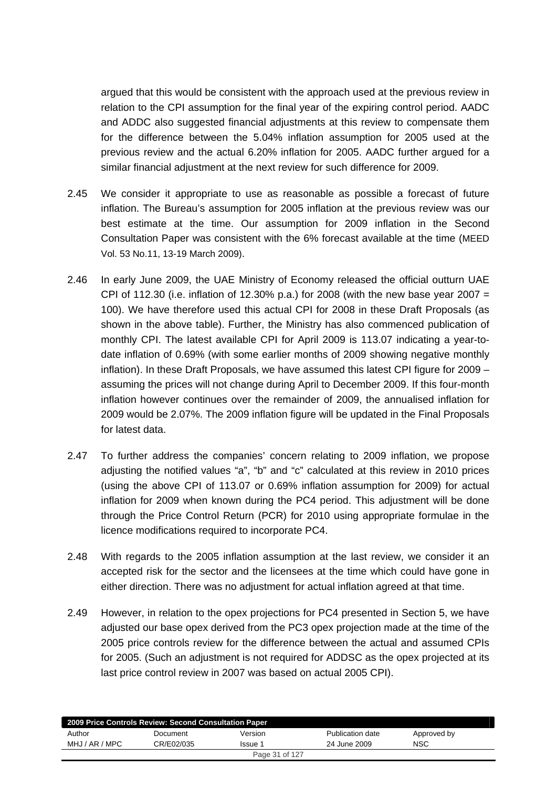argued that this would be consistent with the approach used at the previous review in relation to the CPI assumption for the final year of the expiring control period. AADC and ADDC also suggested financial adjustments at this review to compensate them for the difference between the 5.04% inflation assumption for 2005 used at the previous review and the actual 6.20% inflation for 2005. AADC further argued for a similar financial adjustment at the next review for such difference for 2009.

- 2.45 We consider it appropriate to use as reasonable as possible a forecast of future inflation. The Bureau's assumption for 2005 inflation at the previous review was our best estimate at the time. Our assumption for 2009 inflation in the Second Consultation Paper was consistent with the 6% forecast available at the time (MEED Vol. 53 No.11, 13-19 March 2009).
- 2.46 In early June 2009, the UAE Ministry of Economy released the official outturn UAE CPI of 112.30 (i.e. inflation of 12.30% p.a.) for 2008 (with the new base year 2007  $=$ 100). We have therefore used this actual CPI for 2008 in these Draft Proposals (as shown in the above table). Further, the Ministry has also commenced publication of monthly CPI. The latest available CPI for April 2009 is 113.07 indicating a year-todate inflation of 0.69% (with some earlier months of 2009 showing negative monthly inflation). In these Draft Proposals, we have assumed this latest CPI figure for 2009 – assuming the prices will not change during April to December 2009. If this four-month inflation however continues over the remainder of 2009, the annualised inflation for 2009 would be 2.07%. The 2009 inflation figure will be updated in the Final Proposals for latest data.
- 2.47 To further address the companies' concern relating to 2009 inflation, we propose adjusting the notified values "a", "b" and "c" calculated at this review in 2010 prices (using the above CPI of 113.07 or 0.69% inflation assumption for 2009) for actual inflation for 2009 when known during the PC4 period. This adjustment will be done through the Price Control Return (PCR) for 2010 using appropriate formulae in the licence modifications required to incorporate PC4.
- 2.48 With regards to the 2005 inflation assumption at the last review, we consider it an accepted risk for the sector and the licensees at the time which could have gone in either direction. There was no adjustment for actual inflation agreed at that time.
- 2.49 However, in relation to the opex projections for PC4 presented in Section 5, we have adjusted our base opex derived from the PC3 opex projection made at the time of the 2005 price controls review for the difference between the actual and assumed CPIs for 2005. (Such an adjustment is not required for ADDSC as the opex projected at its last price control review in 2007 was based on actual 2005 CPI).

| 2009 Price Controls Review: Second Consultation Paper |            |                |                  |             |  |  |  |  |  |
|-------------------------------------------------------|------------|----------------|------------------|-------------|--|--|--|--|--|
| Author                                                | Document   | Version        | Publication date | Approved by |  |  |  |  |  |
| MHJ / AR / MPC                                        | CR/E02/035 | Issue 1        | 24 June 2009     | <b>NSC</b>  |  |  |  |  |  |
|                                                       |            | Page 31 of 127 |                  |             |  |  |  |  |  |
|                                                       |            |                |                  |             |  |  |  |  |  |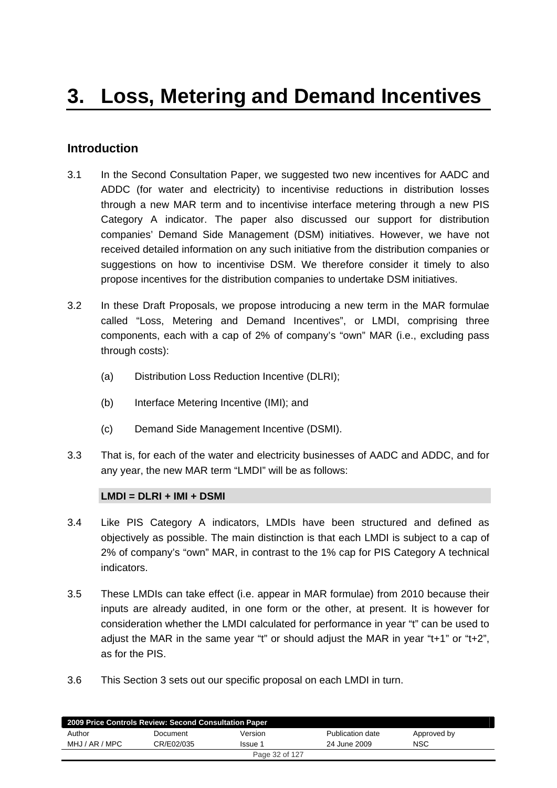## <span id="page-31-0"></span>**Introduction**

- 3.1 In the Second Consultation Paper, we suggested two new incentives for AADC and ADDC (for water and electricity) to incentivise reductions in distribution losses through a new MAR term and to incentivise interface metering through a new PIS Category A indicator. The paper also discussed our support for distribution companies' Demand Side Management (DSM) initiatives. However, we have not received detailed information on any such initiative from the distribution companies or suggestions on how to incentivise DSM. We therefore consider it timely to also propose incentives for the distribution companies to undertake DSM initiatives.
- 3.2 In these Draft Proposals, we propose introducing a new term in the MAR formulae called "Loss, Metering and Demand Incentives", or LMDI, comprising three components, each with a cap of 2% of company's "own" MAR (i.e., excluding pass through costs):
	- (a) Distribution Loss Reduction Incentive (DLRI);
	- (b) Interface Metering Incentive (IMI); and
	- (c) Demand Side Management Incentive (DSMI).
- 3.3 That is, for each of the water and electricity businesses of AADC and ADDC, and for any year, the new MAR term "LMDI" will be as follows:

#### **LMDI = DLRI + IMI + DSMI**

- 3.4 Like PIS Category A indicators, LMDIs have been structured and defined as objectively as possible. The main distinction is that each LMDI is subject to a cap of 2% of company's "own" MAR, in contrast to the 1% cap for PIS Category A technical indicators.
- 3.5 These LMDIs can take effect (i.e. appear in MAR formulae) from 2010 because their inputs are already audited, in one form or the other, at present. It is however for consideration whether the LMDI calculated for performance in year "t" can be used to adjust the MAR in the same year "t" or should adjust the MAR in year "t+1" or "t+2", as for the PIS.
- 3.6 This Section 3 sets out our specific proposal on each LMDI in turn.

| 2009 Price Controls Review: Second Consultation Paper |            |                |                  |             |  |  |  |  |  |
|-------------------------------------------------------|------------|----------------|------------------|-------------|--|--|--|--|--|
| Author                                                | Document   | Version        | Publication date | Approved by |  |  |  |  |  |
| MHJ / AR / MPC                                        | CR/E02/035 | Issue 1        | 24 June 2009     | <b>NSC</b>  |  |  |  |  |  |
|                                                       |            | Page 32 of 127 |                  |             |  |  |  |  |  |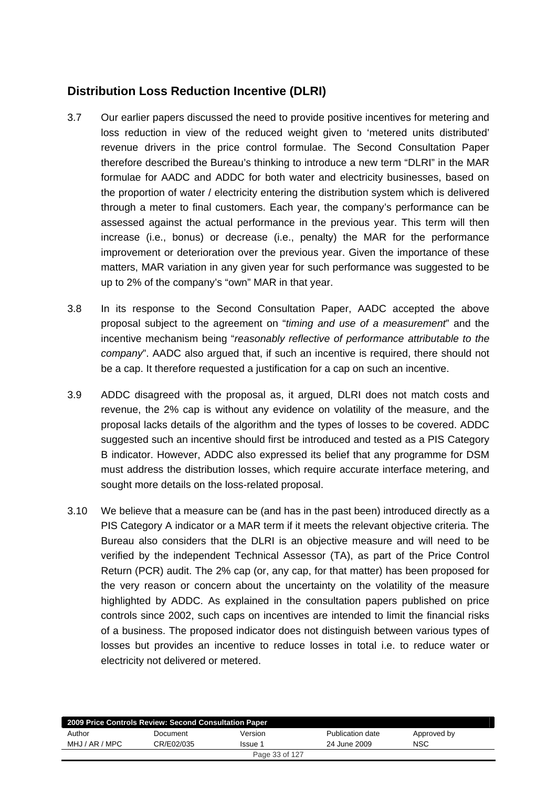# **Distribution Loss Reduction Incentive (DLRI)**

- 3.7 Our earlier papers discussed the need to provide positive incentives for metering and loss reduction in view of the reduced weight given to 'metered units distributed' revenue drivers in the price control formulae. The Second Consultation Paper therefore described the Bureau's thinking to introduce a new term "DLRI" in the MAR formulae for AADC and ADDC for both water and electricity businesses, based on the proportion of water / electricity entering the distribution system which is delivered through a meter to final customers. Each year, the company's performance can be assessed against the actual performance in the previous year. This term will then increase (i.e., bonus) or decrease (i.e., penalty) the MAR for the performance improvement or deterioration over the previous year. Given the importance of these matters, MAR variation in any given year for such performance was suggested to be up to 2% of the company's "own" MAR in that year.
- 3.8 In its response to the Second Consultation Paper, AADC accepted the above proposal subject to the agreement on "*timing and use of a measurement*" and the incentive mechanism being "*reasonably reflective of performance attributable to the company*". AADC also argued that, if such an incentive is required, there should not be a cap. It therefore requested a justification for a cap on such an incentive.
- 3.9 ADDC disagreed with the proposal as, it argued, DLRI does not match costs and revenue, the 2% cap is without any evidence on volatility of the measure, and the proposal lacks details of the algorithm and the types of losses to be covered. ADDC suggested such an incentive should first be introduced and tested as a PIS Category B indicator. However, ADDC also expressed its belief that any programme for DSM must address the distribution losses, which require accurate interface metering, and sought more details on the loss-related proposal.
- 3.10 We believe that a measure can be (and has in the past been) introduced directly as a PIS Category A indicator or a MAR term if it meets the relevant objective criteria. The Bureau also considers that the DLRI is an objective measure and will need to be verified by the independent Technical Assessor (TA), as part of the Price Control Return (PCR) audit. The 2% cap (or, any cap, for that matter) has been proposed for the very reason or concern about the uncertainty on the volatility of the measure highlighted by ADDC. As explained in the consultation papers published on price controls since 2002, such caps on incentives are intended to limit the financial risks of a business. The proposed indicator does not distinguish between various types of losses but provides an incentive to reduce losses in total i.e. to reduce water or electricity not delivered or metered.

| 2009 Price Controls Review: Second Consultation Paper |            |                |                  |             |
|-------------------------------------------------------|------------|----------------|------------------|-------------|
| Author                                                | Document   | Version        | Publication date | Approved by |
| MHJ / AR / MPC                                        | CR/E02/035 | Issue 1        | 24 June 2009     | <b>NSC</b>  |
|                                                       |            | Page 33 of 127 |                  |             |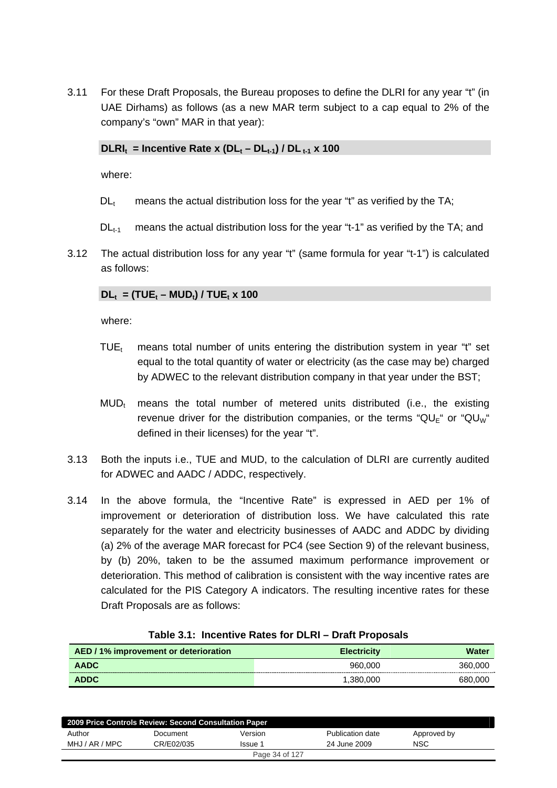3.11 For these Draft Proposals, the Bureau proposes to define the DLRI for any year "t" (in UAE Dirhams) as follows (as a new MAR term subject to a cap equal to 2% of the company's "own" MAR in that year):

#### $DLRI_t$  = Incentive Rate x  $(DL_t - DL_{t-1}) / DL_{t-1}$  x 100

where:

- $DL<sub>t</sub>$  means the actual distribution loss for the year "t" as verified by the TA;
- $DL_{t-1}$  means the actual distribution loss for the year "t-1" as verified by the TA; and
- 3.12 The actual distribution loss for any year "t" (same formula for year "t-1") is calculated as follows:

#### $DL_t = (TUE_t - MUD_t) / TUE_t \times 100$

where:

- TUE<sub>t</sub> means total number of units entering the distribution system in year "t" set equal to the total quantity of water or electricity (as the case may be) charged by ADWEC to the relevant distribution company in that year under the BST;
- $MUD_t$  means the total number of metered units distributed (i.e., the existing revenue driver for the distribution companies, or the terms " $QU_F$ " or " $QU_W$ " defined in their licenses) for the year "t".
- 3.13 Both the inputs i.e., TUE and MUD, to the calculation of DLRI are currently audited for ADWEC and AADC / ADDC, respectively.
- 3.14 In the above formula, the "Incentive Rate" is expressed in AED per 1% of improvement or deterioration of distribution loss. We have calculated this rate separately for the water and electricity businesses of AADC and ADDC by dividing (a) 2% of the average MAR forecast for PC4 (see Section 9) of the relevant business, by (b) 20%, taken to be the assumed maximum performance improvement or deterioration. This method of calibration is consistent with the way incentive rates are calculated for the PIS Category A indicators. The resulting incentive rates for these Draft Proposals are as follows:

| AED / 1% improvement or deterioration | <b>Electricity</b> | Water   |
|---------------------------------------|--------------------|---------|
| <b>AADC</b>                           | 960,000            | 360,000 |
| <b>ADDC</b>                           | 1.380.000          | 680,000 |

#### **Table 3.1: Incentive Rates for DLRI – Draft Proposals**

| 2009 Price Controls Review: Second Consultation Paper |            |                |                  |             |  |  |  |  |  |
|-------------------------------------------------------|------------|----------------|------------------|-------------|--|--|--|--|--|
| Author                                                | Document   | Version        | Publication date | Approved by |  |  |  |  |  |
| MHJ / AR / MPC                                        | CR/E02/035 | Issue 1        | 24 June 2009     | NSC         |  |  |  |  |  |
|                                                       |            | Page 34 of 127 |                  |             |  |  |  |  |  |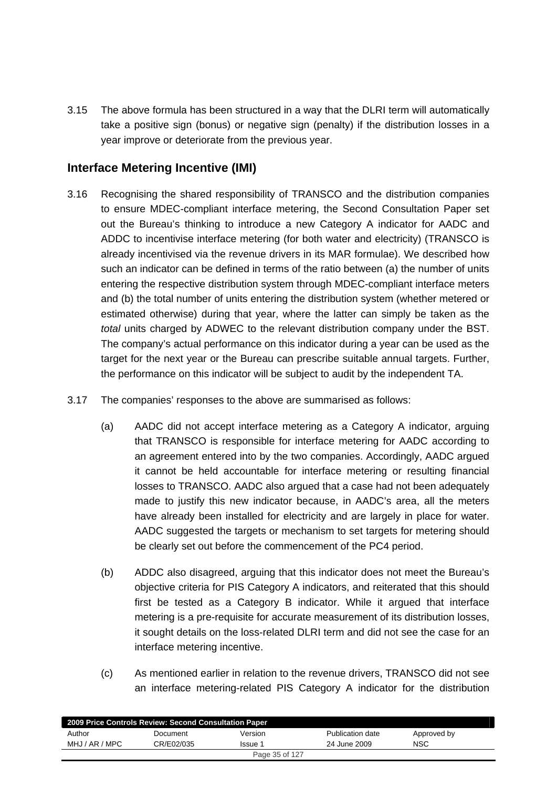3.15 The above formula has been structured in a way that the DLRI term will automatically take a positive sign (bonus) or negative sign (penalty) if the distribution losses in a year improve or deteriorate from the previous year.

## **Interface Metering Incentive (IMI)**

- 3.16 Recognising the shared responsibility of TRANSCO and the distribution companies to ensure MDEC-compliant interface metering, the Second Consultation Paper set out the Bureau's thinking to introduce a new Category A indicator for AADC and ADDC to incentivise interface metering (for both water and electricity) (TRANSCO is already incentivised via the revenue drivers in its MAR formulae). We described how such an indicator can be defined in terms of the ratio between (a) the number of units entering the respective distribution system through MDEC-compliant interface meters and (b) the total number of units entering the distribution system (whether metered or estimated otherwise) during that year, where the latter can simply be taken as the *total* units charged by ADWEC to the relevant distribution company under the BST. The company's actual performance on this indicator during a year can be used as the target for the next year or the Bureau can prescribe suitable annual targets. Further, the performance on this indicator will be subject to audit by the independent TA.
- 3.17 The companies' responses to the above are summarised as follows:
	- (a) AADC did not accept interface metering as a Category A indicator, arguing that TRANSCO is responsible for interface metering for AADC according to an agreement entered into by the two companies. Accordingly, AADC argued it cannot be held accountable for interface metering or resulting financial losses to TRANSCO. AADC also argued that a case had not been adequately made to justify this new indicator because, in AADC's area, all the meters have already been installed for electricity and are largely in place for water. AADC suggested the targets or mechanism to set targets for metering should be clearly set out before the commencement of the PC4 period.
	- (b) ADDC also disagreed, arguing that this indicator does not meet the Bureau's objective criteria for PIS Category A indicators, and reiterated that this should first be tested as a Category B indicator. While it argued that interface metering is a pre-requisite for accurate measurement of its distribution losses, it sought details on the loss-related DLRI term and did not see the case for an interface metering incentive.
	- (c) As mentioned earlier in relation to the revenue drivers, TRANSCO did not see an interface metering-related PIS Category A indicator for the distribution

| 2009 Price Controls Review: Second Consultation Paper |            |                |                  |             |  |  |  |  |  |
|-------------------------------------------------------|------------|----------------|------------------|-------------|--|--|--|--|--|
| Author                                                | Document   | Version        | Publication date | Approved by |  |  |  |  |  |
| MHJ / AR / MPC                                        | CR/E02/035 | Issue 1        | 24 June 2009     | <b>NSC</b>  |  |  |  |  |  |
|                                                       |            | Page 35 of 127 |                  |             |  |  |  |  |  |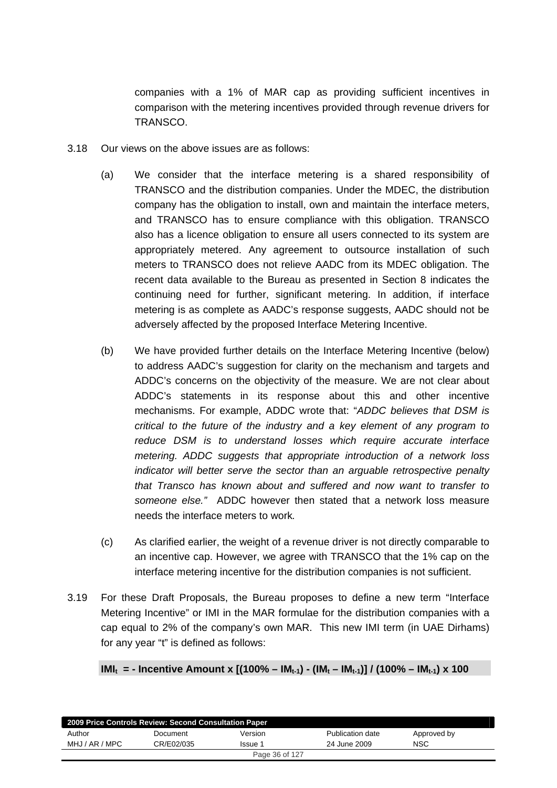companies with a 1% of MAR cap as providing sufficient incentives in comparison with the metering incentives provided through revenue drivers for TRANSCO.

- 3.18 Our views on the above issues are as follows:
	- (a) We consider that the interface metering is a shared responsibility of TRANSCO and the distribution companies. Under the MDEC, the distribution company has the obligation to install, own and maintain the interface meters, and TRANSCO has to ensure compliance with this obligation. TRANSCO also has a licence obligation to ensure all users connected to its system are appropriately metered. Any agreement to outsource installation of such meters to TRANSCO does not relieve AADC from its MDEC obligation. The recent data available to the Bureau as presented in Section 8 indicates the continuing need for further, significant metering. In addition, if interface metering is as complete as AADC's response suggests, AADC should not be adversely affected by the proposed Interface Metering Incentive.
	- (b) We have provided further details on the Interface Metering Incentive (below) to address AADC's suggestion for clarity on the mechanism and targets and ADDC's concerns on the objectivity of the measure. We are not clear about ADDC's statements in its response about this and other incentive mechanisms. For example, ADDC wrote that: "*ADDC believes that DSM is critical to the future of the industry and a key element of any program to reduce DSM is to understand losses which require accurate interface metering. ADDC suggests that appropriate introduction of a network loss indicator will better serve the sector than an arguable retrospective penalty that Transco has known about and suffered and now want to transfer to someone else."* ADDC however then stated that a network loss measure needs the interface meters to work*.*
	- (c) As clarified earlier, the weight of a revenue driver is not directly comparable to an incentive cap. However, we agree with TRANSCO that the 1% cap on the interface metering incentive for the distribution companies is not sufficient.
- 3.19 For these Draft Proposals, the Bureau proposes to define a new term "Interface Metering Incentive" or IMI in the MAR formulae for the distribution companies with a cap equal to 2% of the company's own MAR. This new IMI term (in UAE Dirhams) for any year "t" is defined as follows:

#### **IMI<sub>t</sub> = - Incentive Amount x [(100% – IM<sub>t-1</sub>) - (IM<sub>t</sub> – IM<sub>t-1</sub>)] / (100% – IM<sub>t-1</sub>) x 100**

| 2009 Price Controls Review: Second Consultation Paper |            |         |                  |             |  |  |  |  |  |
|-------------------------------------------------------|------------|---------|------------------|-------------|--|--|--|--|--|
| Author                                                | Document   | Version | Publication date | Approved by |  |  |  |  |  |
| MHJ / AR / MPC                                        | CR/E02/035 | Issue 1 | 24 June 2009     | <b>NSC</b>  |  |  |  |  |  |
| Page 36 of 127                                        |            |         |                  |             |  |  |  |  |  |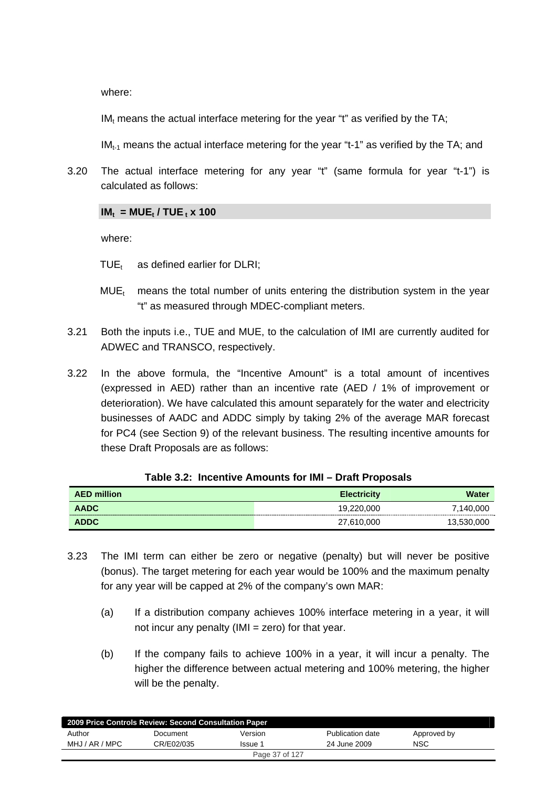where:

 $IM<sub>t</sub>$  means the actual interface metering for the year "t" as verified by the TA;

 $IM<sub>t-1</sub>$  means the actual interface metering for the year "t-1" as verified by the TA; and

3.20 The actual interface metering for any year "t" (same formula for year "t-1") is calculated as follows:

#### $IM_t = MUE_t / TUE_t \times 100$

where:

- $TUE_t$  as defined earlier for DLRI:
- $MUE<sub>t</sub>$  means the total number of units entering the distribution system in the year "t" as measured through MDEC-compliant meters.
- 3.21 Both the inputs i.e., TUE and MUE, to the calculation of IMI are currently audited for ADWEC and TRANSCO, respectively.
- 3.22 In the above formula, the "Incentive Amount" is a total amount of incentives (expressed in AED) rather than an incentive rate (AED / 1% of improvement or deterioration). We have calculated this amount separately for the water and electricity businesses of AADC and ADDC simply by taking 2% of the average MAR forecast for PC4 (see Section 9) of the relevant business. The resulting incentive amounts for these Draft Proposals are as follows:

| <b>AED million</b> | <b>Electricity</b> | Water      |
|--------------------|--------------------|------------|
| <b>AADC</b>        | 19,220,000         | 7,140,000  |
| <b>ADDC</b>        | 27,610,000         | 13,530,000 |

|  |  |  |  | Table 3.2: Incentive Amounts for IMI – Draft Proposals |
|--|--|--|--|--------------------------------------------------------|
|--|--|--|--|--------------------------------------------------------|

- 3.23 The IMI term can either be zero or negative (penalty) but will never be positive (bonus). The target metering for each year would be 100% and the maximum penalty for any year will be capped at 2% of the company's own MAR:
	- (a) If a distribution company achieves 100% interface metering in a year, it will not incur any penalty ( $IMI = zero$ ) for that year.
	- (b) If the company fails to achieve 100% in a year, it will incur a penalty. The higher the difference between actual metering and 100% metering, the higher will be the penalty.

| 2009 Price Controls Review: Second Consultation Paper |            |         |                  |             |  |  |  |
|-------------------------------------------------------|------------|---------|------------------|-------------|--|--|--|
| Author                                                | Document   | Version | Publication date | Approved by |  |  |  |
| MHJ / AR / MPC                                        | CR/F02/035 | Issue 1 | 24 June 2009     | <b>NSC</b>  |  |  |  |
| Page 37 of 127                                        |            |         |                  |             |  |  |  |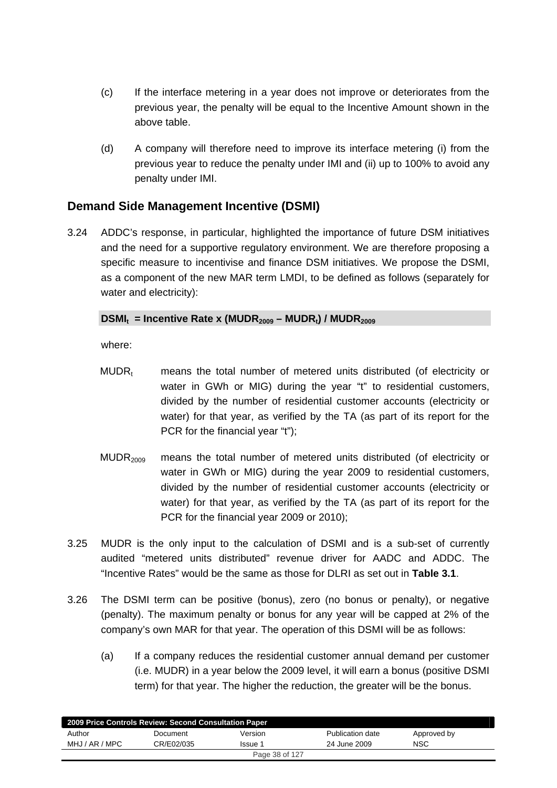- (c) If the interface metering in a year does not improve or deteriorates from the previous year, the penalty will be equal to the Incentive Amount shown in the above table.
- (d) A company will therefore need to improve its interface metering (i) from the previous year to reduce the penalty under IMI and (ii) up to 100% to avoid any penalty under IMI.

### **Demand Side Management Incentive (DSMI)**

3.24 ADDC's response, in particular, highlighted the importance of future DSM initiatives and the need for a supportive regulatory environment. We are therefore proposing a specific measure to incentivise and finance DSM initiatives. We propose the DSMI, as a component of the new MAR term LMDI, to be defined as follows (separately for water and electricity):

### DSMI<sub>t</sub> = Incentive Rate x (MUDR<sub>2009</sub> – MUDR<sub>1</sub>) / MUDR<sub>2009</sub>

where:

- $MUDR<sub>t</sub>$  means the total number of metered units distributed (of electricity or water in GWh or MIG) during the year "t" to residential customers, divided by the number of residential customer accounts (electricity or water) for that year, as verified by the TA (as part of its report for the PCR for the financial year "t");
- $MUDR<sub>2009</sub>$  means the total number of metered units distributed (of electricity or water in GWh or MIG) during the year 2009 to residential customers, divided by the number of residential customer accounts (electricity or water) for that year, as verified by the TA (as part of its report for the PCR for the financial year 2009 or 2010);
- 3.25 MUDR is the only input to the calculation of DSMI and is a sub-set of currently audited "metered units distributed" revenue driver for AADC and ADDC. The "Incentive Rates" would be the same as those for DLRI as set out in **Table 3.1**.
- 3.26 The DSMI term can be positive (bonus), zero (no bonus or penalty), or negative (penalty). The maximum penalty or bonus for any year will be capped at 2% of the company's own MAR for that year. The operation of this DSMI will be as follows:
	- (a) If a company reduces the residential customer annual demand per customer (i.e. MUDR) in a year below the 2009 level, it will earn a bonus (positive DSMI term) for that year. The higher the reduction, the greater will be the bonus.

| 2009 Price Controls Review: Second Consultation Paper |            |                |                  |             |  |  |  |  |
|-------------------------------------------------------|------------|----------------|------------------|-------------|--|--|--|--|
| Author                                                | Document   | Version        | Publication date | Approved by |  |  |  |  |
| MHJ / AR / MPC                                        | CR/E02/035 | Issue 1        | 24 June 2009     | NSC         |  |  |  |  |
|                                                       |            | Page 38 of 127 |                  |             |  |  |  |  |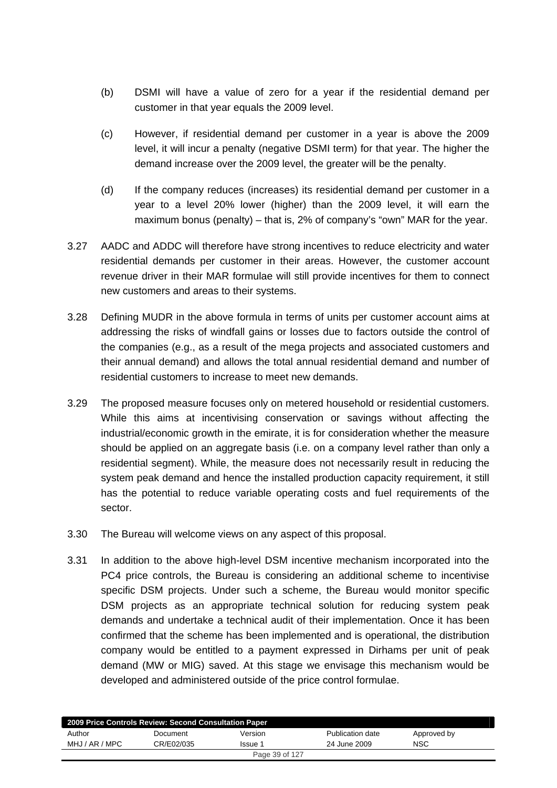- (b) DSMI will have a value of zero for a year if the residential demand per customer in that year equals the 2009 level.
- (c) However, if residential demand per customer in a year is above the 2009 level, it will incur a penalty (negative DSMI term) for that year. The higher the demand increase over the 2009 level, the greater will be the penalty.
- (d) If the company reduces (increases) its residential demand per customer in a year to a level 20% lower (higher) than the 2009 level, it will earn the maximum bonus (penalty) – that is, 2% of company's "own" MAR for the year.
- 3.27 AADC and ADDC will therefore have strong incentives to reduce electricity and water residential demands per customer in their areas. However, the customer account revenue driver in their MAR formulae will still provide incentives for them to connect new customers and areas to their systems.
- 3.28 Defining MUDR in the above formula in terms of units per customer account aims at addressing the risks of windfall gains or losses due to factors outside the control of the companies (e.g., as a result of the mega projects and associated customers and their annual demand) and allows the total annual residential demand and number of residential customers to increase to meet new demands.
- 3.29 The proposed measure focuses only on metered household or residential customers. While this aims at incentivising conservation or savings without affecting the industrial/economic growth in the emirate, it is for consideration whether the measure should be applied on an aggregate basis (i.e. on a company level rather than only a residential segment). While, the measure does not necessarily result in reducing the system peak demand and hence the installed production capacity requirement, it still has the potential to reduce variable operating costs and fuel requirements of the sector.
- 3.30 The Bureau will welcome views on any aspect of this proposal.
- 3.31 In addition to the above high-level DSM incentive mechanism incorporated into the PC4 price controls, the Bureau is considering an additional scheme to incentivise specific DSM projects. Under such a scheme, the Bureau would monitor specific DSM projects as an appropriate technical solution for reducing system peak demands and undertake a technical audit of their implementation. Once it has been confirmed that the scheme has been implemented and is operational, the distribution company would be entitled to a payment expressed in Dirhams per unit of peak demand (MW or MIG) saved. At this stage we envisage this mechanism would be developed and administered outside of the price control formulae.

| 2009 Price Controls Review: Second Consultation Paper |            |                |                  |             |  |  |  |
|-------------------------------------------------------|------------|----------------|------------------|-------------|--|--|--|
| Author                                                | Document   | Version        | Publication date | Approved by |  |  |  |
| MHJ / AR / MPC                                        | CR/E02/035 | Issue 1        | 24 June 2009     | NSC         |  |  |  |
|                                                       |            | Page 39 of 127 |                  |             |  |  |  |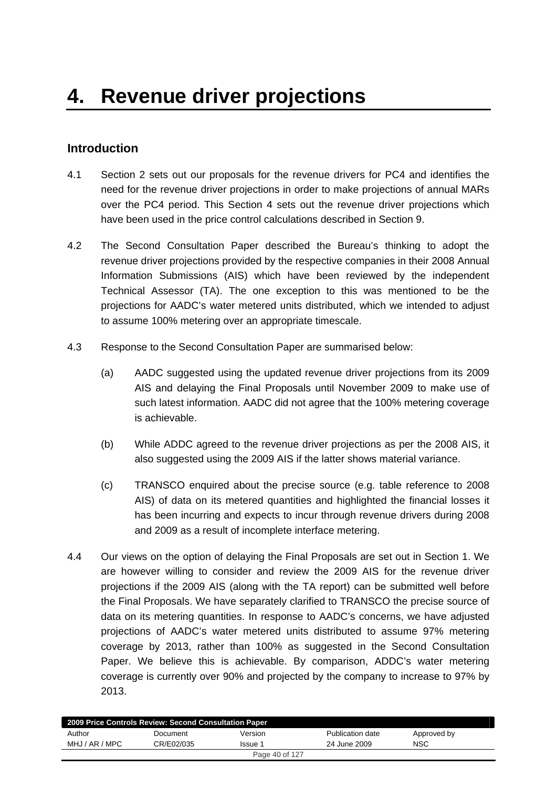# **Introduction**

- 4.1 Section 2 sets out our proposals for the revenue drivers for PC4 and identifies the need for the revenue driver projections in order to make projections of annual MARs over the PC4 period. This Section 4 sets out the revenue driver projections which have been used in the price control calculations described in Section 9.
- 4.2 The Second Consultation Paper described the Bureau's thinking to adopt the revenue driver projections provided by the respective companies in their 2008 Annual Information Submissions (AIS) which have been reviewed by the independent Technical Assessor (TA). The one exception to this was mentioned to be the projections for AADC's water metered units distributed, which we intended to adjust to assume 100% metering over an appropriate timescale.
- 4.3 Response to the Second Consultation Paper are summarised below:
	- (a) AADC suggested using the updated revenue driver projections from its 2009 AIS and delaying the Final Proposals until November 2009 to make use of such latest information. AADC did not agree that the 100% metering coverage is achievable.
	- (b) While ADDC agreed to the revenue driver projections as per the 2008 AIS, it also suggested using the 2009 AIS if the latter shows material variance.
	- (c) TRANSCO enquired about the precise source (e.g. table reference to 2008 AIS) of data on its metered quantities and highlighted the financial losses it has been incurring and expects to incur through revenue drivers during 2008 and 2009 as a result of incomplete interface metering.
- 4.4 Our views on the option of delaying the Final Proposals are set out in Section 1. We are however willing to consider and review the 2009 AIS for the revenue driver projections if the 2009 AIS (along with the TA report) can be submitted well before the Final Proposals. We have separately clarified to TRANSCO the precise source of data on its metering quantities. In response to AADC's concerns, we have adjusted projections of AADC's water metered units distributed to assume 97% metering coverage by 2013, rather than 100% as suggested in the Second Consultation Paper. We believe this is achievable. By comparison, ADDC's water metering coverage is currently over 90% and projected by the company to increase to 97% by 2013.

| 2009 Price Controls Review: Second Consultation Paper |            |         |                  |             |  |  |  |  |
|-------------------------------------------------------|------------|---------|------------------|-------------|--|--|--|--|
| Author                                                | Document   | Version | Publication date | Approved by |  |  |  |  |
| MHJ / AR / MPC                                        | CR/E02/035 | Issue 1 | 24 June 2009     | <b>NSC</b>  |  |  |  |  |
| Page 40 of 127                                        |            |         |                  |             |  |  |  |  |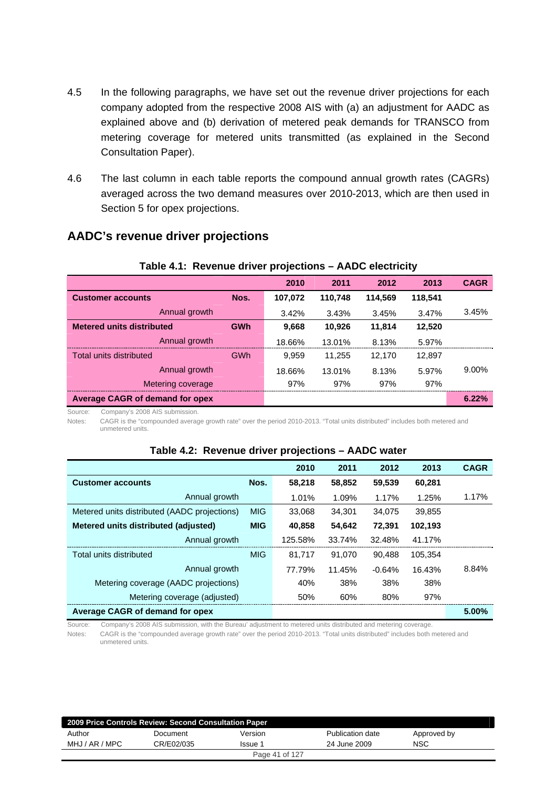- 4.5 In the following paragraphs, we have set out the revenue driver projections for each company adopted from the respective 2008 AIS with (a) an adjustment for AADC as explained above and (b) derivation of metered peak demands for TRANSCO from metering coverage for metered units transmitted (as explained in the Second Consultation Paper).
- 4.6 The last column in each table reports the compound annual growth rates (CAGRs) averaged across the two demand measures over 2010-2013, which are then used in Section 5 for opex projections.

**Table 4.1: Revenue driver projections – AADC electricity** 

| $1.0001$ and $1.001$ and $1.000$ and $1.000$ and $1.000$ and $1.000$ and $1.000$ and $1.000$ and $1.000$ and $1.000$ and $1.000$ and $1.000$ and $1.000$ and $1.000$ and $1.000$ and $1.000$ and $1.000$ and $1.000$ and $1.0$<br>$\cdots$ $\cdots$ $\cdots$ $\cdots$ $\cdots$ $\cdots$ |            |         |         |         |         |             |
|-----------------------------------------------------------------------------------------------------------------------------------------------------------------------------------------------------------------------------------------------------------------------------------------|------------|---------|---------|---------|---------|-------------|
|                                                                                                                                                                                                                                                                                         |            | 2010    | 2011    | 2012    | 2013    | <b>CAGR</b> |
| <b>Customer accounts</b>                                                                                                                                                                                                                                                                | Nos.       | 107,072 | 110,748 | 114,569 | 118,541 |             |
| Annual growth                                                                                                                                                                                                                                                                           |            | 3.42%   | 3.43%   | 3.45%   | 3.47%   | 3.45%       |
| <b>Metered units distributed</b>                                                                                                                                                                                                                                                        | <b>GWh</b> | 9,668   | 10,926  | 11,814  | 12,520  |             |
| Annual growth                                                                                                                                                                                                                                                                           |            | 18.66%  | 13.01%  | 8.13%   | 5.97%   |             |
| Total units distributed                                                                                                                                                                                                                                                                 | GWh        | 9,959   | 11.255  | 12.170  | 12,897  |             |
| Annual growth                                                                                                                                                                                                                                                                           |            | 18.66%  | 13.01%  | 8.13%   | 5.97%   | 9.00%       |
| Metering coverage                                                                                                                                                                                                                                                                       |            | 97%     | 97%     | 97%     | 97%     |             |
| <b>Average CAGR of demand for opex</b>                                                                                                                                                                                                                                                  |            |         |         |         |         | 6.22%       |

### **AADC's revenue driver projections**

Source: Company's 2008 AIS submission.

Notes: CAGR is the "compounded average growth rate" over the period 2010-2013. "Total units distributed" includes both metered and unmetered units.

|                                              |            | 2010    | 2011   | 2012     | 2013    | <b>CAGR</b> |
|----------------------------------------------|------------|---------|--------|----------|---------|-------------|
| <b>Customer accounts</b>                     | Nos.       | 58.218  | 58,852 | 59,539   | 60,281  |             |
| Annual growth                                |            | 1.01%   | 1.09%  | 1.17%    | 1.25%   | 1.17%       |
| Metered units distributed (AADC projections) | <b>MIG</b> | 33.068  | 34.301 | 34.075   | 39,855  |             |
| Metered units distributed (adjusted)         | <b>MIG</b> | 40.858  | 54,642 | 72.391   | 102,193 |             |
| Annual growth                                |            | 125.58% | 33.74% | 32.48%   | 41.17%  |             |
| Total units distributed                      | <b>MIG</b> | 81.717  | 91.070 | 90.488   | 105.354 |             |
| Annual growth                                |            | 77.79%  | 11.45% | $-0.64%$ | 16.43%  | 8.84%       |
| Metering coverage (AADC projections)         |            | 40%     | 38%    | 38%      | 38%     |             |
| Metering coverage (adjusted)                 |            | 50%     | 60%    | 80%      | 97%     |             |
| Average CAGR of demand for opex              |            |         |        |          |         | $5.00\%$    |

#### **Table 4.2: Revenue driver projections – AADC water**

Source: Company's 2008 AIS submission, with the Bureau' adjustment to metered units distributed and metering coverage. Notes: CAGR is the "compounded average growth rate" over the period 2010-2013. "Total units distributed" includes both metered and unmetered units.

**2009 Price Controls Review: Second Consultation Paper**  Author Document Version Publication date Approved by MHJ / AR / MPC CR/E02/035 Issue 1 24 June 2009 NSC Page 41 of 127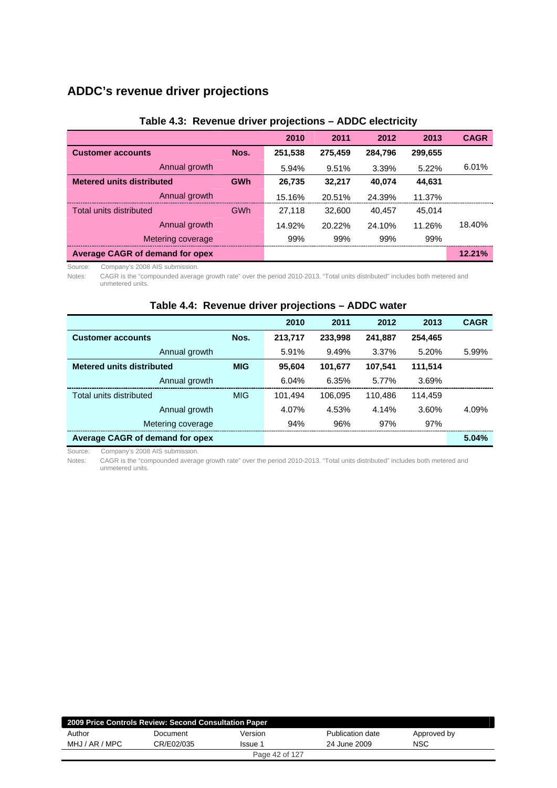# **ADDC's revenue driver projections**

|                                        |            | 2010    | 2011    | 2012    | 2013    | <b>CAGR</b> |
|----------------------------------------|------------|---------|---------|---------|---------|-------------|
| <b>Customer accounts</b>               | Nos.       | 251,538 | 275,459 | 284.796 | 299,655 |             |
| Annual growth                          |            | 5.94%   | 9.51%   | 3.39%   | 5.22%   | 6.01%       |
| <b>Metered units distributed</b>       | <b>GWh</b> | 26,735  | 32,217  | 40,074  | 44,631  |             |
| Annual growth                          |            | 15.16%  | 20.51%  | 24.39%  | 11.37%  |             |
| Total units distributed                | GWh        | 27.118  | 32,600  | 40.457  | 45.014  |             |
| Annual growth                          |            | 14.92%  | 20.22%  | 24.10%  | 11.26%  | 18.40%      |
| Metering coverage                      |            | 99%     | 99%     | 99%     | 99%     |             |
| <b>Average CAGR of demand for opex</b> |            |         |         |         |         | 12.21%      |

#### **Table 4.3: Revenue driver projections – ADDC electricity**

Source: Company's 2008 AIS submission.

Notes: CAGR is the "compounded average growth rate" over the period 2010-2013. "Total units distributed" includes both metered and unmetered units.

|                                  |            | 2010    | 2011    | 2012    | 2013    | <b>CAGR</b> |
|----------------------------------|------------|---------|---------|---------|---------|-------------|
| <b>Customer accounts</b>         | Nos.       | 213,717 | 233,998 | 241,887 | 254,465 |             |
| Annual growth                    |            | 5.91%   | 9.49%   | 3.37%   | 5.20%   | 5.99%       |
| <b>Metered units distributed</b> | <b>MIG</b> | 95.604  | 101,677 | 107.541 | 111,514 |             |
| Annual growth                    |            | 6.04%   | 6.35%   | 5.77%   | 3.69%   |             |
| Total units distributed          | <b>MIG</b> | 101.494 | 106.095 | 110.486 | 114.459 |             |
| Annual growth                    |            | 4.07%   | 4.53%   | 4.14%   | 3.60%   | 4.09%       |
| Metering coverage                |            | 94%     | 96%     | 97%     | 97%     |             |
| Average CAGR of demand for opex  |            |         |         |         |         | 5.04%       |

### **Table 4.4: Revenue driver projections – ADDC water**

Source: Company's 2008 AIS submission.

Notes: CAGR is the "compounded average growth rate" over the period 2010-2013. "Total units distributed" includes both metered and unmetered units.

| 2009 Price Controls Review: Second Consultation Paper |            |                |                  |             |  |  |  |
|-------------------------------------------------------|------------|----------------|------------------|-------------|--|--|--|
| Author                                                | Document   | Version        | Publication date | Approved by |  |  |  |
| MHJ / AR / MPC                                        | CR/E02/035 | lssue ;        | 24 June 2009     | <b>NSC</b>  |  |  |  |
|                                                       |            | Page 42 of 127 |                  |             |  |  |  |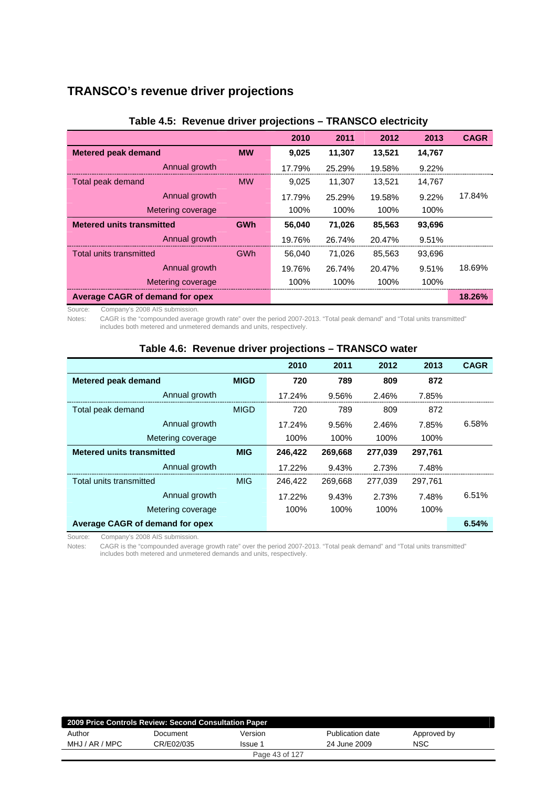# **TRANSCO's revenue driver projections**

|                                        |            | 2010   | 2011   | 2012   | 2013   | <b>CAGR</b> |
|----------------------------------------|------------|--------|--------|--------|--------|-------------|
| <b>Metered peak demand</b>             | <b>MW</b>  | 9,025  | 11,307 | 13,521 | 14,767 |             |
| Annual growth                          |            | 17.79% | 25.29% | 19.58% | 9.22%  |             |
| Total peak demand                      | <b>MW</b>  | 9,025  | 11,307 | 13,521 | 14,767 |             |
| Annual growth                          |            | 17.79% | 25.29% | 19.58% | 9.22%  | 17.84%      |
| Metering coverage                      |            | 100%   | 100%   | 100%   | 100%   |             |
| <b>Metered units transmitted</b>       | <b>GWh</b> | 56,040 | 71,026 | 85,563 | 93,696 |             |
| Annual growth                          |            | 19.76% | 26.74% | 20.47% | 9.51%  |             |
| Total units transmitted                | GWh        | 56,040 | 71,026 | 85,563 | 93,696 |             |
| Annual growth                          |            | 19.76% | 26.74% | 20.47% | 9.51%  | 18.69%      |
| Metering coverage                      |            | 100%   | 100%   | 100%   | 100%   |             |
| <b>Average CAGR of demand for opex</b> |            |        |        |        |        | 18.26%      |

#### **Table 4.5: Revenue driver projections – TRANSCO electricity**

Source: Company's 2008 AIS submission.

Notes: CAGR is the "compounded average growth rate" over the period 2007-2013. "Total peak demand" and "Total units transmitted" includes both metered and unmetered demands and units, respectively.

|                                                |             | 2010    | 2011    | 2012    | 2013    | <b>CAGR</b> |  |  |
|------------------------------------------------|-------------|---------|---------|---------|---------|-------------|--|--|
| <b>Metered peak demand</b>                     | <b>MIGD</b> | 720     | 789     | 809     | 872     |             |  |  |
| Annual growth                                  |             | 17.24%  | 9.56%   | 2.46%   | 7.85%   |             |  |  |
| Total peak demand                              | <b>MIGD</b> | 720     | 789     | 809     | 872     |             |  |  |
| Annual growth                                  |             | 17.24%  | 9.56%   | 2.46%   | 7.85%   | 6.58%       |  |  |
| Metering coverage                              |             | 100%    | 100%    | 100%    | 100%    |             |  |  |
| <b>Metered units transmitted</b><br><b>MIG</b> |             | 246.422 | 269.668 | 277.039 | 297.761 |             |  |  |
| Annual growth                                  |             | 17.22%  | 9.43%   | 2.73%   | 7.48%   |             |  |  |
| Total units transmitted                        | <b>MIG</b>  | 246,422 | 269,668 | 277,039 | 297.761 |             |  |  |
| Annual growth                                  |             | 17.22%  | 9.43%   | 2.73%   | 7.48%   | 6.51%       |  |  |
| Metering coverage                              |             | 100%    | 100%    | 100%    | 100%    |             |  |  |
| Average CAGR of demand for opex                |             |         |         |         |         | 6.54%       |  |  |

#### **Table 4.6: Revenue driver projections – TRANSCO water**

Source: Company's 2008 AIS submission.

Notes: CAGR is the "compounded average growth rate" over the period 2007-2013. "Total peak demand" and "Total units transmitted" includes both metered and unmetered demands and units, respectively.

| 2009 Price Controls Review: Second Consultation Paper |            |                |                  |             |  |  |  |
|-------------------------------------------------------|------------|----------------|------------------|-------------|--|--|--|
| Author                                                | Document   | Version        | Publication date | Approved by |  |  |  |
| MHJ / AR / MPC                                        | CR/E02/035 | Issue 1        | 24 June 2009     | <b>NSC</b>  |  |  |  |
|                                                       |            | Page 43 of 127 |                  |             |  |  |  |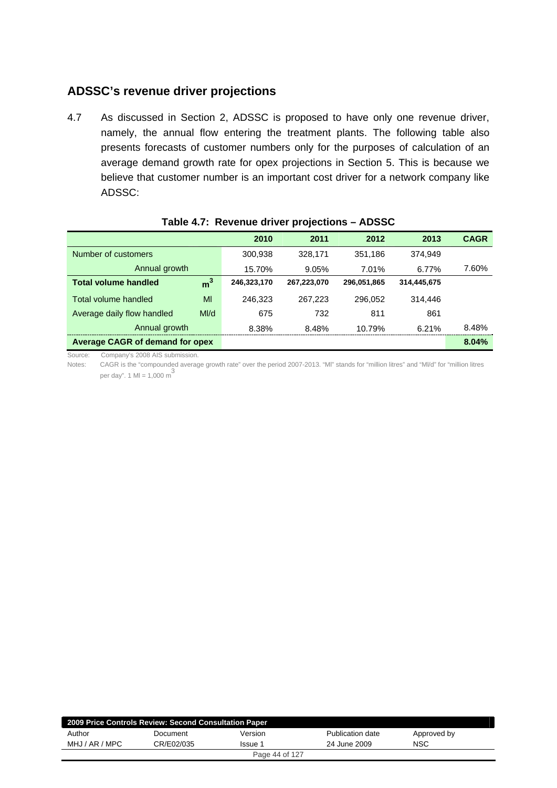# **ADSSC's revenue driver projections**

4.7 As discussed in Section 2, ADSSC is proposed to have only one revenue driver, namely, the annual flow entering the treatment plants. The following table also presents forecasts of customer numbers only for the purposes of calculation of an average demand growth rate for opex projections in Section 5. This is because we believe that customer number is an important cost driver for a network company like ADSSC:

|                                        |                | 2010        | 2011        | 2012        | 2013        | <b>CAGR</b> |
|----------------------------------------|----------------|-------------|-------------|-------------|-------------|-------------|
| Number of customers                    |                | 300.938     | 328.171     | 351,186     | 374.949     |             |
| Annual growth                          |                | 15.70%      | 9.05%       | 7.01%       | 6.77%       | 7.60%       |
| <b>Total volume handled</b>            | m <sup>3</sup> | 246,323,170 | 267,223,070 | 296,051,865 | 314,445,675 |             |
| Total volume handled                   | MI             | 246.323     | 267.223     | 296.052     | 314,446     |             |
| Average daily flow handled             | M/d            | 675         | 732         | 811         | 861         |             |
| Annual growth                          |                | 8.38%       | 8.48%       | 10.79%      | 6.21%       | 8.48%       |
| <b>Average CAGR of demand for opex</b> |                |             |             |             |             | 8.04%       |

#### **Table 4.7: Revenue driver projections – ADSSC**

Source: Company's 2008 AIS submission.

Notes: CAGR is the "compounded average growth rate" over the period 2007-2013. "Ml" stands for "million litres" and "Ml/d" for "million litres per day". 1 MI = 1,000 m<sup>3</sup>

| 2009 Price Controls Review: Second Consultation Paper |            |                |                  |             |  |  |  |
|-------------------------------------------------------|------------|----------------|------------------|-------------|--|--|--|
| Author                                                | Document   | Version        | Publication date | Approved by |  |  |  |
| MHJ / AR / MPC                                        | CR/E02/035 | Issue 1        | 24 June 2009     | <b>NSC</b>  |  |  |  |
|                                                       |            | Page 44 of 127 |                  |             |  |  |  |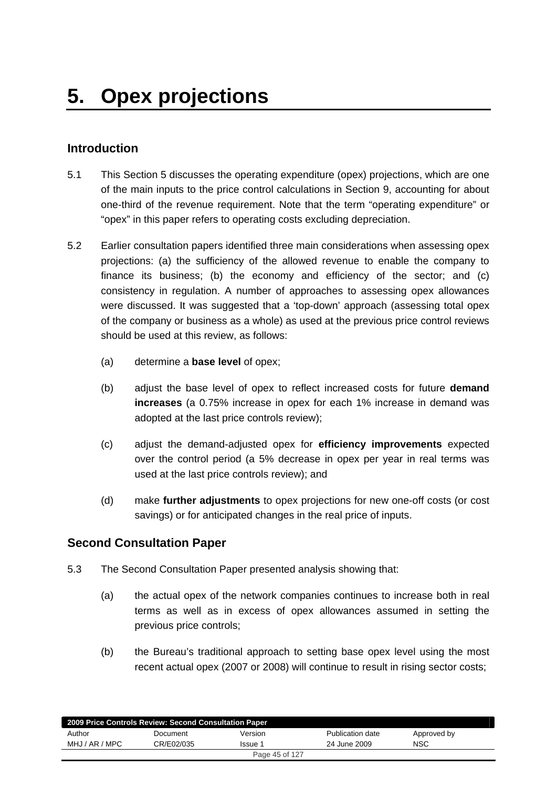# **Introduction**

- 5.1 This Section 5 discusses the operating expenditure (opex) projections, which are one of the main inputs to the price control calculations in Section 9, accounting for about one-third of the revenue requirement. Note that the term "operating expenditure" or "opex" in this paper refers to operating costs excluding depreciation.
- 5.2 Earlier consultation papers identified three main considerations when assessing opex projections: (a) the sufficiency of the allowed revenue to enable the company to finance its business; (b) the economy and efficiency of the sector; and (c) consistency in regulation. A number of approaches to assessing opex allowances were discussed. It was suggested that a 'top-down' approach (assessing total opex of the company or business as a whole) as used at the previous price control reviews should be used at this review, as follows:
	- (a) determine a **base level** of opex;
	- (b) adjust the base level of opex to reflect increased costs for future **demand increases** (a 0.75% increase in opex for each 1% increase in demand was adopted at the last price controls review);
	- (c) adjust the demand-adjusted opex for **efficiency improvements** expected over the control period (a 5% decrease in opex per year in real terms was used at the last price controls review); and
	- (d) make **further adjustments** to opex projections for new one-off costs (or cost savings) or for anticipated changes in the real price of inputs.

### **Second Consultation Paper**

- 5.3 The Second Consultation Paper presented analysis showing that:
	- (a) the actual opex of the network companies continues to increase both in real terms as well as in excess of opex allowances assumed in setting the previous price controls;
	- (b) the Bureau's traditional approach to setting base opex level using the most recent actual opex (2007 or 2008) will continue to result in rising sector costs;

| 2009 Price Controls Review: Second Consultation Paper |            |         |                  |             |  |  |  |
|-------------------------------------------------------|------------|---------|------------------|-------------|--|--|--|
| Author                                                | Document   | Version | Publication date | Approved by |  |  |  |
| MHJ / AR / MPC                                        | CR/E02/035 | Issue 1 | 24 June 2009     | NSC         |  |  |  |
| Page 45 of 127                                        |            |         |                  |             |  |  |  |
|                                                       |            |         |                  |             |  |  |  |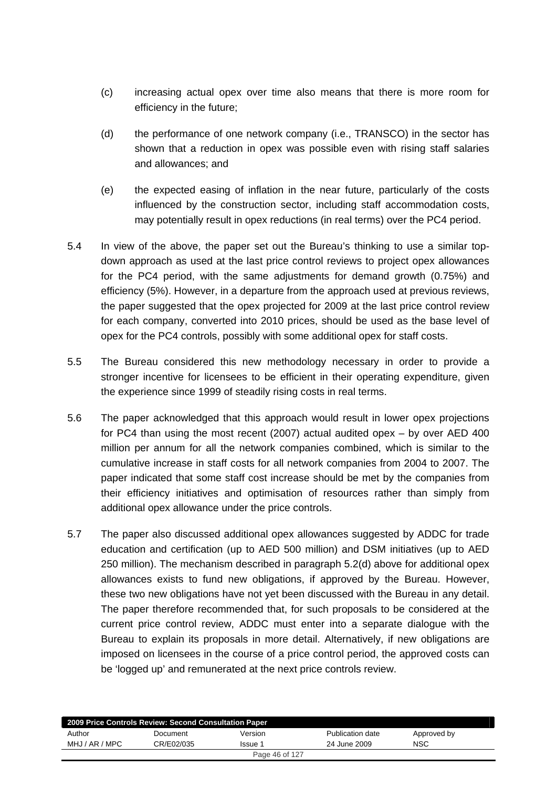- (c) increasing actual opex over time also means that there is more room for efficiency in the future;
- (d) the performance of one network company (i.e., TRANSCO) in the sector has shown that a reduction in opex was possible even with rising staff salaries and allowances; and
- (e) the expected easing of inflation in the near future, particularly of the costs influenced by the construction sector, including staff accommodation costs, may potentially result in opex reductions (in real terms) over the PC4 period.
- 5.4 In view of the above, the paper set out the Bureau's thinking to use a similar topdown approach as used at the last price control reviews to project opex allowances for the PC4 period, with the same adjustments for demand growth (0.75%) and efficiency (5%). However, in a departure from the approach used at previous reviews, the paper suggested that the opex projected for 2009 at the last price control review for each company, converted into 2010 prices, should be used as the base level of opex for the PC4 controls, possibly with some additional opex for staff costs.
- 5.5 The Bureau considered this new methodology necessary in order to provide a stronger incentive for licensees to be efficient in their operating expenditure, given the experience since 1999 of steadily rising costs in real terms.
- 5.6 The paper acknowledged that this approach would result in lower opex projections for PC4 than using the most recent (2007) actual audited opex – by over AED 400 million per annum for all the network companies combined, which is similar to the cumulative increase in staff costs for all network companies from 2004 to 2007. The paper indicated that some staff cost increase should be met by the companies from their efficiency initiatives and optimisation of resources rather than simply from additional opex allowance under the price controls.
- 5.7 The paper also discussed additional opex allowances suggested by ADDC for trade education and certification (up to AED 500 million) and DSM initiatives (up to AED 250 million). The mechanism described in paragraph 5.2(d) above for additional opex allowances exists to fund new obligations, if approved by the Bureau. However, these two new obligations have not yet been discussed with the Bureau in any detail. The paper therefore recommended that, for such proposals to be considered at the current price control review, ADDC must enter into a separate dialogue with the Bureau to explain its proposals in more detail. Alternatively, if new obligations are imposed on licensees in the course of a price control period, the approved costs can be 'logged up' and remunerated at the next price controls review.

| 2009 Price Controls Review: Second Consultation Paper |            |         |                  |             |  |  |  |
|-------------------------------------------------------|------------|---------|------------------|-------------|--|--|--|
| Author                                                | Document   | Version | Publication date | Approved by |  |  |  |
| MHJ / AR / MPC                                        | CR/E02/035 | Issue 1 | 24 June 2009     | NSC         |  |  |  |
| Page 46 of 127                                        |            |         |                  |             |  |  |  |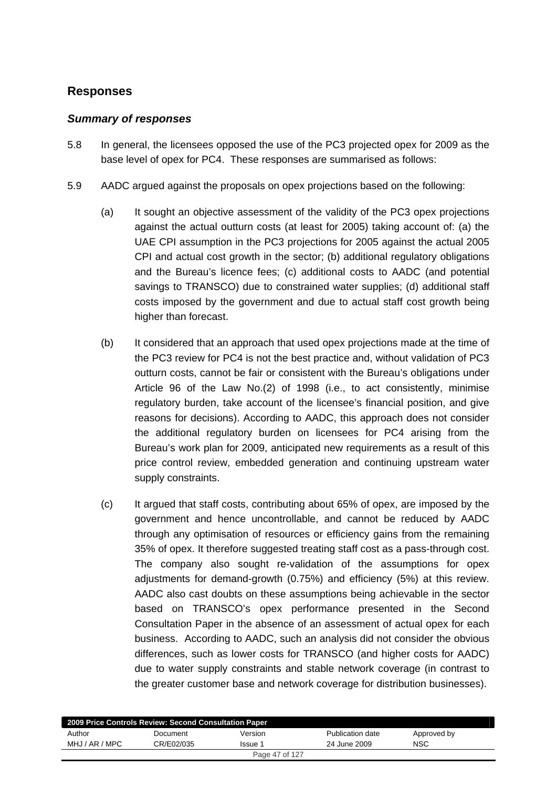# **Responses**

### *Summary of responses*

- 5.8 In general, the licensees opposed the use of the PC3 projected opex for 2009 as the base level of opex for PC4. These responses are summarised as follows:
- 5.9 AADC argued against the proposals on opex projections based on the following:
	- (a) It sought an objective assessment of the validity of the PC3 opex projections against the actual outturn costs (at least for 2005) taking account of: (a) the UAE CPI assumption in the PC3 projections for 2005 against the actual 2005 CPI and actual cost growth in the sector; (b) additional regulatory obligations and the Bureau's licence fees; (c) additional costs to AADC (and potential savings to TRANSCO) due to constrained water supplies; (d) additional staff costs imposed by the government and due to actual staff cost growth being higher than forecast.
	- (b) It considered that an approach that used opex projections made at the time of the PC3 review for PC4 is not the best practice and, without validation of PC3 outturn costs, cannot be fair or consistent with the Bureau's obligations under Article 96 of the Law No.(2) of 1998 (i.e., to act consistently, minimise regulatory burden, take account of the licensee's financial position, and give reasons for decisions). According to AADC, this approach does not consider the additional regulatory burden on licensees for PC4 arising from the Bureau's work plan for 2009, anticipated new requirements as a result of this price control review, embedded generation and continuing upstream water supply constraints.
	- (c) It argued that staff costs, contributing about 65% of opex, are imposed by the government and hence uncontrollable, and cannot be reduced by AADC through any optimisation of resources or efficiency gains from the remaining 35% of opex. It therefore suggested treating staff cost as a pass-through cost. The company also sought re-validation of the assumptions for opex adjustments for demand-growth (0.75%) and efficiency (5%) at this review. AADC also cast doubts on these assumptions being achievable in the sector based on TRANSCO's opex performance presented in the Second Consultation Paper in the absence of an assessment of actual opex for each business. According to AADC, such an analysis did not consider the obvious differences, such as lower costs for TRANSCO (and higher costs for AADC) due to water supply constraints and stable network coverage (in contrast to the greater customer base and network coverage for distribution businesses).

| 2009 Price Controls Review: Second Consultation Paper |            |                |                  |             |  |  |  |
|-------------------------------------------------------|------------|----------------|------------------|-------------|--|--|--|
| Author                                                | Document   | Version        | Publication date | Approved by |  |  |  |
| MHJ / AR / MPC                                        | CR/E02/035 | Issue 1        | 24 June 2009     | NSC         |  |  |  |
|                                                       |            | Page 47 of 127 |                  |             |  |  |  |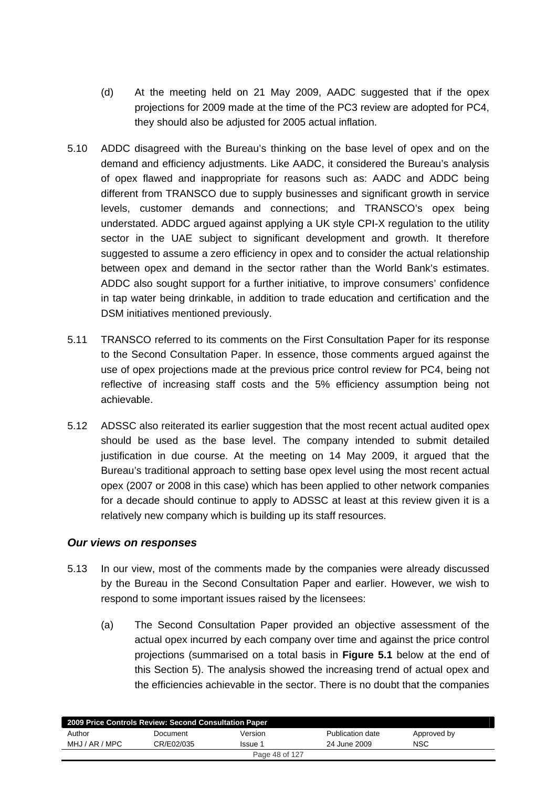- (d) At the meeting held on 21 May 2009, AADC suggested that if the opex projections for 2009 made at the time of the PC3 review are adopted for PC4, they should also be adjusted for 2005 actual inflation.
- 5.10 ADDC disagreed with the Bureau's thinking on the base level of opex and on the demand and efficiency adjustments. Like AADC, it considered the Bureau's analysis of opex flawed and inappropriate for reasons such as: AADC and ADDC being different from TRANSCO due to supply businesses and significant growth in service levels, customer demands and connections; and TRANSCO's opex being understated. ADDC argued against applying a UK style CPI-X regulation to the utility sector in the UAE subject to significant development and growth. It therefore suggested to assume a zero efficiency in opex and to consider the actual relationship between opex and demand in the sector rather than the World Bank's estimates. ADDC also sought support for a further initiative, to improve consumers' confidence in tap water being drinkable, in addition to trade education and certification and the DSM initiatives mentioned previously.
- 5.11 TRANSCO referred to its comments on the First Consultation Paper for its response to the Second Consultation Paper. In essence, those comments argued against the use of opex projections made at the previous price control review for PC4, being not reflective of increasing staff costs and the 5% efficiency assumption being not achievable.
- 5.12 ADSSC also reiterated its earlier suggestion that the most recent actual audited opex should be used as the base level. The company intended to submit detailed justification in due course. At the meeting on 14 May 2009, it argued that the Bureau's traditional approach to setting base opex level using the most recent actual opex (2007 or 2008 in this case) which has been applied to other network companies for a decade should continue to apply to ADSSC at least at this review given it is a relatively new company which is building up its staff resources.

### *Our views on responses*

- 5.13 In our view, most of the comments made by the companies were already discussed by the Bureau in the Second Consultation Paper and earlier. However, we wish to respond to some important issues raised by the licensees:
	- (a) The Second Consultation Paper provided an objective assessment of the actual opex incurred by each company over time and against the price control projections (summarised on a total basis in **Figure 5.1** below at the end of this Section 5). The analysis showed the increasing trend of actual opex and the efficiencies achievable in the sector. There is no doubt that the companies

| 2009 Price Controls Review: Second Consultation Paper |            |         |                  |             |  |  |  |
|-------------------------------------------------------|------------|---------|------------------|-------------|--|--|--|
| Author                                                | Document   | Version | Publication date | Approved by |  |  |  |
| MHJ / AR / MPC                                        | CR/E02/035 | Issue 1 | 24 June 2009     | <b>NSC</b>  |  |  |  |
| Page 48 of 127                                        |            |         |                  |             |  |  |  |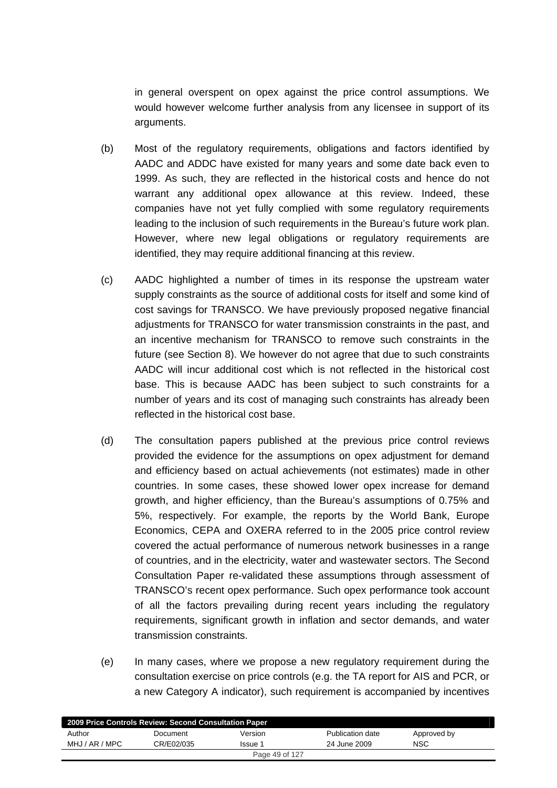in general overspent on opex against the price control assumptions. We would however welcome further analysis from any licensee in support of its arguments.

- (b) Most of the regulatory requirements, obligations and factors identified by AADC and ADDC have existed for many years and some date back even to 1999. As such, they are reflected in the historical costs and hence do not warrant any additional opex allowance at this review. Indeed, these companies have not yet fully complied with some regulatory requirements leading to the inclusion of such requirements in the Bureau's future work plan. However, where new legal obligations or regulatory requirements are identified, they may require additional financing at this review.
- (c) AADC highlighted a number of times in its response the upstream water supply constraints as the source of additional costs for itself and some kind of cost savings for TRANSCO. We have previously proposed negative financial adjustments for TRANSCO for water transmission constraints in the past, and an incentive mechanism for TRANSCO to remove such constraints in the future (see Section 8). We however do not agree that due to such constraints AADC will incur additional cost which is not reflected in the historical cost base. This is because AADC has been subject to such constraints for a number of years and its cost of managing such constraints has already been reflected in the historical cost base.
- (d) The consultation papers published at the previous price control reviews provided the evidence for the assumptions on opex adjustment for demand and efficiency based on actual achievements (not estimates) made in other countries. In some cases, these showed lower opex increase for demand growth, and higher efficiency, than the Bureau's assumptions of 0.75% and 5%, respectively. For example, the reports by the World Bank, Europe Economics, CEPA and OXERA referred to in the 2005 price control review covered the actual performance of numerous network businesses in a range of countries, and in the electricity, water and wastewater sectors. The Second Consultation Paper re-validated these assumptions through assessment of TRANSCO's recent opex performance. Such opex performance took account of all the factors prevailing during recent years including the regulatory requirements, significant growth in inflation and sector demands, and water transmission constraints.
- (e) In many cases, where we propose a new regulatory requirement during the consultation exercise on price controls (e.g. the TA report for AIS and PCR, or a new Category A indicator), such requirement is accompanied by incentives

| 2009 Price Controls Review: Second Consultation Paper |            |         |                  |             |  |  |  |
|-------------------------------------------------------|------------|---------|------------------|-------------|--|--|--|
| Author                                                | Document   | Version | Publication date | Approved by |  |  |  |
| MHJ / AR / MPC                                        | CR/E02/035 | Issue 1 | 24 June 2009     | NSC         |  |  |  |
| Page 49 of 127                                        |            |         |                  |             |  |  |  |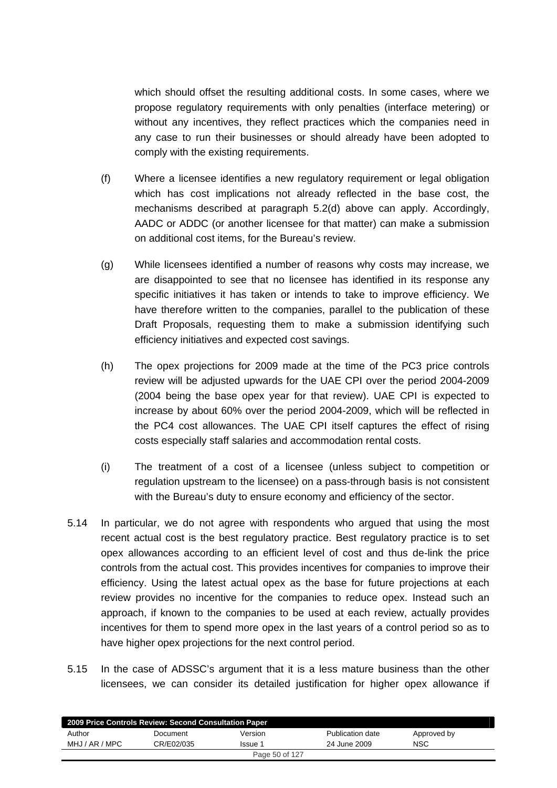which should offset the resulting additional costs. In some cases, where we propose regulatory requirements with only penalties (interface metering) or without any incentives, they reflect practices which the companies need in any case to run their businesses or should already have been adopted to comply with the existing requirements.

- (f) Where a licensee identifies a new regulatory requirement or legal obligation which has cost implications not already reflected in the base cost, the mechanisms described at paragraph 5.2(d) above can apply. Accordingly, AADC or ADDC (or another licensee for that matter) can make a submission on additional cost items, for the Bureau's review.
- (g) While licensees identified a number of reasons why costs may increase, we are disappointed to see that no licensee has identified in its response any specific initiatives it has taken or intends to take to improve efficiency. We have therefore written to the companies, parallel to the publication of these Draft Proposals, requesting them to make a submission identifying such efficiency initiatives and expected cost savings.
- (h) The opex projections for 2009 made at the time of the PC3 price controls review will be adjusted upwards for the UAE CPI over the period 2004-2009 (2004 being the base opex year for that review). UAE CPI is expected to increase by about 60% over the period 2004-2009, which will be reflected in the PC4 cost allowances. The UAE CPI itself captures the effect of rising costs especially staff salaries and accommodation rental costs.
- (i) The treatment of a cost of a licensee (unless subject to competition or regulation upstream to the licensee) on a pass-through basis is not consistent with the Bureau's duty to ensure economy and efficiency of the sector.
- 5.14 In particular, we do not agree with respondents who argued that using the most recent actual cost is the best regulatory practice. Best regulatory practice is to set opex allowances according to an efficient level of cost and thus de-link the price controls from the actual cost. This provides incentives for companies to improve their efficiency. Using the latest actual opex as the base for future projections at each review provides no incentive for the companies to reduce opex. Instead such an approach, if known to the companies to be used at each review, actually provides incentives for them to spend more opex in the last years of a control period so as to have higher opex projections for the next control period.
- 5.15 In the case of ADSSC's argument that it is a less mature business than the other licensees, we can consider its detailed justification for higher opex allowance if

| 2009 Price Controls Review: Second Consultation Paper |            |         |                  |             |  |  |  |
|-------------------------------------------------------|------------|---------|------------------|-------------|--|--|--|
| Author                                                | Document   | Version | Publication date | Approved by |  |  |  |
| MHJ / AR / MPC                                        | CR/E02/035 | Issue 1 | 24 June 2009     | <b>NSC</b>  |  |  |  |
| Page 50 of 127                                        |            |         |                  |             |  |  |  |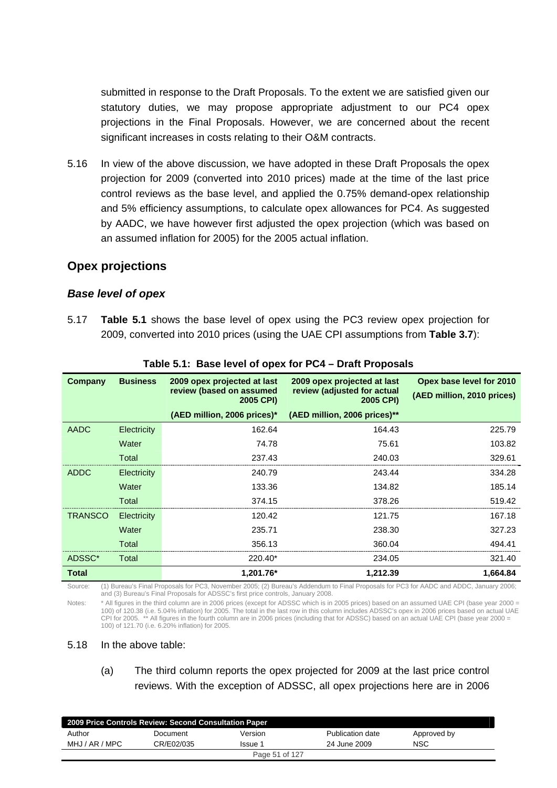submitted in response to the Draft Proposals. To the extent we are satisfied given our statutory duties, we may propose appropriate adjustment to our PC4 opex projections in the Final Proposals. However, we are concerned about the recent significant increases in costs relating to their O&M contracts.

5.16 In view of the above discussion, we have adopted in these Draft Proposals the opex projection for 2009 (converted into 2010 prices) made at the time of the last price control reviews as the base level, and applied the 0.75% demand-opex relationship and 5% efficiency assumptions, to calculate opex allowances for PC4. As suggested by AADC, we have however first adjusted the opex projection (which was based on an assumed inflation for 2005) for the 2005 actual inflation.

### **Opex projections**

#### *Base level of opex*

5.17 **Table 5.1** shows the base level of opex using the PC3 review opex projection for 2009, converted into 2010 prices (using the UAE CPI assumptions from **Table 3.7**):

| <b>Company</b> | <b>Business</b> | 2009 opex projected at last<br>review (based on assumed<br>2005 CPI) | 2009 opex projected at last<br>review (adjusted for actual<br>2005 CPI) | Opex base level for 2010<br>(AED million, 2010 prices) |
|----------------|-----------------|----------------------------------------------------------------------|-------------------------------------------------------------------------|--------------------------------------------------------|
|                |                 | (AED million, 2006 prices)*                                          | (AED million, 2006 prices)**                                            |                                                        |
| <b>AADC</b>    | Electricity     | 162.64                                                               | 164.43                                                                  | 225.79                                                 |
|                | Water           | 74.78                                                                | 75.61                                                                   | 103.82                                                 |
|                | Total           | 237.43                                                               | 240.03                                                                  | 329.61                                                 |
| <b>ADDC</b>    | Electricity     | 240.79                                                               | 243.44                                                                  | 334.28                                                 |
|                | Water           | 133.36                                                               | 134.82                                                                  | 185.14                                                 |
|                | Total           | 374.15                                                               | 378.26                                                                  | 519.42                                                 |
| <b>TRANSCO</b> | Electricity     | 120.42                                                               | 121.75                                                                  | 167.18                                                 |
|                | Water           | 235.71                                                               | 238.30                                                                  | 327.23                                                 |
|                | Total           | 356.13                                                               | 360.04                                                                  | 494.41                                                 |
| ADSSC*         | Total           | 220.40*                                                              | 234.05                                                                  | 321.40                                                 |
| <b>Total</b>   |                 | 1.201.76*                                                            | 1,212.39                                                                | 1,664.84                                               |

**Table 5.1: Base level of opex for PC4 – Draft Proposals** 

Source: (1) Bureau's Final Proposals for PC3, November 2005; (2) Bureau's Addendum to Final Proposals for PC3 for AADC and ADDC, January 2006; and (3) Bureau's Final Proposals for ADSSC's first price controls, January 2008.

Notes: \* All figures in the third column are in 2006 prices (except for ADSSC which is in 2005 prices) based on an assumed UAE CPI (base year 2000 = 100) of 120.38 (i.e. 5.04% inflation) for 2005. The total in the last row in this column includes ADSSC's opex in 2006 prices based on actual UAE CPI for 2005. \*\* All figures in the fourth column are in 2006 prices (including that for ADSSC) based on an actual UAE CPI (base year 2000 = 100) of 121.70 (i.e. 6.20% inflation) for 2005.

#### 5.18 In the above table:

(a) The third column reports the opex projected for 2009 at the last price control reviews. With the exception of ADSSC, all opex projections here are in 2006

| 2009 Price Controls Review: Second Consultation Paper |            |         |                  |             |  |  |  |
|-------------------------------------------------------|------------|---------|------------------|-------------|--|--|--|
| Author                                                | Document   | Version | Publication date | Approved by |  |  |  |
| MHJ / AR / MPC                                        | CR/E02/035 | Issue 1 | 24 June 2009     | <b>NSC</b>  |  |  |  |
| Page 51 of 127                                        |            |         |                  |             |  |  |  |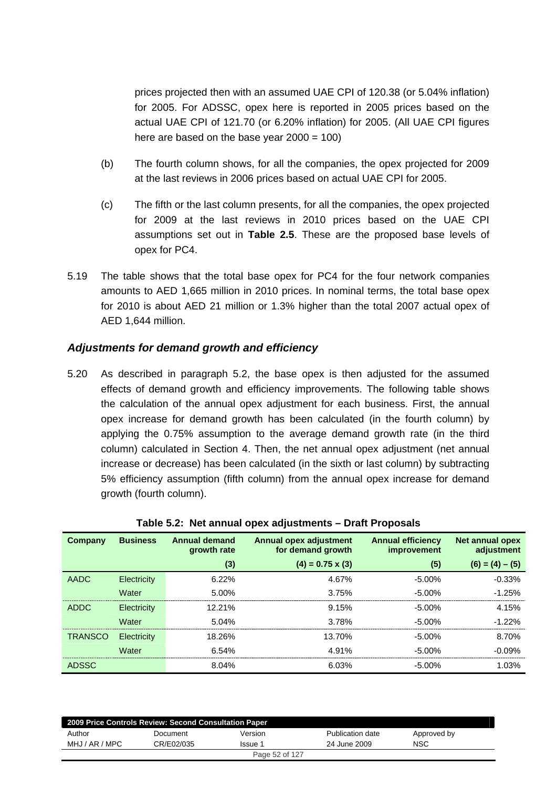prices projected then with an assumed UAE CPI of 120.38 (or 5.04% inflation) for 2005. For ADSSC, opex here is reported in 2005 prices based on the actual UAE CPI of 121.70 (or 6.20% inflation) for 2005. (All UAE CPI figures here are based on the base year  $2000 = 100$ )

- (b) The fourth column shows, for all the companies, the opex projected for 2009 at the last reviews in 2006 prices based on actual UAE CPI for 2005.
- (c) The fifth or the last column presents, for all the companies, the opex projected for 2009 at the last reviews in 2010 prices based on the UAE CPI assumptions set out in **Table 2.5**. These are the proposed base levels of opex for PC4.
- 5.19 The table shows that the total base opex for PC4 for the four network companies amounts to AED 1,665 million in 2010 prices. In nominal terms, the total base opex for 2010 is about AED 21 million or 1.3% higher than the total 2007 actual opex of AED 1,644 million.

### *Adjustments for demand growth and efficiency*

5.20 As described in paragraph 5.2, the base opex is then adjusted for the assumed effects of demand growth and efficiency improvements. The following table shows the calculation of the annual opex adjustment for each business. First, the annual opex increase for demand growth has been calculated (in the fourth column) by applying the 0.75% assumption to the average demand growth rate (in the third column) calculated in Section 4. Then, the net annual opex adjustment (net annual increase or decrease) has been calculated (in the sixth or last column) by subtracting 5% efficiency assumption (fifth column) from the annual opex increase for demand growth (fourth column).

| Company        | <b>Business</b> | <b>Annual demand</b> | <b>Annual opex adjustment</b> | <b>Annual efficiency</b> | <b>Net annual opex</b> |
|----------------|-----------------|----------------------|-------------------------------|--------------------------|------------------------|
|                |                 | growth rate          | for demand growth             | <i>improvement</i>       | adjustment             |
|                |                 | (3)                  | $(4) = 0.75 \times (3)$       | (5)                      | $(6) = (4) - (5)$      |
| <b>AADC</b>    | Electricity     | $6.22\%$             | 4.67%                         | $-5.00%$                 | $-0.33%$               |
|                | Water           | 5.00%                | 3.75%                         | $-5.00\%$                | $-1.25%$               |
| <b>ADDC</b>    | Electricity     | 12.21%               | 9.15%                         | $-5.00\%$                | 4.15%                  |
|                | Water           | 5.04%                | 3.78%                         | $-5.00\%$                | $-1.22%$               |
| <b>TRANSCO</b> | Electricity     | 18.26%               | 13.70%                        | $-5.00\%$                | 8.70%                  |
|                | Water           | 6.54%                | 4.91%                         | $-5.00\%$                | $-0.09%$               |
| <b>ADSSC</b>   |                 | 8.04%                | 6.03%                         | $-5.00\%$                | 1.03%                  |

#### **Table 5.2: Net annual opex adjustments – Draft Proposals**

| 2009 Price Controls Review: Second Consultation Paper |            |         |                  |             |  |  |
|-------------------------------------------------------|------------|---------|------------------|-------------|--|--|
| Author                                                | Document   | Version | Publication date | Approved by |  |  |
| MHJ / AR / MPC                                        | CR/E02/035 | Issue 1 | 24 June 2009     | NSC         |  |  |
| Page 52 of 127                                        |            |         |                  |             |  |  |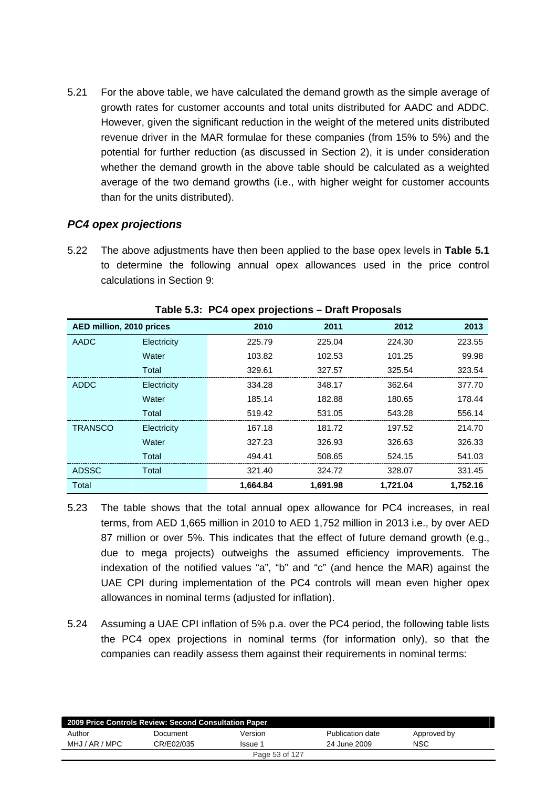5.21 For the above table, we have calculated the demand growth as the simple average of growth rates for customer accounts and total units distributed for AADC and ADDC. However, given the significant reduction in the weight of the metered units distributed revenue driver in the MAR formulae for these companies (from 15% to 5%) and the potential for further reduction (as discussed in Section 2), it is under consideration whether the demand growth in the above table should be calculated as a weighted average of the two demand growths (i.e., with higher weight for customer accounts than for the units distributed).

### *PC4 opex projections*

5.22 The above adjustments have then been applied to the base opex levels in **Table 5.1** to determine the following annual opex allowances used in the price control calculations in Section 9:

| AED million, 2010 prices |             | 2010     | 2011     | 2012     | 2013     |
|--------------------------|-------------|----------|----------|----------|----------|
| AADC                     | Electricity | 225.79   | 225.04   | 224.30   | 223.55   |
|                          | Water       | 103.82   | 102.53   | 101.25   | 99.98    |
|                          | Total       | 329.61   | 327.57   | 325.54   | 323.54   |
| ADDC                     | Electricity | 334.28   | 348.17   | 362.64   | 377.70   |
|                          | Water       | 185.14   | 182.88   | 180.65   | 178.44   |
|                          | Total       | 519.42   | 531.05   | 543.28   | 556.14   |
| <b>TRANSCO</b>           | Electricity | 167.18   | 181.72   | 197.52   | 214.70   |
|                          | Water       | 327.23   | 326.93   | 326.63   | 326.33   |
|                          | Total       | 494.41   | 508.65   | 524.15   | 541.03   |
| <b>ADSSC</b>             | Total       | 321.40   | 324.72   | 328.07   | 331.45   |
| Total                    |             | 1,664.84 | 1,691.98 | 1,721.04 | 1.752.16 |

**Table 5.3: PC4 opex projections – Draft Proposals** 

- 5.23 The table shows that the total annual opex allowance for PC4 increases, in real terms, from AED 1,665 million in 2010 to AED 1,752 million in 2013 i.e., by over AED 87 million or over 5%. This indicates that the effect of future demand growth (e.g., due to mega projects) outweighs the assumed efficiency improvements. The indexation of the notified values "a", "b" and "c" (and hence the MAR) against the UAE CPI during implementation of the PC4 controls will mean even higher opex allowances in nominal terms (adjusted for inflation).
- 5.24 Assuming a UAE CPI inflation of 5% p.a. over the PC4 period, the following table lists the PC4 opex projections in nominal terms (for information only), so that the companies can readily assess them against their requirements in nominal terms:

| 2009 Price Controls Review: Second Consultation Paper |            |         |                  |             |  |  |  |
|-------------------------------------------------------|------------|---------|------------------|-------------|--|--|--|
| Author                                                | Document   | Version | Publication date | Approved by |  |  |  |
| MHJ / AR / MPC                                        | CR/E02/035 | Issue 1 | 24 June 2009     | NSC         |  |  |  |
| Page 53 of 127                                        |            |         |                  |             |  |  |  |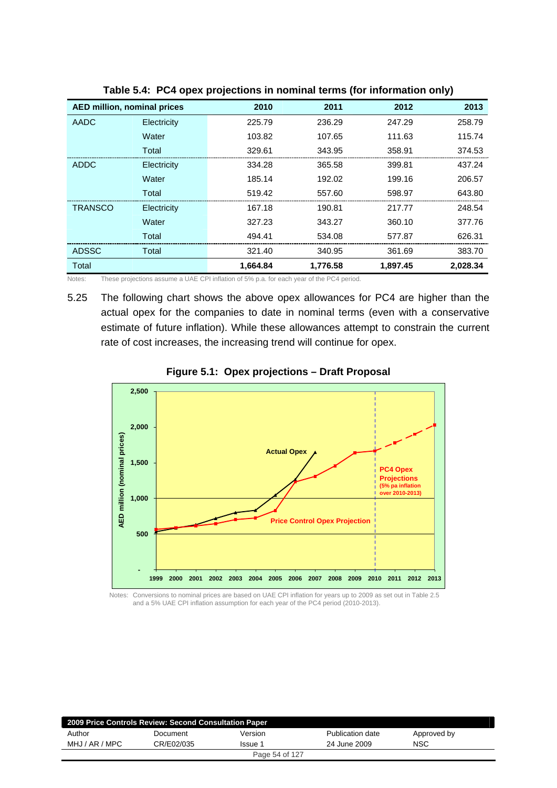| <b>AED million, nominal prices</b> |             | 2010     | 2011     | 2012     | 2013     |
|------------------------------------|-------------|----------|----------|----------|----------|
| AADC                               | Electricity | 225.79   | 236.29   | 247.29   | 258.79   |
|                                    | Water       | 103.82   | 107.65   | 111.63   | 115.74   |
|                                    | Total       | 329.61   | 343.95   | 358.91   | 374.53   |
| ADDC                               | Electricity | 334.28   | 365.58   | 399.81   | 437.24   |
|                                    | Water       | 185.14   | 192.02   | 199.16   | 206.57   |
|                                    | Total       | 519.42   | 557.60   | 598.97   | 643.80   |
| <b>TRANSCO</b>                     | Electricity | 167.18   | 190.81   | 217.77   | 248.54   |
|                                    | Water       | 327.23   | 343.27   | 360.10   | 377.76   |
|                                    | Total       | 494.41   | 534.08   | 577.87   | 626.31   |
| <b>ADSSC</b>                       | Total       | 321.40   | 340.95   | 361.69   | 383.70   |
| Total                              |             | 1.664.84 | 1.776.58 | 1.897.45 | 2.028.34 |

**Table 5.4: PC4 opex projections in nominal terms (for information only)** 

Notes: These projections assume a UAE CPI inflation of 5% p.a. for each year of the PC4 period.

5.25 The following chart shows the above opex allowances for PC4 are higher than the actual opex for the companies to date in nominal terms (even with a conservative estimate of future inflation). While these allowances attempt to constrain the current rate of cost increases, the increasing trend will continue for opex.



**Figure 5.1: Opex projections – Draft Proposal** 

Notes: Conversions to nominal prices are based on UAE CPI inflation for years up to 2009 as set out in Table 2.5 and a 5% UAE CPI inflation assumption for each year of the PC4 period (2010-2013).

| 2009 Price Controls Review: Second Consultation Paper |            |                |                  |             |  |  |  |
|-------------------------------------------------------|------------|----------------|------------------|-------------|--|--|--|
| Author                                                | Document   | Version        | Publication date | Approved by |  |  |  |
| MHJ / AR / MPC                                        | CR/E02/035 | Issue 1        | 24 June 2009     | <b>NSC</b>  |  |  |  |
|                                                       |            | Page 54 of 127 |                  |             |  |  |  |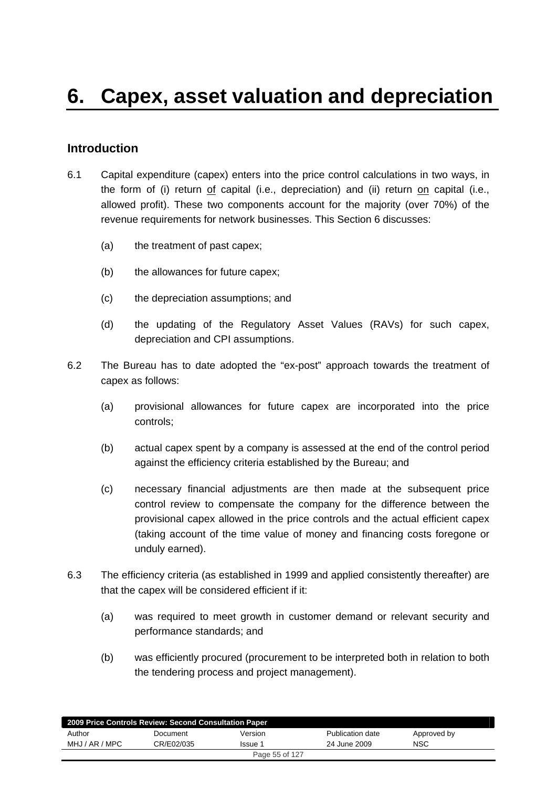### **Introduction**

- 6.1 Capital expenditure (capex) enters into the price control calculations in two ways, in the form of (i) return of capital (i.e., depreciation) and (ii) return on capital (i.e., allowed profit). These two components account for the majority (over 70%) of the revenue requirements for network businesses. This Section 6 discusses:
	- (a) the treatment of past capex;
	- (b) the allowances for future capex;
	- (c) the depreciation assumptions; and
	- (d) the updating of the Regulatory Asset Values (RAVs) for such capex, depreciation and CPI assumptions.
- 6.2 The Bureau has to date adopted the "ex-post" approach towards the treatment of capex as follows:
	- (a) provisional allowances for future capex are incorporated into the price controls;
	- (b) actual capex spent by a company is assessed at the end of the control period against the efficiency criteria established by the Bureau; and
	- (c) necessary financial adjustments are then made at the subsequent price control review to compensate the company for the difference between the provisional capex allowed in the price controls and the actual efficient capex (taking account of the time value of money and financing costs foregone or unduly earned).
- 6.3 The efficiency criteria (as established in 1999 and applied consistently thereafter) are that the capex will be considered efficient if it:
	- (a) was required to meet growth in customer demand or relevant security and performance standards; and
	- (b) was efficiently procured (procurement to be interpreted both in relation to both the tendering process and project management).

| 2009 Price Controls Review: Second Consultation Paper |            |         |                  |             |  |  |  |
|-------------------------------------------------------|------------|---------|------------------|-------------|--|--|--|
| Author                                                | Document   | Version | Publication date | Approved by |  |  |  |
| MHJ / AR / MPC                                        | CR/E02/035 | Issue 1 | 24 June 2009     | <b>NSC</b>  |  |  |  |
| Page 55 of 127                                        |            |         |                  |             |  |  |  |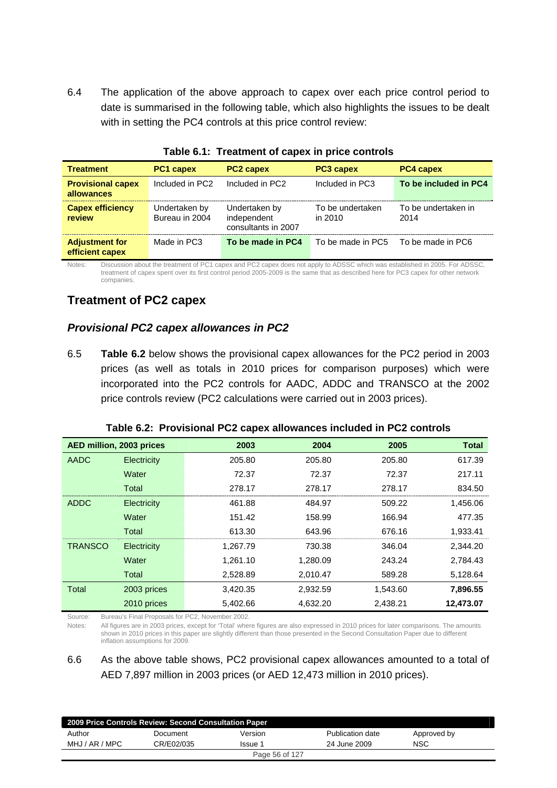6.4 The application of the above approach to capex over each price control period to date is summarised in the following table, which also highlights the issues to be dealt with in setting the PC4 controls at this price control review:

| <b>Treatment</b>                         | <b>PC1 capex</b>                | <b>PC2 capex</b>                                    | PC3 capex                   | <b>PC4 capex</b>            |
|------------------------------------------|---------------------------------|-----------------------------------------------------|-----------------------------|-----------------------------|
| <b>Provisional capex</b><br>allowances   | Included in PC2                 | Included in PC2                                     | Included in PC3             | To be included in PC4       |
| <b>Capex efficiency</b><br>review        | Undertaken by<br>Bureau in 2004 | Undertaken by<br>independent<br>consultants in 2007 | To be undertaken<br>in 2010 | To be undertaken in<br>2014 |
| <b>Adjustment for</b><br>efficient capex | Made in PC3                     | To be made in PC4                                   | To be made in PC5           | To be made in PC6           |

|  | Table 6.1: Treatment of capex in price controls |  |  |  |
|--|-------------------------------------------------|--|--|--|
|--|-------------------------------------------------|--|--|--|

Notes: Discussion about the treatment of PC1 capex and PC2 capex does not apply to ADSSC which was established in 2005. For ADSSC, treatment of capex spent over its first control period 2005-2009 is the same that as described here for PC3 capex for other network companies.

# **Treatment of PC2 capex**

### *Provisional PC2 capex allowances in PC2*

6.5 **Table 6.2** below shows the provisional capex allowances for the PC2 period in 2003 prices (as well as totals in 2010 prices for comparison purposes) which were incorporated into the PC2 controls for AADC, ADDC and TRANSCO at the 2002 price controls review (PC2 calculations were carried out in 2003 prices).

| AED million, 2003 prices |             | 2003     | 2004     | 2005     | <b>Total</b> |
|--------------------------|-------------|----------|----------|----------|--------------|
| <b>AADC</b>              | Electricity | 205.80   | 205.80   | 205.80   | 617.39       |
|                          | Water       | 72.37    | 72.37    | 72.37    | 217.11       |
|                          | Total       | 278.17   | 278.17   | 278.17   | 834.50       |
| <b>ADDC</b>              | Electricity | 461.88   | 484.97   | 509.22   | 1,456.06     |
|                          | Water       | 151.42   | 158.99   | 166.94   | 477.35       |
|                          | Total       | 613.30   | 643.96   | 676.16   | 1,933.41     |
| <b>TRANSCO</b>           | Electricity | 1,267.79 | 730.38   | 346.04   | 2,344.20     |
|                          | Water       | 1,261.10 | 1,280.09 | 243.24   | 2,784.43     |
|                          | Total       | 2,528.89 | 2,010.47 | 589.28   | 5,128.64     |
| <b>Total</b>             | 2003 prices | 3,420.35 | 2,932.59 | 1.543.60 | 7,896.55     |
|                          | 2010 prices | 5,402.66 | 4,632.20 | 2,438.21 | 12,473.07    |

**Table 6.2: Provisional PC2 capex allowances included in PC2 controls** 

Source: Bureau's Final Proposals for PC2, November 2002.

Notes: All figures are in 2003 prices, except for 'Total' where figures are also expressed in 2010 prices for later comparisons. The amounts shown in 2010 prices in this paper are slightly different than those presented in the Second Consultation Paper due to different inflation assumptions for 2009.

6.6 As the above table shows, PC2 provisional capex allowances amounted to a total of AED 7,897 million in 2003 prices (or AED 12,473 million in 2010 prices).

| 2009 Price Controls Review: Second Consultation Paper |            |         |                  |             |  |  |  |
|-------------------------------------------------------|------------|---------|------------------|-------------|--|--|--|
| Author                                                | Document   | Version | Publication date | Approved by |  |  |  |
| MHJ / AR / MPC                                        | CR/E02/035 | lssue 1 | 24 June 2009     | NSC         |  |  |  |
| Page 56 of 127                                        |            |         |                  |             |  |  |  |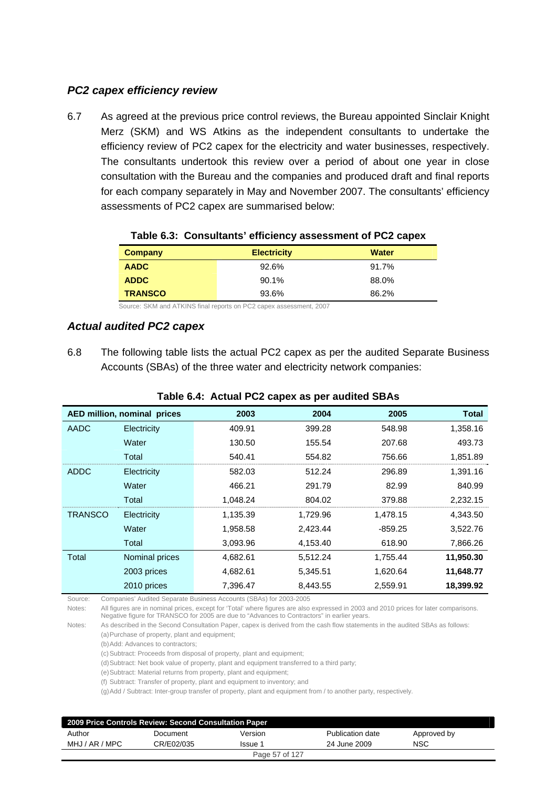### *PC2 capex efficiency review*

6.7 As agreed at the previous price control reviews, the Bureau appointed Sinclair Knight Merz (SKM) and WS Atkins as the independent consultants to undertake the efficiency review of PC2 capex for the electricity and water businesses, respectively. The consultants undertook this review over a period of about one year in close consultation with the Bureau and the companies and produced draft and final reports for each company separately in May and November 2007. The consultants' efficiency assessments of PC2 capex are summarised below:

| Company        | <b>Electricity</b> | <b>Water</b> |  |
|----------------|--------------------|--------------|--|
| <b>AADC</b>    | 92.6%              | 91.7%        |  |
| <b>ADDC</b>    | 90.1%              | 88.0%        |  |
| <b>TRANSCO</b> | 93.6%              | 86.2%        |  |

#### **Table 6.3: Consultants' efficiency assessment of PC2 capex**

Source: SKM and ATKINS final reports on PC2 capex assessment, 2007

#### *Actual audited PC2 capex*

6.8 The following table lists the actual PC2 capex as per the audited Separate Business Accounts (SBAs) of the three water and electricity network companies:

|                | Table 0.4. Actual FOZ capes as per addited op As |          |          |           |              |  |  |  |
|----------------|--------------------------------------------------|----------|----------|-----------|--------------|--|--|--|
|                | AED million, nominal prices                      | 2003     | 2004     | 2005      | <b>Total</b> |  |  |  |
| AADC           | Electricity                                      | 409.91   | 399.28   | 548.98    | 1,358.16     |  |  |  |
|                | Water                                            | 130.50   | 155.54   | 207.68    | 493.73       |  |  |  |
|                | Total                                            | 540.41   | 554.82   | 756.66    | 1,851.89     |  |  |  |
| ADDC           | Electricity                                      | 582.03   | 512.24   | 296.89    | 1,391.16     |  |  |  |
|                | Water                                            | 466.21   | 291.79   | 82.99     | 840.99       |  |  |  |
|                | Total                                            | 1,048.24 | 804.02   | 379.88    | 2,232.15     |  |  |  |
| <b>TRANSCO</b> | Electricity                                      | 1,135.39 | 1,729.96 | 1,478.15  | 4,343.50     |  |  |  |
|                | Water                                            | 1,958.58 | 2,423.44 | $-859.25$ | 3,522.76     |  |  |  |
|                | Total                                            | 3,093.96 | 4,153.40 | 618.90    | 7,866.26     |  |  |  |
| Total          | Nominal prices                                   | 4,682.61 | 5,512.24 | 1,755.44  | 11,950.30    |  |  |  |
|                | 2003 prices                                      | 4,682.61 | 5,345.51 | 1,620.64  | 11,648.77    |  |  |  |
|                | 2010 prices                                      | 7,396.47 | 8,443.55 | 2,559.91  | 18,399.92    |  |  |  |

#### **Table 6.4: Actual PC2 capex as per audited SBAs**

Source: Companies' Audited Separate Business Accounts (SBAs) for 2003-2005

Notes: All figures are in nominal prices, except for 'Total' where figures are also expressed in 2003 and 2010 prices for later comparisons. Negative figure for TRANSCO for 2005 are due to "Advances to Contractors" in earlier years.

Notes: As described in the Second Consultation Paper, capex is derived from the cash flow statements in the audited SBAs as follows: (a) Purchase of property, plant and equipment;

(b) Add: Advances to contractors;

(c) Subtract: Proceeds from disposal of property, plant and equipment;

(d) Subtract: Net book value of property, plant and equipment transferred to a third party;

(e) Subtract: Material returns from property, plant and equipment;

(f) Subtract: Transfer of property, plant and equipment to inventory; and

(g) Add / Subtract: Inter-group transfer of property, plant and equipment from / to another party, respectively.

| 2009 Price Controls Review: Second Consultation Paper |            |                |                  |             |  |  |
|-------------------------------------------------------|------------|----------------|------------------|-------------|--|--|
| Author                                                | Document   | Version        | Publication date | Approved by |  |  |
| MHJ / AR / MPC                                        | CR/E02/035 | Issue 1        | 24 June 2009     | <b>NSC</b>  |  |  |
|                                                       |            | Page 57 of 127 |                  |             |  |  |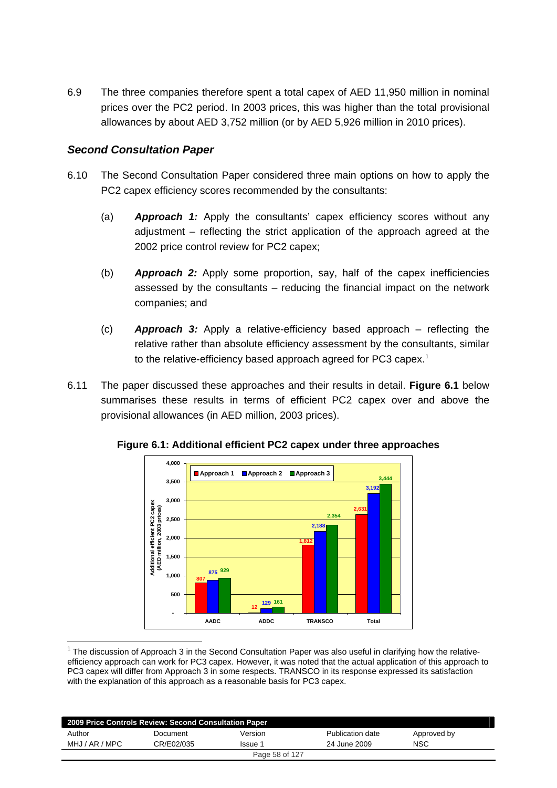6.9 The three companies therefore spent a total capex of AED 11,950 million in nominal prices over the PC2 period. In 2003 prices, this was higher than the total provisional allowances by about AED 3,752 million (or by AED 5,926 million in 2010 prices).

### *Second Consultation Paper*

 $\overline{a}$ 

- 6.10 The Second Consultation Paper considered three main options on how to apply the PC2 capex efficiency scores recommended by the consultants:
	- (a) *Approach 1:* Apply the consultants' capex efficiency scores without any adjustment – reflecting the strict application of the approach agreed at the 2002 price control review for PC2 capex;
	- (b) *Approach 2:* Apply some proportion, say, half of the capex inefficiencies assessed by the consultants – reducing the financial impact on the network companies; and
	- (c) *Approach 3:* Apply a relative-efficiency based approach reflecting the relative rather than absolute efficiency assessment by the consultants, similar to the relative-efficiency based approach agreed for PC3 capex.<sup>[1](#page-57-0)</sup>
- 6.11 The paper discussed these approaches and their results in detail. **Figure 6.1** below summarises these results in terms of efficient PC2 capex over and above the provisional allowances (in AED million, 2003 prices).



**Figure 6.1: Additional efficient PC2 capex under three approaches** 

<span id="page-57-0"></span> $1$  The discussion of Approach 3 in the Second Consultation Paper was also useful in clarifying how the relativeefficiency approach can work for PC3 capex. However, it was noted that the actual application of this approach to PC3 capex will differ from Approach 3 in some respects. TRANSCO in its response expressed its satisfaction with the explanation of this approach as a reasonable basis for PC3 capex.

| 2009 Price Controls Review: Second Consultation Paper |            |                |                  |             |  |  |
|-------------------------------------------------------|------------|----------------|------------------|-------------|--|--|
| Author                                                | Document   | Version        | Publication date | Approved by |  |  |
| MHJ / AR / MPC                                        | CR/E02/035 | Issue 1        | 24 June 2009     | NSC         |  |  |
|                                                       |            | Page 58 of 127 |                  |             |  |  |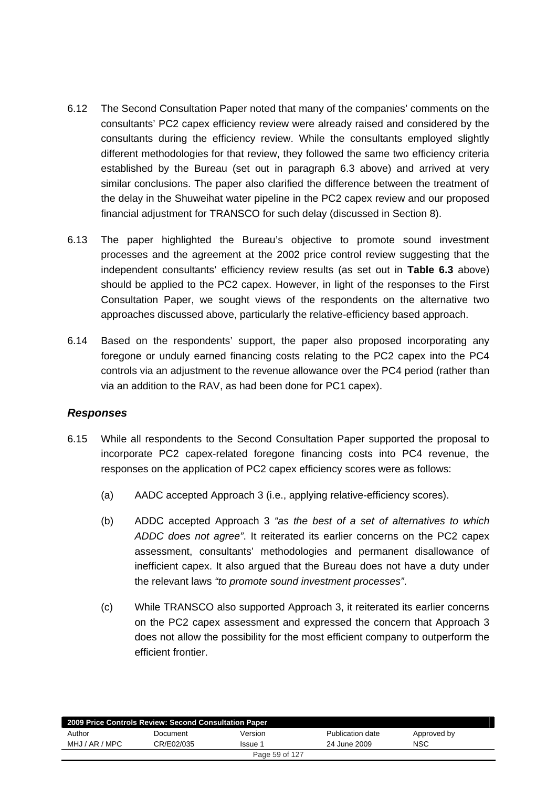- 6.12 The Second Consultation Paper noted that many of the companies' comments on the consultants' PC2 capex efficiency review were already raised and considered by the consultants during the efficiency review. While the consultants employed slightly different methodologies for that review, they followed the same two efficiency criteria established by the Bureau (set out in paragraph 6.3 above) and arrived at very similar conclusions. The paper also clarified the difference between the treatment of the delay in the Shuweihat water pipeline in the PC2 capex review and our proposed financial adjustment for TRANSCO for such delay (discussed in Section 8).
- 6.13 The paper highlighted the Bureau's objective to promote sound investment processes and the agreement at the 2002 price control review suggesting that the independent consultants' efficiency review results (as set out in **Table 6.3** above) should be applied to the PC2 capex. However, in light of the responses to the First Consultation Paper, we sought views of the respondents on the alternative two approaches discussed above, particularly the relative-efficiency based approach.
- 6.14 Based on the respondents' support, the paper also proposed incorporating any foregone or unduly earned financing costs relating to the PC2 capex into the PC4 controls via an adjustment to the revenue allowance over the PC4 period (rather than via an addition to the RAV, as had been done for PC1 capex).

#### *Responses*

- 6.15 While all respondents to the Second Consultation Paper supported the proposal to incorporate PC2 capex-related foregone financing costs into PC4 revenue, the responses on the application of PC2 capex efficiency scores were as follows:
	- (a) AADC accepted Approach 3 (i.e., applying relative-efficiency scores).
	- (b) ADDC accepted Approach 3 *"as the best of a set of alternatives to which ADDC does not agree"*. It reiterated its earlier concerns on the PC2 capex assessment, consultants' methodologies and permanent disallowance of inefficient capex. It also argued that the Bureau does not have a duty under the relevant laws *"to promote sound investment processes"*.
	- (c) While TRANSCO also supported Approach 3, it reiterated its earlier concerns on the PC2 capex assessment and expressed the concern that Approach 3 does not allow the possibility for the most efficient company to outperform the efficient frontier.

| 2009 Price Controls Review: Second Consultation Paper |            |                |                  |             |  |  |  |
|-------------------------------------------------------|------------|----------------|------------------|-------------|--|--|--|
| Author                                                | Document   | Version        | Publication date | Approved by |  |  |  |
| MHJ / AR / MPC                                        | CR/E02/035 | Issue 1        | 24 June 2009     | <b>NSC</b>  |  |  |  |
|                                                       |            | Page 59 of 127 |                  |             |  |  |  |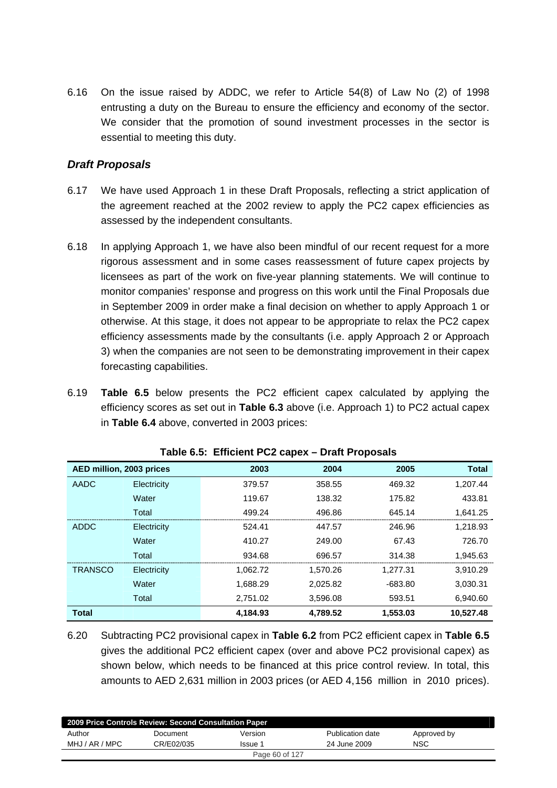6.16 On the issue raised by ADDC, we refer to Article 54(8) of Law No (2) of 1998 entrusting a duty on the Bureau to ensure the efficiency and economy of the sector. We consider that the promotion of sound investment processes in the sector is essential to meeting this duty.

### *Draft Proposals*

- 6.17 We have used Approach 1 in these Draft Proposals, reflecting a strict application of the agreement reached at the 2002 review to apply the PC2 capex efficiencies as assessed by the independent consultants.
- 6.18 In applying Approach 1, we have also been mindful of our recent request for a more rigorous assessment and in some cases reassessment of future capex projects by licensees as part of the work on five-year planning statements. We will continue to monitor companies' response and progress on this work until the Final Proposals due in September 2009 in order make a final decision on whether to apply Approach 1 or otherwise. At this stage, it does not appear to be appropriate to relax the PC2 capex efficiency assessments made by the consultants (i.e. apply Approach 2 or Approach 3) when the companies are not seen to be demonstrating improvement in their capex forecasting capabilities.
- 6.19 **Table 6.5** below presents the PC2 efficient capex calculated by applying the efficiency scores as set out in **Table 6.3** above (i.e. Approach 1) to PC2 actual capex in **Table 6.4** above, converted in 2003 prices:

| AED million, 2003 prices |             | 2003     | 2004     | 2005      | <b>Total</b> |
|--------------------------|-------------|----------|----------|-----------|--------------|
| AADC                     | Electricity | 379.57   | 358.55   | 469.32    | 1,207.44     |
|                          | Water       | 119.67   | 138.32   | 175.82    | 433.81       |
|                          | Total       | 499.24   | 496.86   | 645.14    | 1,641.25     |
| ADDC                     | Electricity | 524.41   | 447.57   | 246.96    | 1,218.93     |
|                          | Water       | 410.27   | 249.00   | 67.43     | 726.70       |
|                          | Total       | 934.68   | 696.57   | 314.38    | 1,945.63     |
| <b>TRANSCO</b>           | Electricity | 1,062.72 | 1,570.26 | 1,277.31  | 3,910.29     |
|                          | Water       | 1,688.29 | 2,025.82 | $-683.80$ | 3,030.31     |
|                          | Total       | 2,751.02 | 3,596.08 | 593.51    | 6,940.60     |
| <b>Total</b>             |             | 4.184.93 | 4.789.52 | 1.553.03  | 10,527.48    |

**Table 6.5: Efficient PC2 capex – Draft Proposals** 

6.20 Subtracting PC2 provisional capex in **Table 6.2** from PC2 efficient capex in **Table 6.5** gives the additional PC2 efficient capex (over and above PC2 provisional capex) as shown below, which needs to be financed at this price control review. In total, this amounts to AED 2,631 million in 2003 prices (or AED 4, 156 million in 2010 prices).

| 2009 Price Controls Review: Second Consultation Paper |            |                |                  |             |  |  |  |
|-------------------------------------------------------|------------|----------------|------------------|-------------|--|--|--|
| Author                                                | Document   | Version        | Publication date | Approved by |  |  |  |
| MHJ / AR / MPC                                        | CR/E02/035 | Issue 1        | 24 June 2009     | NSC         |  |  |  |
|                                                       |            | Page 60 of 127 |                  |             |  |  |  |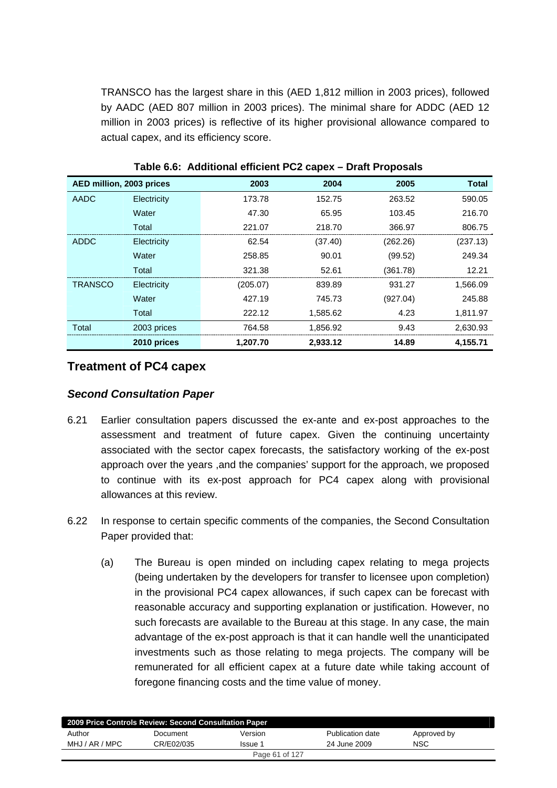TRANSCO has the largest share in this (AED 1,812 million in 2003 prices), followed by AADC (AED 807 million in 2003 prices). The minimal share for ADDC (AED 12 million in 2003 prices) is reflective of its higher provisional allowance compared to actual capex, and its efficiency score.

| AED million, 2003 prices |             | 2003     | 2004     | 2005     | <b>Total</b> |
|--------------------------|-------------|----------|----------|----------|--------------|
| AADC                     | Electricity | 173.78   | 152.75   | 263.52   | 590.05       |
|                          | Water       | 47.30    | 65.95    | 103.45   | 216.70       |
|                          | Total       | 221.07   | 218.70   | 366.97   | 806.75       |
| ADDC                     | Electricity | 62.54    | (37.40)  | (262.26) | (237.13)     |
|                          | Water       | 258.85   | 90.01    | (99.52)  | 249.34       |
|                          | Total       | 321.38   | 52.61    | (361.78) | 12.21        |
| <b>TRANSCO</b>           | Electricity | (205.07) | 839.89   | 931.27   | 1,566.09     |
|                          | Water       | 427.19   | 745.73   | (927.04) | 245.88       |
|                          | Total       | 222.12   | 1.585.62 | 4.23     | 1,811.97     |
| Total                    | 2003 prices | 764.58   | 1,856.92 | 9.43     | 2,630.93     |
|                          | 2010 prices | 1,207.70 | 2,933.12 | 14.89    | 4,155.71     |

**Table 6.6: Additional efficient PC2 capex – Draft Proposals** 

### **Treatment of PC4 capex**

#### *Second Consultation Paper*

- 6.21 Earlier consultation papers discussed the ex-ante and ex-post approaches to the assessment and treatment of future capex. Given the continuing uncertainty associated with the sector capex forecasts, the satisfactory working of the ex-post approach over the years ,and the companies' support for the approach, we proposed to continue with its ex-post approach for PC4 capex along with provisional allowances at this review.
- 6.22 In response to certain specific comments of the companies, the Second Consultation Paper provided that:
	- (a) The Bureau is open minded on including capex relating to mega projects (being undertaken by the developers for transfer to licensee upon completion) in the provisional PC4 capex allowances, if such capex can be forecast with reasonable accuracy and supporting explanation or justification. However, no such forecasts are available to the Bureau at this stage. In any case, the main advantage of the ex-post approach is that it can handle well the unanticipated investments such as those relating to mega projects. The company will be remunerated for all efficient capex at a future date while taking account of foregone financing costs and the time value of money.

| 2009 Price Controls Review: Second Consultation Paper |            |                |                  |             |  |
|-------------------------------------------------------|------------|----------------|------------------|-------------|--|
| Author                                                | Document   | Version        | Publication date | Approved by |  |
| MHJ / AR / MPC                                        | CR/E02/035 | Issue 1        | 24 June 2009     | NSC         |  |
|                                                       |            | Page 61 of 127 |                  |             |  |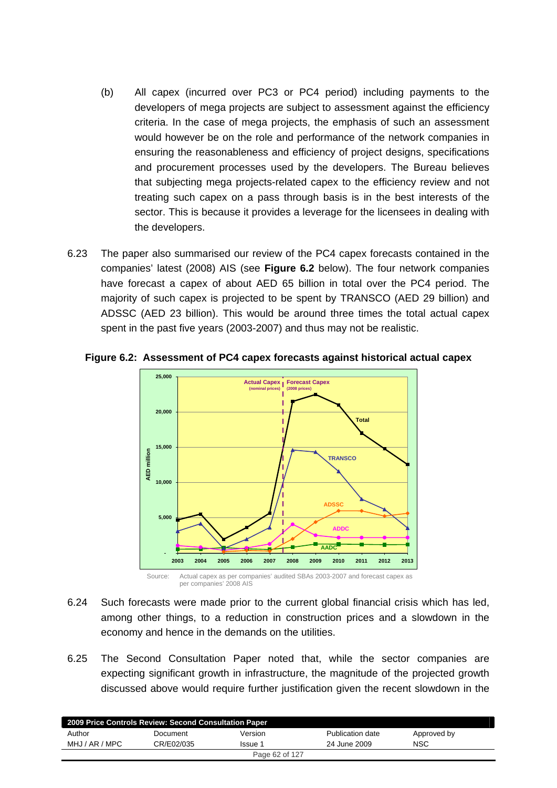- (b) All capex (incurred over PC3 or PC4 period) including payments to the developers of mega projects are subject to assessment against the efficiency criteria. In the case of mega projects, the emphasis of such an assessment would however be on the role and performance of the network companies in ensuring the reasonableness and efficiency of project designs, specifications and procurement processes used by the developers. The Bureau believes that subjecting mega projects-related capex to the efficiency review and not treating such capex on a pass through basis is in the best interests of the sector. This is because it provides a leverage for the licensees in dealing with the developers.
- 6.23 The paper also summarised our review of the PC4 capex forecasts contained in the companies' latest (2008) AIS (see **Figure 6.2** below). The four network companies have forecast a capex of about AED 65 billion in total over the PC4 period. The majority of such capex is projected to be spent by TRANSCO (AED 29 billion) and ADSSC (AED 23 billion). This would be around three times the total actual capex spent in the past five years (2003-2007) and thus may not be realistic.



**Figure 6.2: Assessment of PC4 capex forecasts against historical actual capex** 

- 6.24 Such forecasts were made prior to the current global financial crisis which has led,
- among other things, to a reduction in construction prices and a slowdown in the economy and hence in the demands on the utilities.
- 6.25 The Second Consultation Paper noted that, while the sector companies are expecting significant growth in infrastructure, the magnitude of the projected growth discussed above would require further justification given the recent slowdown in the

| 2009 Price Controls Review: Second Consultation Paper |            |                |                  |             |  |  |
|-------------------------------------------------------|------------|----------------|------------------|-------------|--|--|
| Author                                                | Document   | Version        | Publication date | Approved by |  |  |
| MHJ / AR / MPC                                        | CR/E02/035 | Issue 1        | 24 June 2009     | <b>NSC</b>  |  |  |
|                                                       |            | Page 62 of 127 |                  |             |  |  |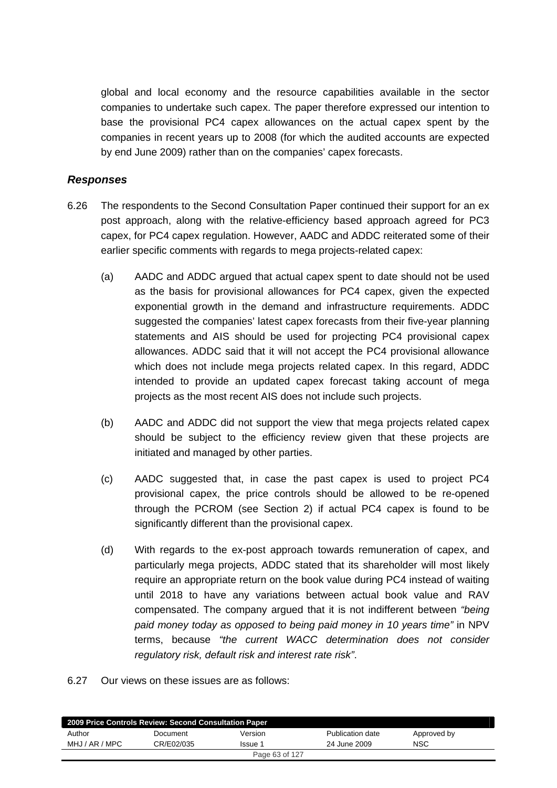global and local economy and the resource capabilities available in the sector companies to undertake such capex. The paper therefore expressed our intention to base the provisional PC4 capex allowances on the actual capex spent by the companies in recent years up to 2008 (for which the audited accounts are expected by end June 2009) rather than on the companies' capex forecasts.

### *Responses*

- 6.26 The respondents to the Second Consultation Paper continued their support for an ex post approach, along with the relative-efficiency based approach agreed for PC3 capex, for PC4 capex regulation. However, AADC and ADDC reiterated some of their earlier specific comments with regards to mega projects-related capex:
	- (a) AADC and ADDC argued that actual capex spent to date should not be used as the basis for provisional allowances for PC4 capex, given the expected exponential growth in the demand and infrastructure requirements. ADDC suggested the companies' latest capex forecasts from their five-year planning statements and AIS should be used for projecting PC4 provisional capex allowances. ADDC said that it will not accept the PC4 provisional allowance which does not include mega projects related capex. In this regard, ADDC intended to provide an updated capex forecast taking account of mega projects as the most recent AIS does not include such projects.
	- (b) AADC and ADDC did not support the view that mega projects related capex should be subject to the efficiency review given that these projects are initiated and managed by other parties.
	- (c) AADC suggested that, in case the past capex is used to project PC4 provisional capex, the price controls should be allowed to be re-opened through the PCROM (see Section 2) if actual PC4 capex is found to be significantly different than the provisional capex.
	- (d) With regards to the ex-post approach towards remuneration of capex, and particularly mega projects, ADDC stated that its shareholder will most likely require an appropriate return on the book value during PC4 instead of waiting until 2018 to have any variations between actual book value and RAV compensated. The company argued that it is not indifferent between *"being paid money today as opposed to being paid money in 10 years time"* in NPV terms, because *"the current WACC determination does not consider regulatory risk, default risk and interest rate risk"*.
- 6.27 Our views on these issues are as follows:

| 2009 Price Controls Review: Second Consultation Paper |            |                |                  |             |  |  |
|-------------------------------------------------------|------------|----------------|------------------|-------------|--|--|
| Author                                                | Document   | Version        | Publication date | Approved by |  |  |
| MHJ / AR / MPC                                        | CR/E02/035 | Issue 1        | 24 June 2009     | <b>NSC</b>  |  |  |
|                                                       |            | Page 63 of 127 |                  |             |  |  |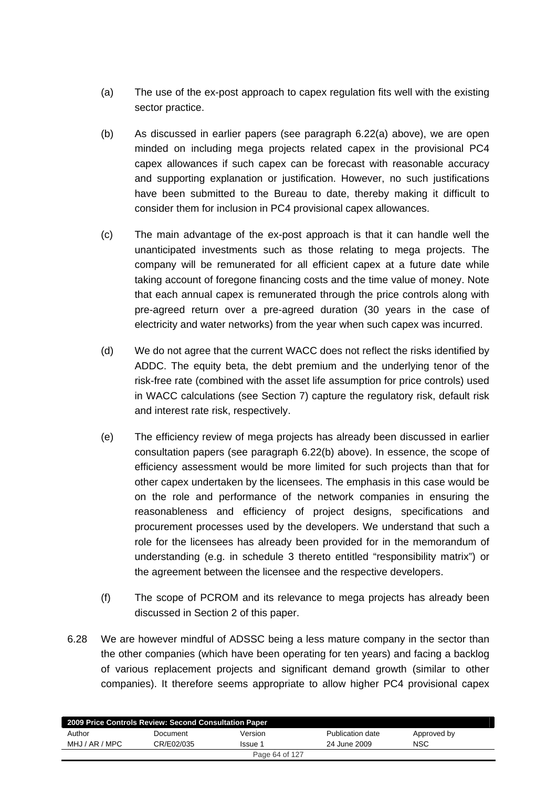- (a) The use of the ex-post approach to capex regulation fits well with the existing sector practice.
- (b) As discussed in earlier papers (see paragraph 6.22(a) above), we are open minded on including mega projects related capex in the provisional PC4 capex allowances if such capex can be forecast with reasonable accuracy and supporting explanation or justification. However, no such justifications have been submitted to the Bureau to date, thereby making it difficult to consider them for inclusion in PC4 provisional capex allowances.
- (c) The main advantage of the ex-post approach is that it can handle well the unanticipated investments such as those relating to mega projects. The company will be remunerated for all efficient capex at a future date while taking account of foregone financing costs and the time value of money. Note that each annual capex is remunerated through the price controls along with pre-agreed return over a pre-agreed duration (30 years in the case of electricity and water networks) from the year when such capex was incurred.
- (d) We do not agree that the current WACC does not reflect the risks identified by ADDC. The equity beta, the debt premium and the underlying tenor of the risk-free rate (combined with the asset life assumption for price controls) used in WACC calculations (see Section 7) capture the regulatory risk, default risk and interest rate risk, respectively.
- (e) The efficiency review of mega projects has already been discussed in earlier consultation papers (see paragraph 6.22(b) above). In essence, the scope of efficiency assessment would be more limited for such projects than that for other capex undertaken by the licensees. The emphasis in this case would be on the role and performance of the network companies in ensuring the reasonableness and efficiency of project designs, specifications and procurement processes used by the developers. We understand that such a role for the licensees has already been provided for in the memorandum of understanding (e.g. in schedule 3 thereto entitled "responsibility matrix") or the agreement between the licensee and the respective developers.
- (f) The scope of PCROM and its relevance to mega projects has already been discussed in Section 2 of this paper.
- 6.28 We are however mindful of ADSSC being a less mature company in the sector than the other companies (which have been operating for ten years) and facing a backlog of various replacement projects and significant demand growth (similar to other companies). It therefore seems appropriate to allow higher PC4 provisional capex

| 2009 Price Controls Review: Second Consultation Paper |            |                |                  |             |  |  |  |
|-------------------------------------------------------|------------|----------------|------------------|-------------|--|--|--|
| Author                                                | Document   | Version        | Publication date | Approved by |  |  |  |
| MHJ / AR / MPC                                        | CR/E02/035 | Issue 1        | 24 June 2009     | <b>NSC</b>  |  |  |  |
|                                                       |            | Page 64 of 127 |                  |             |  |  |  |
|                                                       |            |                |                  |             |  |  |  |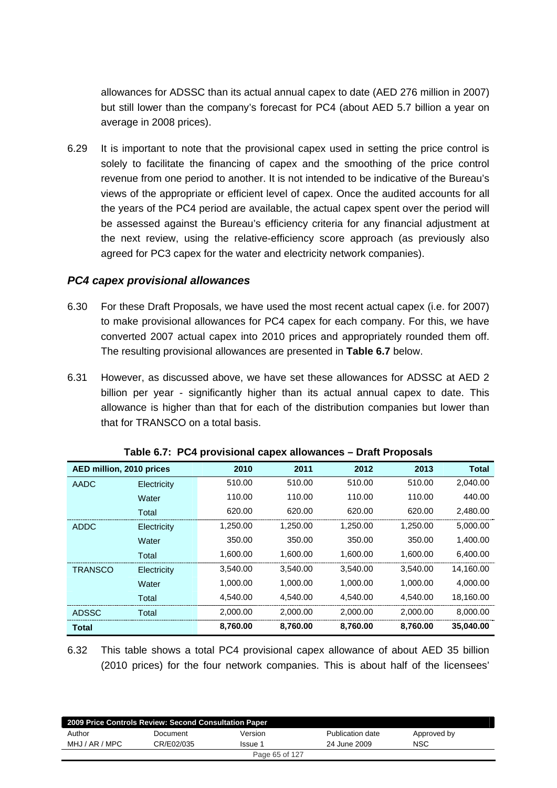allowances for ADSSC than its actual annual capex to date (AED 276 million in 2007) but still lower than the company's forecast for PC4 (about AED 5.7 billion a year on average in 2008 prices).

6.29 It is important to note that the provisional capex used in setting the price control is solely to facilitate the financing of capex and the smoothing of the price control revenue from one period to another. It is not intended to be indicative of the Bureau's views of the appropriate or efficient level of capex. Once the audited accounts for all the years of the PC4 period are available, the actual capex spent over the period will be assessed against the Bureau's efficiency criteria for any financial adjustment at the next review, using the relative-efficiency score approach (as previously also agreed for PC3 capex for the water and electricity network companies).

#### *PC4 capex provisional allowances*

- 6.30 For these Draft Proposals, we have used the most recent actual capex (i.e. for 2007) to make provisional allowances for PC4 capex for each company. For this, we have converted 2007 actual capex into 2010 prices and appropriately rounded them off. The resulting provisional allowances are presented in **Table 6.7** below.
- 6.31 However, as discussed above, we have set these allowances for ADSSC at AED 2 billion per year - significantly higher than its actual annual capex to date. This allowance is higher than that for each of the distribution companies but lower than that for TRANSCO on a total basis.

| AED million, 2010 prices |             | 2010     | 2011     | 2012     | 2013     | <b>Total</b> |
|--------------------------|-------------|----------|----------|----------|----------|--------------|
| AADC                     | Electricity | 510.00   | 510.00   | 510.00   | 510.00   | 2,040.00     |
|                          | Water       | 110.00   | 110.00   | 110.00   | 110.00   | 440.00       |
|                          | Total       | 620.00   | 620.00   | 620.00   | 620.00   | 2,480.00     |
| ADDC                     | Electricity | 1.250.00 | 1.250.00 | 1.250.00 | 1.250.00 | 5.000.00     |
|                          | Water       | 350.00   | 350.00   | 350.00   | 350.00   | 1.400.00     |
|                          | Total       | 1,600.00 | 1,600.00 | 1.600.00 | 1,600.00 | 6,400.00     |
| <b>TRANSCO</b>           | Electricity | 3,540.00 | 3.540.00 | 3.540.00 | 3.540.00 | 14.160.00    |
|                          | Water       | 1.000.00 | 1.000.00 | 1.000.00 | 1.000.00 | 4.000.00     |
|                          | Total       | 4.540.00 | 4.540.00 | 4.540.00 | 4.540.00 | 18,160.00    |
| ADSSC                    | Total       | 2.000.00 | 2.000.00 | 2.000.00 | 2.000.00 | 8.000.00     |
| Total                    |             | 8,760.00 | 8,760.00 | 8,760.00 | 8.760.00 | 35.040.00    |

| Table 6.7: PC4 provisional capex allowances - Draft Proposals |
|---------------------------------------------------------------|
|---------------------------------------------------------------|

6.32 This table shows a total PC4 provisional capex allowance of about AED 35 billion (2010 prices) for the four network companies. This is about half of the licensees'

| 2009 Price Controls Review: Second Consultation Paper |            |         |                  |             |  |  |
|-------------------------------------------------------|------------|---------|------------------|-------------|--|--|
| Author                                                | Document   | Version | Publication date | Approved by |  |  |
| MHJ / AR / MPC                                        | CR/E02/035 | Issue 1 | 24 June 2009     | NSC         |  |  |
| Page 65 of 127                                        |            |         |                  |             |  |  |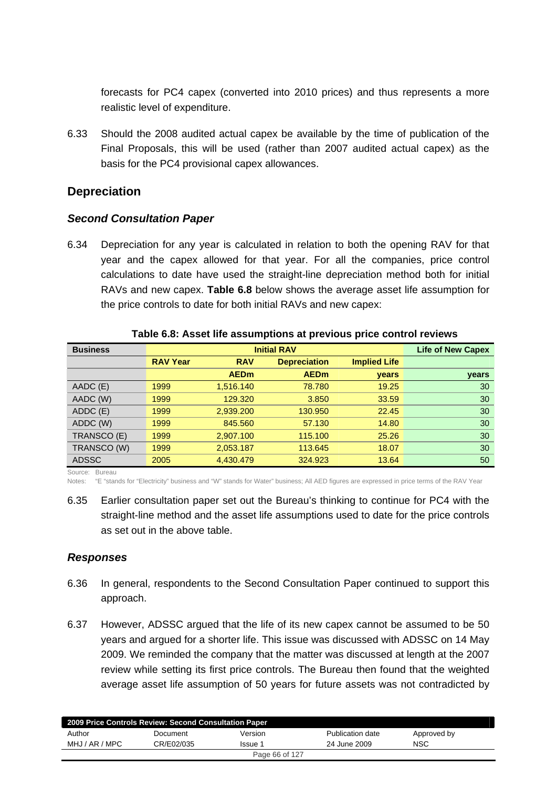forecasts for PC4 capex (converted into 2010 prices) and thus represents a more realistic level of expenditure.

6.33 Should the 2008 audited actual capex be available by the time of publication of the Final Proposals, this will be used (rather than 2007 audited actual capex) as the basis for the PC4 provisional capex allowances.

# **Depreciation**

### *Second Consultation Paper*

6.34 Depreciation for any year is calculated in relation to both the opening RAV for that year and the capex allowed for that year. For all the companies, price control calculations to date have used the straight-line depreciation method both for initial RAVs and new capex. **Table 6.8** below shows the average asset life assumption for the price controls to date for both initial RAVs and new capex:

|                 | <b>Life of New Capex</b> |                     |                     |       |
|-----------------|--------------------------|---------------------|---------------------|-------|
| <b>RAV Year</b> | <b>RAV</b>               | <b>Depreciation</b> | <b>Implied Life</b> |       |
|                 | <b>AEDm</b>              | <b>AEDm</b>         | <b>vears</b>        | years |
| 1999            | 1,516.140                | 78.780              | 19.25               | 30    |
| 1999            | 129,320                  | 3.850               | 33.59               | 30    |
| 1999            | 2,939.200                | 130.950             | 22.45               | 30    |
| 1999            | 845,560                  | 57.130              | 14.80               | 30    |
| 1999            | 2,907.100                | 115.100             | 25.26               | 30    |
| 1999            | 2,053.187                | 113.645             | 18.07               | 30    |
| 2005            | 4,430.479                | 324.923             | 13.64               | 50    |
|                 |                          |                     |                     |       |

#### **Table 6.8: Asset life assumptions at previous price control reviews**

Notes: "E "stands for "Electricity" business and "W" stands for Water" business; All AED figures are expressed in price terms of the RAV Year

6.35 Earlier consultation paper set out the Bureau's thinking to continue for PC4 with the straight-line method and the asset life assumptions used to date for the price controls as set out in the above table.

### *Responses*

- 6.36 In general, respondents to the Second Consultation Paper continued to support this approach.
- 6.37 However, ADSSC argued that the life of its new capex cannot be assumed to be 50 years and argued for a shorter life. This issue was discussed with ADSSC on 14 May 2009. We reminded the company that the matter was discussed at length at the 2007 review while setting its first price controls. The Bureau then found that the weighted average asset life assumption of 50 years for future assets was not contradicted by

| 2009 Price Controls Review: Second Consultation Paper |            |         |                  |             |  |  |
|-------------------------------------------------------|------------|---------|------------------|-------------|--|--|
| Author                                                | Document   | Version | Publication date | Approved by |  |  |
| MHJ / AR / MPC                                        | CR/E02/035 | Issue 1 | 24 June 2009     | NSC         |  |  |
| Page 66 of 127                                        |            |         |                  |             |  |  |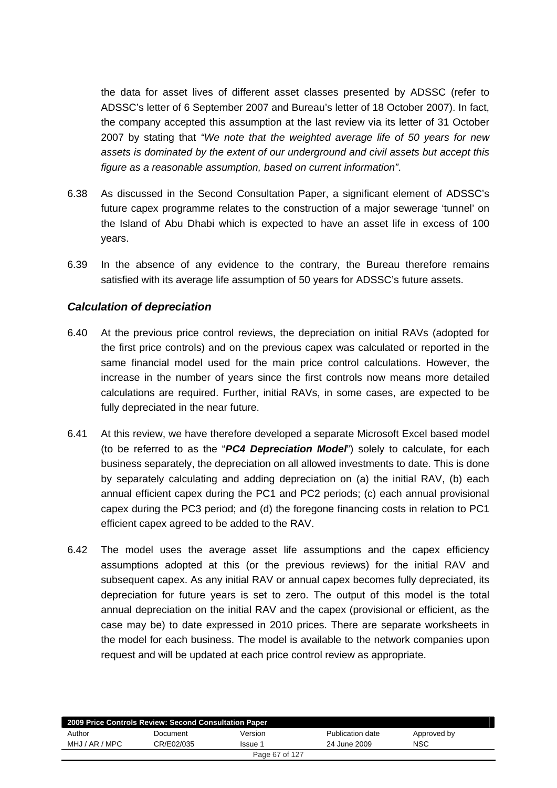the data for asset lives of different asset classes presented by ADSSC (refer to ADSSC's letter of 6 September 2007 and Bureau's letter of 18 October 2007). In fact, the company accepted this assumption at the last review via its letter of 31 October 2007 by stating that *"We note that the weighted average life of 50 years for new assets is dominated by the extent of our underground and civil assets but accept this figure as a reasonable assumption, based on current information"*.

- 6.38 As discussed in the Second Consultation Paper, a significant element of ADSSC's future capex programme relates to the construction of a major sewerage 'tunnel' on the Island of Abu Dhabi which is expected to have an asset life in excess of 100 years.
- 6.39 In the absence of any evidence to the contrary, the Bureau therefore remains satisfied with its average life assumption of 50 years for ADSSC's future assets.

### *Calculation of depreciation*

- 6.40 At the previous price control reviews, the depreciation on initial RAVs (adopted for the first price controls) and on the previous capex was calculated or reported in the same financial model used for the main price control calculations. However, the increase in the number of years since the first controls now means more detailed calculations are required. Further, initial RAVs, in some cases, are expected to be fully depreciated in the near future.
- 6.41 At this review, we have therefore developed a separate Microsoft Excel based model (to be referred to as the "*PC4 Depreciation Model*") solely to calculate, for each business separately, the depreciation on all allowed investments to date. This is done by separately calculating and adding depreciation on (a) the initial RAV, (b) each annual efficient capex during the PC1 and PC2 periods; (c) each annual provisional capex during the PC3 period; and (d) the foregone financing costs in relation to PC1 efficient capex agreed to be added to the RAV.
- 6.42 The model uses the average asset life assumptions and the capex efficiency assumptions adopted at this (or the previous reviews) for the initial RAV and subsequent capex. As any initial RAV or annual capex becomes fully depreciated, its depreciation for future years is set to zero. The output of this model is the total annual depreciation on the initial RAV and the capex (provisional or efficient, as the case may be) to date expressed in 2010 prices. There are separate worksheets in the model for each business. The model is available to the network companies upon request and will be updated at each price control review as appropriate.

| 2009 Price Controls Review: Second Consultation Paper |            |         |                  |             |  |  |
|-------------------------------------------------------|------------|---------|------------------|-------------|--|--|
| Author                                                | Document   | Version | Publication date | Approved by |  |  |
| MHJ / AR / MPC                                        | CR/E02/035 | Issue 1 | 24 June 2009     | <b>NSC</b>  |  |  |
| Page 67 of 127                                        |            |         |                  |             |  |  |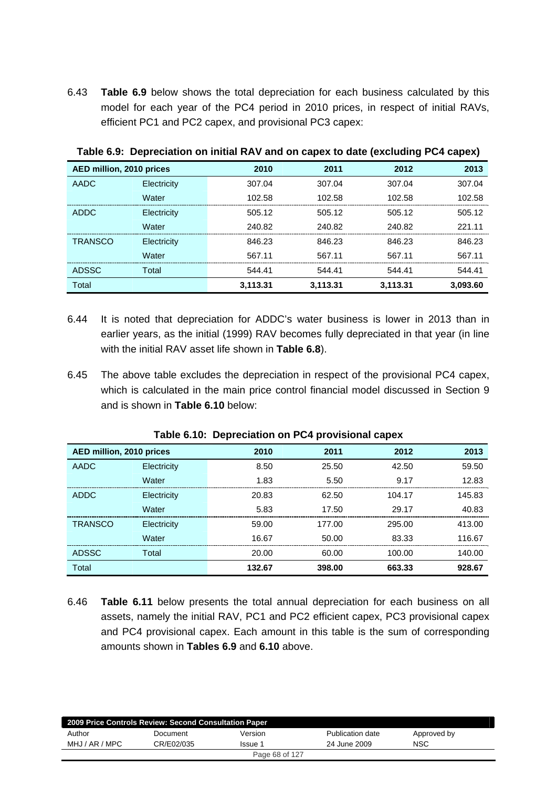6.43 **Table 6.9** below shows the total depreciation for each business calculated by this model for each year of the PC4 period in 2010 prices, in respect of initial RAVs, efficient PC1 and PC2 capex, and provisional PC3 capex:

| AED million, 2010 prices |             | 2010     | 2011     | 2012     | 2013     |
|--------------------------|-------------|----------|----------|----------|----------|
| AADC                     | Electricity | 307.04   | 307.04   | 307.04   | 307.04   |
|                          | Water       | 102.58   | 102.58   | 102.58   | 102.58   |
| <b>ADDC</b>              | Electricity | 505.12   | 505.12   | 505.12   | 505.12   |
|                          | Water       | 240.82   | 240.82   | 240.82   | 221.11   |
| <b>TRANSCO</b>           | Electricity | 846.23   | 846.23   | 846.23   | 846.23   |
|                          | Water       | 567.11   | 567.11   | 567.11   | 567.11   |
| <b>ADSSC</b>             | Total       | 544.41   | 544.41   | 544.41   | 544.41   |
| Total                    |             | 3,113.31 | 3,113.31 | 3,113.31 | 3,093.60 |

**Table 6.9: Depreciation on initial RAV and on capex to date (excluding PC4 capex)** 

- 6.44 It is noted that depreciation for ADDC's water business is lower in 2013 than in earlier years, as the initial (1999) RAV becomes fully depreciated in that year (in line with the initial RAV asset life shown in **Table 6.8**).
- 6.45 The above table excludes the depreciation in respect of the provisional PC4 capex, which is calculated in the main price control financial model discussed in Section 9 and is shown in **Table 6.10** below:

| AED million, 2010 prices |             | 2010   | 2011   | 2012   | 2013   |  |  |
|--------------------------|-------------|--------|--------|--------|--------|--|--|
| AADC                     | Electricity | 8.50   | 25.50  | 42.50  | 59.50  |  |  |
|                          | Water       | 1.83   | 5.50   | 9.17   | 12.83  |  |  |
| <b>ADDC</b>              | Electricity | 20.83  | 62.50  | 104.17 | 145.83 |  |  |
|                          | Water       | 5.83   | 17.50  | 29.17  | 40.83  |  |  |
| <b>TRANSCO</b>           | Electricity | 59.00  | 177.00 | 295.00 | 413.00 |  |  |
|                          | Water       | 16.67  | 50.00  | 83.33  | 116.67 |  |  |
| <b>ADSSC</b>             | Total       | 20.00  | 60.00  | 100.00 | 140.00 |  |  |
| Total                    |             | 132.67 | 398.00 | 663.33 | 928.67 |  |  |

#### **Table 6.10: Depreciation on PC4 provisional capex**

6.46 **Table 6.11** below presents the total annual depreciation for each business on all assets, namely the initial RAV, PC1 and PC2 efficient capex, PC3 provisional capex and PC4 provisional capex. Each amount in this table is the sum of corresponding amounts shown in **Tables 6.9** and **6.10** above.

| 2009 Price Controls Review: Second Consultation Paper |            |         |                  |             |  |  |
|-------------------------------------------------------|------------|---------|------------------|-------------|--|--|
| Author                                                | Document   | Version | Publication date | Approved by |  |  |
| MHJ / AR / MPC                                        | CR/E02/035 | Issue 1 | 24 June 2009     | <b>NSC</b>  |  |  |
| Page 68 of 127                                        |            |         |                  |             |  |  |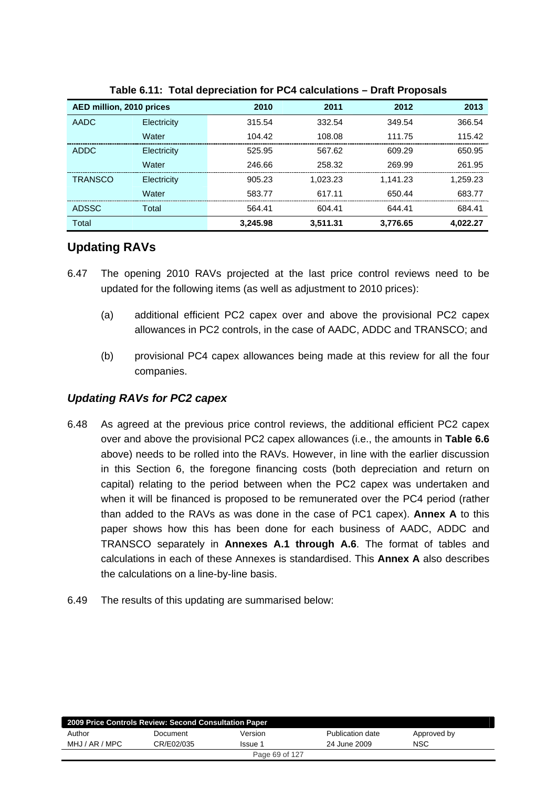| AED million, 2010 prices |             | 2010     | 2011     | 2012     | 2013     |
|--------------------------|-------------|----------|----------|----------|----------|
| AADC                     | Electricity | 315.54   | 332.54   | 349.54   | 366.54   |
|                          | Water       | 104.42   | 108.08   | 111.75   | 115.42   |
| <b>ADDC</b>              | Electricity | 525.95   | 567.62   | 609.29   | 650.95   |
|                          | Water       | 246.66   | 258.32   | 269.99   | 261.95   |
| <b>TRANSCO</b>           | Electricity | 905.23   | 1,023.23 | 1.141.23 | 1.259.23 |
|                          | Water       | 583.77   | 617.11   | 650.44   | 683.77   |
| <b>ADSSC</b>             | Total       | 564.41   | 604.41   | 644.41   | 684.41   |
| Total                    |             | 3.245.98 | 3.511.31 | 3.776.65 | 4.022.27 |

#### **Table 6.11: Total depreciation for PC4 calculations – Draft Proposals**

# **Updating RAVs**

- 6.47 The opening 2010 RAVs projected at the last price control reviews need to be updated for the following items (as well as adjustment to 2010 prices):
	- (a) additional efficient PC2 capex over and above the provisional PC2 capex allowances in PC2 controls, in the case of AADC, ADDC and TRANSCO; and
	- (b) provisional PC4 capex allowances being made at this review for all the four companies.

### *Updating RAVs for PC2 capex*

- 6.48 As agreed at the previous price control reviews, the additional efficient PC2 capex over and above the provisional PC2 capex allowances (i.e., the amounts in **Table 6.6** above) needs to be rolled into the RAVs. However, in line with the earlier discussion in this Section 6, the foregone financing costs (both depreciation and return on capital) relating to the period between when the PC2 capex was undertaken and when it will be financed is proposed to be remunerated over the PC4 period (rather than added to the RAVs as was done in the case of PC1 capex). **Annex A** to this paper shows how this has been done for each business of AADC, ADDC and TRANSCO separately in **Annexes A.1 through A.6**. The format of tables and calculations in each of these Annexes is standardised. This **Annex A** also describes the calculations on a line-by-line basis.
- 6.49 The results of this updating are summarised below:

| 2009 Price Controls Review: Second Consultation Paper |            |         |                  |             |  |
|-------------------------------------------------------|------------|---------|------------------|-------------|--|
| Author                                                | Document   | Version | Publication date | Approved by |  |
| MHJ / AR / MPC                                        | CR/E02/035 | Issue 1 | 24 June 2009     | <b>NSC</b>  |  |
| Page 69 of 127                                        |            |         |                  |             |  |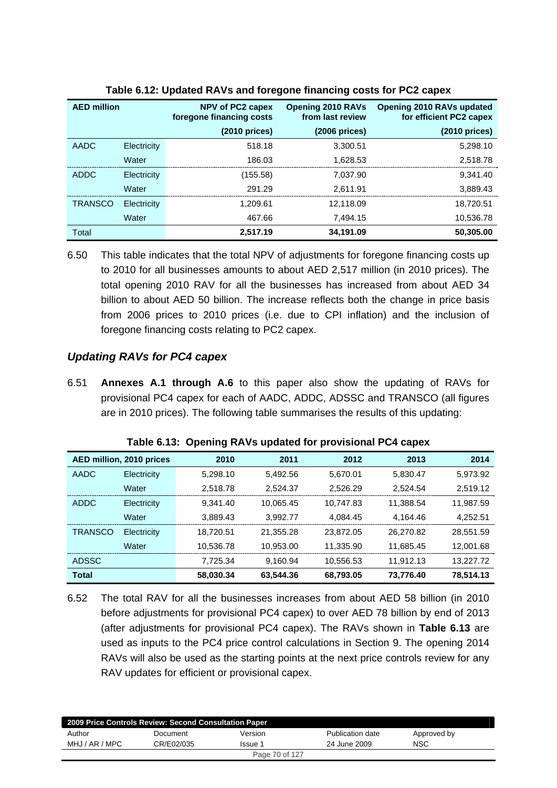| <b>AED million</b> |             | NPV of PC2 capex<br>foregone financing costs | <b>Opening 2010 RAVs</b><br>from last review | Opening 2010 RAVs updated<br>for efficient PC2 capex |
|--------------------|-------------|----------------------------------------------|----------------------------------------------|------------------------------------------------------|
|                    |             | $(2010)$ prices)                             | $(2006)$ prices)                             | $(2010)$ prices)                                     |
| AADC               | Electricity | 518.18                                       | 3,300.51                                     | 5,298.10                                             |
|                    | Water       | 186.03                                       | 1,628.53                                     | 2,518.78                                             |
| ADDC               | Electricity | (155.58)                                     | 7.037.90                                     | 9.341.40                                             |
|                    | Water       | 291.29                                       | 2.611.91                                     | 3,889.43                                             |
| <b>TRANSCO</b>     | Electricity | 1.209.61                                     | 12,118.09                                    | 18,720.51                                            |
|                    | Water       | 467.66                                       | 7.494.15                                     | 10,536.78                                            |
| <b>Total</b>       |             | 2.517.19                                     | 34,191.09                                    | 50,305.00                                            |

#### **Table 6.12: Updated RAVs and foregone financing costs for PC2 capex**

6.50 This table indicates that the total NPV of adjustments for foregone financing costs up to 2010 for all businesses amounts to about AED 2,517 million (in 2010 prices). The total opening 2010 RAV for all the businesses has increased from about AED 34 billion to about AED 50 billion. The increase reflects both the change in price basis from 2006 prices to 2010 prices (i.e. due to CPI inflation) and the inclusion of foregone financing costs relating to PC2 capex.

# *Updating RAVs for PC4 capex*

6.51 **Annexes A.1 through A.6** to this paper also show the updating of RAVs for provisional PC4 capex for each of AADC, ADDC, ADSSC and TRANSCO (all figures are in 2010 prices). The following table summarises the results of this updating:

|                | AED million, 2010 prices | 2010      | 2011      | 2012      | 2013      | 2014      |
|----------------|--------------------------|-----------|-----------|-----------|-----------|-----------|
| AADC           | Electricity              | 5,298.10  | 5.492.56  | 5,670.01  | 5.830.47  | 5,973.92  |
|                | Water                    | 2,518.78  | 2,524.37  | 2,526.29  | 2,524.54  | 2,519.12  |
| ADDC           | Electricity              | 9.341.40  | 10.065.45 | 10.747.83 | 11.388.54 | 11,987.59 |
|                | Water                    | 3,889.43  | 3.992.77  | 4.084.45  | 4,164.46  | 4,252.51  |
| <b>TRANSCO</b> | Electricity              | 18,720.51 | 21.355.28 | 23,872.05 | 26.270.82 | 28,551.59 |
|                | Water                    | 10,536.78 | 10.953.00 | 11,335.90 | 11,685.45 | 12,001.68 |
| <b>ADSSC</b>   |                          | 7,725.34  | 9.160.94  | 10,556.53 | 11.912.13 | 13,227.72 |
| <b>Total</b>   |                          | 58,030.34 | 63,544.36 | 68,793.05 | 73,776.40 | 78,514.13 |

**Table 6.13: Opening RAVs updated for provisional PC4 capex** 

6.52 The total RAV for all the businesses increases from about AED 58 billion (in 2010 before adjustments for provisional PC4 capex) to over AED 78 billion by end of 2013 (after adjustments for provisional PC4 capex). The RAVs shown in **Table 6.13** are used as inputs to the PC4 price control calculations in Section 9. The opening 2014 RAVs will also be used as the starting points at the next price controls review for any RAV updates for efficient or provisional capex.

| 2009 Price Controls Review: Second Consultation Paper |            |         |                  |             |  |  |
|-------------------------------------------------------|------------|---------|------------------|-------------|--|--|
| Author                                                | Document   | Version | Publication date | Approved by |  |  |
| MHJ / AR / MPC                                        | CR/E02/035 | Issue 1 | 24 June 2009     | NSC         |  |  |
| Page 70 of 127                                        |            |         |                  |             |  |  |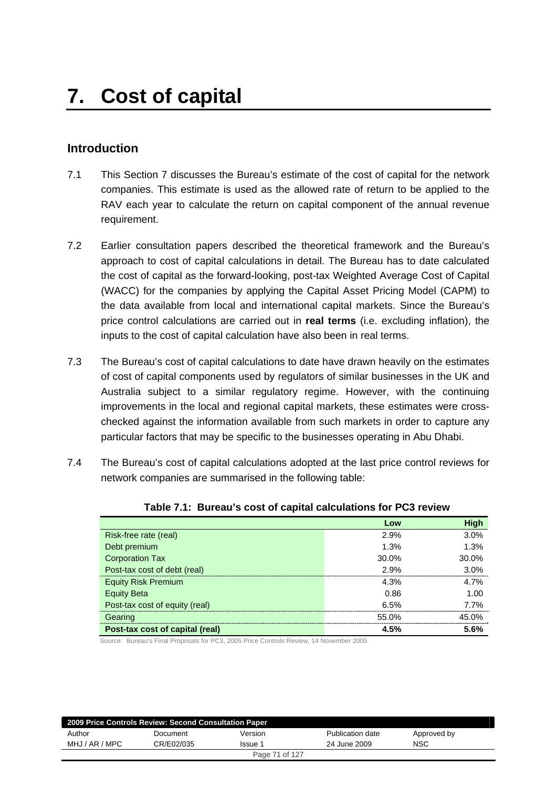# **Introduction**

- 7.1 This Section 7 discusses the Bureau's estimate of the cost of capital for the network companies. This estimate is used as the allowed rate of return to be applied to the RAV each year to calculate the return on capital component of the annual revenue requirement.
- 7.2 Earlier consultation papers described the theoretical framework and the Bureau's approach to cost of capital calculations in detail. The Bureau has to date calculated the cost of capital as the forward-looking, post-tax Weighted Average Cost of Capital (WACC) for the companies by applying the Capital Asset Pricing Model (CAPM) to the data available from local and international capital markets. Since the Bureau's price control calculations are carried out in **real terms** (i.e. excluding inflation), the inputs to the cost of capital calculation have also been in real terms.
- 7.3 The Bureau's cost of capital calculations to date have drawn heavily on the estimates of cost of capital components used by regulators of similar businesses in the UK and Australia subject to a similar regulatory regime. However, with the continuing improvements in the local and regional capital markets, these estimates were crosschecked against the information available from such markets in order to capture any particular factors that may be specific to the businesses operating in Abu Dhabi.
- 7.4 The Bureau's cost of capital calculations adopted at the last price control reviews for network companies are summarised in the following table:

|                                 | Low   | <b>High</b> |
|---------------------------------|-------|-------------|
| Risk-free rate (real)           | 2.9%  | 3.0%        |
| Debt premium                    | 1.3%  | 1.3%        |
| <b>Corporation Tax</b>          | 30.0% | 30.0%       |
| Post-tax cost of debt (real)    | 2.9%  | 3.0%        |
| <b>Equity Risk Premium</b>      | 4.3%  | 4.7%        |
| <b>Equity Beta</b>              | 0.86  | 1.00        |
| Post-tax cost of equity (real)  | 6.5%  | 7.7%        |
| Gearing                         | 55.0% | 45.0%       |
| Post-tax cost of capital (real) | 4.5%  | 5.6%        |

#### **Table 7.1: Bureau's cost of capital calculations for PC3 review**

Source: Bureau's Final Proposals for PC3, 2005 Price Controls Review, 14 November 2005

| 2009 Price Controls Review: Second Consultation Paper |            |                |                  |             |  |  |
|-------------------------------------------------------|------------|----------------|------------------|-------------|--|--|
| Author                                                | Document   | Version        | Publication date | Approved by |  |  |
| MHJ / AR / MPC                                        | CR/E02/035 | Issue 1        | 24 June 2009     | NSC         |  |  |
|                                                       |            | Page 71 of 127 |                  |             |  |  |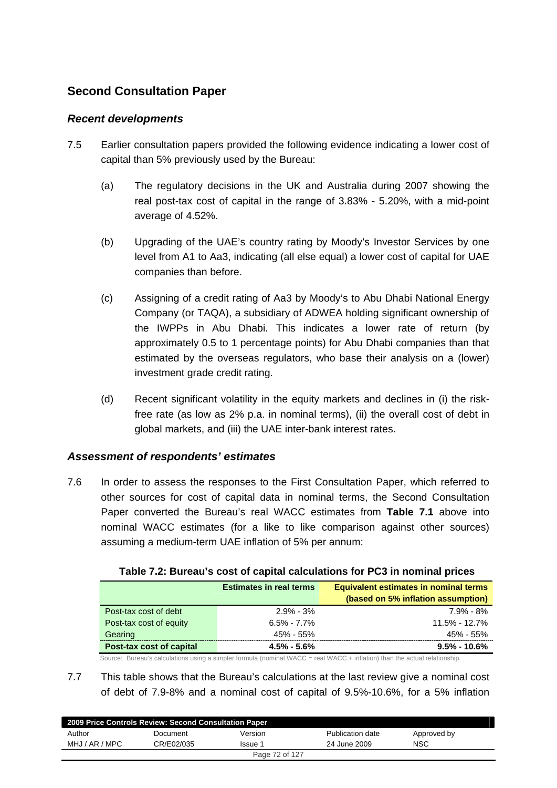# **Second Consultation Paper**

### *Recent developments*

- 7.5 Earlier consultation papers provided the following evidence indicating a lower cost of capital than 5% previously used by the Bureau:
	- (a) The regulatory decisions in the UK and Australia during 2007 showing the real post-tax cost of capital in the range of 3.83% - 5.20%, with a mid-point average of 4.52%.
	- (b) Upgrading of the UAE's country rating by Moody's Investor Services by one level from A1 to Aa3, indicating (all else equal) a lower cost of capital for UAE companies than before.
	- (c) Assigning of a credit rating of Aa3 by Moody's to Abu Dhabi National Energy Company (or TAQA), a subsidiary of ADWEA holding significant ownership of the IWPPs in Abu Dhabi. This indicates a lower rate of return (by approximately 0.5 to 1 percentage points) for Abu Dhabi companies than that estimated by the overseas regulators, who base their analysis on a (lower) investment grade credit rating.
	- (d) Recent significant volatility in the equity markets and declines in (i) the riskfree rate (as low as 2% p.a. in nominal terms), (ii) the overall cost of debt in global markets, and (iii) the UAE inter-bank interest rates.

### *Assessment of respondents' estimates*

7.6 In order to assess the responses to the First Consultation Paper, which referred to other sources for cost of capital data in nominal terms, the Second Consultation Paper converted the Bureau's real WACC estimates from **Table 7.1** above into nominal WACC estimates (for a like to like comparison against other sources) assuming a medium-term UAE inflation of 5% per annum:

|                          | <b>Estimates in real terms</b> | <b>Equivalent estimates in nominal terms</b><br>(based on 5% inflation assumption) |
|--------------------------|--------------------------------|------------------------------------------------------------------------------------|
| Post-tax cost of debt    | $2.9\%$ - 3%                   | 7.9% - 8%                                                                          |
| Post-tax cost of equity  | $6.5\% - 7.7\%$                | $11.5\% - 12.7\%$                                                                  |
| Gearing                  | 45% - 55%                      | 45% - 55%                                                                          |
| Post-tax cost of capital | $4.5\% - 5.6\%$                | $9.5\% - 10.6\%$                                                                   |

| Table 7.2: Bureau's cost of capital calculations for PC3 in nominal prices |  |  |
|----------------------------------------------------------------------------|--|--|
|                                                                            |  |  |

Source: Bureau's calculations using a simpler formula (nominal WACC = real WACC + inflation) than the actual relationship.

7.7 This table shows that the Bureau's calculations at the last review give a nominal cost of debt of 7.9-8% and a nominal cost of capital of 9.5%-10.6%, for a 5% inflation

| 2009 Price Controls Review: Second Consultation Paper |            |         |                  |             |  |  |
|-------------------------------------------------------|------------|---------|------------------|-------------|--|--|
| Author                                                | Document   | Version | Publication date | Approved by |  |  |
| MHJ / AR / MPC                                        | CR/E02/035 | Issue 1 | 24 June 2009     | <b>NSC</b>  |  |  |
| Page 72 of 127                                        |            |         |                  |             |  |  |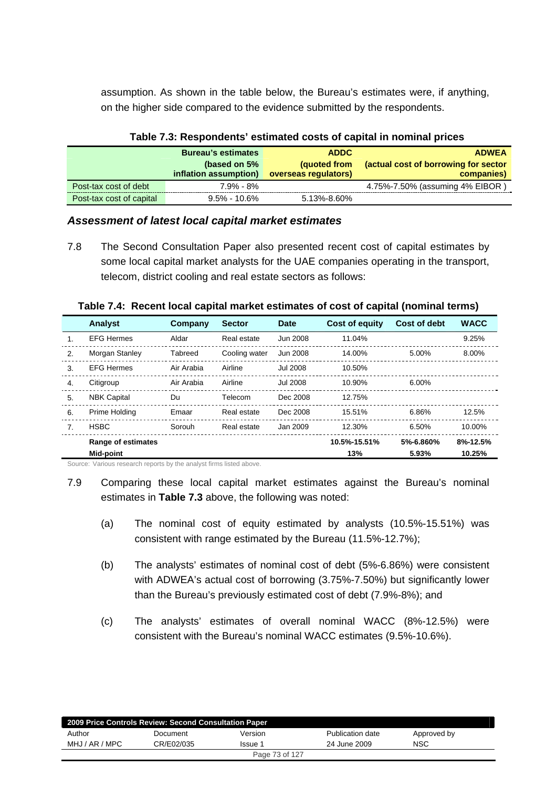assumption. As shown in the table below, the Bureau's estimates were, if anything, on the higher side compared to the evidence submitted by the respondents.

|                          | <b>Bureau's estimates</b>             | <b>ADDC</b>                          | <b>ADWEA</b>                                       |  |  |  |
|--------------------------|---------------------------------------|--------------------------------------|----------------------------------------------------|--|--|--|
|                          | (based on 5%<br>inflation assumption) | (quoted from<br>overseas regulators) | (actual cost of borrowing for sector<br>companies) |  |  |  |
| Post-tax cost of debt    | 7.9% - 8%                             |                                      | 4.75%-7.50% (assuming 4% EIBOR)                    |  |  |  |
| Post-tax cost of capital | $9.5\%$ - 10.6%                       | 5.13%-8.60%                          |                                                    |  |  |  |

#### **Table 7.3: Respondents' estimated costs of capital in nominal prices**

#### *Assessment of latest local capital market estimates*

7.8 The Second Consultation Paper also presented recent cost of capital estimates by some local capital market analysts for the UAE companies operating in the transport, telecom, district cooling and real estate sectors as follows:

|                  | Analyst                         | Company    | <b>Sector</b> | <b>Date</b>     | <b>Cost of equity</b> | <b>Cost of debt</b> | <b>WACC</b>        |
|------------------|---------------------------------|------------|---------------|-----------------|-----------------------|---------------------|--------------------|
|                  | <b>EFG Hermes</b>               | Aldar      | Real estate   | Jun 2008        | 11.04%                |                     | 9.25%              |
| 2.               | Morgan Stanley                  | Tabreed    | Cooling water | Jun 2008        | 14.00%                | 5.00%               | 8.00%              |
| 3.               | <b>EFG Hermes</b>               | Air Arabia | Airline       | <b>Jul 2008</b> | 10.50%                |                     |                    |
| $\overline{4}$ . | Citigroup                       | Air Arabia | Airline       | <b>Jul 2008</b> | 10.90%                | 6.00%               |                    |
| 5.               | <b>NBK Capital</b>              | Du         | Telecom       | Dec 2008        | 12.75%                |                     |                    |
| 6.               | Prime Holding                   | Emaar      | Real estate   | Dec 2008        | 15.51%                | 6.86%               | 12.5%              |
| 7.               | <b>HSBC</b>                     | Sorouh     | Real estate   | Jan 2009        | 12.30%                | 6.50%               | 10.00%             |
|                  | Range of estimates<br>Mid-point |            |               |                 | 10.5%-15.51%<br>13%   | 5%-6.860%<br>5.93%  | 8%-12.5%<br>10.25% |

#### **Table 7.4: Recent local capital market estimates of cost of capital (nominal terms)**

Source: Various research reports by the analyst firms listed above.

- 7.9 Comparing these local capital market estimates against the Bureau's nominal estimates in **Table 7.3** above, the following was noted:
	- (a) The nominal cost of equity estimated by analysts (10.5%-15.51%) was consistent with range estimated by the Bureau (11.5%-12.7%);
	- (b) The analysts' estimates of nominal cost of debt (5%-6.86%) were consistent with ADWEA's actual cost of borrowing (3.75%-7.50%) but significantly lower than the Bureau's previously estimated cost of debt (7.9%-8%); and
	- (c) The analysts' estimates of overall nominal WACC (8%-12.5%) were consistent with the Bureau's nominal WACC estimates (9.5%-10.6%).

| 2009 Price Controls Review: Second Consultation Paper |            |         |                  |             |  |
|-------------------------------------------------------|------------|---------|------------------|-------------|--|
| Author                                                | Document   | Version | Publication date | Approved by |  |
| MHJ / AR / MPC                                        | CR/E02/035 | Issue 1 | 24 June 2009     | <b>NSC</b>  |  |
| Page 73 of 127                                        |            |         |                  |             |  |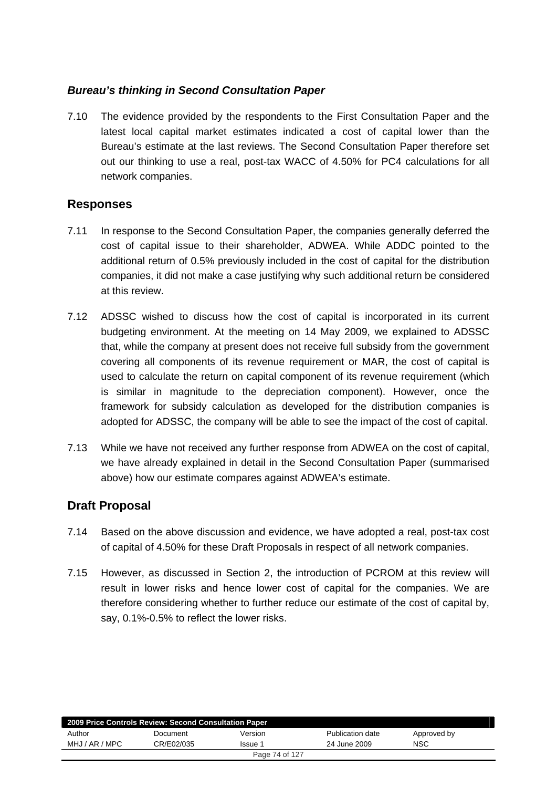## *Bureau's thinking in Second Consultation Paper*

7.10 The evidence provided by the respondents to the First Consultation Paper and the latest local capital market estimates indicated a cost of capital lower than the Bureau's estimate at the last reviews. The Second Consultation Paper therefore set out our thinking to use a real, post-tax WACC of 4.50% for PC4 calculations for all network companies.

## **Responses**

- 7.11 In response to the Second Consultation Paper, the companies generally deferred the cost of capital issue to their shareholder, ADWEA. While ADDC pointed to the additional return of 0.5% previously included in the cost of capital for the distribution companies, it did not make a case justifying why such additional return be considered at this review.
- 7.12 ADSSC wished to discuss how the cost of capital is incorporated in its current budgeting environment. At the meeting on 14 May 2009, we explained to ADSSC that, while the company at present does not receive full subsidy from the government covering all components of its revenue requirement or MAR, the cost of capital is used to calculate the return on capital component of its revenue requirement (which is similar in magnitude to the depreciation component). However, once the framework for subsidy calculation as developed for the distribution companies is adopted for ADSSC, the company will be able to see the impact of the cost of capital.
- 7.13 While we have not received any further response from ADWEA on the cost of capital, we have already explained in detail in the Second Consultation Paper (summarised above) how our estimate compares against ADWEA's estimate.

# **Draft Proposal**

- 7.14 Based on the above discussion and evidence, we have adopted a real, post-tax cost of capital of 4.50% for these Draft Proposals in respect of all network companies.
- 7.15 However, as discussed in Section 2, the introduction of PCROM at this review will result in lower risks and hence lower cost of capital for the companies. We are therefore considering whether to further reduce our estimate of the cost of capital by, say, 0.1%-0.5% to reflect the lower risks.

| 2009 Price Controls Review: Second Consultation Paper |            |         |                  |             |  |
|-------------------------------------------------------|------------|---------|------------------|-------------|--|
| Author                                                | Document   | Version | Publication date | Approved by |  |
| MHJ / AR / MPC                                        | CR/E02/035 | Issue 1 | 24 June 2009     | <b>NSC</b>  |  |
| Page 74 of 127                                        |            |         |                  |             |  |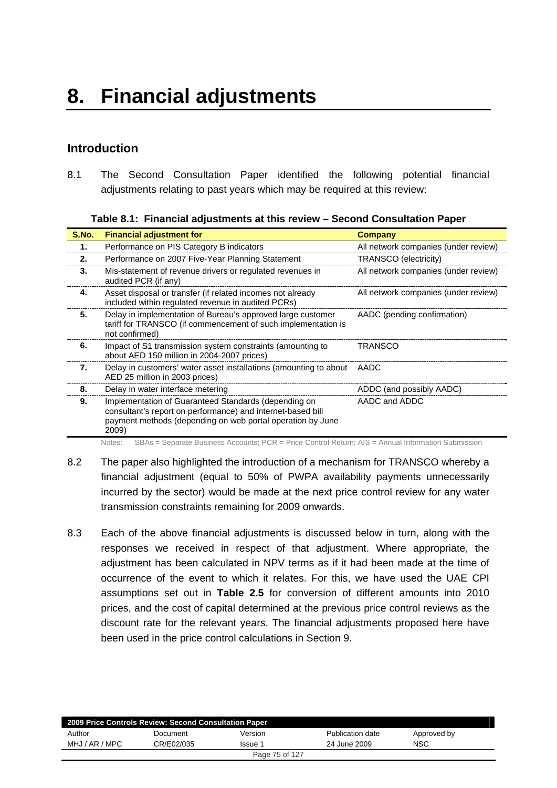# **Introduction**

8.1 The Second Consultation Paper identified the following potential financial adjustments relating to past years which may be required at this review:

|  | Table 8.1: Financial adjustments at this review – Second Consultation Paper |  |  |
|--|-----------------------------------------------------------------------------|--|--|
|  |                                                                             |  |  |

| S.No. | <b>Financial adjustment for</b>                                                                                                                                                            | <b>Company</b>                       |
|-------|--------------------------------------------------------------------------------------------------------------------------------------------------------------------------------------------|--------------------------------------|
| 1.    | Performance on PIS Category B indicators                                                                                                                                                   | All network companies (under review) |
| 2.    | Performance on 2007 Five-Year Planning Statement                                                                                                                                           | <b>TRANSCO (electricity)</b>         |
| 3.    | Mis-statement of revenue drivers or regulated revenues in<br>audited PCR (if any)                                                                                                          | All network companies (under review) |
| 4.    | Asset disposal or transfer (if related incomes not already<br>included within regulated revenue in audited PCRs)                                                                           | All network companies (under review) |
| 5.    | Delay in implementation of Bureau's approved large customer<br>tariff for TRANSCO (if commencement of such implementation is<br>not confirmed)                                             | AADC (pending confirmation)          |
| 6.    | Impact of S1 transmission system constraints (amounting to<br>about AED 150 million in 2004-2007 prices)                                                                                   | <b>TRANSCO</b>                       |
| 7.    | Delay in customers' water asset installations (amounting to about<br>AED 25 million in 2003 prices)                                                                                        | AADC                                 |
| 8.    | Delay in water interface metering                                                                                                                                                          | ADDC (and possibly AADC)             |
| 9.    | Implementation of Guaranteed Standards (depending on<br>consultant's report on performance) and internet-based bill<br>payment methods (depending on web portal operation by June<br>2009) | AADC and ADDC                        |

Notes: SBAs = Separate Business Accounts; PCR = Price Control Return; AIS = Annual Information Submission

- 8.2 The paper also highlighted the introduction of a mechanism for TRANSCO whereby a financial adjustment (equal to 50% of PWPA availability payments unnecessarily incurred by the sector) would be made at the next price control review for any water transmission constraints remaining for 2009 onwards.
- 8.3 Each of the above financial adjustments is discussed below in turn, along with the responses we received in respect of that adjustment. Where appropriate, the adjustment has been calculated in NPV terms as if it had been made at the time of occurrence of the event to which it relates. For this, we have used the UAE CPI assumptions set out in **Table 2.5** for conversion of different amounts into 2010 prices, and the cost of capital determined at the previous price control reviews as the discount rate for the relevant years. The financial adjustments proposed here have been used in the price control calculations in Section 9.

| 2009 Price Controls Review: Second Consultation Paper |            |                |                  |             |  |
|-------------------------------------------------------|------------|----------------|------------------|-------------|--|
| Author                                                | Document   | Version        | Publication date | Approved by |  |
| MHJ / AR / MPC                                        | CR/E02/035 | <b>Issue 1</b> | 24 June 2009     | <b>NSC</b>  |  |
| Page 75 of 127                                        |            |                |                  |             |  |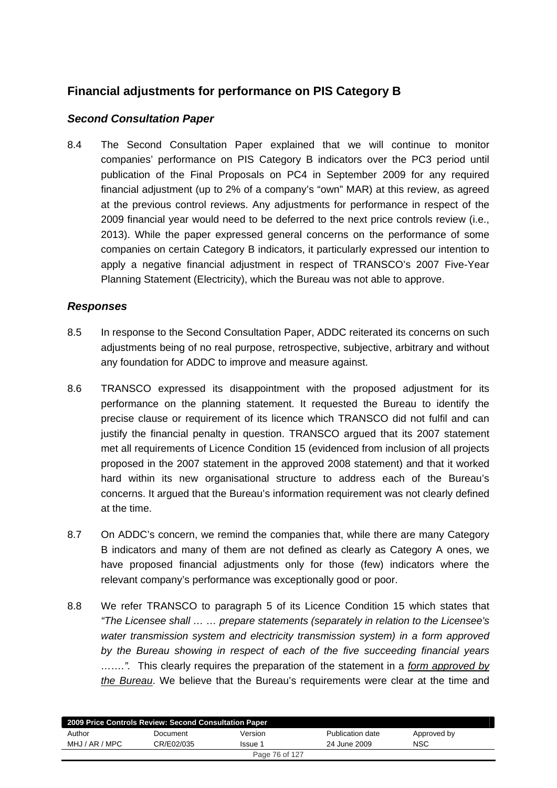# **Financial adjustments for performance on PIS Category B**

### *Second Consultation Paper*

8.4 The Second Consultation Paper explained that we will continue to monitor companies' performance on PIS Category B indicators over the PC3 period until publication of the Final Proposals on PC4 in September 2009 for any required financial adjustment (up to 2% of a company's "own" MAR) at this review, as agreed at the previous control reviews. Any adjustments for performance in respect of the 2009 financial year would need to be deferred to the next price controls review (i.e., 2013). While the paper expressed general concerns on the performance of some companies on certain Category B indicators, it particularly expressed our intention to apply a negative financial adjustment in respect of TRANSCO's 2007 Five-Year Planning Statement (Electricity), which the Bureau was not able to approve.

### *Responses*

- 8.5 In response to the Second Consultation Paper, ADDC reiterated its concerns on such adjustments being of no real purpose, retrospective, subjective, arbitrary and without any foundation for ADDC to improve and measure against.
- 8.6 TRANSCO expressed its disappointment with the proposed adjustment for its performance on the planning statement. It requested the Bureau to identify the precise clause or requirement of its licence which TRANSCO did not fulfil and can justify the financial penalty in question. TRANSCO argued that its 2007 statement met all requirements of Licence Condition 15 (evidenced from inclusion of all projects proposed in the 2007 statement in the approved 2008 statement) and that it worked hard within its new organisational structure to address each of the Bureau's concerns. It argued that the Bureau's information requirement was not clearly defined at the time.
- 8.7 On ADDC's concern, we remind the companies that, while there are many Category B indicators and many of them are not defined as clearly as Category A ones, we have proposed financial adjustments only for those (few) indicators where the relevant company's performance was exceptionally good or poor.
- 8.8 We refer TRANSCO to paragraph 5 of its Licence Condition 15 which states that *"The Licensee shall … … prepare statements (separately in relation to the Licensee's water transmission system and electricity transmission system) in a form approved by the Bureau showing in respect of each of the five succeeding financial years …….".* This clearly requires the preparation of the statement in a *form approved by the Bureau*. We believe that the Bureau's requirements were clear at the time and

| 2009 Price Controls Review: Second Consultation Paper |            |         |                  |             |  |
|-------------------------------------------------------|------------|---------|------------------|-------------|--|
| Author                                                | Document   | Version | Publication date | Approved by |  |
| MHJ / AR / MPC                                        | CR/E02/035 | Issue 1 | 24 June 2009     | <b>NSC</b>  |  |
| Page 76 of 127                                        |            |         |                  |             |  |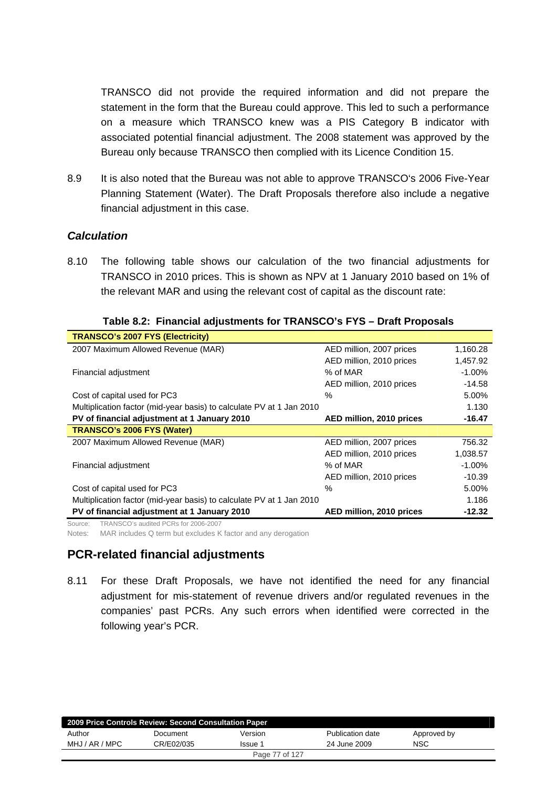TRANSCO did not provide the required information and did not prepare the statement in the form that the Bureau could approve. This led to such a performance on a measure which TRANSCO knew was a PIS Category B indicator with associated potential financial adjustment. The 2008 statement was approved by the Bureau only because TRANSCO then complied with its Licence Condition 15.

8.9 It is also noted that the Bureau was not able to approve TRANSCO's 2006 Five-Year Planning Statement (Water). The Draft Proposals therefore also include a negative financial adjustment in this case.

### *Calculation*

8.10 The following table shows our calculation of the two financial adjustments for TRANSCO in 2010 prices. This is shown as NPV at 1 January 2010 based on 1% of the relevant MAR and using the relevant cost of capital as the discount rate:

| <b>TRANSCO's 2007 FYS (Electricity)</b>                              |                          |           |
|----------------------------------------------------------------------|--------------------------|-----------|
| 2007 Maximum Allowed Revenue (MAR)                                   | AED million, 2007 prices | 1,160.28  |
|                                                                      | AED million, 2010 prices | 1,457.92  |
| Financial adjustment                                                 | % of MAR                 | $-1.00\%$ |
|                                                                      | AED million, 2010 prices | $-14.58$  |
| Cost of capital used for PC3                                         | $\%$                     | 5.00%     |
| Multiplication factor (mid-year basis) to calculate PV at 1 Jan 2010 |                          | 1.130     |
| PV of financial adjustment at 1 January 2010                         | AED million, 2010 prices | $-16.47$  |
| TRANSCO's 2006 FYS (Water)                                           |                          |           |
| 2007 Maximum Allowed Revenue (MAR)                                   | AED million, 2007 prices | 756.32    |
|                                                                      | AED million, 2010 prices | 1,038.57  |
| Financial adjustment                                                 | % of MAR                 | $-1.00\%$ |
|                                                                      | AED million, 2010 prices | $-10.39$  |
| Cost of capital used for PC3                                         | $\%$                     | 5.00%     |
| Multiplication factor (mid-year basis) to calculate PV at 1 Jan 2010 |                          | 1.186     |
| PV of financial adjustment at 1 January 2010                         | AED million, 2010 prices | $-12.32$  |

|  |  |  |  |  | Table 8.2: Financial adjustments for TRANSCO's FYS - Draft Proposals |  |
|--|--|--|--|--|----------------------------------------------------------------------|--|
|--|--|--|--|--|----------------------------------------------------------------------|--|

Source: TRANSCO's audited PCRs for 2006-2007

Notes: MAR includes Q term but excludes K factor and any derogation

## **PCR-related financial adjustments**

8.11 For these Draft Proposals, we have not identified the need for any financial adjustment for mis-statement of revenue drivers and/or regulated revenues in the companies' past PCRs. Any such errors when identified were corrected in the following year's PCR.

| 2009 Price Controls Review: Second Consultation Paper |            |                |                  |             |  |
|-------------------------------------------------------|------------|----------------|------------------|-------------|--|
| Author                                                | Document   | Version        | Publication date | Approved by |  |
| MHJ / AR / MPC                                        | CR/E02/035 | Issue 1        | 24 June 2009     | <b>NSC</b>  |  |
|                                                       |            | Page 77 of 127 |                  |             |  |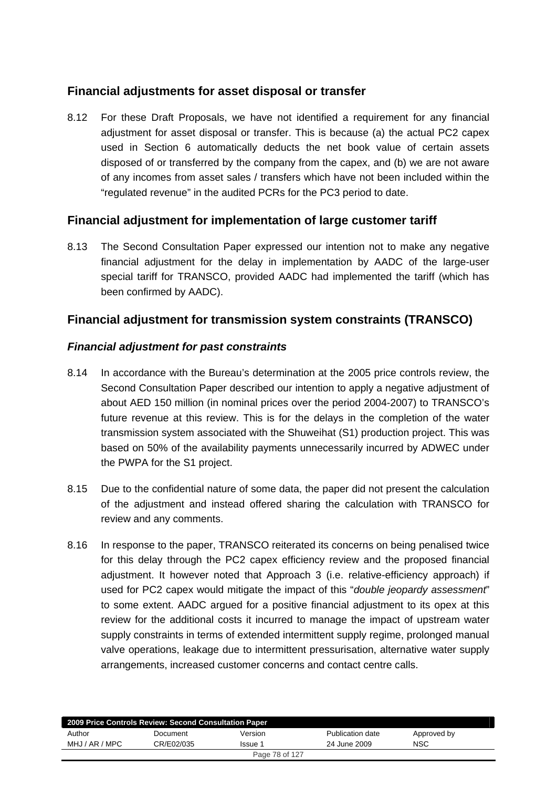# **Financial adjustments for asset disposal or transfer**

8.12 For these Draft Proposals, we have not identified a requirement for any financial adjustment for asset disposal or transfer. This is because (a) the actual PC2 capex used in Section 6 automatically deducts the net book value of certain assets disposed of or transferred by the company from the capex, and (b) we are not aware of any incomes from asset sales / transfers which have not been included within the "regulated revenue" in the audited PCRs for the PC3 period to date.

## **Financial adjustment for implementation of large customer tariff**

8.13 The Second Consultation Paper expressed our intention not to make any negative financial adjustment for the delay in implementation by AADC of the large-user special tariff for TRANSCO, provided AADC had implemented the tariff (which has been confirmed by AADC).

# **Financial adjustment for transmission system constraints (TRANSCO)**

### *Financial adjustment for past constraints*

- 8.14 In accordance with the Bureau's determination at the 2005 price controls review, the Second Consultation Paper described our intention to apply a negative adjustment of about AED 150 million (in nominal prices over the period 2004-2007) to TRANSCO's future revenue at this review. This is for the delays in the completion of the water transmission system associated with the Shuweihat (S1) production project. This was based on 50% of the availability payments unnecessarily incurred by ADWEC under the PWPA for the S1 project.
- 8.15 Due to the confidential nature of some data, the paper did not present the calculation of the adjustment and instead offered sharing the calculation with TRANSCO for review and any comments.
- 8.16 In response to the paper, TRANSCO reiterated its concerns on being penalised twice for this delay through the PC2 capex efficiency review and the proposed financial adjustment. It however noted that Approach 3 (i.e. relative-efficiency approach) if used for PC2 capex would mitigate the impact of this "*double jeopardy assessment*" to some extent. AADC argued for a positive financial adjustment to its opex at this review for the additional costs it incurred to manage the impact of upstream water supply constraints in terms of extended intermittent supply regime, prolonged manual valve operations, leakage due to intermittent pressurisation, alternative water supply arrangements, increased customer concerns and contact centre calls.

| 2009 Price Controls Review: Second Consultation Paper |            |         |                  |             |  |
|-------------------------------------------------------|------------|---------|------------------|-------------|--|
| Author                                                | Document   | Version | Publication date | Approved by |  |
| MHJ / AR / MPC                                        | CR/E02/035 | Issue 1 | 24 June 2009     | <b>NSC</b>  |  |
| Page 78 of 127                                        |            |         |                  |             |  |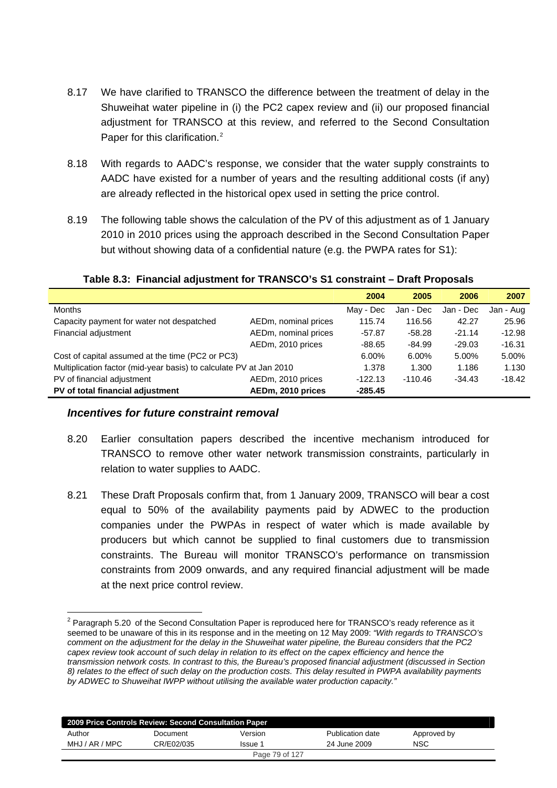- 8.17 We have clarified to TRANSCO the difference between the treatment of delay in the Shuweihat water pipeline in (i) the PC2 capex review and (ii) our proposed financial adjustment for TRANSCO at this review, and referred to the Second Consultation Paper for this clarification.<sup>[2](#page-78-0)</sup>
- 8.18 With regards to AADC's response, we consider that the water supply constraints to AADC have existed for a number of years and the resulting additional costs (if any) are already reflected in the historical opex used in setting the price control.
- 8.19 The following table shows the calculation of the PV of this adjustment as of 1 January 2010 in 2010 prices using the approach described in the Second Consultation Paper but without showing data of a confidential nature (e.g. the PWPA rates for S1):

|                                                                    |                      | 2004      | 2005      | 2006      | 2007      |
|--------------------------------------------------------------------|----------------------|-----------|-----------|-----------|-----------|
| <b>Months</b>                                                      |                      | May - Dec | Jan - Dec | Jan - Dec | Jan - Aug |
| Capacity payment for water not despatched                          | AEDm, nominal prices | 115.74    | 116.56    | 42.27     | 25.96     |
| Financial adjustment                                               | AEDm, nominal prices | $-57.87$  | $-58.28$  | $-21.14$  | $-12.98$  |
|                                                                    | AEDm, 2010 prices    | $-88.65$  | $-84.99$  | $-29.03$  | $-16.31$  |
| Cost of capital assumed at the time (PC2 or PC3)                   |                      | 6.00%     | 6.00%     | 5.00%     | 5.00%     |
| Multiplication factor (mid-year basis) to calculate PV at Jan 2010 |                      | 1.378     | 1.300     | 1.186     | 1.130     |
| PV of financial adjustment                                         | AEDm, 2010 prices    | $-122.13$ | $-110.46$ | $-34.43$  | $-18.42$  |
| PV of total financial adjustment                                   | AEDm, 2010 prices    | $-285.45$ |           |           |           |

### **Table 8.3: Financial adjustment for TRANSCO's S1 constraint – Draft Proposals**

### *Incentives for future constraint removal*

-

- 8.20 Earlier consultation papers described the incentive mechanism introduced for TRANSCO to remove other water network transmission constraints, particularly in relation to water supplies to AADC.
- 8.21 These Draft Proposals confirm that, from 1 January 2009, TRANSCO will bear a cost equal to 50% of the availability payments paid by ADWEC to the production companies under the PWPAs in respect of water which is made available by producers but which cannot be supplied to final customers due to transmission constraints. The Bureau will monitor TRANSCO's performance on transmission constraints from 2009 onwards, and any required financial adjustment will be made at the next price control review.

<span id="page-78-0"></span> $2$  Paragraph 5.20 of the Second Consultation Paper is reproduced here for TRANSCO's ready reference as it seemed to be unaware of this in its response and in the meeting on 12 May 2009: *"With regards to TRANSCO's comment on the adjustment for the delay in the Shuweihat water pipeline, the Bureau considers that the PC2 capex review took account of such delay in relation to its effect on the capex efficiency and hence the transmission network costs. In contrast to this, the Bureau's proposed financial adjustment (discussed in Section 8) relates to the effect of such delay on the production costs. This delay resulted in PWPA availability payments by ADWEC to Shuweihat IWPP without utilising the available water production capacity."*

| 2009 Price Controls Review: Second Consultation Paper |            |                |                  |             |  |
|-------------------------------------------------------|------------|----------------|------------------|-------------|--|
| Author                                                | Document   | Version        | Publication date | Approved by |  |
| MHJ / AR / MPC                                        | CR/E02/035 | Issue 1        | 24 June 2009     | <b>NSC</b>  |  |
|                                                       |            | Page 79 of 127 |                  |             |  |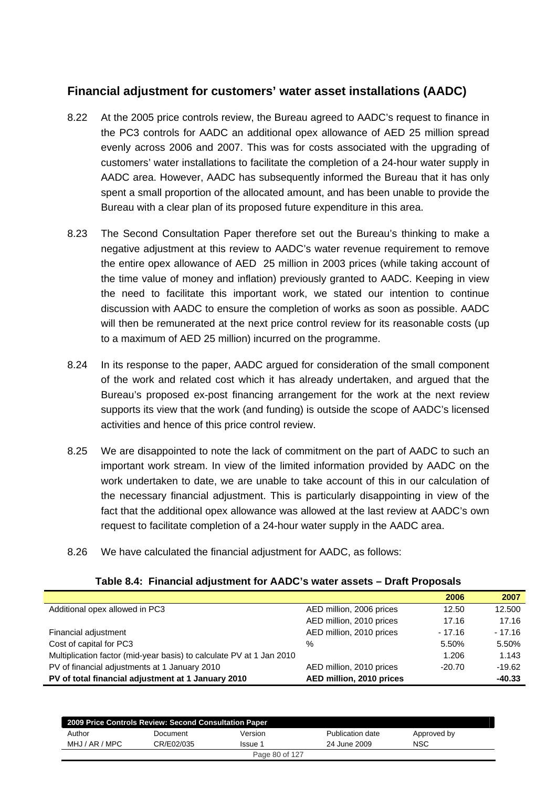# **Financial adjustment for customers' water asset installations (AADC)**

- 8.22 At the 2005 price controls review, the Bureau agreed to AADC's request to finance in the PC3 controls for AADC an additional opex allowance of AED 25 million spread evenly across 2006 and 2007. This was for costs associated with the upgrading of customers' water installations to facilitate the completion of a 24-hour water supply in AADC area. However, AADC has subsequently informed the Bureau that it has only spent a small proportion of the allocated amount, and has been unable to provide the Bureau with a clear plan of its proposed future expenditure in this area.
- 8.23 The Second Consultation Paper therefore set out the Bureau's thinking to make a negative adjustment at this review to AADC's water revenue requirement to remove the entire opex allowance of AED 25 million in 2003 prices (while taking account of the time value of money and inflation) previously granted to AADC. Keeping in view the need to facilitate this important work, we stated our intention to continue discussion with AADC to ensure the completion of works as soon as possible. AADC will then be remunerated at the next price control review for its reasonable costs (up to a maximum of AED 25 million) incurred on the programme.
- 8.24 In its response to the paper, AADC argued for consideration of the small component of the work and related cost which it has already undertaken, and argued that the Bureau's proposed ex-post financing arrangement for the work at the next review supports its view that the work (and funding) is outside the scope of AADC's licensed activities and hence of this price control review.
- 8.25 We are disappointed to note the lack of commitment on the part of AADC to such an important work stream. In view of the limited information provided by AADC on the work undertaken to date, we are unable to take account of this in our calculation of the necessary financial adjustment. This is particularly disappointing in view of the fact that the additional opex allowance was allowed at the last review at AADC's own request to facilitate completion of a 24-hour water supply in the AADC area.
- 8.26 We have calculated the financial adjustment for AADC, as follows:

|  |  |  |  |  | Table 8.4: Financial adjustment for AADC's water assets - Draft Proposals |
|--|--|--|--|--|---------------------------------------------------------------------------|
|--|--|--|--|--|---------------------------------------------------------------------------|

|                                                                      |                          | 2006     | 2007     |
|----------------------------------------------------------------------|--------------------------|----------|----------|
| Additional opex allowed in PC3                                       | AED million, 2006 prices | 12.50    | 12.500   |
|                                                                      | AED million, 2010 prices | 17.16    | 17.16    |
| Financial adjustment                                                 | AED million, 2010 prices | $-17.16$ | $-17.16$ |
| Cost of capital for PC3                                              | $\%$                     | 5.50%    | 5.50%    |
| Multiplication factor (mid-year basis) to calculate PV at 1 Jan 2010 |                          | 1.206    | 1.143    |
| PV of financial adjustments at 1 January 2010                        | AED million, 2010 prices | $-20.70$ | $-19.62$ |
| PV of total financial adjustment at 1 January 2010                   | AED million, 2010 prices |          | -40.33   |

|                | 2009 Price Controls Review: Second Consultation Paper |                |                  |             |  |
|----------------|-------------------------------------------------------|----------------|------------------|-------------|--|
| Author         | Document                                              | Version        | Publication date | Approved by |  |
| MHJ / AR / MPC | CR/E02/035                                            | Issue 1        | 24 June 2009     | <b>NSC</b>  |  |
|                |                                                       | Page 80 of 127 |                  |             |  |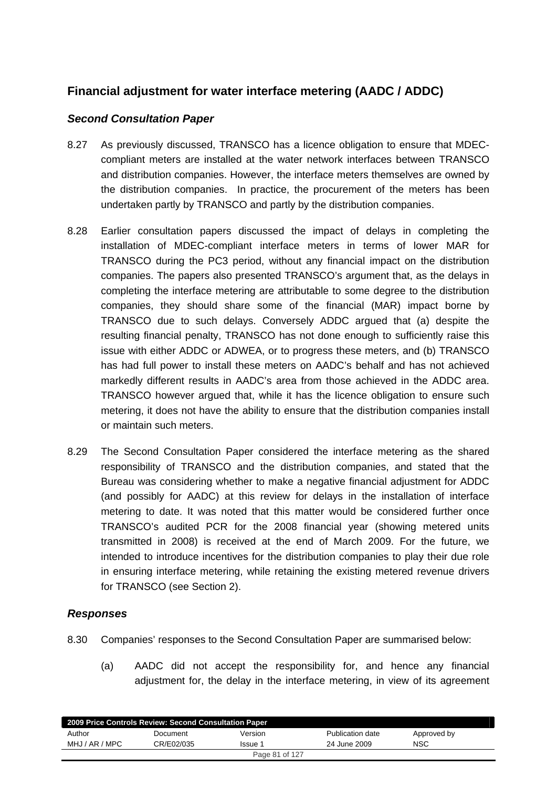# **Financial adjustment for water interface metering (AADC / ADDC)**

### *Second Consultation Paper*

- 8.27 As previously discussed, TRANSCO has a licence obligation to ensure that MDECcompliant meters are installed at the water network interfaces between TRANSCO and distribution companies. However, the interface meters themselves are owned by the distribution companies. In practice, the procurement of the meters has been undertaken partly by TRANSCO and partly by the distribution companies.
- 8.28 Earlier consultation papers discussed the impact of delays in completing the installation of MDEC-compliant interface meters in terms of lower MAR for TRANSCO during the PC3 period, without any financial impact on the distribution companies. The papers also presented TRANSCO's argument that, as the delays in completing the interface metering are attributable to some degree to the distribution companies, they should share some of the financial (MAR) impact borne by TRANSCO due to such delays. Conversely ADDC argued that (a) despite the resulting financial penalty, TRANSCO has not done enough to sufficiently raise this issue with either ADDC or ADWEA, or to progress these meters, and (b) TRANSCO has had full power to install these meters on AADC's behalf and has not achieved markedly different results in AADC's area from those achieved in the ADDC area. TRANSCO however argued that, while it has the licence obligation to ensure such metering, it does not have the ability to ensure that the distribution companies install or maintain such meters.
- 8.29 The Second Consultation Paper considered the interface metering as the shared responsibility of TRANSCO and the distribution companies, and stated that the Bureau was considering whether to make a negative financial adjustment for ADDC (and possibly for AADC) at this review for delays in the installation of interface metering to date. It was noted that this matter would be considered further once TRANSCO's audited PCR for the 2008 financial year (showing metered units transmitted in 2008) is received at the end of March 2009. For the future, we intended to introduce incentives for the distribution companies to play their due role in ensuring interface metering, while retaining the existing metered revenue drivers for TRANSCO (see Section 2).

### *Responses*

- 8.30 Companies' responses to the Second Consultation Paper are summarised below:
	- (a) AADC did not accept the responsibility for, and hence any financial adjustment for, the delay in the interface metering, in view of its agreement

| 2009 Price Controls Review: Second Consultation Paper |            |                |                  |             |  |
|-------------------------------------------------------|------------|----------------|------------------|-------------|--|
| Author                                                | Document   | Version        | Publication date | Approved by |  |
| MHJ / AR / MPC                                        | CR/E02/035 | Issue 1        | 24 June 2009     | NSC         |  |
|                                                       |            | Page 81 of 127 |                  |             |  |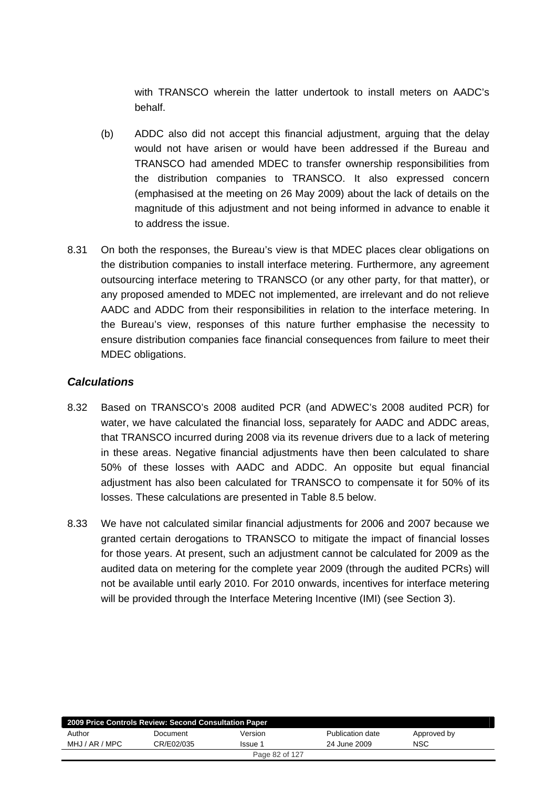with TRANSCO wherein the latter undertook to install meters on AADC's behalf.

- (b) ADDC also did not accept this financial adjustment, arguing that the delay would not have arisen or would have been addressed if the Bureau and TRANSCO had amended MDEC to transfer ownership responsibilities from the distribution companies to TRANSCO. It also expressed concern (emphasised at the meeting on 26 May 2009) about the lack of details on the magnitude of this adjustment and not being informed in advance to enable it to address the issue.
- 8.31 On both the responses, the Bureau's view is that MDEC places clear obligations on the distribution companies to install interface metering. Furthermore, any agreement outsourcing interface metering to TRANSCO (or any other party, for that matter), or any proposed amended to MDEC not implemented, are irrelevant and do not relieve AADC and ADDC from their responsibilities in relation to the interface metering. In the Bureau's view, responses of this nature further emphasise the necessity to ensure distribution companies face financial consequences from failure to meet their MDEC obligations.

### *Calculations*

- 8.32 Based on TRANSCO's 2008 audited PCR (and ADWEC's 2008 audited PCR) for water, we have calculated the financial loss, separately for AADC and ADDC areas, that TRANSCO incurred during 2008 via its revenue drivers due to a lack of metering in these areas. Negative financial adjustments have then been calculated to share 50% of these losses with AADC and ADDC. An opposite but equal financial adjustment has also been calculated for TRANSCO to compensate it for 50% of its losses. These calculations are presented in Table 8.5 below.
- 8.33 We have not calculated similar financial adjustments for 2006 and 2007 because we granted certain derogations to TRANSCO to mitigate the impact of financial losses for those years. At present, such an adjustment cannot be calculated for 2009 as the audited data on metering for the complete year 2009 (through the audited PCRs) will not be available until early 2010. For 2010 onwards, incentives for interface metering will be provided through the Interface Metering Incentive (IMI) (see Section 3).

| 2009 Price Controls Review: Second Consultation Paper |            |         |                  |             |  |
|-------------------------------------------------------|------------|---------|------------------|-------------|--|
| Author                                                | Document   | Version | Publication date | Approved by |  |
| MHJ / AR / MPC                                        | CR/E02/035 | lssue 1 | 24 June 2009     | <b>NSC</b>  |  |
| Page 82 of 127                                        |            |         |                  |             |  |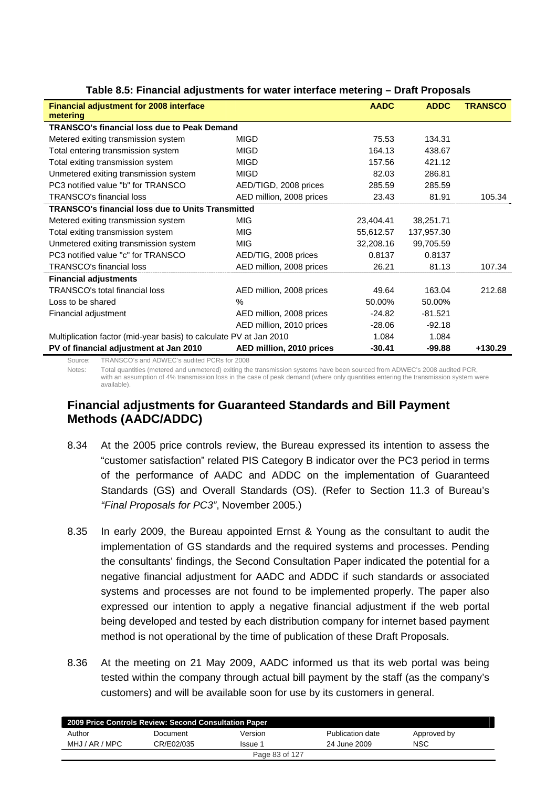|                                                                    |                          | <b>AADC</b> | <b>ADDC</b> | <b>TRANSCO</b> |
|--------------------------------------------------------------------|--------------------------|-------------|-------------|----------------|
| <b>Financial adjustment for 2008 interface</b><br>metering         |                          |             |             |                |
| <b>TRANSCO's financial loss due to Peak Demand</b>                 |                          |             |             |                |
|                                                                    |                          |             |             |                |
| Metered exiting transmission system                                | <b>MIGD</b>              | 75.53       | 134.31      |                |
| Total entering transmission system                                 | <b>MIGD</b>              | 164.13      | 438.67      |                |
| Total exiting transmission system                                  | <b>MIGD</b>              | 157.56      | 421.12      |                |
| Unmetered exiting transmission system                              | <b>MIGD</b>              | 82.03       | 286.81      |                |
| PC3 notified value "b" for TRANSCO                                 | AED/TIGD, 2008 prices    | 285.59      | 285.59      |                |
| <b>TRANSCO's financial loss</b>                                    | AED million, 2008 prices | 23.43       | 81.91       | 105.34         |
| <b>TRANSCO's financial loss due to Units Transmitted</b>           |                          |             |             |                |
| Metered exiting transmission system                                | <b>MIG</b>               | 23,404.41   | 38,251.71   |                |
| Total exiting transmission system                                  | <b>MIG</b>               | 55,612.57   | 137,957.30  |                |
| Unmetered exiting transmission system                              | <b>MIG</b>               | 32,208.16   | 99,705.59   |                |
| PC3 notified value "c" for TRANSCO                                 | AED/TIG, 2008 prices     | 0.8137      | 0.8137      |                |
| <b>TRANSCO's financial loss</b>                                    | AED million, 2008 prices | 26.21       | 81.13       | 107.34         |
| <b>Financial adjustments</b>                                       |                          |             |             |                |
| <b>TRANSCO's total financial loss</b>                              | AED million, 2008 prices | 49.64       | 163.04      | 212.68         |
| Loss to be shared                                                  | $\%$                     | 50.00%      | 50.00%      |                |
| Financial adjustment                                               | AED million, 2008 prices | $-24.82$    | $-81.521$   |                |
|                                                                    | AED million, 2010 prices | $-28.06$    | $-92.18$    |                |
| Multiplication factor (mid-year basis) to calculate PV at Jan 2010 |                          | 1.084       | 1.084       |                |
| PV of financial adjustment at Jan 2010                             | AED million, 2010 prices | $-30.41$    | $-99.88$    | +130.29        |

| Table 8.5: Financial adjustments for water interface metering - Draft Proposals |  |  |  |  |
|---------------------------------------------------------------------------------|--|--|--|--|
|---------------------------------------------------------------------------------|--|--|--|--|

Source: TRANSCO's and ADWEC's audited PCRs for 2008

Notes: Total quantities (metered and unmetered) exiting the transmission systems have been sourced from ADWEC's 2008 audited PCR, with an assumption of 4% transmission loss in the case of peak demand (where only quantities entering the transmission system were available).

# **Financial adjustments for Guaranteed Standards and Bill Payment Methods (AADC/ADDC)**

- 8.34 At the 2005 price controls review, the Bureau expressed its intention to assess the "customer satisfaction" related PIS Category B indicator over the PC3 period in terms of the performance of AADC and ADDC on the implementation of Guaranteed Standards (GS) and Overall Standards (OS). (Refer to Section 11.3 of Bureau's *"Final Proposals for PC3"*, November 2005.)
- 8.35 In early 2009, the Bureau appointed Ernst & Young as the consultant to audit the implementation of GS standards and the required systems and processes. Pending the consultants' findings, the Second Consultation Paper indicated the potential for a negative financial adjustment for AADC and ADDC if such standards or associated systems and processes are not found to be implemented properly. The paper also expressed our intention to apply a negative financial adjustment if the web portal being developed and tested by each distribution company for internet based payment method is not operational by the time of publication of these Draft Proposals.
- 8.36 At the meeting on 21 May 2009, AADC informed us that its web portal was being tested within the company through actual bill payment by the staff (as the company's customers) and will be available soon for use by its customers in general.

| 2009 Price Controls Review: Second Consultation Paper |            |                |                  |             |  |
|-------------------------------------------------------|------------|----------------|------------------|-------------|--|
| Author                                                | Document   | Version        | Publication date | Approved by |  |
| MHJ / AR / MPC                                        | CR/E02/035 | Issue 1        | 24 June 2009     | <b>NSC</b>  |  |
|                                                       |            | Page 83 of 127 |                  |             |  |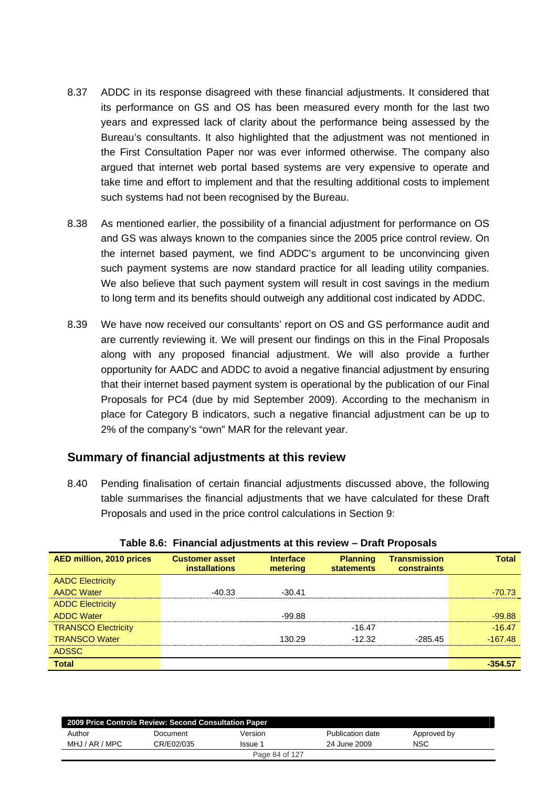- 8.37 ADDC in its response disagreed with these financial adjustments. It considered that its performance on GS and OS has been measured every month for the last two years and expressed lack of clarity about the performance being assessed by the Bureau's consultants. It also highlighted that the adjustment was not mentioned in the First Consultation Paper nor was ever informed otherwise. The company also argued that internet web portal based systems are very expensive to operate and take time and effort to implement and that the resulting additional costs to implement such systems had not been recognised by the Bureau.
- 8.38 As mentioned earlier, the possibility of a financial adjustment for performance on OS and GS was always known to the companies since the 2005 price control review. On the internet based payment, we find ADDC's argument to be unconvincing given such payment systems are now standard practice for all leading utility companies. We also believe that such payment system will result in cost savings in the medium to long term and its benefits should outweigh any additional cost indicated by ADDC.
- 8.39 We have now received our consultants' report on OS and GS performance audit and are currently reviewing it. We will present our findings on this in the Final Proposals along with any proposed financial adjustment. We will also provide a further opportunity for AADC and ADDC to avoid a negative financial adjustment by ensuring that their internet based payment system is operational by the publication of our Final Proposals for PC4 (due by mid September 2009). According to the mechanism in place for Category B indicators, such a negative financial adjustment can be up to 2% of the company's "own" MAR for the relevant year.

### **Summary of financial adjustments at this review**

8.40 Pending finalisation of certain financial adjustments discussed above, the following table summarises the financial adjustments that we have calculated for these Draft Proposals and used in the price control calculations in Section 9:

| <b>AED million, 2010 prices</b> | <b>Customer asset</b><br><i>installations</i> | <b>Interface</b><br>metering | <b>Planning</b><br><b>statements</b> | <b>Transmission</b><br>constraints | <b>Total</b> |
|---------------------------------|-----------------------------------------------|------------------------------|--------------------------------------|------------------------------------|--------------|
| <b>AADC Electricity</b>         |                                               |                              |                                      |                                    |              |
| <b>AADC Water</b>               | -40.33                                        | $-30.41$                     |                                      |                                    | -70.73       |
| <b>ADDC Electricity</b>         |                                               |                              |                                      |                                    |              |
| <b>ADDC Water</b>               |                                               | $-99.88$                     |                                      |                                    | $-99.88$     |
| <b>TRANSCO Electricity</b>      |                                               |                              | $-16.47$                             |                                    | $-16.47$     |
| <b>TRANSCO Water</b>            |                                               | 130.29                       | $-12.32$                             | $-28545$                           | $-167.48$    |
| <b>ADSSC</b>                    |                                               |                              |                                      |                                    |              |
| <b>Total</b>                    |                                               |                              |                                      |                                    | -354.57      |

#### **Table 8.6: Financial adjustments at this review – Draft Proposals**

|                | 2009 Price Controls Review: Second Consultation Paper |                |                  |             |
|----------------|-------------------------------------------------------|----------------|------------------|-------------|
| Author         | Document                                              | Version        | Publication date | Approved by |
| MHJ / AR / MPC | CR/E02/035                                            | Issue 1        | 24 June 2009     | <b>NSC</b>  |
|                |                                                       | Page 84 of 127 |                  |             |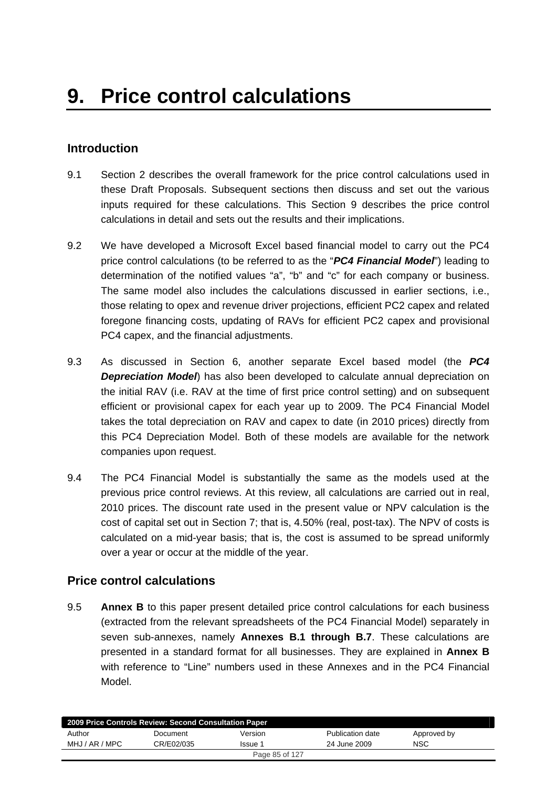## **Introduction**

- 9.1 Section 2 describes the overall framework for the price control calculations used in these Draft Proposals. Subsequent sections then discuss and set out the various inputs required for these calculations. This Section 9 describes the price control calculations in detail and sets out the results and their implications.
- 9.2 We have developed a Microsoft Excel based financial model to carry out the PC4 price control calculations (to be referred to as the "*PC4 Financial Model*") leading to determination of the notified values "a", "b" and "c" for each company or business. The same model also includes the calculations discussed in earlier sections, i.e., those relating to opex and revenue driver projections, efficient PC2 capex and related foregone financing costs, updating of RAVs for efficient PC2 capex and provisional PC4 capex, and the financial adjustments.
- 9.3 As discussed in Section 6, another separate Excel based model (the *PC4*  **Depreciation Model**) has also been developed to calculate annual depreciation on the initial RAV (i.e. RAV at the time of first price control setting) and on subsequent efficient or provisional capex for each year up to 2009. The PC4 Financial Model takes the total depreciation on RAV and capex to date (in 2010 prices) directly from this PC4 Depreciation Model. Both of these models are available for the network companies upon request.
- 9.4 The PC4 Financial Model is substantially the same as the models used at the previous price control reviews. At this review, all calculations are carried out in real, 2010 prices. The discount rate used in the present value or NPV calculation is the cost of capital set out in Section 7; that is, 4.50% (real, post-tax). The NPV of costs is calculated on a mid-year basis; that is, the cost is assumed to be spread uniformly over a year or occur at the middle of the year.

## **Price control calculations**

9.5 **Annex B** to this paper present detailed price control calculations for each business (extracted from the relevant spreadsheets of the PC4 Financial Model) separately in seven sub-annexes, namely **Annexes B.1 through B.7**. These calculations are presented in a standard format for all businesses. They are explained in **Annex B** with reference to "Line" numbers used in these Annexes and in the PC4 Financial Model.

| 2009 Price Controls Review: Second Consultation Paper |            |         |                  |             |  |  |
|-------------------------------------------------------|------------|---------|------------------|-------------|--|--|
| Author                                                | Document   | Version | Publication date | Approved by |  |  |
| MHJ / AR / MPC                                        | CR/F02/035 | Issue 1 | 24 June 2009     | <b>NSC</b>  |  |  |
| Page 85 of 127                                        |            |         |                  |             |  |  |
|                                                       |            |         |                  |             |  |  |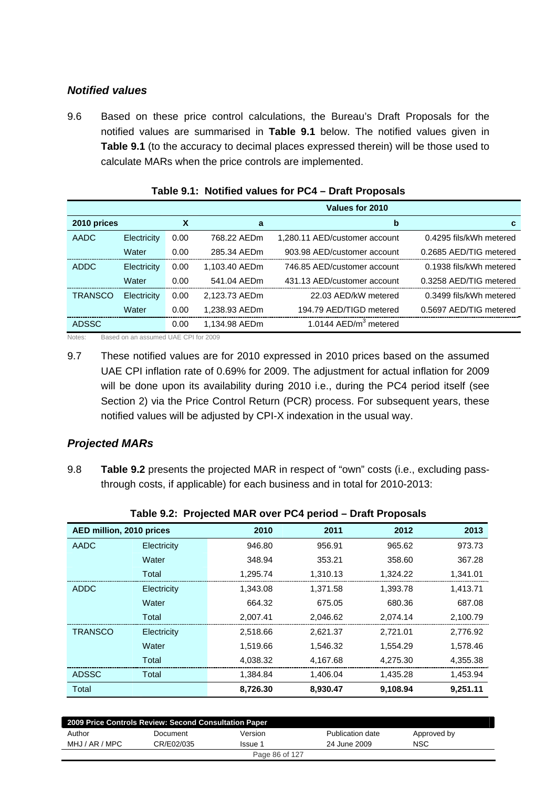### *Notified values*

9.6 Based on these price control calculations, the Bureau's Draft Proposals for the notified values are summarised in **Table 9.1** below. The notified values given in **Table 9.1** (to the accuracy to decimal places expressed therein) will be those used to calculate MARs when the price controls are implemented.

|                |             |      |               | Values for 2010               |                         |
|----------------|-------------|------|---------------|-------------------------------|-------------------------|
| 2010 prices    |             | X    | a             | b                             | c.                      |
| AADC           | Electricity | 0.00 | 768.22 AEDm   | 1,280.11 AED/customer account | 0.4295 fils/kWh metered |
|                | Water       | 0.00 | 285.34 AEDm   | 903.98 AED/customer account   | 0.2685 AED/TIG metered  |
| <b>ADDC</b>    | Electricity | 0.00 | 1.103.40 AEDm | 746.85 AED/customer account   | 0.1938 fils/kWh metered |
|                | Water       | 0.00 | 541.04 AEDm   | 431.13 AED/customer account   | 0.3258 AED/TIG metered  |
| <b>TRANSCO</b> | Electricity | 0.00 | 2,123.73 AEDm | 22.03 AED/kW metered          | 0.3499 fils/kWh metered |
|                | Water       | 0.00 | 1,238.93 AEDm | 194.79 AED/TIGD metered       | 0.5697 AED/TIG metered  |
| <b>ADSSC</b>   |             | 0.00 | 1,134.98 AEDm | 1.0144 $AED/m3$ metered       |                         |

| Table 9.1: Notified values for PC4 – Draft Proposals |  |  |
|------------------------------------------------------|--|--|
|                                                      |  |  |

Notes: Based on an assumed UAE CPI for 2009

9.7 These notified values are for 2010 expressed in 2010 prices based on the assumed UAE CPI inflation rate of 0.69% for 2009. The adjustment for actual inflation for 2009 will be done upon its availability during 2010 i.e., during the PC4 period itself (see Section 2) via the Price Control Return (PCR) process. For subsequent years, these notified values will be adjusted by CPI-X indexation in the usual way.

### *Projected MARs*

9.8 **Table 9.2** presents the projected MAR in respect of "own" costs (i.e., excluding passthrough costs, if applicable) for each business and in total for 2010-2013:

| AED million, 2010 prices |             | 2010     | 2011     | 2012     | 2013     |
|--------------------------|-------------|----------|----------|----------|----------|
| <b>AADC</b>              | Electricity | 946.80   | 956.91   | 965.62   | 973.73   |
|                          | Water       | 348.94   | 353.21   | 358.60   | 367.28   |
|                          | Total       | 1,295.74 | 1,310.13 | 1,324.22 | 1,341.01 |
| <b>ADDC</b>              | Electricity | 1.343.08 | 1,371.58 | 1,393.78 | 1,413.71 |
|                          | Water       | 664.32   | 675.05   | 680.36   | 687.08   |
|                          | Total       | 2.007.41 | 2.046.62 | 2,074.14 | 2,100.79 |
| <b>TRANSCO</b>           | Electricity | 2,518.66 | 2,621.37 | 2,721.01 | 2,776.92 |
|                          | Water       | 1,519.66 | 1.546.32 | 1,554.29 | 1,578.46 |
|                          | Total       | 4,038.32 | 4,167.68 | 4,275.30 | 4,355.38 |
| <b>ADSSC</b>             | Total       | 1,384.84 | 1,406.04 | 1,435.28 | 1,453.94 |
| Total                    |             | 8,726.30 | 8,930.47 | 9,108.94 | 9,251.11 |

| Table 9.2: Projected MAR over PC4 period - Draft Proposals |  |  |
|------------------------------------------------------------|--|--|
|                                                            |  |  |

| 2009 Price Controls Review: Second Consultation Paper |            |         |                  |             |  |  |
|-------------------------------------------------------|------------|---------|------------------|-------------|--|--|
| Author                                                | Document   | Version | Publication date | Approved by |  |  |
| MHJ / AR / MPC                                        | CR/E02/035 | Issue 1 | 24 June 2009     | <b>NSC</b>  |  |  |
| Page 86 of 127                                        |            |         |                  |             |  |  |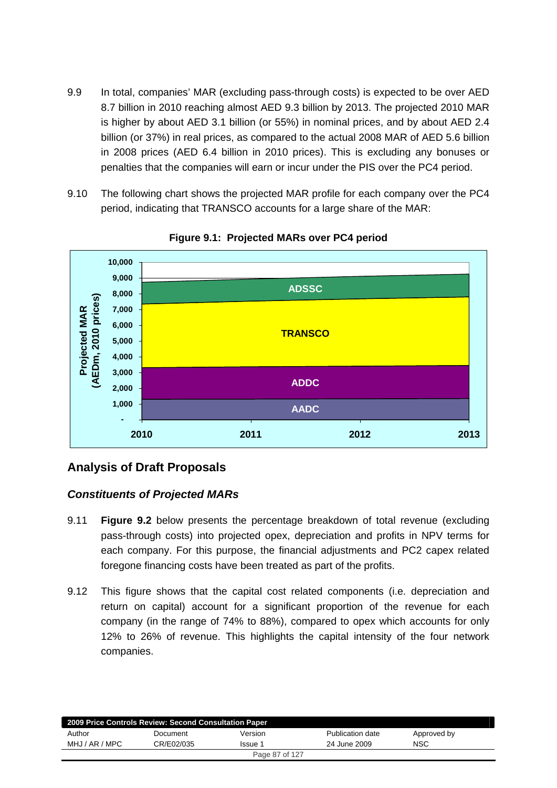- 9.9 In total, companies' MAR (excluding pass-through costs) is expected to be over AED 8.7 billion in 2010 reaching almost AED 9.3 billion by 2013. The projected 2010 MAR is higher by about AED 3.1 billion (or 55%) in nominal prices, and by about AED 2.4 billion (or 37%) in real prices, as compared to the actual 2008 MAR of AED 5.6 billion in 2008 prices (AED 6.4 billion in 2010 prices). This is excluding any bonuses or penalties that the companies will earn or incur under the PIS over the PC4 period.
- 9.10 The following chart shows the projected MAR profile for each company over the PC4 period, indicating that TRANSCO accounts for a large share of the MAR:



**Figure 9.1: Projected MARs over PC4 period** 

# **Analysis of Draft Proposals**

## *Constituents of Projected MARs*

- 9.11 **Figure 9.2** below presents the percentage breakdown of total revenue (excluding pass-through costs) into projected opex, depreciation and profits in NPV terms for each company. For this purpose, the financial adjustments and PC2 capex related foregone financing costs have been treated as part of the profits.
- 9.12 This figure shows that the capital cost related components (i.e. depreciation and return on capital) account for a significant proportion of the revenue for each company (in the range of 74% to 88%), compared to opex which accounts for only 12% to 26% of revenue. This highlights the capital intensity of the four network companies.

| 2009 Price Controls Review: Second Consultation Paper |            |         |                  |             |  |
|-------------------------------------------------------|------------|---------|------------------|-------------|--|
| Author                                                | Document   | Version | Publication date | Approved by |  |
| MHJ / AR / MPC                                        | CR/E02/035 | Issue 1 | 24 June 2009     | <b>NSC</b>  |  |
| Page 87 of 127                                        |            |         |                  |             |  |
|                                                       |            |         |                  |             |  |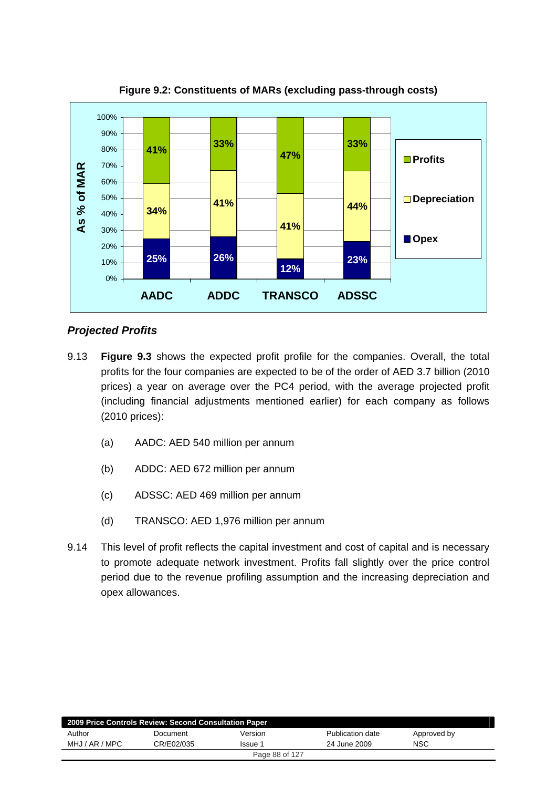

**Figure 9.2: Constituents of MARs (excluding pass-through costs)** 

### *Projected Profits*

- 9.13 **Figure 9.3** shows the expected profit profile for the companies. Overall, the total profits for the four companies are expected to be of the order of AED 3.7 billion (2010 prices) a year on average over the PC4 period, with the average projected profit (including financial adjustments mentioned earlier) for each company as follows (2010 prices):
	- (a) AADC: AED 540 million per annum
	- (b) ADDC: AED 672 million per annum
	- (c) ADSSC: AED 469 million per annum
	- (d) TRANSCO: AED 1,976 million per annum
- 9.14 This level of profit reflects the capital investment and cost of capital and is necessary to promote adequate network investment. Profits fall slightly over the price control period due to the revenue profiling assumption and the increasing depreciation and opex allowances.

| 2009 Price Controls Review: Second Consultation Paper |            |         |                  |             |  |  |
|-------------------------------------------------------|------------|---------|------------------|-------------|--|--|
| Author                                                | Document   | Version | Publication date | Approved by |  |  |
| MHJ / AR / MPC                                        | CR/E02/035 | Issue 1 | 24 June 2009     | NSC         |  |  |
| Page 88 of 127                                        |            |         |                  |             |  |  |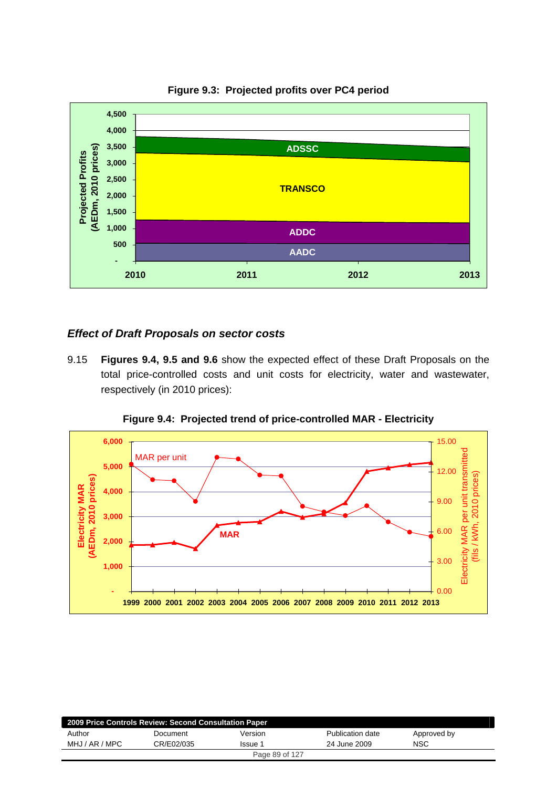

#### **Figure 9.3: Projected profits over PC4 period**

#### *Effect of Draft Proposals on sector costs*

9.15 **Figures 9.4, 9.5 and 9.6** show the expected effect of these Draft Proposals on the total price-controlled costs and unit costs for electricity, water and wastewater, respectively (in 2010 prices):



**Figure 9.4: Projected trend of price-controlled MAR - Electricity** 

| 2009 Price Controls Review: Second Consultation Paper |            |                |                  |             |  |  |
|-------------------------------------------------------|------------|----------------|------------------|-------------|--|--|
| Author                                                | Document   | Version        | Publication date | Approved by |  |  |
| MHJ / AR / MPC                                        | CR/E02/035 | Issue 1        | 24 June 2009     | <b>NSC</b>  |  |  |
|                                                       |            | Page 89 of 127 |                  |             |  |  |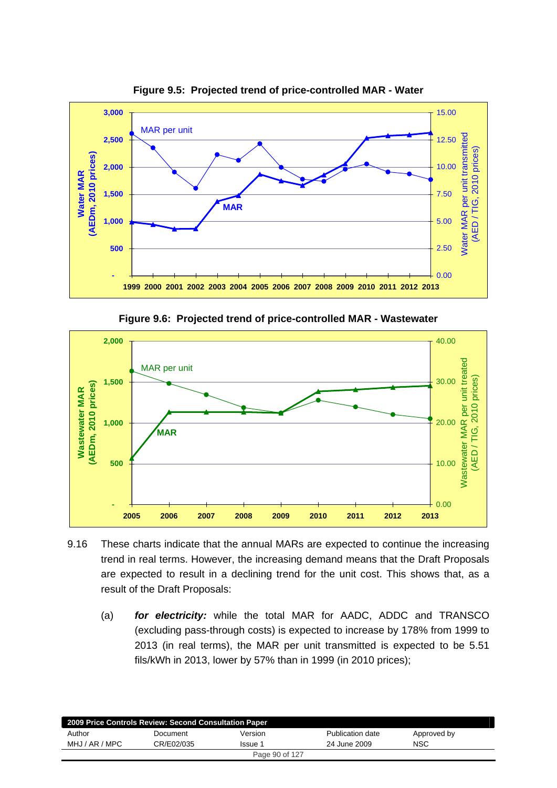

**Figure 9.5: Projected trend of price-controlled MAR - Water** 

**Figure 9.6: Projected trend of price-controlled MAR - Wastewater** 



- 9.16 These charts indicate that the annual MARs are expected to continue the increasing trend in real terms. However, the increasing demand means that the Draft Proposals are expected to result in a declining trend for the unit cost. This shows that, as a result of the Draft Proposals:
	- (a) *for electricity:* while the total MAR for AADC, ADDC and TRANSCO (excluding pass-through costs) is expected to increase by 178% from 1999 to 2013 (in real terms), the MAR per unit transmitted is expected to be 5.51 fils/kWh in 2013, lower by 57% than in 1999 (in 2010 prices);

| 2009 Price Controls Review: Second Consultation Paper |            |         |                  |             |  |  |
|-------------------------------------------------------|------------|---------|------------------|-------------|--|--|
| Author                                                | Document   | Version | Publication date | Approved by |  |  |
| MHJ / AR / MPC                                        | CR/E02/035 | Issue 1 | 24 June 2009     | NSC         |  |  |
| Page 90 of 127                                        |            |         |                  |             |  |  |
|                                                       |            |         |                  |             |  |  |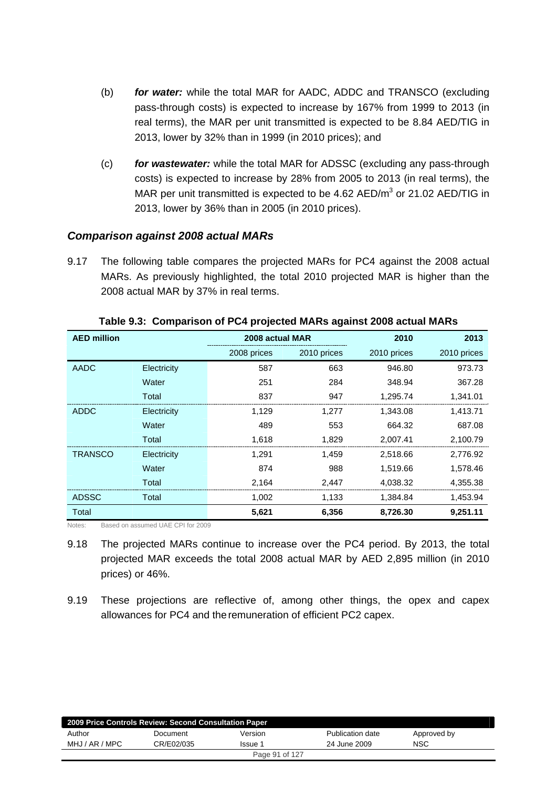- (b) *for water:* while the total MAR for AADC, ADDC and TRANSCO (excluding pass-through costs) is expected to increase by 167% from 1999 to 2013 (in real terms), the MAR per unit transmitted is expected to be 8.84 AED/TIG in 2013, lower by 32% than in 1999 (in 2010 prices); and
- (c) *for wastewater:* while the total MAR for ADSSC (excluding any pass-through costs) is expected to increase by 28% from 2005 to 2013 (in real terms), the MAR per unit transmitted is expected to be 4.62  $AED/m<sup>3</sup>$  or 21.02  $AED/TIG$  in 2013, lower by 36% than in 2005 (in 2010 prices).

#### *Comparison against 2008 actual MARs*

9.17 The following table compares the projected MARs for PC4 against the 2008 actual MARs. As previously highlighted, the total 2010 projected MAR is higher than the 2008 actual MAR by 37% in real terms.

| <b>AED million</b> |             | 2008 actual MAR |             | 2010        | 2013        |
|--------------------|-------------|-----------------|-------------|-------------|-------------|
|                    |             | 2008 prices     | 2010 prices | 2010 prices | 2010 prices |
| <b>AADC</b>        | Electricity | 587             | 663         | 946.80      | 973.73      |
|                    | Water       | 251             | 284         | 348.94      | 367.28      |
|                    | Total       | 837             | 947         | 1,295.74    | 1,341.01    |
| <b>ADDC</b>        | Electricity | 1,129           | 1,277       | 1,343.08    | 1,413.71    |
|                    | Water       | 489             | 553         | 664.32      | 687.08      |
|                    | Total       | 1,618           | 1,829       | 2,007.41    | 2,100.79    |
| <b>TRANSCO</b>     | Electricity | 1,291           | 1,459       | 2,518.66    | 2,776.92    |
|                    | Water       | 874             | 988         | 1,519.66    | 1,578.46    |
|                    | Total       | 2,164           | 2,447       | 4,038.32    | 4,355.38    |
| <b>ADSSC</b>       | Total       | 1,002           | 1,133       | 1,384.84    | 1,453.94    |
| Total              |             | 5,621           | 6,356       | 8,726.30    | 9,251.11    |

**Table 9.3: Comparison of PC4 projected MARs against 2008 actual MARs** 

Notes: Based on assumed UAE CPI for 2009

- 9.18 The projected MARs continue to increase over the PC4 period. By 2013, the total projected MAR exceeds the total 2008 actual MAR by AED 2,895 million (in 2010 prices) or 46%.
- 9.19 These projections are reflective of, among other things, the opex and capex allowances for PC4 and the remuneration of efficient PC2 capex.

| 2009 Price Controls Review: Second Consultation Paper |            |                |                  |             |  |  |
|-------------------------------------------------------|------------|----------------|------------------|-------------|--|--|
| Author                                                | Document   | Version        | Publication date | Approved by |  |  |
| MHJ / AR / MPC                                        | CR/E02/035 | Issue 1        | 24 June 2009     | <b>NSC</b>  |  |  |
|                                                       |            | Page 91 of 127 |                  |             |  |  |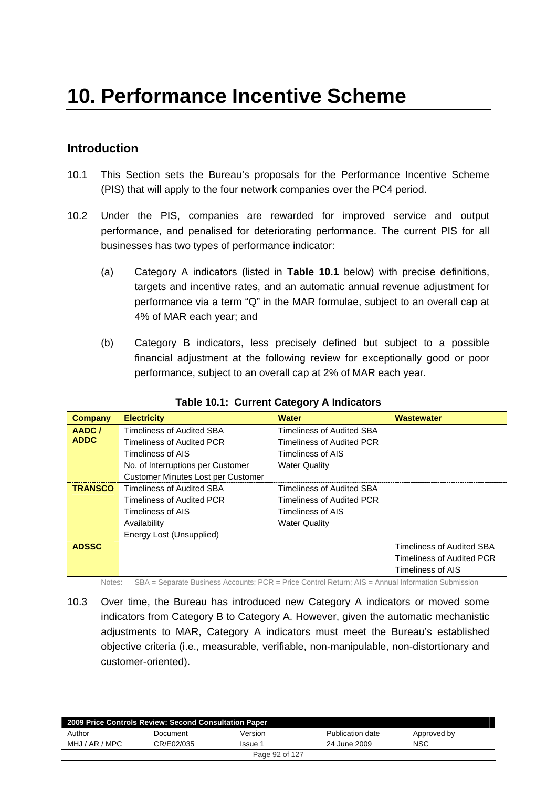## **Introduction**

- 10.1 This Section sets the Bureau's proposals for the Performance Incentive Scheme (PIS) that will apply to the four network companies over the PC4 period.
- 10.2 Under the PIS, companies are rewarded for improved service and output performance, and penalised for deteriorating performance. The current PIS for all businesses has two types of performance indicator:
	- (a) Category A indicators (listed in **Table 10.1** below) with precise definitions, targets and incentive rates, and an automatic annual revenue adjustment for performance via a term "Q" in the MAR formulae, subject to an overall cap at 4% of MAR each year; and
	- (b) Category B indicators, less precisely defined but subject to a possible financial adjustment at the following review for exceptionally good or poor performance, subject to an overall cap at 2% of MAR each year.

| Company        | <b>Electricity</b>                 | <b>Water</b>                     | <b>Wastewater</b>         |
|----------------|------------------------------------|----------------------------------|---------------------------|
| AADC/          | Timeliness of Audited SBA          | Timeliness of Audited SBA        |                           |
| <b>ADDC</b>    | <b>Timeliness of Audited PCR</b>   | Timeliness of Audited PCR        |                           |
|                | Timeliness of AIS                  | Timeliness of AIS                |                           |
|                | No. of Interruptions per Customer  | <b>Water Quality</b>             |                           |
|                | Customer Minutes Lost per Customer |                                  |                           |
| <b>TRANSCO</b> | Timeliness of Audited SBA          | <b>Timeliness of Audited SBA</b> |                           |
|                | Timeliness of Audited PCR          | Timeliness of Audited PCR        |                           |
|                | Timeliness of AIS                  | Timeliness of AIS                |                           |
|                | Availability                       | <b>Water Quality</b>             |                           |
|                | Energy Lost (Unsupplied)           |                                  |                           |
| <b>ADSSC</b>   |                                    |                                  | Timeliness of Audited SBA |
|                |                                    |                                  | Timeliness of Audited PCR |
|                |                                    |                                  | Timeliness of AIS         |

#### **Table 10.1: Current Category A Indicators**

Notes: SBA = Separate Business Accounts; PCR = Price Control Return; AIS = Annual Information Submission

10.3 Over time, the Bureau has introduced new Category A indicators or moved some indicators from Category B to Category A. However, given the automatic mechanistic adjustments to MAR, Category A indicators must meet the Bureau's established objective criteria (i.e., measurable, verifiable, non-manipulable, non-distortionary and customer-oriented).

| 2009 Price Controls Review: Second Consultation Paper |            |         |                  |             |  |
|-------------------------------------------------------|------------|---------|------------------|-------------|--|
| Author                                                | Document   | Version | Publication date | Approved by |  |
| MHJ / AR / MPC                                        | CR/E02/035 | Issue 1 | 24 June 2009     | <b>NSC</b>  |  |
| Page 92 of 127                                        |            |         |                  |             |  |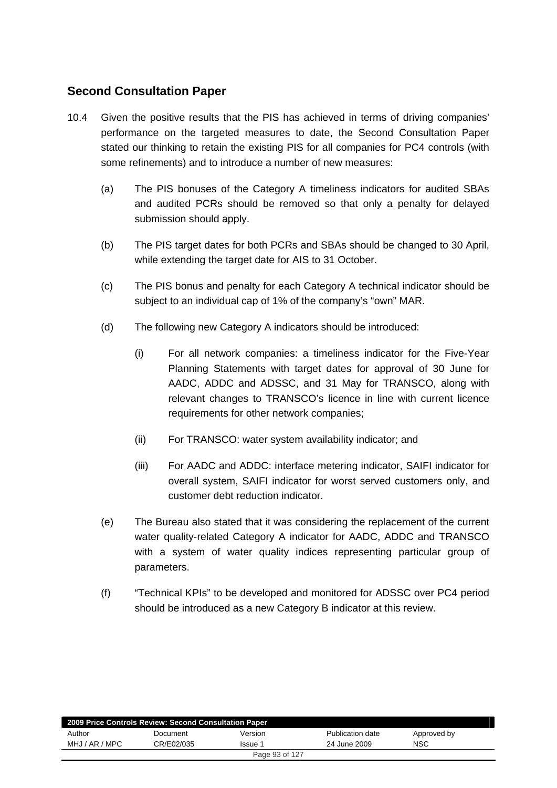## **Second Consultation Paper**

- 10.4 Given the positive results that the PIS has achieved in terms of driving companies' performance on the targeted measures to date, the Second Consultation Paper stated our thinking to retain the existing PIS for all companies for PC4 controls (with some refinements) and to introduce a number of new measures:
	- (a) The PIS bonuses of the Category A timeliness indicators for audited SBAs and audited PCRs should be removed so that only a penalty for delayed submission should apply.
	- (b) The PIS target dates for both PCRs and SBAs should be changed to 30 April, while extending the target date for AIS to 31 October.
	- (c) The PIS bonus and penalty for each Category A technical indicator should be subject to an individual cap of 1% of the company's "own" MAR.
	- (d) The following new Category A indicators should be introduced:
		- (i) For all network companies: a timeliness indicator for the Five-Year Planning Statements with target dates for approval of 30 June for AADC, ADDC and ADSSC, and 31 May for TRANSCO, along with relevant changes to TRANSCO's licence in line with current licence requirements for other network companies;
		- (ii) For TRANSCO: water system availability indicator; and
		- (iii) For AADC and ADDC: interface metering indicator, SAIFI indicator for overall system, SAIFI indicator for worst served customers only, and customer debt reduction indicator.
	- (e) The Bureau also stated that it was considering the replacement of the current water quality-related Category A indicator for AADC, ADDC and TRANSCO with a system of water quality indices representing particular group of parameters.
	- (f) "Technical KPIs" to be developed and monitored for ADSSC over PC4 period should be introduced as a new Category B indicator at this review.

| 2009 Price Controls Review: Second Consultation Paper |            |         |                  |             |  |
|-------------------------------------------------------|------------|---------|------------------|-------------|--|
| Author                                                | Document   | Version | Publication date | Approved by |  |
| MHJ / AR / MPC                                        | CR/E02/035 | Issue 1 | 24 June 2009     | <b>NSC</b>  |  |
| Page 93 of 127                                        |            |         |                  |             |  |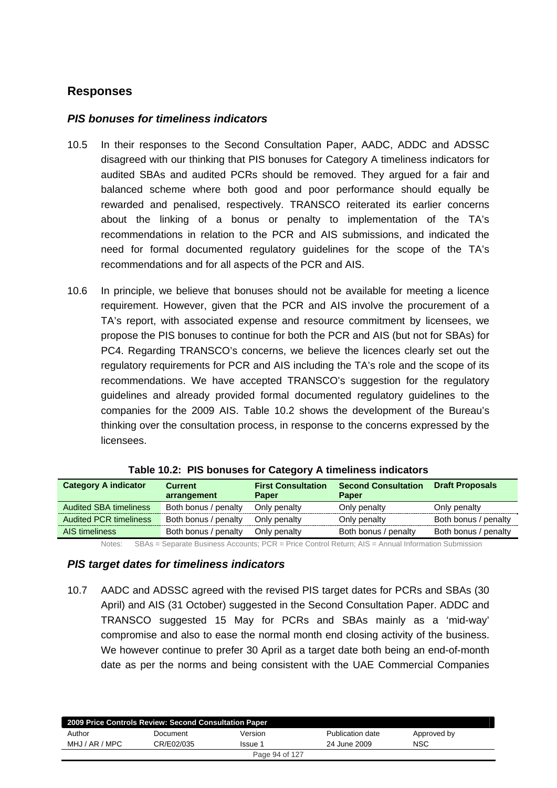## **Responses**

#### *PIS bonuses for timeliness indicators*

- 10.5 In their responses to the Second Consultation Paper, AADC, ADDC and ADSSC disagreed with our thinking that PIS bonuses for Category A timeliness indicators for audited SBAs and audited PCRs should be removed. They argued for a fair and balanced scheme where both good and poor performance should equally be rewarded and penalised, respectively. TRANSCO reiterated its earlier concerns about the linking of a bonus or penalty to implementation of the TA's recommendations in relation to the PCR and AIS submissions, and indicated the need for formal documented regulatory guidelines for the scope of the TA's recommendations and for all aspects of the PCR and AIS.
- 10.6 In principle, we believe that bonuses should not be available for meeting a licence requirement. However, given that the PCR and AIS involve the procurement of a TA's report, with associated expense and resource commitment by licensees, we propose the PIS bonuses to continue for both the PCR and AIS (but not for SBAs) for PC4. Regarding TRANSCO's concerns, we believe the licences clearly set out the regulatory requirements for PCR and AIS including the TA's role and the scope of its recommendations. We have accepted TRANSCO's suggestion for the regulatory guidelines and already provided formal documented regulatory guidelines to the companies for the 2009 AIS. Table 10.2 shows the development of the Bureau's thinking over the consultation process, in response to the concerns expressed by the licensees.

| <b>Category A indicator</b>   | <b>Current</b><br>arrangement | <b>First Consultation</b><br><b>Paper</b> | <b>Second Consultation</b><br><b>Paper</b> | <b>Draft Proposals</b> |
|-------------------------------|-------------------------------|-------------------------------------------|--------------------------------------------|------------------------|
| <b>Audited SBA timeliness</b> | Both bonus / penalty          | Only penalty                              | Only penalty                               | Only penalty           |
| <b>Audited PCR timeliness</b> | Both bonus / penalty          | Only penalty                              | Only penalty                               | Both bonus / penalty   |
| AIS timeliness                | Both bonus / penalty          | Only penalty                              | Both bonus / penalty                       | Both bonus / penalty   |

Notes: SBAs = Separate Business Accounts; PCR = Price Control Return; AIS = Annual Information Submission

#### *PIS target dates for timeliness indicators*

10.7 AADC and ADSSC agreed with the revised PIS target dates for PCRs and SBAs (30 April) and AIS (31 October) suggested in the Second Consultation Paper. ADDC and TRANSCO suggested 15 May for PCRs and SBAs mainly as a 'mid-way' compromise and also to ease the normal month end closing activity of the business. We however continue to prefer 30 April as a target date both being an end-of-month date as per the norms and being consistent with the UAE Commercial Companies

| 2009 Price Controls Review: Second Consultation Paper |            |         |                  |             |  |
|-------------------------------------------------------|------------|---------|------------------|-------------|--|
| Author                                                | Document   | Version | Publication date | Approved by |  |
| MHJ / AR / MPC                                        | CR/E02/035 | Issue 1 | 24 June 2009     | <b>NSC</b>  |  |
| Page 94 of 127                                        |            |         |                  |             |  |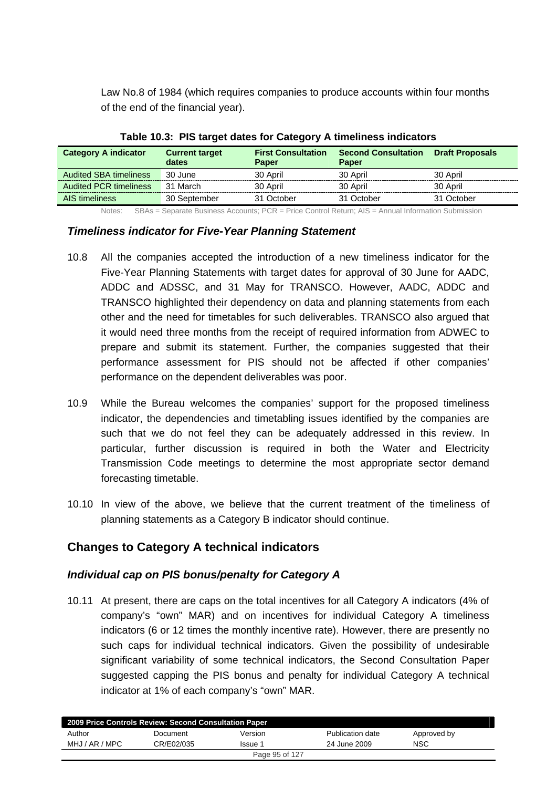Law No.8 of 1984 (which requires companies to produce accounts within four months of the end of the financial year).

| . which is a consequent which is a stronger $\mu$ is an increased in the state of |                                |                                           |                                            |                        |  |  |
|-----------------------------------------------------------------------------------|--------------------------------|-------------------------------------------|--------------------------------------------|------------------------|--|--|
| <b>Category A indicator</b>                                                       | <b>Current target</b><br>dates | <b>First Consultation</b><br><b>Paper</b> | <b>Second Consultation</b><br><b>Paper</b> | <b>Draft Proposals</b> |  |  |
| <b>Audited SBA timeliness</b>                                                     | 30 June                        | 30 April                                  | 30 April                                   | 30 April               |  |  |
| <b>Audited PCR timeliness</b>                                                     | 31 March                       | 30 April                                  | 30 April                                   | 30 April               |  |  |
| AIS timeliness                                                                    | 30 September                   | 31 October                                | 31 October                                 | 31 October             |  |  |

#### **Table 10.3: PIS target dates for Category A timeliness indicators**

Notes: SBAs = Separate Business Accounts; PCR = Price Control Return; AIS = Annual Information Submission

#### *Timeliness indicator for Five-Year Planning Statement*

- 10.8 All the companies accepted the introduction of a new timeliness indicator for the Five-Year Planning Statements with target dates for approval of 30 June for AADC, ADDC and ADSSC, and 31 May for TRANSCO. However, AADC, ADDC and TRANSCO highlighted their dependency on data and planning statements from each other and the need for timetables for such deliverables. TRANSCO also argued that it would need three months from the receipt of required information from ADWEC to prepare and submit its statement. Further, the companies suggested that their performance assessment for PIS should not be affected if other companies' performance on the dependent deliverables was poor.
- 10.9 While the Bureau welcomes the companies' support for the proposed timeliness indicator, the dependencies and timetabling issues identified by the companies are such that we do not feel they can be adequately addressed in this review. In particular, further discussion is required in both the Water and Electricity Transmission Code meetings to determine the most appropriate sector demand forecasting timetable.
- 10.10 In view of the above, we believe that the current treatment of the timeliness of planning statements as a Category B indicator should continue.

## **Changes to Category A technical indicators**

### *Individual cap on PIS bonus/penalty for Category A*

10.11 At present, there are caps on the total incentives for all Category A indicators (4% of company's "own" MAR) and on incentives for individual Category A timeliness indicators (6 or 12 times the monthly incentive rate). However, there are presently no such caps for individual technical indicators. Given the possibility of undesirable significant variability of some technical indicators, the Second Consultation Paper suggested capping the PIS bonus and penalty for individual Category A technical indicator at 1% of each company's "own" MAR.

| Document       | Version | Publication date                                      | Approved by |  |  |
|----------------|---------|-------------------------------------------------------|-------------|--|--|
| CR/E02/035     | Issue 1 | 24 June 2009                                          | NSC         |  |  |
| Page 95 of 127 |         |                                                       |             |  |  |
|                |         | 2009 Price Controls Review: Second Consultation Paper |             |  |  |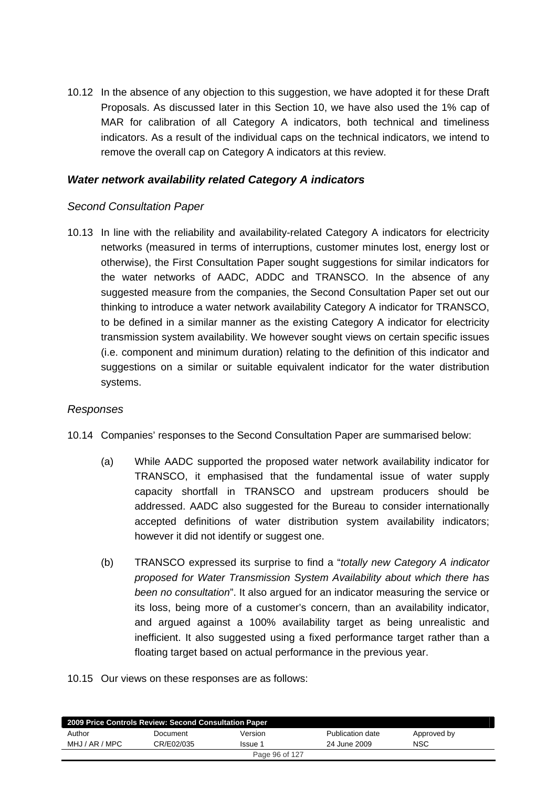10.12 In the absence of any objection to this suggestion, we have adopted it for these Draft Proposals. As discussed later in this Section 10, we have also used the 1% cap of MAR for calibration of all Category A indicators, both technical and timeliness indicators. As a result of the individual caps on the technical indicators, we intend to remove the overall cap on Category A indicators at this review.

### *Water network availability related Category A indicators*

#### *Second Consultation Paper*

10.13 In line with the reliability and availability-related Category A indicators for electricity networks (measured in terms of interruptions, customer minutes lost, energy lost or otherwise), the First Consultation Paper sought suggestions for similar indicators for the water networks of AADC, ADDC and TRANSCO. In the absence of any suggested measure from the companies, the Second Consultation Paper set out our thinking to introduce a water network availability Category A indicator for TRANSCO, to be defined in a similar manner as the existing Category A indicator for electricity transmission system availability. We however sought views on certain specific issues (i.e. component and minimum duration) relating to the definition of this indicator and suggestions on a similar or suitable equivalent indicator for the water distribution systems.

### *Responses*

- 10.14 Companies' responses to the Second Consultation Paper are summarised below:
	- (a) While AADC supported the proposed water network availability indicator for TRANSCO, it emphasised that the fundamental issue of water supply capacity shortfall in TRANSCO and upstream producers should be addressed. AADC also suggested for the Bureau to consider internationally accepted definitions of water distribution system availability indicators; however it did not identify or suggest one.
	- (b) TRANSCO expressed its surprise to find a "*totally new Category A indicator proposed for Water Transmission System Availability about which there has been no consultation*". It also argued for an indicator measuring the service or its loss, being more of a customer's concern, than an availability indicator, and argued against a 100% availability target as being unrealistic and inefficient. It also suggested using a fixed performance target rather than a floating target based on actual performance in the previous year.
- 10.15 Our views on these responses are as follows:

| 2009 Price Controls Review: Second Consultation Paper |            |         |                  |             |  |
|-------------------------------------------------------|------------|---------|------------------|-------------|--|
| Author                                                | Document   | Version | Publication date | Approved by |  |
| MHJ / AR / MPC                                        | CR/E02/035 | Issue 1 | 24 June 2009     | NSC         |  |
| Page 96 of 127                                        |            |         |                  |             |  |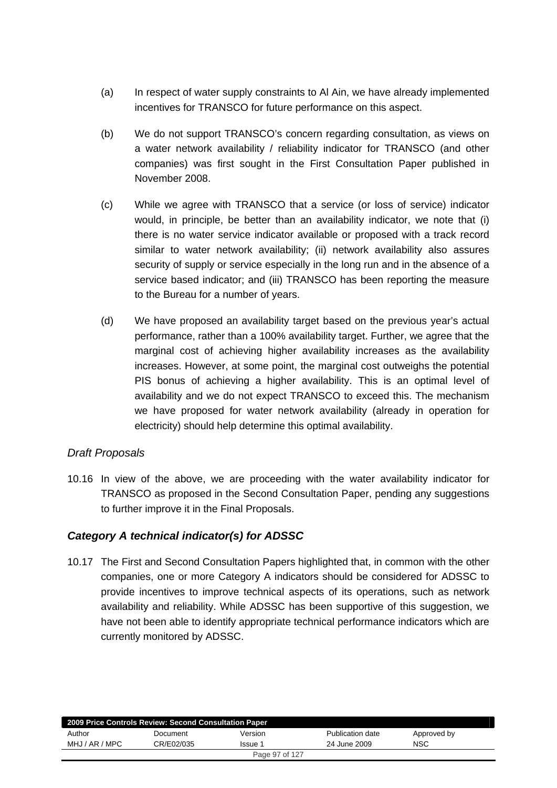- (a) In respect of water supply constraints to Al Ain, we have already implemented incentives for TRANSCO for future performance on this aspect.
- (b) We do not support TRANSCO's concern regarding consultation, as views on a water network availability / reliability indicator for TRANSCO (and other companies) was first sought in the First Consultation Paper published in November 2008.
- (c) While we agree with TRANSCO that a service (or loss of service) indicator would, in principle, be better than an availability indicator, we note that (i) there is no water service indicator available or proposed with a track record similar to water network availability; (ii) network availability also assures security of supply or service especially in the long run and in the absence of a service based indicator; and (iii) TRANSCO has been reporting the measure to the Bureau for a number of years.
- (d) We have proposed an availability target based on the previous year's actual performance, rather than a 100% availability target. Further, we agree that the marginal cost of achieving higher availability increases as the availability increases. However, at some point, the marginal cost outweighs the potential PIS bonus of achieving a higher availability. This is an optimal level of availability and we do not expect TRANSCO to exceed this. The mechanism we have proposed for water network availability (already in operation for electricity) should help determine this optimal availability.

### *Draft Proposals*

10.16 In view of the above, we are proceeding with the water availability indicator for TRANSCO as proposed in the Second Consultation Paper, pending any suggestions to further improve it in the Final Proposals.

## *Category A technical indicator(s) for ADSSC*

10.17 The First and Second Consultation Papers highlighted that, in common with the other companies, one or more Category A indicators should be considered for ADSSC to provide incentives to improve technical aspects of its operations, such as network availability and reliability. While ADSSC has been supportive of this suggestion, we have not been able to identify appropriate technical performance indicators which are currently monitored by ADSSC.

| 2009 Price Controls Review: Second Consultation Paper |            |         |                  |             |  |
|-------------------------------------------------------|------------|---------|------------------|-------------|--|
| Author                                                | Document   | Version | Publication date | Approved by |  |
| MHJ / AR / MPC                                        | CR/E02/035 | Issue 1 | 24 June 2009     | <b>NSC</b>  |  |
| Page 97 of 127                                        |            |         |                  |             |  |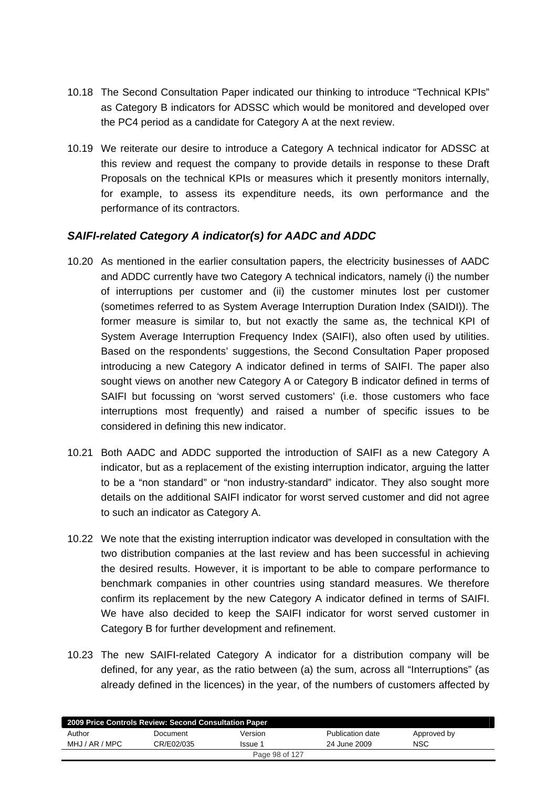- 10.18 The Second Consultation Paper indicated our thinking to introduce "Technical KPIs" as Category B indicators for ADSSC which would be monitored and developed over the PC4 period as a candidate for Category A at the next review.
- 10.19 We reiterate our desire to introduce a Category A technical indicator for ADSSC at this review and request the company to provide details in response to these Draft Proposals on the technical KPIs or measures which it presently monitors internally, for example, to assess its expenditure needs, its own performance and the performance of its contractors.

### *SAIFI-related Category A indicator(s) for AADC and ADDC*

- 10.20 As mentioned in the earlier consultation papers, the electricity businesses of AADC and ADDC currently have two Category A technical indicators, namely (i) the number of interruptions per customer and (ii) the customer minutes lost per customer (sometimes referred to as System Average Interruption Duration Index (SAIDI)). The former measure is similar to, but not exactly the same as, the technical KPI of System Average Interruption Frequency Index (SAIFI), also often used by utilities. Based on the respondents' suggestions, the Second Consultation Paper proposed introducing a new Category A indicator defined in terms of SAIFI. The paper also sought views on another new Category A or Category B indicator defined in terms of SAIFI but focussing on 'worst served customers' (i.e. those customers who face interruptions most frequently) and raised a number of specific issues to be considered in defining this new indicator.
- 10.21 Both AADC and ADDC supported the introduction of SAIFI as a new Category A indicator, but as a replacement of the existing interruption indicator, arguing the latter to be a "non standard" or "non industry-standard" indicator. They also sought more details on the additional SAIFI indicator for worst served customer and did not agree to such an indicator as Category A.
- 10.22 We note that the existing interruption indicator was developed in consultation with the two distribution companies at the last review and has been successful in achieving the desired results. However, it is important to be able to compare performance to benchmark companies in other countries using standard measures. We therefore confirm its replacement by the new Category A indicator defined in terms of SAIFI. We have also decided to keep the SAIFI indicator for worst served customer in Category B for further development and refinement.
- 10.23 The new SAIFI-related Category A indicator for a distribution company will be defined, for any year, as the ratio between (a) the sum, across all "Interruptions" (as already defined in the licences) in the year, of the numbers of customers affected by

| 2009 Price Controls Review: Second Consultation Paper |            |         |                  |             |
|-------------------------------------------------------|------------|---------|------------------|-------------|
| Author                                                | Document   | Version | Publication date | Approved by |
| MHJ / AR / MPC                                        | CR/E02/035 | Issue 1 | 24 June 2009     | <b>NSC</b>  |
| Page 98 of 127                                        |            |         |                  |             |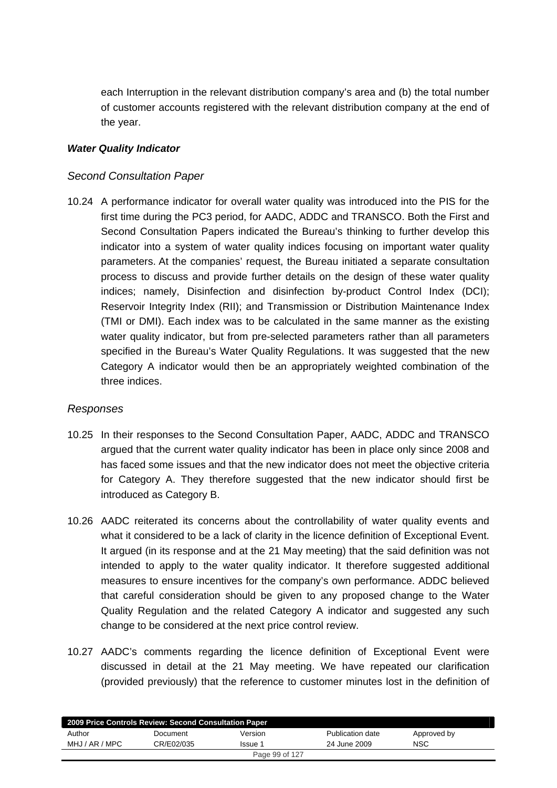each Interruption in the relevant distribution company's area and (b) the total number of customer accounts registered with the relevant distribution company at the end of the year.

### *Water Quality Indicator*

### *Second Consultation Paper*

10.24 A performance indicator for overall water quality was introduced into the PIS for the first time during the PC3 period, for AADC, ADDC and TRANSCO. Both the First and Second Consultation Papers indicated the Bureau's thinking to further develop this indicator into a system of water quality indices focusing on important water quality parameters. At the companies' request, the Bureau initiated a separate consultation process to discuss and provide further details on the design of these water quality indices; namely, Disinfection and disinfection by-product Control Index (DCI); Reservoir Integrity Index (RII); and Transmission or Distribution Maintenance Index (TMI or DMI). Each index was to be calculated in the same manner as the existing water quality indicator, but from pre-selected parameters rather than all parameters specified in the Bureau's Water Quality Regulations. It was suggested that the new Category A indicator would then be an appropriately weighted combination of the three indices.

### *Responses*

- 10.25 In their responses to the Second Consultation Paper, AADC, ADDC and TRANSCO argued that the current water quality indicator has been in place only since 2008 and has faced some issues and that the new indicator does not meet the objective criteria for Category A. They therefore suggested that the new indicator should first be introduced as Category B.
- 10.26 AADC reiterated its concerns about the controllability of water quality events and what it considered to be a lack of clarity in the licence definition of Exceptional Event. It argued (in its response and at the 21 May meeting) that the said definition was not intended to apply to the water quality indicator. It therefore suggested additional measures to ensure incentives for the company's own performance. ADDC believed that careful consideration should be given to any proposed change to the Water Quality Regulation and the related Category A indicator and suggested any such change to be considered at the next price control review.
- 10.27 AADC's comments regarding the licence definition of Exceptional Event were discussed in detail at the 21 May meeting. We have repeated our clarification (provided previously) that the reference to customer minutes lost in the definition of

|                | 2009 Price Controls Review: Second Consultation Paper |         |                  |             |  |
|----------------|-------------------------------------------------------|---------|------------------|-------------|--|
| Author         | Document                                              | Version | Publication date | Approved by |  |
| MHJ / AR / MPC | CR/E02/035                                            | Issue 1 | 24 June 2009     | <b>NSC</b>  |  |
| Page 99 of 127 |                                                       |         |                  |             |  |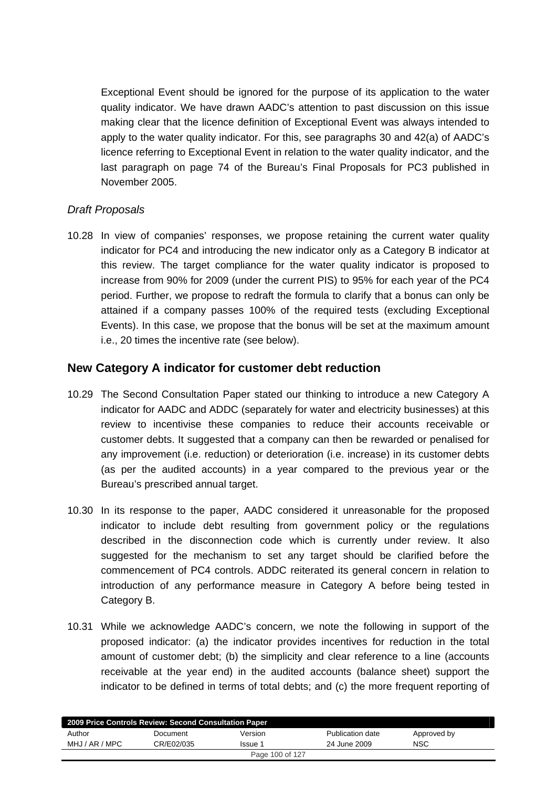Exceptional Event should be ignored for the purpose of its application to the water quality indicator. We have drawn AADC's attention to past discussion on this issue making clear that the licence definition of Exceptional Event was always intended to apply to the water quality indicator. For this, see paragraphs 30 and 42(a) of AADC's licence referring to Exceptional Event in relation to the water quality indicator, and the last paragraph on page 74 of the Bureau's Final Proposals for PC3 published in November 2005.

### *Draft Proposals*

10.28 In view of companies' responses, we propose retaining the current water quality indicator for PC4 and introducing the new indicator only as a Category B indicator at this review. The target compliance for the water quality indicator is proposed to increase from 90% for 2009 (under the current PIS) to 95% for each year of the PC4 period. Further, we propose to redraft the formula to clarify that a bonus can only be attained if a company passes 100% of the required tests (excluding Exceptional Events). In this case, we propose that the bonus will be set at the maximum amount i.e., 20 times the incentive rate (see below).

## **New Category A indicator for customer debt reduction**

- 10.29 The Second Consultation Paper stated our thinking to introduce a new Category A indicator for AADC and ADDC (separately for water and electricity businesses) at this review to incentivise these companies to reduce their accounts receivable or customer debts. It suggested that a company can then be rewarded or penalised for any improvement (i.e. reduction) or deterioration (i.e. increase) in its customer debts (as per the audited accounts) in a year compared to the previous year or the Bureau's prescribed annual target.
- 10.30 In its response to the paper, AADC considered it unreasonable for the proposed indicator to include debt resulting from government policy or the regulations described in the disconnection code which is currently under review. It also suggested for the mechanism to set any target should be clarified before the commencement of PC4 controls. ADDC reiterated its general concern in relation to introduction of any performance measure in Category A before being tested in Category B.
- 10.31 While we acknowledge AADC's concern, we note the following in support of the proposed indicator: (a) the indicator provides incentives for reduction in the total amount of customer debt; (b) the simplicity and clear reference to a line (accounts receivable at the year end) in the audited accounts (balance sheet) support the indicator to be defined in terms of total debts; and (c) the more frequent reporting of

| 2009 Price Controls Review: Second Consultation Paper |            |         |                  |             |  |
|-------------------------------------------------------|------------|---------|------------------|-------------|--|
| Author                                                | Document   | Version | Publication date | Approved by |  |
| MHJ / AR / MPC                                        | CR/E02/035 | Issue 1 | 24 June 2009     | <b>NSC</b>  |  |
| Page 100 of 127                                       |            |         |                  |             |  |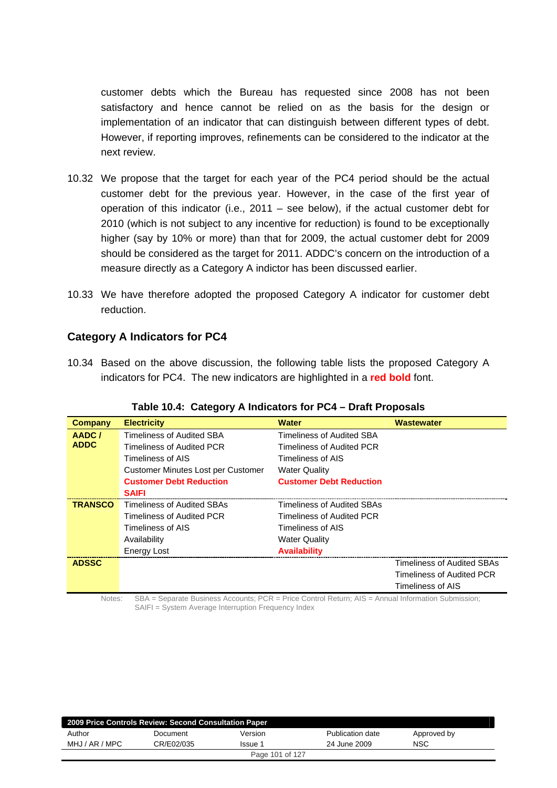customer debts which the Bureau has requested since 2008 has not been satisfactory and hence cannot be relied on as the basis for the design or implementation of an indicator that can distinguish between different types of debt. However, if reporting improves, refinements can be considered to the indicator at the next review.

- 10.32 We propose that the target for each year of the PC4 period should be the actual customer debt for the previous year. However, in the case of the first year of operation of this indicator (i.e., 2011 – see below), if the actual customer debt for 2010 (which is not subject to any incentive for reduction) is found to be exceptionally higher (say by 10% or more) than that for 2009, the actual customer debt for 2009 should be considered as the target for 2011. ADDC's concern on the introduction of a measure directly as a Category A indictor has been discussed earlier.
- 10.33 We have therefore adopted the proposed Category A indicator for customer debt reduction.

### **Category A Indicators for PC4**

10.34 Based on the above discussion, the following table lists the proposed Category A indicators for PC4. The new indicators are highlighted in a **red bold** font.

| Company        | <b>Electricity</b>                 | <b>Water</b>                      | <b>Wastewater</b>          |
|----------------|------------------------------------|-----------------------------------|----------------------------|
| AADC/          | <b>Timeliness of Audited SBA</b>   | Timeliness of Audited SBA         |                            |
| <b>ADDC</b>    | Timeliness of Audited PCR          | Timeliness of Audited PCR         |                            |
|                | Timeliness of AIS                  | Timeliness of AIS                 |                            |
|                | Customer Minutes Lost per Customer | <b>Water Quality</b>              |                            |
|                | <b>Customer Debt Reduction</b>     | <b>Customer Debt Reduction</b>    |                            |
|                | <b>SAIFI</b>                       |                                   |                            |
| <b>TRANSCO</b> | <b>Timeliness of Audited SBAs</b>  | <b>Timeliness of Audited SBAs</b> |                            |
|                | Timeliness of Audited PCR          | Timeliness of Audited PCR         |                            |
|                | Timeliness of AIS                  | Timeliness of AIS                 |                            |
|                | Availability                       | <b>Water Quality</b>              |                            |
|                | <b>Energy Lost</b>                 | <b>Availability</b>               |                            |
| <b>ADSSC</b>   |                                    |                                   | Timeliness of Audited SBAs |
|                |                                    |                                   | Timeliness of Audited PCR  |
|                |                                    |                                   | Timeliness of AIS          |

#### **Table 10.4: Category A Indicators for PC4 – Draft Proposals**

Notes: SBA = Separate Business Accounts; PCR = Price Control Return; AIS = Annual Information Submission; SAIFI = System Average Interruption Frequency Index

| 2009 Price Controls Review: Second Consultation Paper |            |                 |                  |             |  |  |
|-------------------------------------------------------|------------|-----------------|------------------|-------------|--|--|
| Author                                                | Document   | Version         | Publication date | Approved by |  |  |
| MHJ / AR / MPC                                        | CR/E02/035 | <b>Issue</b> 1  | 24 June 2009     | <b>NSC</b>  |  |  |
|                                                       |            | Page 101 of 127 |                  |             |  |  |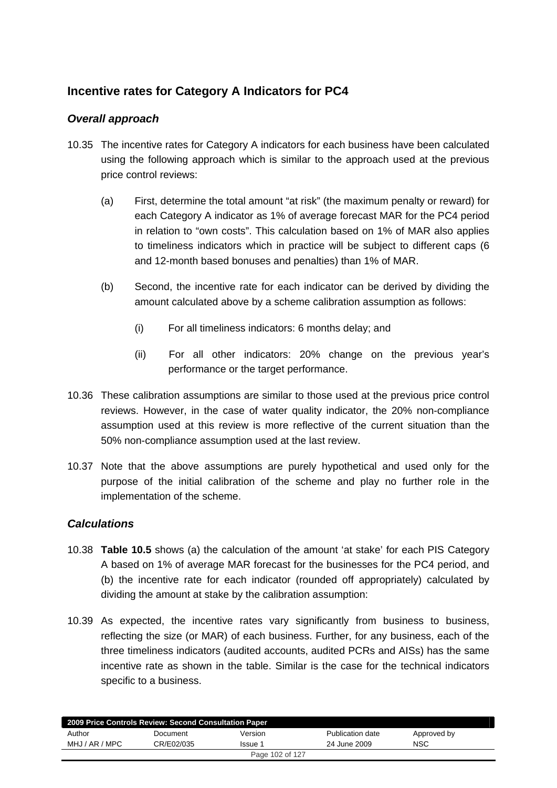# **Incentive rates for Category A Indicators for PC4**

## *Overall approach*

- 10.35 The incentive rates for Category A indicators for each business have been calculated using the following approach which is similar to the approach used at the previous price control reviews:
	- (a) First, determine the total amount "at risk" (the maximum penalty or reward) for each Category A indicator as 1% of average forecast MAR for the PC4 period in relation to "own costs". This calculation based on 1% of MAR also applies to timeliness indicators which in practice will be subject to different caps (6 and 12-month based bonuses and penalties) than 1% of MAR.
	- (b) Second, the incentive rate for each indicator can be derived by dividing the amount calculated above by a scheme calibration assumption as follows:
		- (i) For all timeliness indicators: 6 months delay; and
		- (ii) For all other indicators: 20% change on the previous year's performance or the target performance.
- 10.36 These calibration assumptions are similar to those used at the previous price control reviews. However, in the case of water quality indicator, the 20% non-compliance assumption used at this review is more reflective of the current situation than the 50% non-compliance assumption used at the last review.
- 10.37 Note that the above assumptions are purely hypothetical and used only for the purpose of the initial calibration of the scheme and play no further role in the implementation of the scheme.

### *Calculations*

- 10.38 **Table 10.5** shows (a) the calculation of the amount 'at stake' for each PIS Category A based on 1% of average MAR forecast for the businesses for the PC4 period, and (b) the incentive rate for each indicator (rounded off appropriately) calculated by dividing the amount at stake by the calibration assumption:
- 10.39 As expected, the incentive rates vary significantly from business to business, reflecting the size (or MAR) of each business. Further, for any business, each of the three timeliness indicators (audited accounts, audited PCRs and AISs) has the same incentive rate as shown in the table. Similar is the case for the technical indicators specific to a business.

| 2009 Price Controls Review: Second Consultation Paper |            |         |                  |             |  |  |
|-------------------------------------------------------|------------|---------|------------------|-------------|--|--|
| Author                                                | Document   | Version | Publication date | Approved by |  |  |
| MHJ / AR / MPC                                        | CR/E02/035 | Issue 1 | 24 June 2009     | <b>NSC</b>  |  |  |
| Page 102 of 127                                       |            |         |                  |             |  |  |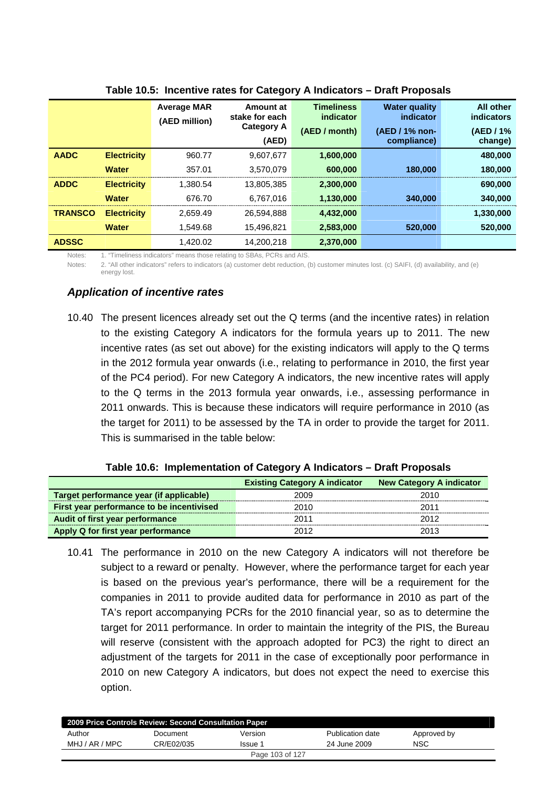|                |                    | <b>Average MAR</b><br>(AED million) | Amount at<br>stake for each | <b>Timeliness</b><br>indicator | <b>Water quality</b><br>indicator | <b>All other</b><br><b>indicators</b> |
|----------------|--------------------|-------------------------------------|-----------------------------|--------------------------------|-----------------------------------|---------------------------------------|
|                |                    | <b>Category A</b><br>(AED)          |                             | (AED / month)                  | (AED / 1% non-<br>compliance)     | (AED / 1%<br>change)                  |
| <b>AADC</b>    | <b>Electricity</b> | 960.77                              | 9,607,677                   | 1,600,000                      |                                   | 480,000                               |
|                | <b>Water</b>       | 357.01                              | 3.570.079                   | 600,000                        | 180,000                           | 180,000                               |
| <b>ADDC</b>    | <b>Electricity</b> | 1.380.54                            | 13.805.385                  | 2,300,000                      |                                   | 690,000                               |
|                | <b>Water</b>       | 676.70                              | 6.767.016                   | 1,130,000                      | 340,000                           | 340,000                               |
| <b>TRANSCO</b> | <b>Electricity</b> | 2.659.49                            | 26.594.888                  | 4,432,000                      |                                   | 1,330,000                             |
|                | <b>Water</b>       | 1.549.68                            | 15,496,821                  | 2,583,000                      | 520,000                           | 520,000                               |
| <b>ADSSC</b>   |                    | 1.420.02                            | 14.200.218                  | 2.370.000                      |                                   |                                       |

#### **Table 10.5: Incentive rates for Category A Indicators – Draft Proposals**

Notes: 1. "Timeliness indicators" means those relating to SBAs, PCRs and AIS.

Notes: 2. "All other indicators" refers to indicators (a) customer debt reduction, (b) customer minutes lost. (c) SAIFI, (d) availability, and (e) energy lost.

### *Application of incentive rates*

10.40 The present licences already set out the Q terms (and the incentive rates) in relation to the existing Category A indicators for the formula years up to 2011. The new incentive rates (as set out above) for the existing indicators will apply to the Q terms in the 2012 formula year onwards (i.e., relating to performance in 2010, the first year of the PC4 period). For new Category A indicators, the new incentive rates will apply to the Q terms in the 2013 formula year onwards, i.e., assessing performance in 2011 onwards. This is because these indicators will require performance in 2010 (as the target for 2011) to be assessed by the TA in order to provide the target for 2011. This is summarised in the table below:

|                                           | <b>Existing Category A indicator</b> | <b>New Category A indicator</b> |
|-------------------------------------------|--------------------------------------|---------------------------------|
| Target performance year (if applicable)   | 2009                                 | 2010                            |
| First year performance to be incentivised | 2010                                 | 2011                            |
| Audit of first year performance           | 2011                                 | 2012                            |
| Apply Q for first year performance        | 2012                                 | 2013                            |

#### **Table 10.6: Implementation of Category A Indicators – Draft Proposals**

10.41 The performance in 2010 on the new Category A indicators will not therefore be subject to a reward or penalty. However, where the performance target for each year is based on the previous year's performance, there will be a requirement for the companies in 2011 to provide audited data for performance in 2010 as part of the TA's report accompanying PCRs for the 2010 financial year, so as to determine the target for 2011 performance. In order to maintain the integrity of the PIS, the Bureau will reserve (consistent with the approach adopted for PC3) the right to direct an adjustment of the targets for 2011 in the case of exceptionally poor performance in 2010 on new Category A indicators, but does not expect the need to exercise this option.

| 2009 Price Controls Review: Second Consultation Paper |            |                |                  |             |  |  |
|-------------------------------------------------------|------------|----------------|------------------|-------------|--|--|
| Author                                                | Document   | Version        | Publication date | Approved by |  |  |
| MHJ / AR / MPC                                        | CR/E02/035 | <b>Issue</b> 1 | 24 June 2009     | NSC         |  |  |
| Page 103 of 127                                       |            |                |                  |             |  |  |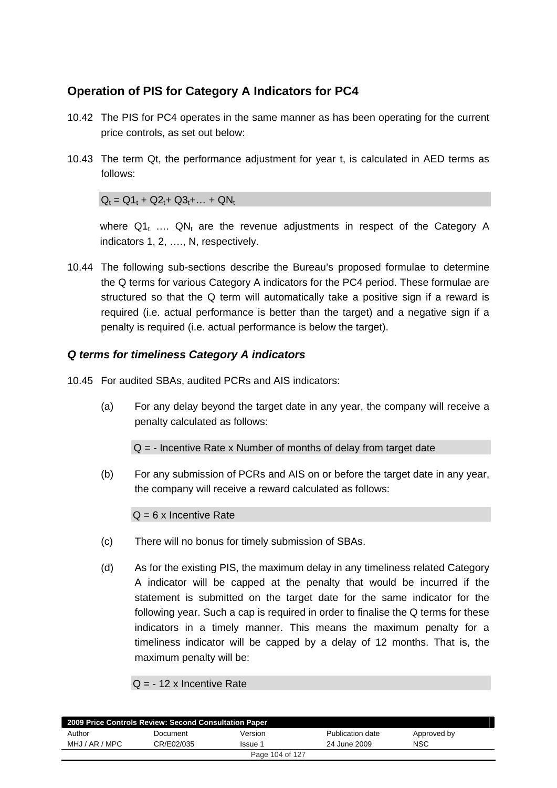# **Operation of PIS for Category A Indicators for PC4**

- 10.42 The PIS for PC4 operates in the same manner as has been operating for the current price controls, as set out below:
- 10.43 The term Qt, the performance adjustment for year t, is calculated in AED terms as follows:

 $Q_t = Q1_t + Q2_t + Q3_t + ... + QN_t$ 

where  $Q1_t$  ....  $QN_t$  are the revenue adjustments in respect of the Category A indicators 1, 2, …., N, respectively.

10.44 The following sub-sections describe the Bureau's proposed formulae to determine the Q terms for various Category A indicators for the PC4 period. These formulae are structured so that the Q term will automatically take a positive sign if a reward is required (i.e. actual performance is better than the target) and a negative sign if a penalty is required (i.e. actual performance is below the target).

### *Q terms for timeliness Category A indicators*

- 10.45 For audited SBAs, audited PCRs and AIS indicators:
	- (a) For any delay beyond the target date in any year, the company will receive a penalty calculated as follows:

 $Q = -$  Incentive Rate x Number of months of delay from target date

(b) For any submission of PCRs and AIS on or before the target date in any year, the company will receive a reward calculated as follows:

 $Q = 6x$  Incentive Rate

- (c) There will no bonus for timely submission of SBAs.
- (d) As for the existing PIS, the maximum delay in any timeliness related Category A indicator will be capped at the penalty that would be incurred if the statement is submitted on the target date for the same indicator for the following year. Such a cap is required in order to finalise the Q terms for these indicators in a timely manner. This means the maximum penalty for a timeliness indicator will be capped by a delay of 12 months. That is, the maximum penalty will be:

### $Q = -12$  x Incentive Rate

| 2009 Price Controls Review: Second Consultation Paper |            |         |                  |             |  |
|-------------------------------------------------------|------------|---------|------------------|-------------|--|
| Author                                                | Document   | Version | Publication date | Approved by |  |
| MHJ / AR / MPC                                        | CR/E02/035 | Issue 1 | 24 June 2009     | NSC         |  |
| Page 104 of 127                                       |            |         |                  |             |  |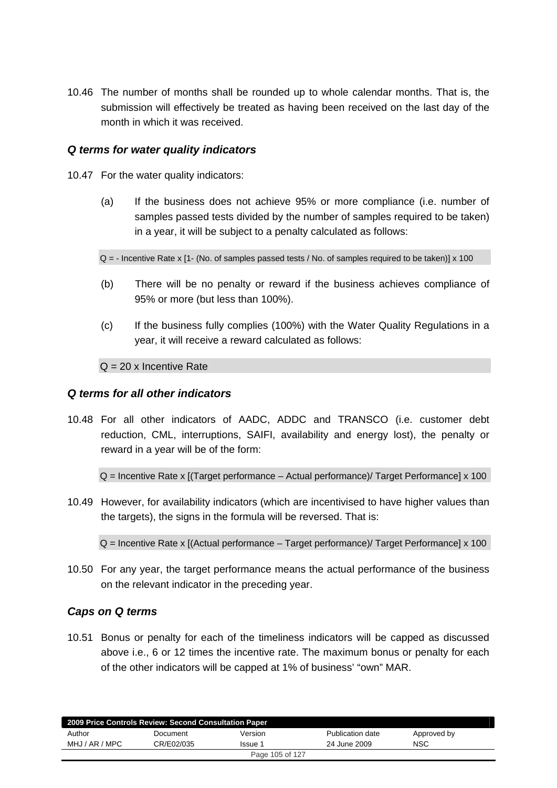10.46 The number of months shall be rounded up to whole calendar months. That is, the submission will effectively be treated as having been received on the last day of the month in which it was received.

### *Q terms for water quality indicators*

- 10.47 For the water quality indicators:
	- (a) If the business does not achieve 95% or more compliance (i.e. number of samples passed tests divided by the number of samples required to be taken) in a year, it will be subject to a penalty calculated as follows:

 $Q = -$  Incentive Rate x [1- (No. of samples passed tests / No. of samples required to be taken)] x 100

- (b) There will be no penalty or reward if the business achieves compliance of 95% or more (but less than 100%).
- (c) If the business fully complies (100%) with the Water Quality Regulations in a year, it will receive a reward calculated as follows:

 $Q = 20$  x Incentive Rate

### *Q terms for all other indicators*

10.48 For all other indicators of AADC, ADDC and TRANSCO (i.e. customer debt reduction, CML, interruptions, SAIFI, availability and energy lost), the penalty or reward in a year will be of the form:

Q = Incentive Rate x [(Target performance – Actual performance)/ Target Performance] x 100

10.49 However, for availability indicators (which are incentivised to have higher values than the targets), the signs in the formula will be reversed. That is:

 $Q =$  Incentive Rate x [(Actual performance – Target performance)/ Target Performance] x 100

10.50 For any year, the target performance means the actual performance of the business on the relevant indicator in the preceding year.

### *Caps on Q terms*

10.51 Bonus or penalty for each of the timeliness indicators will be capped as discussed above i.e., 6 or 12 times the incentive rate. The maximum bonus or penalty for each of the other indicators will be capped at 1% of business' "own" MAR.

| 2009 Price Controls Review: Second Consultation Paper |            |         |                  |             |  |  |
|-------------------------------------------------------|------------|---------|------------------|-------------|--|--|
| Author                                                | Document   | Version | Publication date | Approved by |  |  |
| MHJ / AR / MPC                                        | CR/E02/035 | Issue 1 | 24 June 2009     | <b>NSC</b>  |  |  |
| Page 105 of 127                                       |            |         |                  |             |  |  |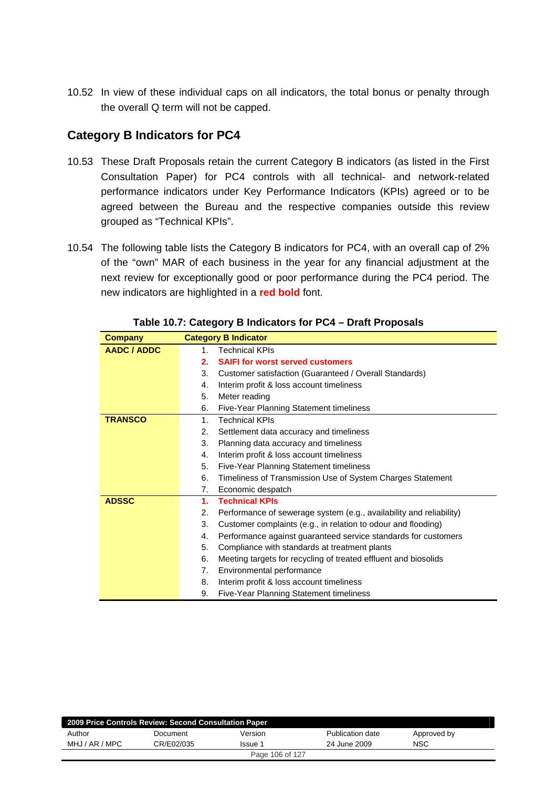10.52 In view of these individual caps on all indicators, the total bonus or penalty through the overall Q term will not be capped.

# **Category B Indicators for PC4**

- 10.53 These Draft Proposals retain the current Category B indicators (as listed in the First Consultation Paper) for PC4 controls with all technical- and network-related performance indicators under Key Performance Indicators (KPIs) agreed or to be agreed between the Bureau and the respective companies outside this review grouped as "Technical KPIs".
- 10.54 The following table lists the Category B indicators for PC4, with an overall cap of 2% of the "own" MAR of each business in the year for any financial adjustment at the next review for exceptionally good or poor performance during the PC4 period. The new indicators are highlighted in a **red bold** font.

| <b>Company</b> |    | <b>Category B Indicator</b>                                         |
|----------------|----|---------------------------------------------------------------------|
| AADC / ADDC    | 1  | <b>Technical KPIs</b>                                               |
|                | 2. | <b>SAIFI for worst served customers</b>                             |
|                | 3. | Customer satisfaction (Guaranteed / Overall Standards)              |
|                | 4. | Interim profit & loss account timeliness                            |
|                | 5. | Meter reading                                                       |
|                | 6. | Five-Year Planning Statement timeliness                             |
| <b>TRANSCO</b> | 1. | <b>Technical KPIs</b>                                               |
|                | 2. | Settlement data accuracy and timeliness                             |
|                | 3. | Planning data accuracy and timeliness                               |
|                | 4. | Interim profit & loss account timeliness                            |
|                | 5. | Five-Year Planning Statement timeliness                             |
|                | 6. | Timeliness of Transmission Use of System Charges Statement          |
|                | 7. | Economic despatch                                                   |
| <b>ADSSC</b>   | 1. | <b>Technical KPIs</b>                                               |
|                | 2. | Performance of sewerage system (e.g., availability and reliability) |
|                | 3. | Customer complaints (e.g., in relation to odour and flooding)       |
|                | 4. | Performance against guaranteed service standards for customers      |
|                | 5. | Compliance with standards at treatment plants                       |
|                | 6. | Meeting targets for recycling of treated effluent and biosolids     |
|                | 7. | Environmental performance                                           |
|                | 8. | Interim profit & loss account timeliness                            |
|                | 9. | <b>Five-Year Planning Statement timeliness</b>                      |

**Table 10.7: Category B Indicators for PC4 – Draft Proposals** 

| 2009 Price Controls Review: Second Consultation Paper |            |                 |                  |             |  |
|-------------------------------------------------------|------------|-----------------|------------------|-------------|--|
| Author                                                | Document   | Version         | Publication date | Approved by |  |
| MHJ / AR / MPC                                        | CR/E02/035 | Issue 1         | 24 June 2009     | NSC         |  |
|                                                       |            | Page 106 of 127 |                  |             |  |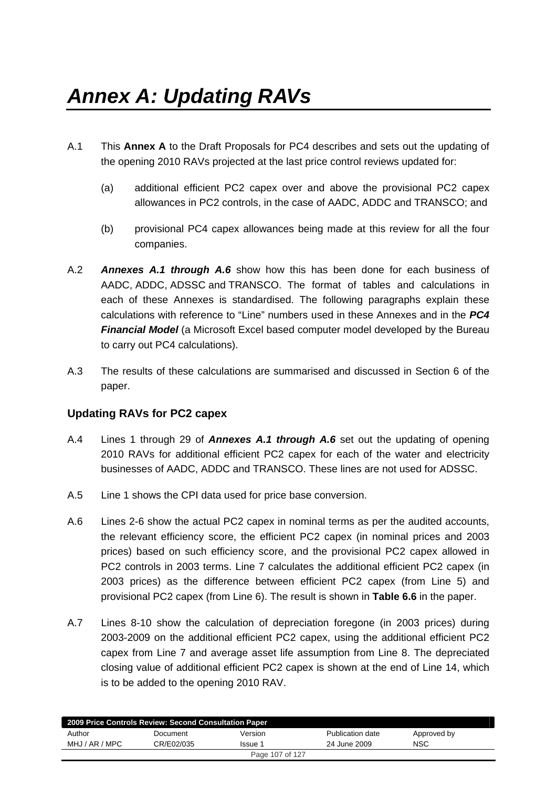- A.1 This **Annex A** to the Draft Proposals for PC4 describes and sets out the updating of the opening 2010 RAVs projected at the last price control reviews updated for:
	- (a) additional efficient PC2 capex over and above the provisional PC2 capex allowances in PC2 controls, in the case of AADC, ADDC and TRANSCO; and
	- (b) provisional PC4 capex allowances being made at this review for all the four companies.
- A.2 *Annexes A.1 through A.6* show how this has been done for each business of AADC, ADDC, ADSSC and TRANSCO. The format of tables and calculations in each of these Annexes is standardised. The following paragraphs explain these calculations with reference to "Line" numbers used in these Annexes and in the *PC4 Financial Model* (a Microsoft Excel based computer model developed by the Bureau to carry out PC4 calculations).
- A.3 The results of these calculations are summarised and discussed in Section 6 of the paper.

## **Updating RAVs for PC2 capex**

- A.4 Lines 1 through 29 of *Annexes A.1 through A.6* set out the updating of opening 2010 RAVs for additional efficient PC2 capex for each of the water and electricity businesses of AADC, ADDC and TRANSCO. These lines are not used for ADSSC.
- A.5 Line 1 shows the CPI data used for price base conversion.
- A.6 Lines 2-6 show the actual PC2 capex in nominal terms as per the audited accounts, the relevant efficiency score, the efficient PC2 capex (in nominal prices and 2003 prices) based on such efficiency score, and the provisional PC2 capex allowed in PC2 controls in 2003 terms. Line 7 calculates the additional efficient PC2 capex (in 2003 prices) as the difference between efficient PC2 capex (from Line 5) and provisional PC2 capex (from Line 6). The result is shown in **Table 6.6** in the paper.
- A.7 Lines 8-10 show the calculation of depreciation foregone (in 2003 prices) during 2003-2009 on the additional efficient PC2 capex, using the additional efficient PC2 capex from Line 7 and average asset life assumption from Line 8. The depreciated closing value of additional efficient PC2 capex is shown at the end of Line 14, which is to be added to the opening 2010 RAV.

| 2009 Price Controls Review: Second Consultation Paper |            |         |                  |             |  |
|-------------------------------------------------------|------------|---------|------------------|-------------|--|
| Author                                                | Document   | Version | Publication date | Approved by |  |
| MHJ / AR / MPC                                        | CR/E02/035 | Issue 1 | 24 June 2009     | NSC         |  |
| Page 107 of 127                                       |            |         |                  |             |  |
|                                                       |            |         |                  |             |  |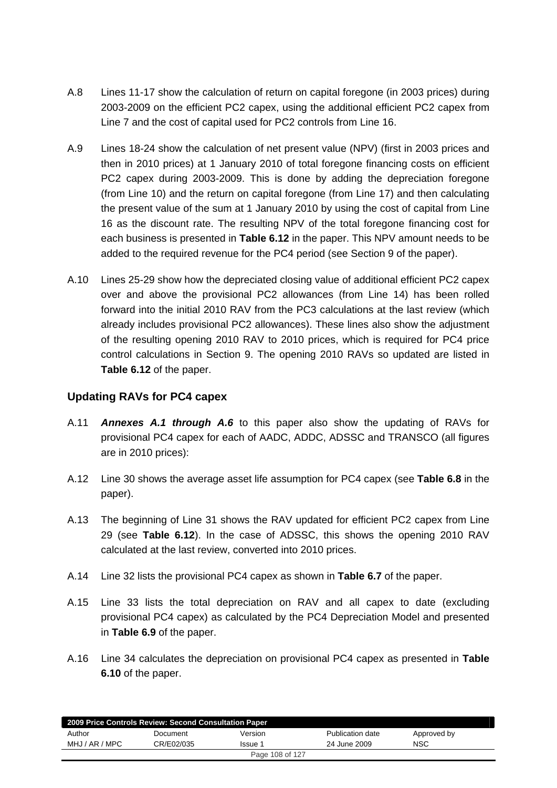- A.8 Lines 11-17 show the calculation of return on capital foregone (in 2003 prices) during 2003-2009 on the efficient PC2 capex, using the additional efficient PC2 capex from Line 7 and the cost of capital used for PC2 controls from Line 16.
- A.9 Lines 18-24 show the calculation of net present value (NPV) (first in 2003 prices and then in 2010 prices) at 1 January 2010 of total foregone financing costs on efficient PC2 capex during 2003-2009. This is done by adding the depreciation foregone (from Line 10) and the return on capital foregone (from Line 17) and then calculating the present value of the sum at 1 January 2010 by using the cost of capital from Line 16 as the discount rate. The resulting NPV of the total foregone financing cost for each business is presented in **Table 6.12** in the paper. This NPV amount needs to be added to the required revenue for the PC4 period (see Section 9 of the paper).
- A.10 Lines 25-29 show how the depreciated closing value of additional efficient PC2 capex over and above the provisional PC2 allowances (from Line 14) has been rolled forward into the initial 2010 RAV from the PC3 calculations at the last review (which already includes provisional PC2 allowances). These lines also show the adjustment of the resulting opening 2010 RAV to 2010 prices, which is required for PC4 price control calculations in Section 9. The opening 2010 RAVs so updated are listed in **Table 6.12** of the paper.

### **Updating RAVs for PC4 capex**

- A.11 *Annexes A.1 through A.6* to this paper also show the updating of RAVs for provisional PC4 capex for each of AADC, ADDC, ADSSC and TRANSCO (all figures are in 2010 prices):
- A.12 Line 30 shows the average asset life assumption for PC4 capex (see **Table 6.8** in the paper).
- A.13 The beginning of Line 31 shows the RAV updated for efficient PC2 capex from Line 29 (see **Table 6.12**). In the case of ADSSC, this shows the opening 2010 RAV calculated at the last review, converted into 2010 prices.
- A.14 Line 32 lists the provisional PC4 capex as shown in **Table 6.7** of the paper.
- A.15 Line 33 lists the total depreciation on RAV and all capex to date (excluding provisional PC4 capex) as calculated by the PC4 Depreciation Model and presented in **Table 6.9** of the paper.
- A.16 Line 34 calculates the depreciation on provisional PC4 capex as presented in **Table 6.10** of the paper.

| 2009 Price Controls Review: Second Consultation Paper |            |                 |                  |             |  |
|-------------------------------------------------------|------------|-----------------|------------------|-------------|--|
| Author                                                | Document   | Version         | Publication date | Approved by |  |
| MHJ / AR / MPC                                        | CR/E02/035 | Issue 1         | 24 June 2009     | <b>NSC</b>  |  |
|                                                       |            | Page 108 of 127 |                  |             |  |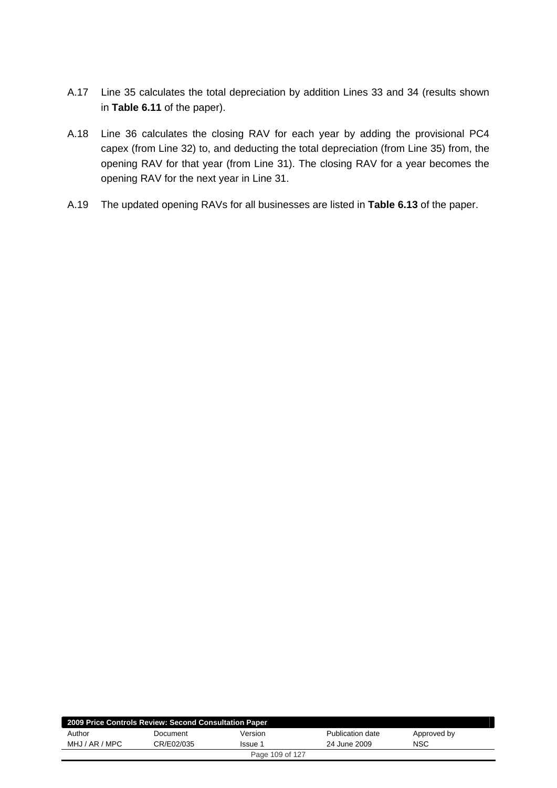- A.17 Line 35 calculates the total depreciation by addition Lines 33 and 34 (results shown in **Table 6.11** of the paper).
- A.18 Line 36 calculates the closing RAV for each year by adding the provisional PC4 capex (from Line 32) to, and deducting the total depreciation (from Line 35) from, the opening RAV for that year (from Line 31). The closing RAV for a year becomes the opening RAV for the next year in Line 31.
- A.19 The updated opening RAVs for all businesses are listed in **Table 6.13** of the paper.

| 2009 Price Controls Review: Second Consultation Paper |            |         |                  |             |  |  |  |  |  |
|-------------------------------------------------------|------------|---------|------------------|-------------|--|--|--|--|--|
| Author                                                | Document   | Version | Publication date | Approved by |  |  |  |  |  |
| MHJ / AR / MPC                                        | CR/E02/035 | Issue 1 | 24 June 2009     | NSC         |  |  |  |  |  |
| Page 109 of 127                                       |            |         |                  |             |  |  |  |  |  |
|                                                       |            |         |                  |             |  |  |  |  |  |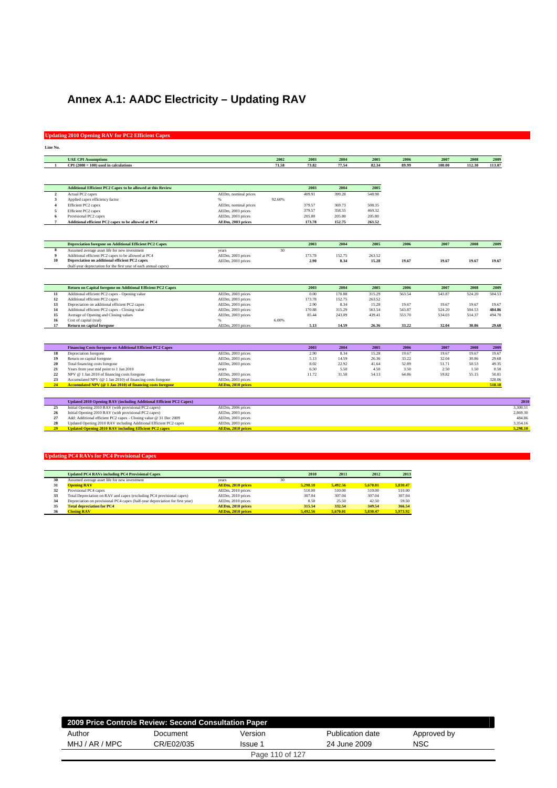# **Annex A.1: AADC Electricity – Updating RAV**

## **Updating 2010 Opening RAV for PC2 Efficient Capex**

| Line No.                |                                                                                                                                    |                                        |              |        |        |        |        |        |        |        |                      |
|-------------------------|------------------------------------------------------------------------------------------------------------------------------------|----------------------------------------|--------------|--------|--------|--------|--------|--------|--------|--------|----------------------|
|                         | <b>UAE CPI Assumptions</b>                                                                                                         |                                        | 2002         | 2003   | 2004   | 2005   | 2006   | 2007   | 2008   | 2009   |                      |
| -1                      | $CPI(2000 = 100)$ used in calculations                                                                                             |                                        | 71.58        | 73.82  | 77.54  | 82.34  | 89.99  | 100.00 | 112.30 | 113.07 |                      |
|                         |                                                                                                                                    |                                        |              |        |        |        |        |        |        |        |                      |
|                         | Additional Efficient PC2 Capex to be allowed at this Review                                                                        |                                        |              | 2003   | 2004   | 2005   |        |        |        |        |                      |
| $\overline{\mathbf{2}}$ | Actual PC2 capex                                                                                                                   | AEDm, nominal prices                   |              | 409.91 | 399.28 | 548.98 |        |        |        |        |                      |
| 3                       | Applied capex efficiency factor                                                                                                    | %                                      | 92.60%       |        |        |        |        |        |        |        |                      |
| $\overline{\mathbf{4}}$ | Efficient PC2 capex                                                                                                                | AEDm, nominal prices                   |              | 379.57 | 369.73 | 508.35 |        |        |        |        |                      |
| 5                       | Efficient PC2 capex                                                                                                                | AEDm, 2003 prices                      |              | 379.57 | 358.55 | 469.32 |        |        |        |        |                      |
| 6                       | Provisional PC2 capex                                                                                                              | AEDm, 2003 prices                      |              | 205.80 | 205.80 | 205.80 |        |        |        |        |                      |
| $7\phantom{.0}$         | Additional efficient PC2 capex to be allowed at PC4                                                                                | AEDm, 2003 prices                      |              | 173.78 | 152.75 | 263.52 |        |        |        |        |                      |
|                         |                                                                                                                                    |                                        |              |        |        |        |        |        |        |        |                      |
|                         | <b>Depreciation foregone on Additional Efficient PC2 Capex</b>                                                                     |                                        |              | 2003   | 2004   | 2005   | 2006   | 2007   | 2008   | 2009   |                      |
| 8                       | Assumed average asset life for new investment                                                                                      | years                                  | $30^{\circ}$ |        |        |        |        |        |        |        |                      |
| 9                       | Additional efficient PC2 capex to be allowed at PC4                                                                                | AEDm, 2003 prices                      |              | 173.78 | 152.75 | 263.52 |        |        |        |        |                      |
| 10                      | Depreciation on additional efficient PC2 capex                                                                                     | AEDm, 2003 prices                      |              | 2.90   | 8.34   | 15.28  | 19.67  | 19.67  | 19.67  | 19.67  |                      |
|                         | (half-year depreciation for the first year of each annual capex)                                                                   |                                        |              |        |        |        |        |        |        |        |                      |
|                         |                                                                                                                                    |                                        |              |        |        |        |        |        |        |        |                      |
|                         | Return on Capital foregone on Additional Efficient PC2 Capex                                                                       |                                        |              | 2003   | 2004   | 2005   | 2006   | 2007   | 2008   | 2009   |                      |
| 11                      | Additional efficient PC2 capex - Opening value                                                                                     | AEDm, 2003 prices                      |              | 0.00   | 170.88 | 315.29 | 563.54 | 543.87 | 524.20 | 504.53 |                      |
| 12                      | Additional efficient PC2 capex                                                                                                     | AEDm, 2003 prices                      |              | 173.78 | 152.75 | 263.52 |        |        |        |        |                      |
| 13                      | Depreciation on additional efficient PC2 capex                                                                                     | AEDm, 2003 prices                      |              | 2.90   | 8.34   | 15.28  | 19.67  | 19.67  | 19.67  | 19.67  |                      |
| 14                      | Additional efficient PC2 capex - Closing value                                                                                     | AEDm, 2003 prices                      |              | 170.88 | 315.29 | 563.54 | 543.87 | 524.20 | 504.53 | 484.86 |                      |
| 15                      | Average of Opening and Closing values                                                                                              | AEDm, 2003 prices                      |              | 85.44  | 243.09 | 439.41 | 553.70 | 534.03 | 514.37 | 494.70 |                      |
| 16                      | Cost of capital (real)                                                                                                             |                                        | 6.00%        |        |        |        |        |        |        |        |                      |
| 17                      | <b>Return on capital foregone</b>                                                                                                  | AEDm, 2003 prices                      |              | 5.13   | 14.59  | 26.36  | 33.22  | 32.04  | 30.86  | 29.68  |                      |
|                         |                                                                                                                                    |                                        |              |        |        |        |        |        |        |        |                      |
|                         | Financing Costs foregone on Additional Efficient PC2 Capex                                                                         |                                        |              | 2003   | 2004   | 2005   | 2006   | 2007   | 2008   | 2009   |                      |
| 18                      | Depreciation foregone                                                                                                              | AEDm, 2003 prices                      |              | 2.90   | 8.34   | 15.28  | 19.67  | 19.67  | 19.67  | 19.67  |                      |
| 19                      | Return on capital foregone                                                                                                         | AEDm, 2003 prices                      |              | 5.13   | 14.59  | 26.36  | 33.22  | 32.04  | 30.86  | 29.68  |                      |
| 20                      | Total financing costs foregone                                                                                                     | AEDm, 2003 prices                      |              | 8.02   | 22.92  | 41.64  | 52.89  | 51.71  | 50.53  | 49.35  |                      |
| 21                      | Years from year mid point to 1 Jan 2010                                                                                            | years                                  |              | 6.50   | 5.50   | 4.50   | 3.50   | 2.50   | 1.50   | 0.50   |                      |
| 22                      | NPV @ 1 Jan 2010 of financing costs foregone                                                                                       | AEDm, 2003 prices                      |              | 11.72  | 31.58  | 54.13  | 64.86  | 59.82  | 55.15  | 50.81  |                      |
| 23                      | Accumulated NPV (@ 1 Jan 2010) of financing costs foregone                                                                         | AEDm, 2003 prices                      |              |        |        |        |        |        |        | 328.06 |                      |
| 24                      | Accumulated NPV (@ 1 Jan 2010) of financing costs foregone                                                                         | AEDm, 2010 prices                      |              |        |        |        |        |        |        | 518.18 |                      |
|                         |                                                                                                                                    |                                        |              |        |        |        |        |        |        |        |                      |
|                         | Updated 2010 Opening RAV (including Additional Efficient PC2 Capex)                                                                |                                        |              |        |        |        |        |        |        |        | 2010                 |
| 25                      | Initial Opening 2010 RAV (with provisional PC2 capex)                                                                              | AEDm, 2006 prices                      |              |        |        |        |        |        |        |        | 3.300.51             |
| 26                      | Initial Opening 2010 RAV (with provisional PC2 capex)                                                                              | AEDm, 2003 prices                      |              |        |        |        |        |        |        |        | 2.869.30             |
| 27                      | Add: Additional efficient PC2 capex - Closing value @ 31 Dec 2009                                                                  | AEDm, 2003 prices                      |              |        |        |        |        |        |        |        | 484.86               |
| 28<br>29                | Updated Opening 2010 RAV including Additional Efficient PC2 capex<br><b>Updated Opening 2010 RAV including Efficient PC2 capex</b> | AEDm, 2003 prices<br>AEDm, 2010 prices |              |        |        |        |        |        |        |        | 3.354.16<br>5,298.10 |
|                         |                                                                                                                                    |                                        |              |        |        |        |        |        |        |        |                      |

|    | <b>Updated PC4 RAVs including PC4 Provisional Capex</b>                       |                          |    | 2010     | 2011     | 2012     | 2013     |
|----|-------------------------------------------------------------------------------|--------------------------|----|----------|----------|----------|----------|
| 30 | Assumed average asset life for new investment                                 | vears                    | 30 |          |          |          |          |
| 31 | <b>Opening RAV</b>                                                            | AEDm, 2010 prices        |    | 5.298.10 | 5.492.56 | 5.670.01 | 5.830.47 |
| 32 | Provisional PC4 capex                                                         | AEDm. 2010 prices        |    | 510.00   | 510.00   | 510.00   | 510.00   |
| 33 | Total Depreciation on RAV and capex (excluding PC4 provisional capex)         | AEDm, 2010 prices        |    | 307.04   | 307.04   | 307.04   | 307.04   |
| 34 | Depreciation on provisional PC4 capex (half-year depreciation for first year) | AEDm. 2010 prices        |    | 8.50     | 25.50    | 42.50    | 59.50    |
| 35 | <b>Total depreciation for PC4</b>                                             | AEDm. 2010 prices        |    | 315.54   | 332.54   | 349.54   | 366.54   |
| 36 | <b>Closing RAV</b>                                                            | <b>AEDm. 2010 prices</b> |    | 5.492.56 | 5.670.01 | 5.830.47 | 5,973.92 |

| 2009 Price Controls Review: Second Consultation Paper |            |                 |                  |             |  |  |  |  |
|-------------------------------------------------------|------------|-----------------|------------------|-------------|--|--|--|--|
| Author                                                | Document   | Version         | Publication date | Approved by |  |  |  |  |
| MHJ / AR / MPC                                        | CR/E02/035 | Issue 1         | 24 June 2009     | <b>NSC</b>  |  |  |  |  |
|                                                       |            | Page 110 of 127 |                  |             |  |  |  |  |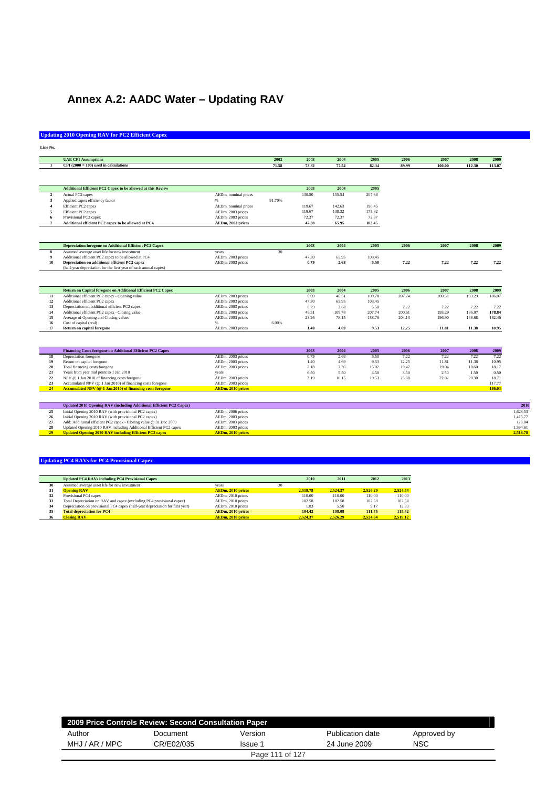# **Annex A.2: AADC Water – Updating RAV**

## **Updating 2010 Opening RAV for PC2 Efficient Capex**

| Line No<br>e. | n<br>. . |  |
|---------------|----------|--|

|                           | <b>UAE CPI Assumptions</b>                                                                                                             |                                        | 2002            | 2003   | 2004   | 2005   | 2006   | 2007   | 2008   | 2009   |
|---------------------------|----------------------------------------------------------------------------------------------------------------------------------------|----------------------------------------|-----------------|--------|--------|--------|--------|--------|--------|--------|
|                           | $CPI(2000 = 100)$ used in calculations                                                                                                 |                                        | 71.58           | 73.82  | 77.54  | 82.34  | 89.99  | 100.00 | 112.30 | 113.07 |
|                           |                                                                                                                                        |                                        |                 |        |        |        |        |        |        |        |
|                           |                                                                                                                                        |                                        |                 |        |        |        |        |        |        |        |
|                           | <b>Additional Efficient PC2 Capex to be allowed at this Review</b>                                                                     |                                        |                 | 2003   | 2004   | 2005   |        |        |        |        |
| $\overline{2}$            | Actual PC2 capex                                                                                                                       | AEDm, nominal prices                   |                 | 130.50 | 155.54 | 207.68 |        |        |        |        |
| 3                         | Applied capex efficiency factor                                                                                                        | $\%$                                   | 91.70%          |        |        |        |        |        |        |        |
|                           | Efficient PC2 capex                                                                                                                    | AEDm, nominal prices                   |                 | 119.67 | 142.63 | 190.45 |        |        |        |        |
| 5                         | Efficient PC2 capex                                                                                                                    | AEDm, 2003 prices                      |                 | 119.67 | 138.32 | 175.82 |        |        |        |        |
|                           | Provisional PC2 capex                                                                                                                  | AEDm, 2003 prices                      |                 | 72.37  | 72.37  | 72.37  |        |        |        |        |
| $\overline{7}$            | Additional efficient PC2 capex to be allowed at PC4                                                                                    | AEDm, 2003 prices                      |                 | 47.30  | 65.95  | 103.45 |        |        |        |        |
|                           |                                                                                                                                        |                                        |                 |        |        |        |        |        |        |        |
|                           | <b>Depreciation foregone on Additional Efficient PC2 Capex</b>                                                                         |                                        |                 | 2003   | 2004   | 2005   | 2006   | 2007   | 2008   | 2009   |
| $\boldsymbol{\mathbf{g}}$ | Assumed average asset life for new investment                                                                                          | years                                  | 30 <sup>2</sup> |        |        |        |        |        |        |        |
| 9                         | Additional efficient PC2 capex to be allowed at PC4                                                                                    | AEDm, 2003 prices                      |                 | 47.30  | 65.95  | 103.45 |        |        |        |        |
| 10                        | Depreciation on additional efficient PC2 capex                                                                                         | AEDm, 2003 prices                      |                 | 0.79   | 2.68   | 5.50   | 7.22   | 7.22   | 7.22   | 7.22   |
|                           | (half-year depreciation for the first year of each annual capex)                                                                       |                                        |                 |        |        |        |        |        |        |        |
|                           | Return on Capital foregone on Additional Efficient PC2 Capex                                                                           |                                        |                 | 2003   | 2004   | 2005   | 2006   | 2007   | 2008   | 2009   |
| $11\,$                    | Additional efficient PC2 capex - Opening value                                                                                         | AEDm, 2003 prices                      |                 | 0.00   | 46.51  | 109.78 | 207.74 | 200.51 | 193.29 | 186.07 |
| 12                        | Additional efficient PC2 capex                                                                                                         | AEDm, 2003 prices                      |                 | 47.30  | 65.95  | 103.45 |        |        |        |        |
| 13                        | Depreciation on additional efficient PC2 capex                                                                                         | AEDm, 2003 prices                      |                 | 0.79   | 2.68   | 5.50   | 7.22   | 7.22   | 7.22   | 7.22   |
| 14                        | Additional efficient PC2 capex - Closing value                                                                                         | AEDm, 2003 prices                      |                 | 46.51  | 109.78 | 207.74 | 200.51 | 193.29 | 186.07 | 178.84 |
| 15                        | Average of Opening and Closing values                                                                                                  | AEDm, 2003 prices<br>96                |                 | 23.26  | 78.15  | 158.76 | 204.13 | 196.90 | 189.68 | 182.46 |
| 16                        | Cost of capital (real)                                                                                                                 |                                        | 6.00%           |        |        |        |        |        |        |        |
| 17                        | Return on capital foregone                                                                                                             | AEDm, 2003 prices                      |                 | 1.40   | 4.69   | 9.53   | 12.25  | 11.81  | 11.38  | 10.95  |
|                           |                                                                                                                                        |                                        |                 |        |        |        |        |        |        |        |
|                           | Financing Costs foregone on Additional Efficient PC2 Capex                                                                             |                                        |                 | 2003   | 2004   | 2005   | 2006   | 2007   | 2008   | 2009   |
| 18                        | Depreciation foregone                                                                                                                  | AEDm, 2003 prices                      |                 | 0.79   | 2.68   | 5.50   | 7.22   | 7.22   | 7.22   | 7.22   |
| 19                        | Return on capital foregone                                                                                                             | AEDm, 2003 prices                      |                 | 1.40   | 4.69   | 9.53   | 12.25  | 11.81  | 11.38  | 10.95  |
| 20                        | Total financing costs foregone                                                                                                         | AEDm, 2003 prices                      |                 | 2.18   | 7.36   | 15.02  | 19.47  | 19.04  | 18.60  | 18.17  |
| 21                        | Years from year mid point to 1 Jan 2010                                                                                                | years                                  |                 | 6.50   | 5.50   | 4.50   | 3.50   | 2.50   | 1.50   | 0.50   |
| 22                        | NPV @ 1 Jan 2010 of financing costs foregone                                                                                           | AEDm, 2003 prices                      |                 | 3.19   | 10.15  | 19.53  | 23.88  | 22.02  | 20.30  | 18.71  |
| 23                        | Accumulated NPV (@ 1 Jan 2010) of financing costs foregone                                                                             | AEDm, 2003 prices                      |                 |        |        |        |        |        |        | 117.77 |
| 24                        | Accumulated NPV (@ 1 Jan 2010) of financing costs foregone                                                                             | AEDm, 2010 prices                      |                 |        |        |        |        |        |        | 186.03 |
|                           |                                                                                                                                        |                                        |                 |        |        |        |        |        |        |        |
|                           |                                                                                                                                        |                                        |                 |        |        |        |        |        |        |        |
|                           | Updated 2010 Opening RAV (including Additional Efficient PC2 Capex)                                                                    |                                        |                 |        |        |        |        |        |        |        |
| 25                        | Initial Opening 2010 RAV (with provisional PC2 capex)                                                                                  | AEDm, 2006 prices                      |                 |        |        |        |        |        |        |        |
| 26                        | Initial Opening 2010 RAV (with provisional PC2 capex)                                                                                  | AEDm, 2003 prices                      |                 |        |        |        |        |        |        |        |
| 27<br>28                  | Add: Additional efficient PC2 capex - Closing value @ 31 Dec 2009<br>Updated Opening 2010 RAV including Additional Efficient PC2 capex | AEDm, 2003 prices<br>AEDm, 2003 prices |                 |        |        |        |        |        |        |        |

|    | <b>Updated PC4 RAVs including PC4 Provisional Capex</b>                       |                          |    | 2010     | 2011     | 2012     | 2013     |
|----|-------------------------------------------------------------------------------|--------------------------|----|----------|----------|----------|----------|
| 30 | Assumed average asset life for new investment                                 | vears                    | 30 |          |          |          |          |
| 31 | <b>Opening RAV</b>                                                            | AEDm, 2010 prices        |    | 2.518.78 | 2.524.37 | 2.526.29 | 2.524.54 |
| 32 | Provisional PC4 capex                                                         | AEDm, 2010 prices        |    | 110.00   | 110.00   | 110.00   | 110.00   |
| 33 | Total Depreciation on RAV and capex (excluding PC4 provisional capex)         | AEDm. 2010 prices        |    | 102.58   | 102.58   | 102.58   | 102.58   |
| 34 | Depreciation on provisional PC4 capex (half-year depreciation for first year) | AEDm, 2010 prices        |    | 1.83     | 5.50     | 9.17     | 12.83    |
| 35 | <b>Total depreciation for PC4</b>                                             | AEDm. 2010 prices        |    | 104.42   | 108.08   | 111.75   | 115.42   |
| 36 | <b>Closing RAV</b>                                                            | <b>AEDm. 2010 prices</b> |    | 2.524.37 | 2.526.29 | 2.524.54 | 2.519.12 |

| 2009 Price Controls Review: Second Consultation Paper |            |                 |                  |             |  |  |  |  |
|-------------------------------------------------------|------------|-----------------|------------------|-------------|--|--|--|--|
| Author                                                | Document   | Version         | Publication date | Approved by |  |  |  |  |
| MHJ / AR / MPC                                        | CR/E02/035 | Issue 1         | 24 June 2009     | <b>NSC</b>  |  |  |  |  |
|                                                       |            | Page 111 of 127 |                  |             |  |  |  |  |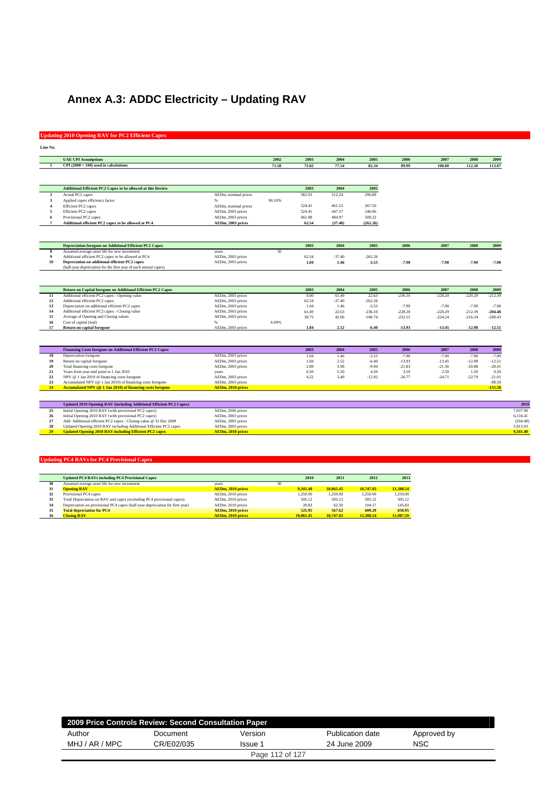# **Annex A.3: ADDC Electricity – Updating RAV**

## **Updating 2010 Opening RAV for PC2 Efficient Capex**

| Line No. |    |  |
|----------|----|--|
| u        | v. |  |

|                         | <b>UAE CPI Assumptions</b>                                          |                          | 2002   | 2003   | 2004     | 2005      | 2006      | 2007      | 2008      | 2009      |
|-------------------------|---------------------------------------------------------------------|--------------------------|--------|--------|----------|-----------|-----------|-----------|-----------|-----------|
|                         | $CPI(2000 = 100)$ used in calculations                              |                          | 71.58  | 73.82  | 77.54    | 82.34     | 89.99     | 100.00    | 112.30    | 113.07    |
|                         |                                                                     |                          |        |        |          |           |           |           |           |           |
|                         |                                                                     |                          |        |        |          |           |           |           |           |           |
|                         | Additional Efficient PC2 Capex to be allowed at this Review         |                          |        | 2003   | 2004     | 2005      |           |           |           |           |
| $\mathbf{2}$            | Actual PC2 capex                                                    | AEDm, nominal prices     |        | 582.03 | 512.24   | 296.89    |           |           |           |           |
| $\overline{\mathbf{3}}$ | Applied capex efficiency factor                                     | %                        | 90.10% |        |          |           |           |           |           |           |
| $\boldsymbol{\Lambda}$  | Efficient PC2 capex                                                 | AEDm, nominal prices     |        | 524.41 | 461.53   | 267.50    |           |           |           |           |
| 5                       | Efficient PC2 capex                                                 | AEDm, 2003 prices        |        | 524.41 | 447.57   | 246.96    |           |           |           |           |
| 6                       | Provisional PC2 capex                                               | AEDm, 2003 prices        |        | 461.88 | 484.97   | 509.22    |           |           |           |           |
| $\overline{7}$          | Additional efficient PC2 capex to be allowed at PC4                 | AEDm, 2003 prices        |        | 62.54  | (37.40)  | (262.26)  |           |           |           |           |
|                         |                                                                     |                          |        |        |          |           |           |           |           |           |
|                         | <b>Depreciation foregone on Additional Efficient PC2 Capex</b>      |                          |        | 2003   | 2004     | 2005      | 2006      | 2007      | 2008      | 2009      |
| 8                       | Assumed average asset life for new investment                       | years                    | 30     |        |          |           |           |           |           |           |
| 9                       | Additional efficient PC2 capex to be allowed at PC4                 | AEDm, 2003 prices        |        | 62.54  | $-37.40$ | $-262.26$ |           |           |           |           |
| 10                      | Depreciation on additional efficient PC2 capex                      | AEDm, 2003 prices        |        | 1.04   | 1.46     | $-3.53$   | $-7.90$   | $-7.90$   | $-7.90$   | $-7.90$   |
|                         | (half-year depreciation for the first year of each annual capex)    |                          |        |        |          |           |           |           |           |           |
|                         |                                                                     |                          |        |        |          |           |           |           |           |           |
|                         | Return on Capital foregone on Additional Efficient PC2 Capex        |                          |        | 2003   | 2004     | 2005      | 2006      | 2007      | 2008      | 2009      |
| 11                      | Additional efficient PC2 capex - Opening value                      | AEDm, 2003 prices        |        | 0.00   | 61.49    | 22.63     | $-236.10$ | $-228.20$ | $-220.29$ | $-212.39$ |
| 12                      | Additional efficient PC2 capex                                      | AEDm, 2003 prices        |        | 62.54  | $-37.40$ | $-262.26$ |           |           |           |           |
| 13                      | Depreciation on additional efficient PC2 capex                      | AEDm, 2003 prices        |        | 1.04   | 1.46     | $-3.53$   | $-7.90$   | $-7.90$   | $-7.90$   | $-7.90$   |
| 14                      | Additional efficient PC2 capex - Closing value                      | AEDm, 2003 prices        |        | 61.49  | 22.63    | $-236.10$ | $-228.20$ | $-220.29$ | $-212.39$ | $-204.48$ |
| 15                      | Average of Opening and Closing values                               | AEDm, 2003 prices        |        | 30.75  | 42.06    | $-106.74$ | $-232.15$ | $-224.24$ | $-216.34$ | $-208.43$ |
| 16                      | Cost of capital (real)                                              | ٥.                       | 6.00%  |        |          |           |           |           |           |           |
| 17                      | Return on capital foregone                                          | AEDm, 2003 prices        |        | 1.84   | 2.52     | $-6.40$   | $-13.93$  | $-13.45$  | $-12.98$  | $-12.51$  |
|                         |                                                                     |                          |        |        |          |           |           |           |           |           |
|                         | <b>Financing Costs foregone on Additional Efficient PC2 Capex</b>   |                          |        | 2003   | 2004     | 2005      | 2006      | 2007      | 2008      | 2009      |
| 18                      | Depreciation foregone                                               | AEDm, 2003 prices        |        | 1.04   | 1.46     | $-3.53$   | $-7.90$   | $-7.90$   | $-7.90$   | $-7.90$   |
| 19                      | Return on capital foregone                                          | AEDm, 2003 prices        |        | 1.84   | 2.52     | $-6.40$   | $-13.93$  | $-13.45$  | $-12.98$  | $-12.51$  |
| 20                      | Total financing costs foregone                                      | AEDm, 2003 prices        |        | 2.89   | 3.98     | $-9.94$   | $-21.83$  | $-21.36$  | $-20.88$  | $-20.41$  |
| 21                      | Years from year mid point to 1 Jan 2010                             | years                    |        | 6.50   | 5.50     | 4.50      | 3.50      | 2.50      | 1.50      | 0.50      |
| $\bf 22$                | NPV @ 1 Jan 2010 of financing costs foregone                        | AEDm, 2003 prices        |        | 4.22   | 5.49     | $-12.92$  | $-26.77$  | $-24.71$  | $-22.79$  | $-21.01$  |
| 23                      | Accumulated NPV (@ 1 Jan 2010) of financing costs foregone          | AEDm, 2003 prices        |        |        |          |           |           |           |           | $-98.50$  |
| 24                      | Accumulated NPV (@ 1 Jan 2010) of financing costs foregone          | AEDm, 2010 prices        |        |        |          |           |           |           |           | $-155.58$ |
|                         |                                                                     |                          |        |        |          |           |           |           |           |           |
|                         | Updated 2010 Opening RAV (including Additional Efficient PC2 Capex) |                          |        |        |          |           |           |           |           |           |
| 25                      | Initial Opening 2010 RAV (with provisional PC2 capex)               | AEDm, 2006 prices        |        |        |          |           |           |           |           |           |
| 26                      | Initial Opening 2010 RAV (with provisional PC2 capex)               | AEDm, 2003 prices        |        |        |          |           |           |           |           |           |
| 27                      | Add: Additional efficient PC2 capex - Closing value @ 31 Dec 2009   | AEDm, 2003 prices        |        |        |          |           |           |           |           |           |
| 28                      | Updated Opening 2010 RAV including Additional Efficient PC2 capex   | AEDm, 2003 prices        |        |        |          |           |           |           |           |           |
| 29                      | <b>Updated Opening 2010 RAV including Efficient PC2 capex</b>       | <b>AEDm, 2010 prices</b> |        |        |          |           |           |           |           |           |

|    | <b>Updated PC4 RAVs including PC4 Provisional Capex</b>                       |                          |    | 2010      | 2011      | 2012      | 2013      |
|----|-------------------------------------------------------------------------------|--------------------------|----|-----------|-----------|-----------|-----------|
| 30 | Assumed average asset life for new investment                                 | vears                    | 30 |           |           |           |           |
| 31 | <b>Opening RAV</b>                                                            | AEDm, 2010 prices        |    | 9.341.40  | 10,065.45 | 10.747.83 | 11.388.54 |
| 32 | Provisional PC4 capex                                                         | AEDm, 2010 prices        |    | 1.250.00  | 1.250.00  | 1.250.00  | 1.250.00  |
| 33 | Total Depreciation on RAV and capex (excluding PC4 provisional capex)         | AEDm. 2010 prices        |    | 505.12    | 505.12    | 505.12    | 505.12    |
| 34 | Depreciation on provisional PC4 capex (half-year depreciation for first year) | AEDm, 2010 prices        |    | 20.83     | 62.50     | 104.17    | 145.83    |
| 35 | <b>Total depreciation for PC4</b>                                             | AEDm. 2010 prices        |    | 525.95    | 567.62    | 609.29    | 650.95    |
| 36 | <b>Closing RAV</b>                                                            | <b>AEDm. 2010 prices</b> |    | 10,065,45 | 10,747.83 | 11.388.54 | 11,987.59 |

| 2009 Price Controls Review: Second Consultation Paper |            |                 |                  |             |  |  |  |  |
|-------------------------------------------------------|------------|-----------------|------------------|-------------|--|--|--|--|
| Author                                                | Document   | Version         | Publication date | Approved by |  |  |  |  |
| MHJ / AR / MPC                                        | CR/E02/035 | Issue 1         | 24 June 2009     | NSC         |  |  |  |  |
|                                                       |            | Page 112 of 127 |                  |             |  |  |  |  |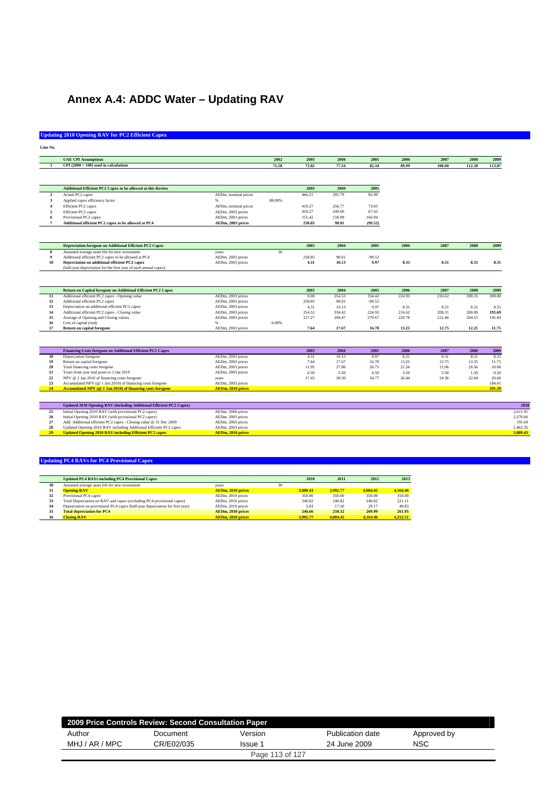# **Annex A.4: ADDC Water – Updating RAV**

### **Updating 2010 Opening RAV for PC2 Efficient Capex**

| Line<br>m.<br>o m<br>v. |  |
|-------------------------|--|

|                | <b>UAE CPI Assumptions</b>                                          |                          | 2002   | 2003   | 2004   | 2005     | 2006   | 2007   | 2008   | 2009   |
|----------------|---------------------------------------------------------------------|--------------------------|--------|--------|--------|----------|--------|--------|--------|--------|
|                | $CPI(2000 = 100)$ used in calculations                              |                          | 71.58  | 73.82  | 77.54  | 82.34    | 89.99  | 100.00 | 112.30 | 113.07 |
|                |                                                                     |                          |        |        |        |          |        |        |        |        |
|                |                                                                     |                          |        |        |        |          |        |        |        |        |
|                | Additional Efficient PC2 Capex to be allowed at this Review         |                          |        | 2003   | 2004   | 2005     |        |        |        |        |
| $\overline{2}$ | Actual PC2 capex                                                    | AEDm, nominal prices     |        | 466.21 | 291.79 | 82.99    |        |        |        |        |
| 3              | Applied capex efficiency factor                                     | $\alpha$                 | 88.00% |        |        |          |        |        |        |        |
|                | Efficient PC2 capex                                                 | AEDm, nominal prices     |        | 410.27 | 256.77 | 73.03    |        |        |        |        |
| 5              | Efficient PC2 capex                                                 | AEDm, 2003 prices        |        | 410.27 | 249.00 | 67.43    |        |        |        |        |
|                | Provisional PC2 capex                                               | AEDm, 2003 prices        |        | 151.42 | 158.99 | 166.94   |        |        |        |        |
| $\overline{7}$ | Additional efficient PC2 capex to be allowed at PC4                 | AEDm, 2003 prices        |        | 258.85 | 90.01  | (99.52)  |        |        |        |        |
|                |                                                                     |                          |        |        |        |          |        |        |        |        |
|                | <b>Depreciation foregone on Additional Efficient PC2 Capex</b>      |                          |        | 2003   | 2004   | 2005     | 2006   | 2007   | 2008   | 2009   |
| 8              | Assumed average asset life for new investment                       | years                    | 30     |        |        |          |        |        |        |        |
| 9              | Additional efficient PC2 capex to be allowed at PC4                 | AEDm, 2003 prices        |        | 258.85 | 90.01  | $-99.52$ |        |        |        |        |
| 10             | Depreciation on additional efficient PC2 capex                      | AEDm, 2003 prices        |        | 4.31   | 10.13  | 9.97     | 8.31   | 8.31   | 8.31   | 8.31   |
|                | (half-year depreciation for the first year of each annual capex)    |                          |        |        |        |          |        |        |        |        |
|                | Return on Capital foregone on Additional Efficient PC2 Capex        |                          |        | 2003   | 2004   | 2005     | 2006   | 2007   | 2008   | 2009   |
| 11             | Additional efficient PC2 capex - Opening value                      | AEDm, 2003 prices        |        | 0.00   | 254.53 | 334.42   | 224.93 | 216.62 | 208.31 | 200.00 |
| 12             | Additional efficient PC2 capex                                      | AEDm, 2003 prices        |        | 258.85 | 90.01  | $-99.52$ |        |        |        |        |
| 13             | Depreciation on additional efficient PC2 capex                      | AEDm, 2003 prices        |        | 4.31   | 10.13  | 9.97     | 8.31   | 8.31   | 8.31   | 8.31   |
| 14             | Additional efficient PC2 capex - Closing value                      | AEDm, 2003 prices        |        | 254.53 | 334.42 | 224.93   | 216.62 | 208.31 | 200.00 | 191.69 |
| 15             | Average of Opening and Closing values                               | AEDm, 2003 prices        |        | 127.27 | 294.47 | 279.67   | 220.78 | 212.46 | 204.15 | 195.84 |
| 16             | Cost of capital (real)                                              |                          | 6.00%  |        |        |          |        |        |        |        |
| 17             | <b>Return on capital foregone</b>                                   | AEDm, 2003 prices        |        | 7.64   | 17.67  | 16.78    | 13.25  | 12.75  | 12.25  | 11.75  |
|                |                                                                     |                          |        |        |        |          |        |        |        |        |
|                | Financing Costs foregone on Additional Efficient PC2 Capex          |                          |        | 2003   | 2004   | 2005     | 2006   | 2007   | 2008   | 2009   |
| 18             | Depreciation foregone                                               | AEDm, 2003 prices        |        | 4.31   | 10.13  | 9.97     | 8.31   | 8.31   | 8.31   | 8.31   |
| 19             | Return on capital foregone                                          | AEDm, 2003 prices        |        | 7.64   | 17.67  | 16.78    | 13.25  | 12.75  | 12.25  | 11.75  |
| 20             | Total financing costs foregone                                      | AEDm, 2003 prices        |        | 11.95  | 27.80  | 26.75    | 21.56  | 21.06  | 20.56  | 20.06  |
| 21             | Years from year mid point to 1 Jan 2010                             | AEDm, 2003 prices        |        | 6.50   | 5.50   | 4.50     | 3.50   | 2.50   | 1.50   | 0.50   |
| $\bf{22}$      | NPV @ 1 Jan 2010 of financing costs foregone                        | years                    |        | 17.45  | 38.30  | 34.77    | 26.44  | 24.36  | 22.44  | 20.66  |
| 23             | Accumulated NPV (@ 1 Jan 2010) of financing costs foregone          | AEDm, 2003 prices        |        |        |        |          |        |        |        | 184.41 |
| 24             | Accumulated NPV (@ 1 Jan 2010) of financing costs foregone          | AEDm, 2010 prices        |        |        |        |          |        |        |        | 291.29 |
|                | Updated 2010 Opening RAV (including Additional Efficient PC2 Capex) |                          |        |        |        |          |        |        |        |        |
| 25             | Initial Opening 2010 RAV (with provisional PC2 capex)               | AEDm, 2006 prices        |        |        |        |          |        |        |        |        |
| 26             | Initial Opening 2010 RAV (with provisional PC2 capex)               | AEDm, 2003 prices        |        |        |        |          |        |        |        |        |
| 27             | Add: Additional efficient PC2 capex - Closing value @ 31 Dec 2009   | AEDm, 2003 prices        |        |        |        |          |        |        |        |        |
| 28             | Updated Opening 2010 RAV including Additional Efficient PC2 capex   | AEDm, 2003 prices        |        |        |        |          |        |        |        |        |
| 29             | <b>Updated Opening 2010 RAV including Efficient PC2 capex</b>       | <b>AEDm, 2010 prices</b> |        |        |        |          |        |        |        |        |
|                |                                                                     |                          |        |        |        |          |        |        |        |        |

|    | <b>Updated PC4 RAVs including PC4 Provisional Capex</b>                       |                          |    | 2010     | 2011     | 2012     | 2013     |
|----|-------------------------------------------------------------------------------|--------------------------|----|----------|----------|----------|----------|
| 30 | Assumed average asset life for new investment                                 | vears                    | 30 |          |          |          |          |
| 31 | <b>Opening RAV</b>                                                            | AEDm, 2010 prices        |    | 3.889.43 | 3.992.77 | 4.084.45 | 4.164.46 |
| 32 | Provisional PC4 capex                                                         | AEDm, 2010 prices        |    | 350.00   | 350.00   | 350.00   | 350.00   |
| 33 | Total Depreciation on RAV and capex (excluding PC4 provisional capex)         | AEDm, 2010 prices        |    | 240.82   | 240.82   | 240.82   | 221.11   |
| 34 | Depreciation on provisional PC4 capex (half-year depreciation for first year) | AEDm. 2010 prices        |    | 5.83     | 17.50    | 29.17    | 40.83    |
| 35 | <b>Total depreciation for PC4</b>                                             | AEDm. 2010 prices        |    | 246.66   | 258.32   | 269.99   | 261.95   |
| 36 | <b>Closing RAV</b>                                                            | <b>AEDm. 2010 prices</b> |    | 3.992.77 | 4.084.45 | 4.164.46 | 4.252.51 |

|                | 2009 Price Controls Review: Second Consultation Paper |                 |                  |             |  |  |  |  |  |
|----------------|-------------------------------------------------------|-----------------|------------------|-------------|--|--|--|--|--|
| Author         | Document                                              | Version         | Publication date | Approved by |  |  |  |  |  |
| MHJ / AR / MPC | CR/E02/035                                            | Issue 1         |                  | <b>NSC</b>  |  |  |  |  |  |
|                |                                                       | Page 113 of 127 |                  |             |  |  |  |  |  |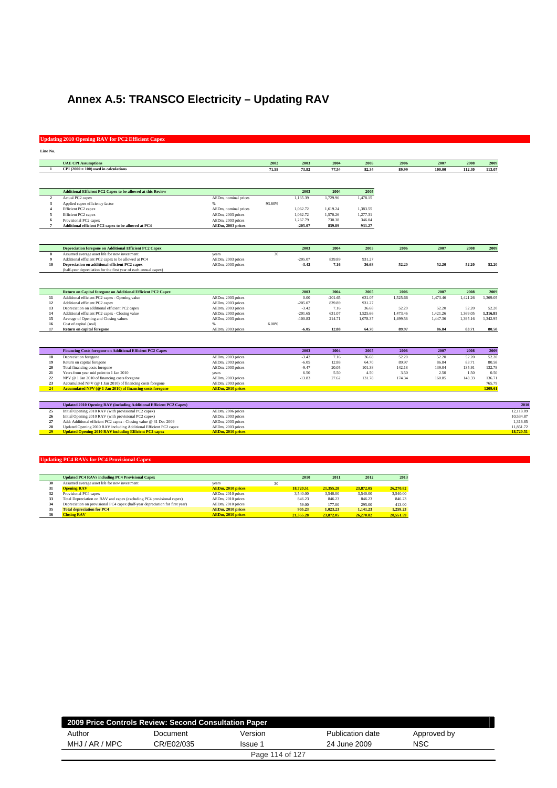# **Annex A.5: TRANSCO Electricity – Updating RAV**

#### **Updating 2010 Opening RAV for PC2 Efficient Capex**

|                | <b>UAE CPI Assumptions</b>                                                                                     |                                        | 2002   | 2003      | 2004      | 2005     | 2006     | 2007     | 2008     | 2009                                                                    |
|----------------|----------------------------------------------------------------------------------------------------------------|----------------------------------------|--------|-----------|-----------|----------|----------|----------|----------|-------------------------------------------------------------------------|
| -1             | $CPI(2000 = 100)$ used in calculations                                                                         |                                        | 71.58  | 73.82     | 77.54     | 82.34    | 89.99    | 100.00   | 112.30   | 113.07                                                                  |
|                |                                                                                                                |                                        |        |           |           |          |          |          |          |                                                                         |
|                | Additional Efficient PC2 Capex to be allowed at this Review                                                    |                                        |        | 2003      | 2004      | 2005     |          |          |          |                                                                         |
| $\overline{2}$ | Actual PC2 capex                                                                                               | AEDm, nominal prices                   |        | 1.135.39  | 1.729.96  | 1.478.15 |          |          |          |                                                                         |
| $\mathbf{3}$   | Applied capex efficiency factor                                                                                | $96 -$                                 | 93.60% |           |           |          |          |          |          |                                                                         |
|                | Efficient PC2 capex                                                                                            | AEDm, nominal prices                   |        | 1,062.72  | 1,619.24  | 1,383.55 |          |          |          |                                                                         |
| 5              | Efficient PC2 capex                                                                                            | AEDm, 2003 prices                      |        | 1,062.72  | 1,570.26  | 1,277.31 |          |          |          |                                                                         |
| 6              | Provisional PC2 capex                                                                                          | AEDm, 2003 prices                      |        | 1,267.79  | 730.38    | 346.04   |          |          |          |                                                                         |
| 7              | Additional efficient PC2 capex to be allowed at PC4                                                            | AEDm, 2003 prices                      |        | $-205.07$ | 839.89    | 931.27   |          |          |          |                                                                         |
|                |                                                                                                                |                                        |        |           |           |          |          |          |          |                                                                         |
|                | <b>Depreciation foregone on Additional Efficient PC2 Capex</b>                                                 |                                        |        | 2003      | 2004      | 2005     | 2006     | 2007     | 2008     | 2009                                                                    |
| $\bf{8}$       | Assumed average asset life for new investment                                                                  | years                                  | 30     |           |           |          |          |          |          |                                                                         |
| 9              | Additional efficient PC2 capex to be allowed at PC4                                                            | AEDm, 2003 prices                      |        | $-205.07$ | 839.89    | 931.27   |          |          |          |                                                                         |
| 10             | Depreciation on additional efficient PC2 capex                                                                 | AEDm, 2003 prices                      |        | $-3.42$   | 7.16      | 36.68    | 52.20    | 52.20    | 52.20    | 52.20                                                                   |
|                | (half-year depreciation for the first year of each annual capex)                                               |                                        |        |           |           |          |          |          |          |                                                                         |
|                |                                                                                                                |                                        |        |           |           |          |          |          |          |                                                                         |
|                | Return on Capital foregone on Additional Efficient PC2 Capex                                                   |                                        |        | 2003      | 2004      | 2005     | 2006     | 2007     | 2008     | 2009                                                                    |
| 11             | Additional efficient PC2 capex - Opening value                                                                 | AEDm, 2003 prices                      |        | 0.00      | $-201.65$ | 631.07   | 1,525.66 | 1,473.46 | 1,421.26 | 1,369.05                                                                |
| 12             | Additional efficient PC2 capex                                                                                 | AEDm, 2003 prices                      |        | $-205.07$ | 839.89    | 931.27   |          |          |          |                                                                         |
| 13             | Depreciation on additional efficient PC2 capex                                                                 | AEDm, 2003 prices                      |        | $-3.42$   | 7.16      | 36.68    | 52.20    | 52.20    | 52.20    | 52.20                                                                   |
| 14             | Additional efficient PC2 capex - Closing value                                                                 | AEDm, 2003 prices                      |        | $-201.65$ | 631.07    | 1,525.66 | 1,473.46 | 1,421.26 | 1,369.05 | 1.316.85                                                                |
| 15<br>16       | Average of Opening and Closing values                                                                          | AEDm, 2003 prices                      |        | $-100.83$ | 214.71    | 1,078.37 | 1,499.56 | 1,447.36 | 1,395.16 | 1,342.95                                                                |
| 17             | Cost of capital (real)<br><b>Return on capital foregone</b>                                                    | AEDm, 2003 prices                      | 6.00%  | $-6.05$   | 12.88     | 64.70    | 89.97    | 86.84    | 83.71    | 80.58                                                                   |
|                |                                                                                                                |                                        |        |           |           |          |          |          |          |                                                                         |
|                |                                                                                                                |                                        |        |           |           |          |          |          |          |                                                                         |
|                | Financing Costs foregone on Additional Efficient PC2 Capex                                                     |                                        |        | 2003      | 2004      | 2005     | 2006     | 2007     | 2008     |                                                                         |
| 18             | Depreciation foregone                                                                                          | AEDm, 2003 prices                      |        | $-3.42$   | 7.16      | 36.68    | 52.20    | 52.20    | 52.20    |                                                                         |
|                | Return on capital foregone                                                                                     | AEDm, 2003 prices                      |        | $-6.05$   | 12.88     | 64.70    | 89.97    | 86.84    | 83.71    |                                                                         |
| 19<br>20       | Total financing costs foregone                                                                                 | AEDm, 2003 prices                      |        | $-9.47$   | 20.05     | 101.38   | 142.18   | 139.04   | 135.91   |                                                                         |
|                | Years from year mid point to 1 Jan 2010                                                                        | years                                  |        | 6.50      | 5.50      | 4.50     | 3.50     | 2.50     | 1.50     |                                                                         |
| 22             | NPV @ 1 Jan 2010 of financing costs foregone                                                                   | AEDm, 2003 prices                      |        | $-13.83$  | 27.62     | 131.78   | 174.34   | 160.85   | 148.33   |                                                                         |
|                | Accumulated NPV (@ 1 Jan 2010) of financing costs foregone                                                     | AEDm, 2003 prices                      |        |           |           |          |          |          |          |                                                                         |
| 23             | Accumulated NPV (@ 1 Jan 2010) of financing costs foregone                                                     | <b>AEDm, 2010 prices</b>               |        |           |           |          |          |          |          |                                                                         |
|                | Updated 2010 Opening RAV (including Additional Efficient PC2 Capex)                                            |                                        |        |           |           |          |          |          |          |                                                                         |
| 21<br>24<br>25 |                                                                                                                |                                        |        |           |           |          |          |          |          |                                                                         |
| 26             | Initial Opening 2010 RAV (with provisional PC2 capex)<br>Initial Opening 2010 RAV (with provisional PC2 capex) | AEDm, 2006 prices<br>AEDm, 2003 prices |        |           |           |          |          |          |          |                                                                         |
| $27\,$         | Add: Additional efficient PC2 capex - Closing value @ 31 Dec 2009                                              | AEDm, 2003 prices                      |        |           |           |          |          |          |          | 2009<br>52.20<br>80.58<br>132.78<br>0.50<br>136.71<br>765.79<br>1209.61 |

**29 Updated Opening 2010 RAV including Efficient PC2 capex AEDm, 2010 prices 18,720.51**

|    | <b>Updated PC4 RAVs including PC4 Provisional Capex</b>                       |                          |           | 2010   | 2011      | 2012      | 2013      |
|----|-------------------------------------------------------------------------------|--------------------------|-----------|--------|-----------|-----------|-----------|
| 30 | Assumed average asset life for new investment                                 | vears                    | 30        |        |           |           |           |
| 31 | <b>Opening RAV</b>                                                            | AEDm, 2010 prices        | 18,720.51 |        | 21,355,28 | 23.872.05 | 26,270.82 |
| 32 | Provisional PC4 capex                                                         | AEDm, 2010 prices        | 3,540.00  |        | 3.540.00  | 3,540.00  | 3,540.00  |
| 33 | Total Depreciation on RAV and capex (excluding PC4 provisional capex)         | AEDm. 2010 prices        |           | 846.23 | 846.23    | 846.23    | 846.23    |
| 34 | Depreciation on provisional PC4 capex (half-year depreciation for first year) | AEDm. 2010 prices        |           | 59.00  | 177.00    | 295.00    | 413.00    |
| 35 | <b>Total depreciation for PC4</b>                                             | AEDm. 2010 prices        |           | 905.23 | 1.023.23  | 1.141.23  | 1.259.23  |
| 36 | <b>Closing RAV</b>                                                            | <b>AEDm. 2010 prices</b> | 21,355.28 |        | 23,872.05 | 26,270.82 | 28.551.59 |

|                | 2009 Price Controls Review: Second Consultation Paper |                 |                  |             |  |  |  |  |  |
|----------------|-------------------------------------------------------|-----------------|------------------|-------------|--|--|--|--|--|
| Author         | Document                                              | Version         | Publication date | Approved by |  |  |  |  |  |
| MHJ / AR / MPC | CR/E02/035<br>Issue 1                                 |                 | 24 June 2009     | <b>NSC</b>  |  |  |  |  |  |
|                |                                                       | Page 114 of 127 |                  |             |  |  |  |  |  |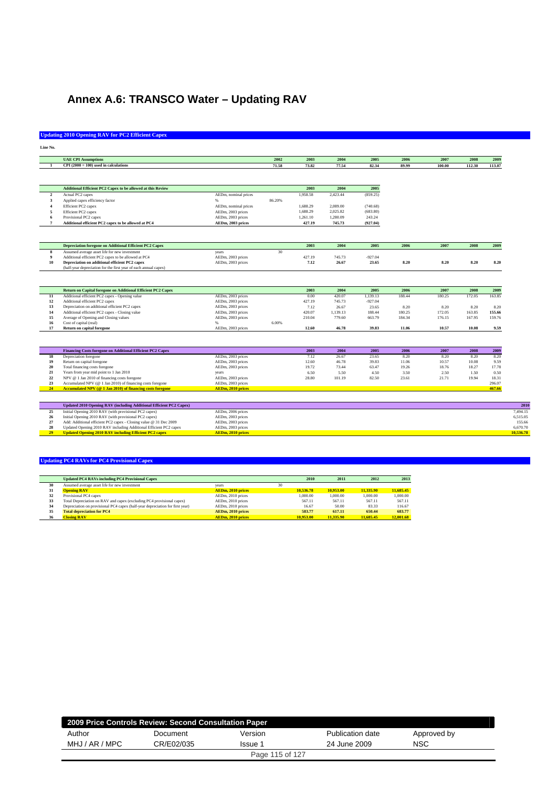# **Annex A.6: TRANSCO Water – Updating RAV**

## **Updating 2010 Opening RAV for PC2 Efficient Capex**

| Line.<br>m.<br> |  |
|-----------------|--|

|                         | <b>UAE CPI Assumptions</b>                                          |                          | 2002   | 2003     | 2004     | 2005      | 2006   | 2007   | 2008   | 2009   |
|-------------------------|---------------------------------------------------------------------|--------------------------|--------|----------|----------|-----------|--------|--------|--------|--------|
|                         | $CPI(2000 = 100)$ used in calculations                              |                          | 71.58  | 73.82    | 77.54    | 82.34     | 89.99  | 100.00 | 112.30 | 113.07 |
|                         |                                                                     |                          |        |          |          |           |        |        |        |        |
|                         |                                                                     |                          |        |          |          |           |        |        |        |        |
|                         | Additional Efficient PC2 Capex to be allowed at this Review         |                          |        | 2003     | 2004     | 2005      |        |        |        |        |
| $\overline{2}$          | Actual PC2 capex                                                    | AEDm, nominal prices     |        | 1.958.58 | 2.423.44 | (859.25)  |        |        |        |        |
| $\overline{\mathbf{3}}$ | Applied capex efficiency factor                                     | $\%$                     | 86.20% |          |          |           |        |        |        |        |
| $\boldsymbol{A}$        | Efficient PC2 capex                                                 | AEDm, nominal prices     |        | 1,688.29 | 2,089.00 | (740.68)  |        |        |        |        |
| 5                       | Efficient PC2 capex                                                 | AEDm, 2003 prices        |        | 1,688.29 | 2,025.82 | (683.80)  |        |        |        |        |
| 6                       | Provisional PC2 capex                                               | AEDm, 2003 prices        |        | 1,261.10 | 1,280.09 | 243.24    |        |        |        |        |
| $\overline{7}$          | Additional efficient PC2 capex to be allowed at PC4                 | AEDm, 2003 prices        |        | 427.19   | 745.73   | (927.04)  |        |        |        |        |
|                         |                                                                     |                          |        |          |          |           |        |        |        |        |
|                         | <b>Depreciation foregone on Additional Efficient PC2 Capex</b>      |                          |        | 2003     | 2004     | 2005      | 2006   | 2007   | 2008   | 2009   |
| 8                       | Assumed average asset life for new investment                       | years                    | 30     |          |          |           |        |        |        |        |
| $\overline{9}$          | Additional efficient PC2 capex to be allowed at PC4                 | AEDm, 2003 prices        |        | 427.19   | 745.73   | $-927.04$ |        |        |        |        |
| 10                      | Depreciation on additional efficient PC2 capex                      | AEDm, 2003 prices        |        | 7.12     | 26.67    | 23.65     | 8.20   | 8.20   | 8.20   | 8.20   |
|                         | (half-year depreciation for the first year of each annual capex)    |                          |        |          |          |           |        |        |        |        |
|                         | Return on Capital foregone on Additional Efficient PC2 Capex        |                          |        | 2003     | 2004     | 2005      | 2006   | 2007   | 2008   | 2009   |
| 11                      | Additional efficient PC2 capex - Opening value                      | AEDm, 2003 prices        |        | 0.00     | 420.07   | 1,139.13  | 188.44 | 180.25 | 172.05 | 163.85 |
| 12                      | Additional efficient PC2 capex                                      | AEDm, 2003 prices        |        | 427.19   | 745.73   | $-927.04$ |        |        |        |        |
| 13                      | Depreciation on additional efficient PC2 capex                      | AEDm, 2003 prices        |        | 7.12     | 26.67    | 23.65     | 8.20   | 8.20   | 8.20   | 8.20   |
| 14                      | Additional efficient PC2 capex - Closing value                      | AEDm, 2003 prices        |        | 420.07   | 1,139.13 | 188.44    | 180.25 | 172.05 | 163.85 | 155.66 |
| 15                      | Average of Opening and Closing values                               | AEDm, 2003 prices        |        | 210.04   | 779.60   | 663.79    | 184.34 | 176.15 | 167.95 | 159.76 |
| 16                      | Cost of capital (real)                                              |                          | 6.00%  |          |          |           |        |        |        |        |
| 17                      | <b>Return on capital foregone</b>                                   | AEDm, 2003 prices        |        | 12.60    | 46.78    | 39.83     | 11.06  | 10.57  | 10.08  | 9.59   |
|                         |                                                                     |                          |        |          |          |           |        |        |        |        |
|                         | Financing Costs foregone on Additional Efficient PC2 Capex          |                          |        | 2003     | 2004     | 2005      | 2006   | 2007   | 2008   | 2009   |
| 18                      | Depreciation foregone                                               | AEDm, 2003 prices        |        | 7.12     | 26.67    | 23.65     | 8.20   | 8.20   | 8.20   | 8.20   |
| 19                      | Return on capital foregone                                          | AEDm, 2003 prices        |        | 12.60    | 46.78    | 39.83     | 11.06  | 10.57  | 10.08  | 9.59   |
| 20                      | Total financing costs foregone                                      | AEDm, 2003 prices        |        | 19.72    | 73.44    | 63.47     | 19.26  | 18.76  | 18.27  | 17.78  |
| 21                      | Years from year mid point to 1 Jan 2010                             | years                    |        | 6.50     | 5.50     | 4.50      | 3.50   | 2.50   | 1.50   | 0.50   |
| 22                      | NPV @ 1 Jan 2010 of financing costs foregone                        | AEDm, 2003 prices        |        | 28.80    | 101.19   | 82.50     | 23.61  | 21.71  | 19.94  | 18.31  |
| 23                      | Accumulated NPV (@ 1 Jan 2010) of financing costs foregone          | AEDm, 2003 prices        |        |          |          |           |        |        |        | 296.07 |
| 24                      | Accumulated NPV (@ 1 Jan 2010) of financing costs foregone          | <b>AEDm. 2010 prices</b> |        |          |          |           |        |        |        | 467.66 |
|                         |                                                                     |                          |        |          |          |           |        |        |        |        |
|                         | Updated 2010 Opening RAV (including Additional Efficient PC2 Capex) |                          |        |          |          |           |        |        |        |        |
| 25                      | Initial Opening 2010 RAV (with provisional PC2 capex)               | AEDm, 2006 prices        |        |          |          |           |        |        |        |        |
| 26                      | Initial Opening 2010 RAV (with provisional PC2 capex)               | AEDm, 2003 prices        |        |          |          |           |        |        |        |        |
| $27\,$                  | Add: Additional efficient PC2 capex - Closing value @ 31 Dec 2009   | AEDm, 2003 prices        |        |          |          |           |        |        |        |        |
| 28                      | Updated Opening 2010 RAV including Additional Efficient PC2 capex   | AEDm, 2003 prices        |        |          |          |           |        |        |        |        |
| 29                      | <b>Updated Opening 2010 RAV including Efficient PC2 capex</b>       | AEDm, 2010 prices        |        |          |          |           |        |        |        |        |

|    | <b>Updated PC4 RAVs including PC4 Provisional Capex</b>                       |                          |    | 2010      | 2011      | 2012      | 2013      |
|----|-------------------------------------------------------------------------------|--------------------------|----|-----------|-----------|-----------|-----------|
| 30 | Assumed average asset life for new investment                                 | vears                    | 30 |           |           |           |           |
| 31 | <b>Opening RAV</b>                                                            | AEDm, 2010 prices        |    | 10.536.78 | 10,953.00 | 11,335.90 | 11,685.45 |
| 32 | Provisional PC4 capex                                                         | AEDm, 2010 prices        |    | 1,000.00  | 1.000.00  | 1,000.00  | 1,000.00  |
| 33 | Total Depreciation on RAV and capex (excluding PC4 provisional capex)         | AEDm. 2010 prices        |    | 567.11    | 567.11    | 567.11    | 567.11    |
| 34 | Depreciation on provisional PC4 capex (half-year depreciation for first year) | AEDm, 2010 prices        |    | 16.67     | 50.00     | 83.33     | 116.67    |
| 35 | <b>Total depreciation for PC4</b>                                             | AEDm. 2010 prices        |    | 583.77    | 617.11    | 650.44    | 683.77    |
| 36 | <b>Closing RAV</b>                                                            | <b>AEDm. 2010 prices</b> |    | 10,953,00 | 11.335.90 | 11,685.45 | 12,001.68 |

|                    | 2009 Price Controls Review: Second Consultation Paper |         |                  |             |  |  |  |  |  |  |
|--------------------|-------------------------------------------------------|---------|------------------|-------------|--|--|--|--|--|--|
| Author<br>Document |                                                       | Version | Publication date | Approved by |  |  |  |  |  |  |
| MHJ / AR / MPC     | CR/E02/035<br>Issue 1                                 |         | 24 June 2009     | <b>NSC</b>  |  |  |  |  |  |  |
| Page 115 of 127    |                                                       |         |                  |             |  |  |  |  |  |  |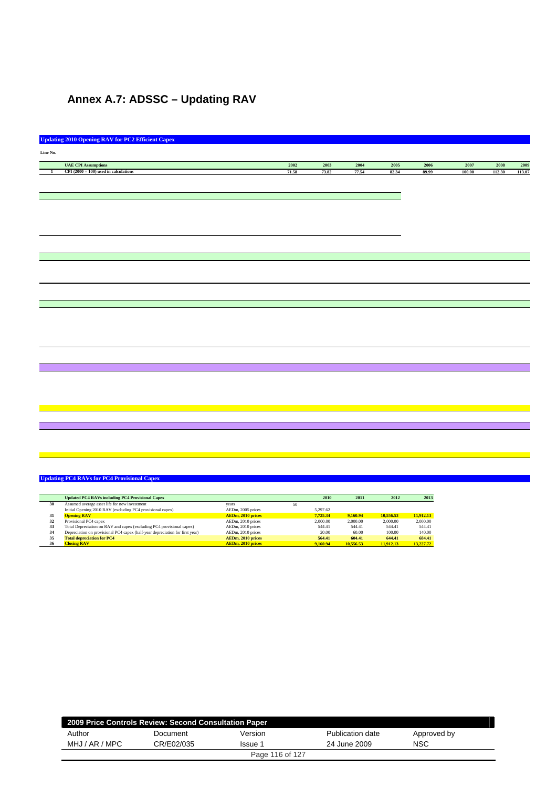# **Annex A.7: ADSSC – Updating RAV**

|              | <b>Updating 2010 Opening RAV for PC2 Efficient Capex</b> |       |       |                     |       |       |        |        |        |
|--------------|----------------------------------------------------------|-------|-------|---------------------|-------|-------|--------|--------|--------|
| Line No.     |                                                          |       |       |                     |       |       |        |        |        |
|              |                                                          |       |       |                     |       |       |        |        |        |
|              | <b>UAE CPI Assumptions</b>                               | 2002  | 2003  | $\boldsymbol{2004}$ | 2005  | 2006  | 2007   | 2008   | 2009   |
| $\mathbf{1}$ | CPI $(2000 = 100)$ used in calculations                  | 71.58 | 73.82 | 77.54               | 82.34 | 89.99 | 100.00 | 112.30 | 113.07 |
|              |                                                          |       |       |                     |       |       |        |        |        |
|              |                                                          |       |       |                     |       |       |        |        |        |
|              |                                                          |       |       |                     |       |       |        |        |        |
|              |                                                          |       |       |                     |       |       |        |        |        |
|              |                                                          |       |       |                     |       |       |        |        |        |
|              |                                                          |       |       |                     |       |       |        |        |        |
|              |                                                          |       |       |                     |       |       |        |        |        |
|              |                                                          |       |       |                     |       |       |        |        |        |
|              |                                                          |       |       |                     |       |       |        |        |        |
|              |                                                          |       |       |                     |       |       |        |        |        |
|              |                                                          |       |       |                     |       |       |        |        |        |
|              |                                                          |       |       |                     |       |       |        |        |        |
|              |                                                          |       |       |                     |       |       |        |        |        |
|              |                                                          |       |       |                     |       |       |        |        |        |
|              |                                                          |       |       |                     |       |       |        |        |        |
|              |                                                          |       |       |                     |       |       |        |        |        |
|              |                                                          |       |       |                     |       |       |        |        |        |
|              |                                                          |       |       |                     |       |       |        |        |        |
|              |                                                          |       |       |                     |       |       |        |        |        |
|              |                                                          |       |       |                     |       |       |        |        |        |
|              |                                                          |       |       |                     |       |       |        |        |        |
|              |                                                          |       |       |                     |       |       |        |        |        |
|              |                                                          |       |       |                     |       |       |        |        |        |
|              |                                                          |       |       |                     |       |       |        |        |        |
|              |                                                          |       |       |                     |       |       |        |        |        |
|              |                                                          |       |       |                     |       |       |        |        |        |
|              |                                                          |       |       |                     |       |       |        |        |        |
|              |                                                          |       |       |                     |       |       |        |        |        |
|              |                                                          |       |       |                     |       |       |        |        |        |
|              |                                                          |       |       |                     |       |       |        |        |        |
|              |                                                          |       |       |                     |       |       |        |        |        |
|              |                                                          |       |       |                     |       |       |        |        |        |
|              |                                                          |       |       |                     |       |       |        |        |        |
|              |                                                          |       |       |                     |       |       |        |        |        |
|              |                                                          |       |       |                     |       |       |        |        |        |
|              |                                                          |       |       |                     |       |       |        |        |        |

|    | <b>Updated PC4 RAVs including PC4 Provisional Capex</b>                       |                          |    | 2010     | 2011      | 2012      | 2013      |
|----|-------------------------------------------------------------------------------|--------------------------|----|----------|-----------|-----------|-----------|
| 30 | Assumed average asset life for new investment                                 | vears                    | 50 |          |           |           |           |
|    | Initial Opening 2010 RAV (excluding PC4 provisional capex)                    | AEDm, 2005 prices        |    | 5.297.62 |           |           |           |
| 31 | <b>Opening RAV</b>                                                            | <b>AEDm, 2010 prices</b> |    | 7.725.34 | 9,160.94  | 10.556.53 | 11.912.13 |
| 32 | Provisional PC4 capex                                                         | AEDm, 2010 prices        |    | 2,000.00 | 2,000.00  | 2,000.00  | 2,000.00  |
| 33 | Total Depreciation on RAV and capex (excluding PC4 provisional capex)         | AEDm, 2010 prices        |    | 544.41   | 544.41    | 544.41    | 544.41    |
| 34 | Depreciation on provisional PC4 capex (half-year depreciation for first year) | AEDm, 2010 prices        |    | 20.00    | 60.00     | 100.00    | 140.00    |
| 35 | <b>Total depreciation for PC4</b>                                             | AEDm. 2010 prices        |    | 564.41   | 604.41    | 644.41    | 684.41    |
| 36 | <b>Closing RAV</b>                                                            | <b>AEDm. 2010 prices</b> |    | 9,160.94 | 10.556.53 | 11.912.13 | 13,227,72 |

| 2009 Price Controls Review: Second Consultation Paper |            |         |                  |             |  |  |  |
|-------------------------------------------------------|------------|---------|------------------|-------------|--|--|--|
| Author                                                | Document   | Version | Publication date | Approved by |  |  |  |
| MHJ / AR / MPC                                        | CR/E02/035 | Issue 1 | 24 June 2009     | <b>NSC</b>  |  |  |  |
| Page 116 of 127                                       |            |         |                  |             |  |  |  |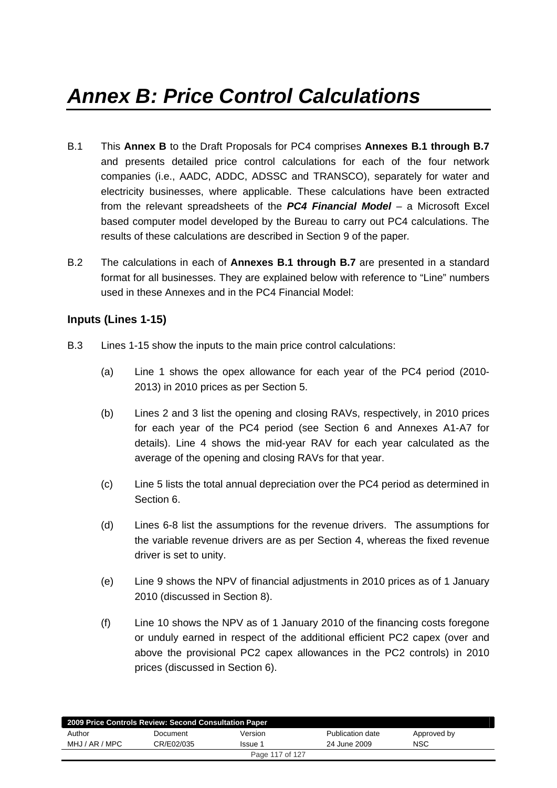- B.1 This **Annex B** to the Draft Proposals for PC4 comprises **Annexes B.1 through B.7** and presents detailed price control calculations for each of the four network companies (i.e., AADC, ADDC, ADSSC and TRANSCO), separately for water and electricity businesses, where applicable. These calculations have been extracted from the relevant spreadsheets of the *PC4 Financial Model –* a Microsoft Excel based computer model developed by the Bureau to carry out PC4 calculations. The results of these calculations are described in Section 9 of the paper*.*
- B.2 The calculations in each of **Annexes B.1 through B.7** are presented in a standard format for all businesses. They are explained below with reference to "Line" numbers used in these Annexes and in the PC4 Financial Model:

## **Inputs (Lines 1-15)**

- B.3 Lines 1-15 show the inputs to the main price control calculations:
	- (a) Line 1 shows the opex allowance for each year of the PC4 period (2010- 2013) in 2010 prices as per Section 5.
	- (b) Lines 2 and 3 list the opening and closing RAVs, respectively, in 2010 prices for each year of the PC4 period (see Section 6 and Annexes A1-A7 for details). Line 4 shows the mid-year RAV for each year calculated as the average of the opening and closing RAVs for that year.
	- (c) Line 5 lists the total annual depreciation over the PC4 period as determined in Section 6.
	- (d) Lines 6-8 list the assumptions for the revenue drivers. The assumptions for the variable revenue drivers are as per Section 4, whereas the fixed revenue driver is set to unity.
	- (e) Line 9 shows the NPV of financial adjustments in 2010 prices as of 1 January 2010 (discussed in Section 8).
	- (f) Line 10 shows the NPV as of 1 January 2010 of the financing costs foregone or unduly earned in respect of the additional efficient PC2 capex (over and above the provisional PC2 capex allowances in the PC2 controls) in 2010 prices (discussed in Section 6).

| 2009 Price Controls Review: Second Consultation Paper |            |         |                  |             |  |  |
|-------------------------------------------------------|------------|---------|------------------|-------------|--|--|
| Author                                                | Document   | Version | Publication date | Approved by |  |  |
| MHJ / AR / MPC                                        | CR/E02/035 | Issue 1 | 24 June 2009     | <b>NSC</b>  |  |  |
| Page 117 of 127                                       |            |         |                  |             |  |  |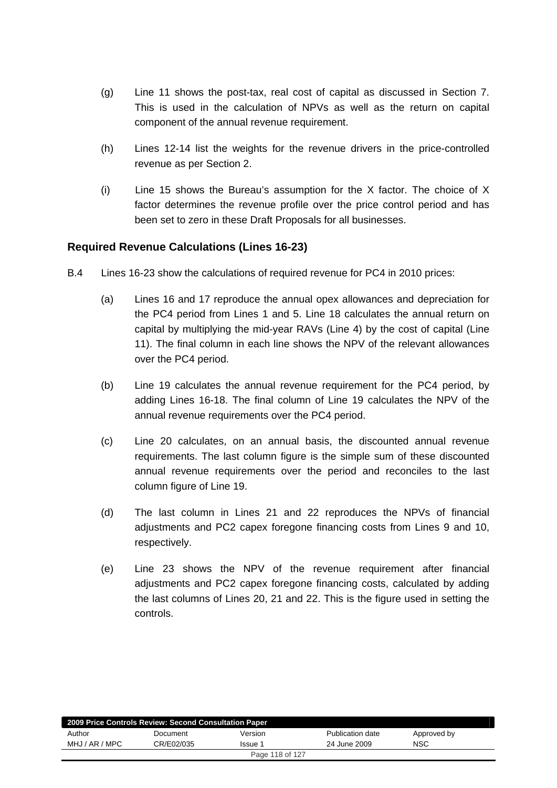- (g) Line 11 shows the post-tax, real cost of capital as discussed in Section 7. This is used in the calculation of NPVs as well as the return on capital component of the annual revenue requirement.
- (h) Lines 12-14 list the weights for the revenue drivers in the price-controlled revenue as per Section 2.
- (i) Line 15 shows the Bureau's assumption for the X factor. The choice of X factor determines the revenue profile over the price control period and has been set to zero in these Draft Proposals for all businesses.

## **Required Revenue Calculations (Lines 16-23)**

- B.4 Lines 16-23 show the calculations of required revenue for PC4 in 2010 prices:
	- (a) Lines 16 and 17 reproduce the annual opex allowances and depreciation for the PC4 period from Lines 1 and 5. Line 18 calculates the annual return on capital by multiplying the mid-year RAVs (Line 4) by the cost of capital (Line 11). The final column in each line shows the NPV of the relevant allowances over the PC4 period.
	- (b) Line 19 calculates the annual revenue requirement for the PC4 period, by adding Lines 16-18. The final column of Line 19 calculates the NPV of the annual revenue requirements over the PC4 period.
	- (c) Line 20 calculates, on an annual basis, the discounted annual revenue requirements. The last column figure is the simple sum of these discounted annual revenue requirements over the period and reconciles to the last column figure of Line 19.
	- (d) The last column in Lines 21 and 22 reproduces the NPVs of financial adjustments and PC2 capex foregone financing costs from Lines 9 and 10, respectively.
	- (e) Line 23 shows the NPV of the revenue requirement after financial adjustments and PC2 capex foregone financing costs, calculated by adding the last columns of Lines 20, 21 and 22. This is the figure used in setting the controls.

| 2009 Price Controls Review: Second Consultation Paper |            |         |                  |             |  |  |  |
|-------------------------------------------------------|------------|---------|------------------|-------------|--|--|--|
| Author                                                | Document   | Version | Publication date | Approved by |  |  |  |
| MHJ / AR / MPC                                        | CR/E02/035 | Issue 1 | 24 June 2009     | <b>NSC</b>  |  |  |  |
| Page 118 of 127                                       |            |         |                  |             |  |  |  |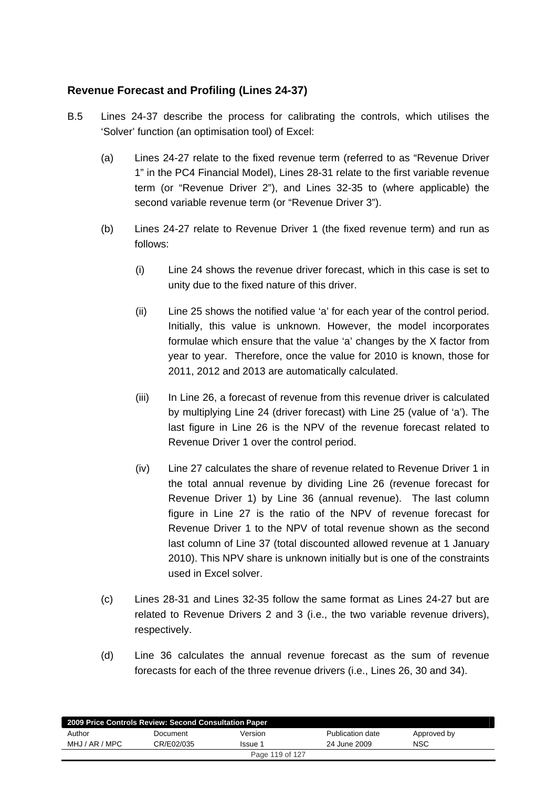## **Revenue Forecast and Profiling (Lines 24-37)**

- B.5 Lines 24-37 describe the process for calibrating the controls, which utilises the 'Solver' function (an optimisation tool) of Excel:
	- (a) Lines 24-27 relate to the fixed revenue term (referred to as "Revenue Driver 1" in the PC4 Financial Model), Lines 28-31 relate to the first variable revenue term (or "Revenue Driver 2"), and Lines 32-35 to (where applicable) the second variable revenue term (or "Revenue Driver 3").
	- (b) Lines 24-27 relate to Revenue Driver 1 (the fixed revenue term) and run as follows:
		- (i) Line 24 shows the revenue driver forecast, which in this case is set to unity due to the fixed nature of this driver.
		- (ii) Line 25 shows the notified value 'a' for each year of the control period. Initially, this value is unknown. However, the model incorporates formulae which ensure that the value 'a' changes by the X factor from year to year. Therefore, once the value for 2010 is known, those for 2011, 2012 and 2013 are automatically calculated.
		- (iii) In Line 26, a forecast of revenue from this revenue driver is calculated by multiplying Line 24 (driver forecast) with Line 25 (value of 'a'). The last figure in Line 26 is the NPV of the revenue forecast related to Revenue Driver 1 over the control period.
		- (iv) Line 27 calculates the share of revenue related to Revenue Driver 1 in the total annual revenue by dividing Line 26 (revenue forecast for Revenue Driver 1) by Line 36 (annual revenue). The last column figure in Line 27 is the ratio of the NPV of revenue forecast for Revenue Driver 1 to the NPV of total revenue shown as the second last column of Line 37 (total discounted allowed revenue at 1 January 2010). This NPV share is unknown initially but is one of the constraints used in Excel solver.
	- (c) Lines 28-31 and Lines 32-35 follow the same format as Lines 24-27 but are related to Revenue Drivers 2 and 3 (i.e., the two variable revenue drivers), respectively.
	- (d) Line 36 calculates the annual revenue forecast as the sum of revenue forecasts for each of the three revenue drivers (i.e., Lines 26, 30 and 34).

| 2009 Price Controls Review: Second Consultation Paper |            |                 |                  |             |  |  |
|-------------------------------------------------------|------------|-----------------|------------------|-------------|--|--|
| Author                                                | Document   | Version         | Publication date | Approved by |  |  |
| MHJ / AR / MPC                                        | CR/E02/035 | Issue 1         | 24 June 2009     | <b>NSC</b>  |  |  |
|                                                       |            | Page 119 of 127 |                  |             |  |  |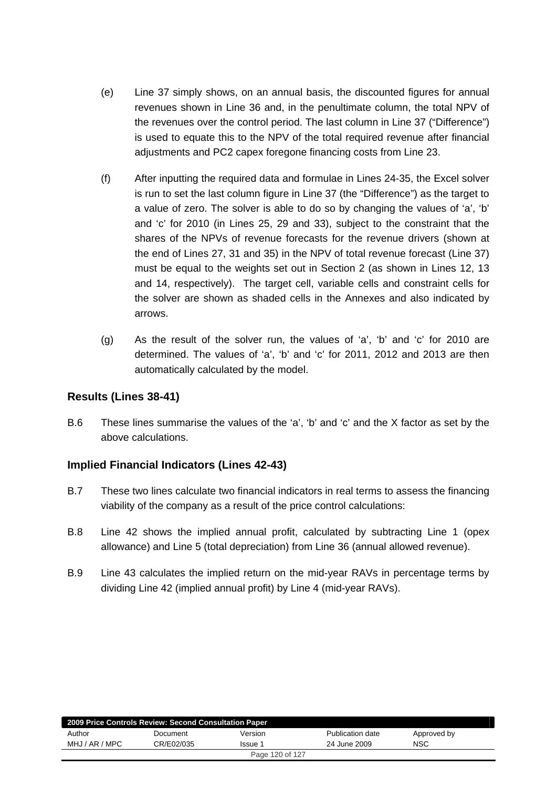- (e) Line 37 simply shows, on an annual basis, the discounted figures for annual revenues shown in Line 36 and, in the penultimate column, the total NPV of the revenues over the control period. The last column in Line 37 ("Difference") is used to equate this to the NPV of the total required revenue after financial adjustments and PC2 capex foregone financing costs from Line 23.
- (f) After inputting the required data and formulae in Lines 24-35, the Excel solver is run to set the last column figure in Line 37 (the "Difference") as the target to a value of zero. The solver is able to do so by changing the values of 'a', 'b' and 'c' for 2010 (in Lines 25, 29 and 33), subject to the constraint that the shares of the NPVs of revenue forecasts for the revenue drivers (shown at the end of Lines 27, 31 and 35) in the NPV of total revenue forecast (Line 37) must be equal to the weights set out in Section 2 (as shown in Lines 12, 13 and 14, respectively). The target cell, variable cells and constraint cells for the solver are shown as shaded cells in the Annexes and also indicated by arrows.
- (g) As the result of the solver run, the values of 'a', 'b' and 'c' for 2010 are determined. The values of 'a', 'b' and 'c' for 2011, 2012 and 2013 are then automatically calculated by the model.

## **Results (Lines 38-41)**

B.6 These lines summarise the values of the 'a', 'b' and 'c' and the X factor as set by the above calculations.

## **Implied Financial Indicators (Lines 42-43)**

- B.7 These two lines calculate two financial indicators in real terms to assess the financing viability of the company as a result of the price control calculations:
- B.8 Line 42 shows the implied annual profit, calculated by subtracting Line 1 (opex allowance) and Line 5 (total depreciation) from Line 36 (annual allowed revenue).
- B.9 Line 43 calculates the implied return on the mid-year RAVs in percentage terms by dividing Line 42 (implied annual profit) by Line 4 (mid-year RAVs).

| 2009 Price Controls Review: Second Consultation Paper |            |         |                  |             |  |  |  |
|-------------------------------------------------------|------------|---------|------------------|-------------|--|--|--|
| Author                                                | Document   | Version | Publication date | Approved by |  |  |  |
| MHJ / AR / MPC                                        | CR/E02/035 | Issue 1 | 24 June 2009     | NSC         |  |  |  |
| Page 120 of 127                                       |            |         |                  |             |  |  |  |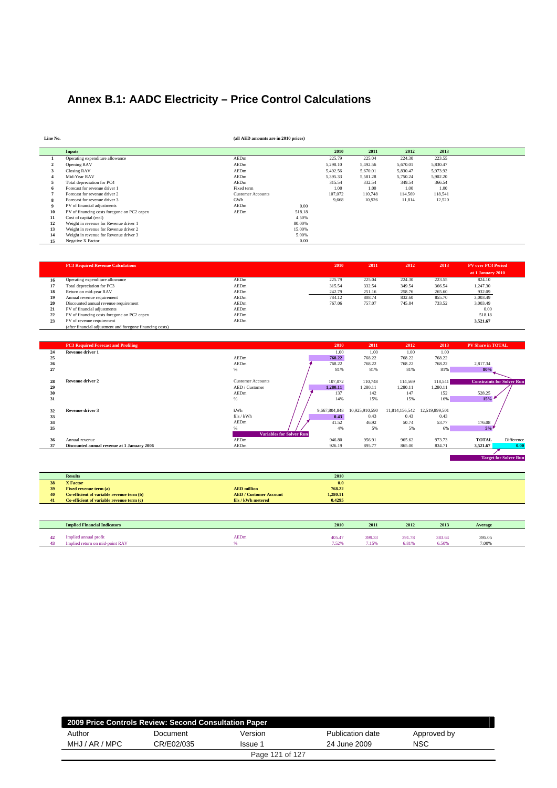# **Annex B.1: AADC Electricity – Price Control Calculations**

| Line No. |                                             | (all AED amounts are in 2010 prices) |        |          |          |          |          |  |
|----------|---------------------------------------------|--------------------------------------|--------|----------|----------|----------|----------|--|
|          | <b>Inputs</b>                               |                                      |        | 2010     | 2011     | 2012     | 2013     |  |
|          | Operating expenditure allowance             | AEDm                                 |        | 225.79   | 225.04   | 224.30   | 223.55   |  |
|          | Opening RAV                                 | AEDm                                 |        | 5,298.10 | 5,492.56 | 5,670.01 | 5,830.47 |  |
| 3        | Closing RAV                                 | AEDm                                 |        | 5,492.56 | 5,670.01 | 5,830.47 | 5,973.92 |  |
|          | Mid-Year RAV                                | AEDm                                 |        | 5.395.33 | 5,581.28 | 5,750.24 | 5,902.20 |  |
|          | Total depreciation for PC4                  | AEDm                                 |        | 315.54   | 332.54   | 349.54   | 366.54   |  |
|          | Forecast for revenue driver 1               | Fixed term                           |        | 1.00     | 1.00     | 1.00     | 1.00     |  |
|          | Forecast for revenue driver 2               | <b>Customer Accounts</b>             |        | 107.072  | 110.748  | 114.569  | 118,541  |  |
|          | Forecast for revenue driver 3               | GWh                                  |        | 9.668    | 10.926   | 11,814   | 12,520   |  |
|          | PV of financial adjustments                 | AEDm                                 | 0.00   |          |          |          |          |  |
| 10       | PV of financing costs foregone on PC2 capex | AEDm                                 | 518.18 |          |          |          |          |  |
| 11       | Cost of capital (real)                      |                                      | 4.50%  |          |          |          |          |  |
| 12       | Weight in revenue for Revenue driver 1      |                                      | 80,00% |          |          |          |          |  |
| 13       | Weight in revenue for Revenue driver 2      |                                      | 15.00% |          |          |          |          |  |
| 14       | Weight in revenue for Revenue driver 3      |                                      | 5.00%  |          |          |          |          |  |
| 15       | Negative X Factor                           |                                      | 0.00   |          |          |          |          |  |

|    | <b>PC3 Required Revenue Calculations</b>                  |      | 2010   | 2011   | 2012   | 2013   | <b>PV</b> over PC4 Period |
|----|-----------------------------------------------------------|------|--------|--------|--------|--------|---------------------------|
|    |                                                           |      |        |        |        |        |                           |
|    |                                                           |      |        |        |        |        | at 1 January 2010         |
| 16 | Operating expenditure allowance                           | AEDm | 225.79 | 225.04 | 224.30 | 223.55 | 824.10                    |
| 17 | Total depreciation for PC3                                | AEDm | 315.54 | 332.54 | 349.54 | 366.54 | 1.247.30                  |
| 18 | Return on mid-year RAV                                    | AEDm | 242.79 | 251.16 | 258.76 | 265.60 | 932.09                    |
| 19 | Annual revenue requirement                                | AEDm | 784.12 | 808.74 | 832.60 | 855.70 | 3,003.49                  |
| 20 | Discounted annual revenue requirement                     | AEDm | 767.06 | 757.07 | 745.84 | 733.52 | 3,003.49                  |
| 21 | PV of financial adjustments                               | AEDm |        |        |        |        | 0.00                      |
| 22 | PV of financing costs foregone on PC2 capex               | AEDm |        |        |        |        | 518.18                    |
| 23 | PV of revenue requirement                                 | AEDm |        |        |        |        | 3,521.67                  |
|    | (after financial adjustment and foregone financing costs) |      |        |        |        |        |                           |

|    | <b>PC3 Required Forecast and Profiling</b>  |                                 | 2010          | 2011           | 2012           | 2013           | <b>PV Share in TOTAL</b>          |      |
|----|---------------------------------------------|---------------------------------|---------------|----------------|----------------|----------------|-----------------------------------|------|
| 24 | Revenue driver 1                            |                                 | 1.00          | 1.00           | 1.00           | 1.00           |                                   |      |
| 25 |                                             | AEDm                            | 768.22        | 768.22         | 768.22         | 768.22         |                                   |      |
| 26 |                                             | AEDm                            | 768.22        | 768.22         | 768.22         | 768.22         | 2,817.34                          |      |
| 27 |                                             | %                               | 81%           | 81%            | 81%            | 81%            | 80%                               |      |
|    |                                             |                                 |               |                |                |                |                                   |      |
| 28 | <b>Revenue driver 2</b>                     | <b>Customer Accounts</b>        | 107,072       | 110,748        | 114.569        | 118,541        | <b>Constraints for Solver Run</b> |      |
| 29 |                                             | AED / Customer                  | 1.280.11      | 1,280.11       | 1.280.11       | 1,280.11       |                                   |      |
| 30 |                                             | AEDm                            | 137           | 142            | 147            | 152            | 528.25                            |      |
| 31 |                                             | %                               | 14%           | 15%            | 15%            | 16%            | 15%                               |      |
|    |                                             |                                 |               |                |                |                |                                   |      |
| 32 | Revenue driver 3                            | kWh                             | 9,667,804,848 | 10,925,910,590 | 11,814,156,542 | 12,519,899,501 |                                   |      |
| 33 |                                             | fils / kWh                      | 0.43          | 0.43           | 0.43           | 0.43           |                                   |      |
| 34 |                                             | AEDm                            | 41.52         | 46.92          | 50.74          | 53.77          | 176.08                            |      |
| 35 |                                             |                                 | 4%            | 5%             | 5%             | 6%             | 5%                                |      |
|    |                                             | <b>Variables for Solver Run</b> |               |                |                |                |                                   |      |
| 36 | Annual revenue                              | AEDm                            | 946.80        | 956.91         | 965.62         | 973.73         | Difference<br><b>TOTAL</b>        |      |
| 37 | Discounted annual revenue at 1 January 2006 | AEDm                            | 926.19        | 895.77         | 865.00         | 834.71         | 3.521.67                          | 0.00 |
|    |                                             |                                 |               |                |                |                |                                   |      |

 **Target for Solver Run** 

|    | <b>Results</b>                            |                               | 2010     |  |
|----|-------------------------------------------|-------------------------------|----------|--|
| 38 | <b>X</b> Factor                           |                               | 0.0      |  |
| 39 | <b>Fixed revenue term (a)</b>             | <b>AED</b> million            | 768.22   |  |
| 40 | Co-efficient of variable revenue term (b) | <b>AED / Customer Account</b> | 1,280.11 |  |
| 41 | Co-efficient of variable revenue term (c) | fils / kWh metered            | 0.4295   |  |
|    |                                           |                               |          |  |

|          | <b>Implied Financial Indicators</b>                      |             | 2010                        | 2011            | 2012            | 2013            | Average         |  |
|----------|----------------------------------------------------------|-------------|-----------------------------|-----------------|-----------------|-----------------|-----------------|--|
| 42<br>43 | Implied annual profit<br>Implied return on mid-point RAV | <b>AEDm</b> | 405.47<br>7.52%<br>2 شاه دا | 399.33<br>7.15% | 391.78<br>6.81% | 383.64<br>6.50% | 395.05<br>7.00% |  |

| 2009 Price Controls Review: Second Consultation Paper |            |         |                  |             |  |  |  |
|-------------------------------------------------------|------------|---------|------------------|-------------|--|--|--|
| Author                                                | Document   | Version | Publication date | Approved by |  |  |  |
| MHJ / AR / MPC                                        | CR/E02/035 | Issue 1 | 24 June 2009     | <b>NSC</b>  |  |  |  |
| Page 121 of 127                                       |            |         |                  |             |  |  |  |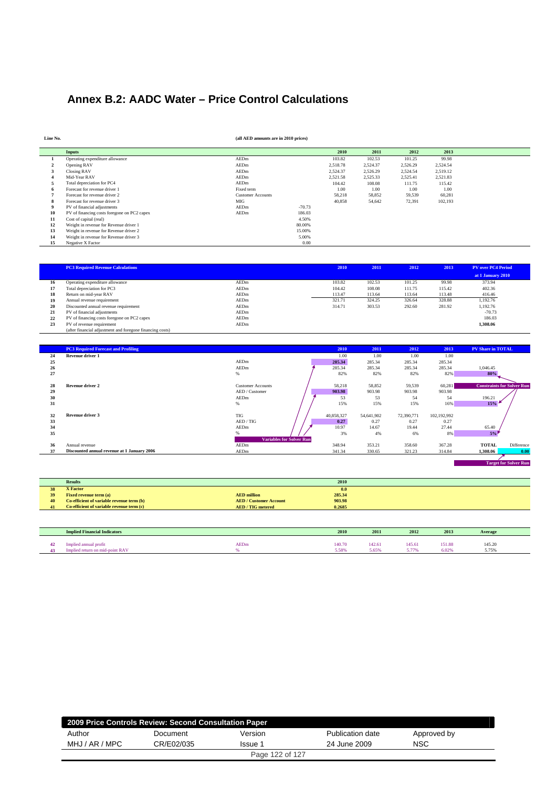# **Annex B.2: AADC Water – Price Control Calculations**

| Line No. |                                             | (all AED amounts are in 2010 prices) |          |          |          |          |          |  |
|----------|---------------------------------------------|--------------------------------------|----------|----------|----------|----------|----------|--|
|          | <b>Inputs</b>                               |                                      |          | 2010     | 2011     | 2012     | 2013     |  |
|          | Operating expenditure allowance             | AEDm                                 |          | 103.82   | 102.53   | 101.25   | 99.98    |  |
|          | Opening RAV                                 | AEDm                                 |          | 2,518.78 | 2,524.37 | 2,526.29 | 2,524.54 |  |
| 3        | Closing RAV                                 | AEDm                                 |          | 2,524.37 | 2,526.29 | 2,524.54 | 2,519.12 |  |
|          | Mid-Year RAV                                | AEDm                                 |          | 2,521.58 | 2,525.33 | 2,525.41 | 2,521.83 |  |
| э        | Total depreciation for PC4                  | AEDm                                 |          | 104.42   | 108.08   | 111.75   | 115.42   |  |
|          | Forecast for revenue driver 1               | Fixed term                           |          | 1.00     | 1.00     | 1.00     | 1.00     |  |
|          | Forecast for revenue driver 2               | <b>Customer Accounts</b>             |          | 58,218   | 58,852   | 59,539   | 60,281   |  |
| 8        | Forecast for revenue driver 3               | MIG                                  |          | 40,858   | 54,642   | 72,391   | 102,193  |  |
|          | PV of financial adjustments                 | AEDm                                 | $-70.73$ |          |          |          |          |  |
| 10       | PV of financing costs foregone on PC2 capex | AEDm                                 | 186.03   |          |          |          |          |  |
| 11       | Cost of capital (real)                      |                                      | 4.50%    |          |          |          |          |  |
| 12       | Weight in revenue for Revenue driver 1      |                                      | 80.00%   |          |          |          |          |  |
| 13       | Weight in revenue for Revenue driver 2      |                                      | 15.00%   |          |          |          |          |  |
| 14       | Weight in revenue for Revenue driver 3      |                                      | 5.00%    |          |          |          |          |  |
| 15       | Negative X Factor                           |                                      | 0.00     |          |          |          |          |  |

|    | <b>PC3 Required Revenue Calculations</b>                  |      | 2010   | 2011   | 2012   | 2013   | <b>PV</b> over PC4 Period |
|----|-----------------------------------------------------------|------|--------|--------|--------|--------|---------------------------|
|    |                                                           |      |        |        |        |        | at 1 January 2010         |
| 16 | Operating expenditure allowance                           | AEDm | 103.82 | 102.53 | 101.25 | 99.98  | 373.94                    |
| 17 | Total depreciation for PC3                                | AEDm | 104.42 | 108.08 | 111.75 | 115.42 | 402.36                    |
| 18 | Return on mid-year RAV                                    | AEDm | 113.47 | 113.64 | 113.64 | 113.48 | 416.46                    |
| 19 | Annual revenue requirement                                | AEDm | 321.71 | 324.25 | 326.64 | 328.88 | 1.192.76                  |
| 20 | Discounted annual revenue requirement                     | AEDm | 314.71 | 303.53 | 292.60 | 281.92 | 1.192.76                  |
| 21 | PV of financial adjustments                               | AEDm |        |        |        |        | $-70.73$                  |
| 22 | PV of financing costs foregone on PC2 capex               | AEDm |        |        |        |        | 186.03                    |
| 23 | PV of revenue requirement                                 | AEDm |        |        |        |        | 1,308.06                  |
|    | (after financial adjustment and foregone financing costs) |      |        |        |        |        |                           |

|    | <b>PC3 Required Forecast and Profiling</b>  |                                 | 2010       | 2011       | 2012       | 2013        | <b>PV Share in TOTAL</b>          |                              |
|----|---------------------------------------------|---------------------------------|------------|------------|------------|-------------|-----------------------------------|------------------------------|
| 24 | <b>Revenue driver 1</b>                     |                                 | 1.00       | 1.00       | 1.00       | 1.00        |                                   |                              |
| 25 |                                             | AEDm                            | 285.34     | 285.34     | 285.34     | 285.34      |                                   |                              |
| 26 |                                             | AEDm                            | 285.34     | 285.34     | 285.34     | 285.34      | 1,046.45                          |                              |
| 27 |                                             | $\%$                            | 82%        | 82%        | 82%        | 82%         | 80%                               |                              |
| 28 | <b>Revenue driver 2</b>                     | <b>Customer Accounts</b>        | 58,218     | 58,852     | 59,539     | 60,281      | <b>Constraints for Solver Run</b> |                              |
| 29 |                                             | AED / Customer                  | 903.98     | 903.98     | 903.98     | 903.98      |                                   |                              |
| 30 |                                             | AEDm                            | 53         | 53         | 54         | 54          | 196.21                            |                              |
| 31 |                                             | %                               | 15%        | 15%        | 15%        | 16%         | 15%                               |                              |
|    |                                             |                                 |            |            |            |             |                                   |                              |
| 32 | Revenue driver 3                            | <b>TIG</b>                      | 40,858,327 | 54,641,902 | 72,390,771 | 102,192,992 |                                   |                              |
| 33 |                                             | AED / TIG                       | 0.27       | 0.27       | 0.27       | 0.27        |                                   |                              |
| 34 |                                             | AEDm                            | 10.97      | 14.67      | 19.44      | 27.44       | 65.40                             |                              |
| 35 |                                             |                                 | 3%         | 4%         | 6%         | 8%          | 5%                                |                              |
|    |                                             | <b>Variables for Solver Run</b> |            |            |            |             |                                   |                              |
| 36 | Annual revenue                              | AEDm                            | 348.94     | 353.21     | 358.60     | 367.28      | <b>TOTAL</b>                      | Difference                   |
| 37 | Discounted annual revenue at 1 January 2006 | AEDm                            | 341.34     | 330.65     | 321.23     | 314.84      | 1,308.06                          | 0.00                         |
|    |                                             |                                 |            |            |            |             |                                   |                              |
|    |                                             |                                 |            |            |            |             |                                   | <b>Target for Solver Run</b> |

|                 | <b>Results</b>                            |                               | 2010   |  |
|-----------------|-------------------------------------------|-------------------------------|--------|--|
| 38              | <b>X</b> Factor                           |                               | 0.0    |  |
| 39              | <b>Fixed revenue term (a)</b>             | <b>AED</b> million            | 285.34 |  |
| 40 <sup>7</sup> | Co-efficient of variable revenue term (b) | <b>AED / Customer Account</b> | 903.98 |  |
| 41              | Co-efficient of variable revenue term (c) | <b>AED</b> / TIG metered      | 0.2685 |  |

| <b>Implied Financial Indicators</b> |             | 2010  | 2011           | 2012                 | 2013   | Average        |
|-------------------------------------|-------------|-------|----------------|----------------------|--------|----------------|
| <br>Implied annual profit           | <b>AEDm</b> | 40.70 | 42.61          | 145.61               | 151.88 | 145.20         |
| Implied return on mid-point RAV     |             | 5.58% | $5.65^{\circ}$ | <b>Common</b><br>--- | 6.02%  | 5 75%<br>----- |

|                | 2009 Price Controls Review: Second Consultation Paper |                 |                  |             |
|----------------|-------------------------------------------------------|-----------------|------------------|-------------|
| Author         | Document                                              | Version         | Publication date | Approved by |
| MHJ / AR / MPC | CR/E02/035                                            | Issue 1         | 24 June 2009     | NSC         |
|                |                                                       | Page 122 of 127 |                  |             |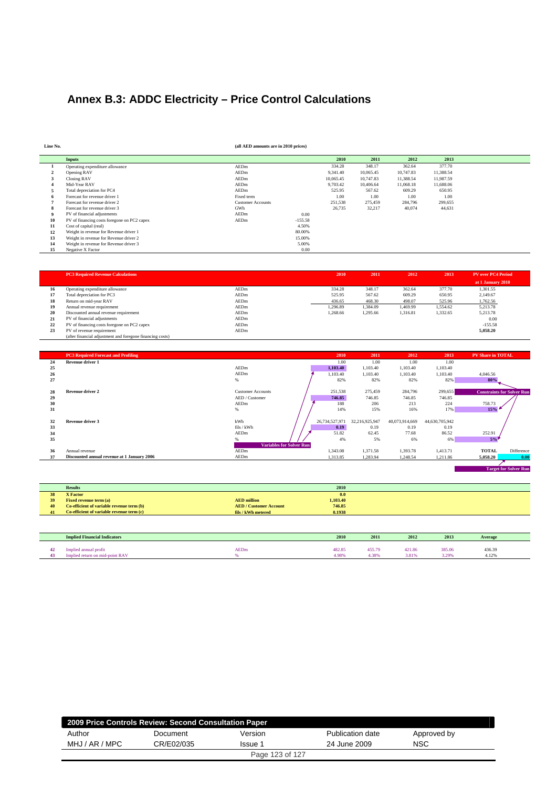# **Annex B.3: ADDC Electricity – Price Control Calculations**

**Line No. (all AED amounts are in 2010 prices)**

|    | <b>Inputs</b>                               |                          |           | 2010      | 2011      | 2012      | 2013      |
|----|---------------------------------------------|--------------------------|-----------|-----------|-----------|-----------|-----------|
|    | Operating expenditure allowance             | AEDm                     |           | 334.28    | 348.17    | 362.64    | 377.70    |
|    | Opening RAV                                 | AEDm                     |           | 9,341.40  | 10.065.45 | 10.747.83 | 11.388.54 |
|    | Closing RAV                                 | AEDm                     |           | 10.065.45 | 10,747.83 | 11.388.54 | 11.987.59 |
|    | Mid-Year RAV                                | AEDm                     |           | 9,703.42  | 10.406.64 | 11,068.18 | 11,688.06 |
|    | Total depreciation for PC4                  | AEDm                     |           | 525.95    | 567.62    | 609.29    | 650.95    |
|    | Forecast for revenue driver 1               | Fixed term               |           | 1.00      | 1.00      | 1.00      | 1.00      |
|    | Forecast for revenue driver 2               | <b>Customer Accounts</b> |           | 251,538   | 275,459   | 284,796   | 299,655   |
|    | Forecast for revenue driver 3               | GWh                      |           | 26,735    | 32,217    | 40.074    | 44,631    |
|    | PV of financial adjustments                 | AEDm                     | 0.00      |           |           |           |           |
| 10 | PV of financing costs foregone on PC2 capex | AEDm                     | $-155.58$ |           |           |           |           |
| 11 | Cost of capital (real)                      |                          | 4.50%     |           |           |           |           |
| 12 | Weight in revenue for Revenue driver 1      |                          | 80.00%    |           |           |           |           |
| 13 | Weight in revenue for Revenue driver 2      |                          | 15.00%    |           |           |           |           |
| 14 | Weight in revenue for Revenue driver 3      |                          | 5.00%     |           |           |           |           |
| 15 | Negative X Factor                           |                          | 0.00      |           |           |           |           |

|    | <b>PC3 Required Revenue Calculations</b>                  |      | 2010     | 2011     | 2012     | 2013     | <b>PV</b> over PC4 Period |
|----|-----------------------------------------------------------|------|----------|----------|----------|----------|---------------------------|
|    |                                                           |      |          |          |          |          | at 1 January 2010         |
| 16 | Operating expenditure allowance                           | AEDm | 334.28   | 348.17   | 362.64   | 377.70   | 1.301.55                  |
| 17 | Total depreciation for PC3                                | AEDm | 525.95   | 567.62   | 609.29   | 650.95   | 2,149.67                  |
| 18 | Return on mid-year RAV                                    | AEDm | 436.65   | 468.30   | 498.07   | 525.96   | 1,762.56                  |
| 19 | Annual revenue requirement                                | AEDm | 1.296.89 | 1.384.09 | 1.469.99 | 1.554.62 | 5.213.78                  |
| 20 | Discounted annual revenue requirement                     | AEDm | 1.268.66 | 1.295.66 | 1,316.81 | 1.332.65 | 5.213.78                  |
| 21 | PV of financial adjustments                               | AEDm |          |          |          |          | 0.00                      |
| 22 | PV of financing costs foregone on PC2 capex               | AEDm |          |          |          |          | $-155.58$                 |
| 23 | PV of revenue requirement                                 | AEDm |          |          |          |          | 5.058.20                  |
|    | (after financial adjustment and foregone financing costs) |      |          |          |          |          |                           |

|    | <b>PC3 Required Forecast and Profiling</b>  |                                 | 2010           | 2011           | 2012           | 2013           | <b>PV Share in TOTAL</b> |                                   |
|----|---------------------------------------------|---------------------------------|----------------|----------------|----------------|----------------|--------------------------|-----------------------------------|
| 24 | <b>Revenue driver 1</b>                     |                                 | 1.00           | 1.00           | 1.00           | 1.00           |                          |                                   |
| 25 |                                             | AEDm                            | 1,103.40       | 1,103.40       | 1,103.40       | 1,103.40       |                          |                                   |
| 26 |                                             | AEDm                            | 1.103.40       | 1,103.40       | 1,103.40       | 1,103.40       | 4,046.56                 |                                   |
| 27 |                                             | %                               | 82%            | 82%            | 82%            | 82%            | 80%                      |                                   |
| 28 | Revenue driver 2                            | <b>Customer Accounts</b>        | 251,538        | 275,459        | 284,796        | 299,655        |                          | <b>Constraints for Solver Run</b> |
| 29 |                                             | AED / Customer                  | 746.85         | 746.85         | 746.85         | 746.85         |                          |                                   |
| 30 |                                             | AEDm                            | 188            | 206            | 213            | 224            | 758.73                   |                                   |
| 31 |                                             | $\%$                            | 14%            | 15%            | 16%            | 17%            | 15%                      |                                   |
| 32 | Revenue driver 3                            | kWh                             | 26,734,527,971 | 32,216,925,947 | 40,073,914,669 | 44,630,705,942 |                          |                                   |
| 33 |                                             | fils / kWh                      | 0.19           | 0.19           | 0.19           | 0.19           |                          |                                   |
| 34 |                                             | AEDm                            | 51.82          | 62.45          | 77.68          | 86.52          | 252.91                   |                                   |
| 35 |                                             |                                 | 4%             | 5%             | 6%             | 6%             | 5%                       |                                   |
|    |                                             | <b>Variables for Solver Run</b> |                |                |                |                |                          |                                   |
| 36 | Annual revenue                              | AEDm                            | 1,343.08       | 1,371.58       | 1,393.78       | 1,413.71       | <b>TOTAL</b>             | Difference                        |
| 37 | Discounted annual revenue at 1 January 2006 | AEDm                            | 1,313.85       | 1,283.94       | 1,248.54       | 1,211.86       | 5,058.20                 | 0.00                              |

 **Target for Solver Run** 

|    | <b>Results</b>                            |                               | 2010     |
|----|-------------------------------------------|-------------------------------|----------|
| 38 | <b>X</b> Factor                           |                               | 0.0      |
| 39 | Fixed revenue term (a)                    | <b>AED</b> million            | 1,103.40 |
| 40 | Co-efficient of variable revenue term (b) | <b>AED / Customer Account</b> | 746.85   |
| 41 | Co-efficient of variable revenue term (c) | fils / kWh metered            | 0.1938   |

| <b>Implied Financial Indicators</b>        |             | 2010   | 2011   | 2012   | 2013   | Average      |
|--------------------------------------------|-------------|--------|--------|--------|--------|--------------|
| <br>Implied annual profit                  | <b>AEDm</b> | 482.85 | 455.79 | 421.86 | 385.06 | 436.39       |
| <br>mid-point RAV<br>stied return.<br>Imnl |             | 4.98%  | .38%   | 3.81%  | 3.29%  | 122<br>4.129 |

|                | 2009 Price Controls Review: Second Consultation Paper |                 |                  |             |  |  |  |  |  |  |
|----------------|-------------------------------------------------------|-----------------|------------------|-------------|--|--|--|--|--|--|
| Author         | Document                                              | Version         | Publication date | Approved by |  |  |  |  |  |  |
| MHJ / AR / MPC | CR/E02/035                                            | Issue 1         | 24 June 2009     | <b>NSC</b>  |  |  |  |  |  |  |
|                |                                                       | Page 123 of 127 |                  |             |  |  |  |  |  |  |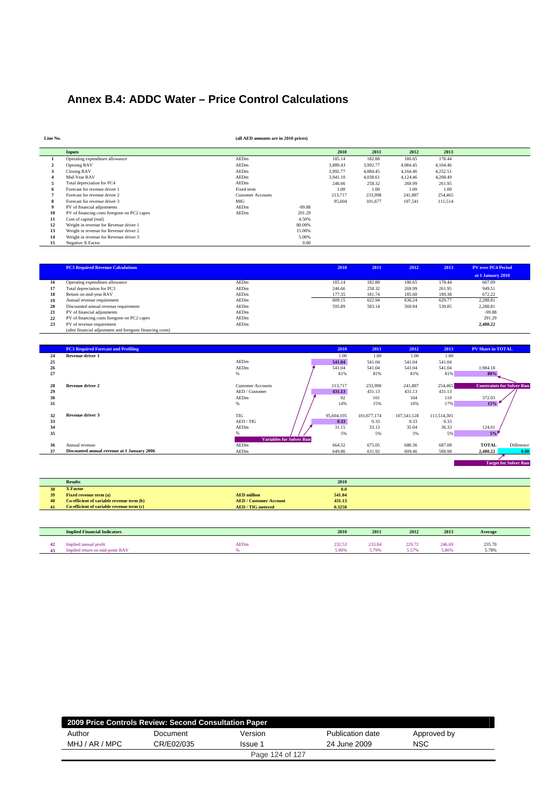# **Annex B.4: ADDC Water – Price Control Calculations**

| Line No. |                                             | (all AED amounts are in 2010 prices) |          |          |          |          |          |  |
|----------|---------------------------------------------|--------------------------------------|----------|----------|----------|----------|----------|--|
|          | <b>Inputs</b>                               |                                      |          | 2010     | 2011     | 2012     | 2013     |  |
|          | Operating expenditure allowance             | AEDm                                 |          | 185.14   | 182.88   | 180.65   | 178.44   |  |
|          | Opening RAV                                 | AEDm                                 |          | 3,889.43 | 3,992.77 | 4,084.45 | 4,164.46 |  |
| л        | Closing RAV                                 | AEDm                                 |          | 3,992.77 | 4,084.45 | 4,164.46 | 4,252.51 |  |
|          | Mid-Year RAV                                | AEDm                                 |          | 3,941.10 | 4,038.61 | 4,124.46 | 4,208.49 |  |
|          | Total depreciation for PC4                  | AEDm                                 |          | 246.66   | 258.32   | 269.99   | 261.95   |  |
|          | Forecast for revenue driver 1               | Fixed term                           |          | 1.00     | 1.00     | 1.00     | 1.00     |  |
|          | Forecast for revenue driver 2               | <b>Customer Accounts</b>             |          | 213,717  | 233,998  | 241,887  | 254,465  |  |
| л.       | Forecast for revenue driver 3               | MIG                                  |          | 95,604   | 101,677  | 107,541  | 111,514  |  |
|          | PV of financial adjustments                 | AEDm                                 | $-99.88$ |          |          |          |          |  |
| 10       | PV of financing costs foregone on PC2 capex | AEDm                                 | 291.29   |          |          |          |          |  |
| 11       | Cost of capital (real)                      |                                      | 4.50%    |          |          |          |          |  |
| 12       | Weight in revenue for Revenue driver 1      |                                      | 80.00%   |          |          |          |          |  |
| 13       | Weight in revenue for Revenue driver 2      |                                      | 15.00%   |          |          |          |          |  |
| 14       | Weight in revenue for Revenue driver 3      |                                      | 5.00%    |          |          |          |          |  |
| 15       | Negative X Factor                           |                                      | 0.00     |          |          |          |          |  |

|    | <b>PC3 Required Revenue Calculations</b>                  |      | 2010   | 2011   | 2012   | 2013   | <b>PV</b> over PC4 Period |
|----|-----------------------------------------------------------|------|--------|--------|--------|--------|---------------------------|
|    |                                                           |      |        |        |        |        | at 1 January 2010         |
| 16 | Operating expenditure allowance                           | AEDm | 185.14 | 182.88 | 180.65 | 178.44 | 667.09                    |
| 17 | Total depreciation for PC3                                | AEDm | 246.66 | 258.32 | 269.99 | 261.95 | 949.51                    |
| 18 | Return on mid-year RAV                                    | AEDm | 177.35 | 181.74 | 185.60 | 189.38 | 672.22                    |
| 19 | Annual revenue requirement                                | AEDm | 609.15 | 622.94 | 636.24 | 629.77 | 2.288.81                  |
| 20 | Discounted annual revenue requirement                     | AEDm | 595.89 | 583.14 | 569.94 | 539.85 | 2,288.81                  |
| 21 | PV of financial adjustments                               | AEDm |        |        |        |        | $-99.88$                  |
| 22 | PV of financing costs foregone on PC2 capex               | AEDm |        |        |        |        | 291.29                    |
| 23 | PV of revenue requirement                                 | AEDm |        |        |        |        | 2,480.22                  |
|    | (after financial adjustment and foregone financing costs) |      |        |        |        |        |                           |

|    | <b>PC3 Required Forecast and Profiling</b>  |                                 | 2010       | 2011        | 2012        | 2013        | <b>PV Share in TOTAL</b>          |
|----|---------------------------------------------|---------------------------------|------------|-------------|-------------|-------------|-----------------------------------|
| 24 | Revenue driver 1                            |                                 | 1.00       | 1.00        | 1.00        | 1.00        |                                   |
| 25 |                                             | AEDm                            | 541.04     | 541.04      | 541.04      | 541.04      |                                   |
| 26 |                                             | AEDm                            | 541.04     | 541.04      | 541.04      | 541.04      | 1,984.18                          |
| 27 |                                             | $\%$                            | 81%        | 81%         | 81%         | 81%         | 80%                               |
|    |                                             |                                 |            |             |             |             |                                   |
| 28 | <b>Revenue driver 2</b>                     | <b>Customer Accounts</b>        | 213,717    | 233,998     | 241,887     | 254,465     | <b>Constraints for Solver Run</b> |
| 29 |                                             | AED / Customer                  | 431.13     | 431.13      | 431.13      | 431.13      |                                   |
| 30 |                                             | AEDm                            | 92         | 101         | 104         | 110         | 372.03                            |
| 31 |                                             | %                               | 14%        | 15%         | 16%         | 17%         | 15%                               |
|    |                                             |                                 |            |             |             |             |                                   |
| 32 | Revenue driver 3                            | <b>TIG</b>                      | 95,604,105 | 101,677,174 | 107,541,128 | 111,514,301 |                                   |
| 33 |                                             | AED / TIG                       | 0.33       | 0.33        | 0.33        | 0.33        |                                   |
| 34 |                                             | AEDm                            | 31.15      | 33.13       | 35.04       | 36.33       | 124.01                            |
| 35 |                                             | %                               | 5%         | 5%          | 5%          | 5%          | 5%                                |
|    |                                             | <b>Variables for Solver Run</b> |            |             |             |             |                                   |
| 36 | Annual revenue                              | AEDm                            | 664.32     | 675.05      | 680.36      | 687.08      | <b>TOTAL</b><br>Difference        |
| 37 | Discounted annual revenue at 1 January 2006 | AEDm                            | 649.86     | 631.92      | 609.46      | 588.98      | 2,480.22<br>0.00                  |

| <b>Target for Solver Run</b> |
|------------------------------|
|                              |

|    | <b>Results</b>                            |                                 | 2010   |
|----|-------------------------------------------|---------------------------------|--------|
| 38 | <b>X</b> Factor                           |                                 | 0.0    |
| 39 | <b>Fixed revenue term (a)</b>             | <b>AED</b> million              | 541.04 |
| 40 | Co-efficient of variable revenue term (b) | <b>AED</b> / Customer Account   | 431.13 |
| 41 | Co-efficient of variable revenue term (c) | <b>AED</b> / <b>TIG</b> metered | 0.3258 |

| <b>Implied Financial Indicators</b>                         |             | 2010            | 2011               | 2012                                                     | 2013            | Average         |
|-------------------------------------------------------------|-------------|-----------------|--------------------|----------------------------------------------------------|-----------------|-----------------|
| <br>mplied annual profit<br>Implied return on mid-point RAV | <b>AEDm</b> | 232.53<br>5.90% | 233.84<br>700<br>. | 229.72<br><b>COLUMN</b><br>$\sim$ $\prime$ $\prime$<br>. | 246.69<br>5.86% | 235.70<br>5.78% |

| 2009 Price Controls Review: Second Consultation Paper |            |         |                  |             |  |  |  |  |  |
|-------------------------------------------------------|------------|---------|------------------|-------------|--|--|--|--|--|
| Author                                                | Document   | Version | Publication date | Approved by |  |  |  |  |  |
| MHJ / AR / MPC                                        | CR/E02/035 | Issue 1 | 24 June 2009     | NSC         |  |  |  |  |  |
| Page 124 of 127                                       |            |         |                  |             |  |  |  |  |  |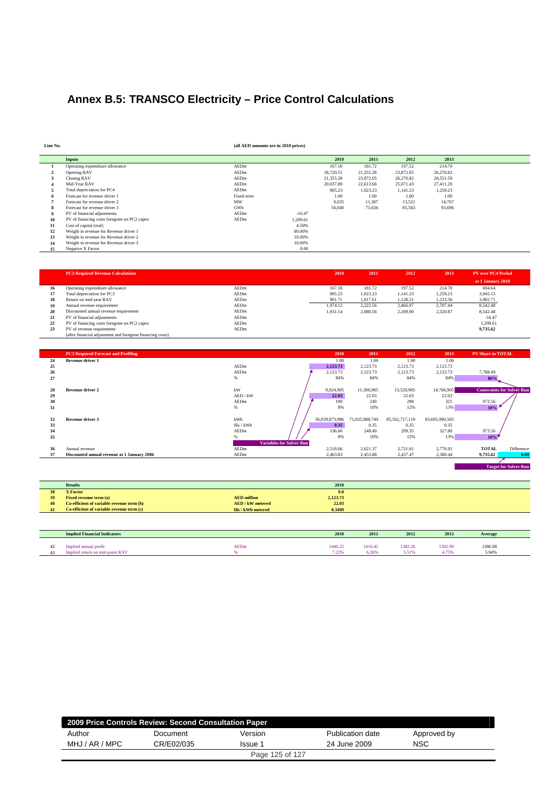# **Annex B.5: TRANSCO Electricity – Price Control Calculations**

**Line No. (all AED amounts are in 2010 prices)**

|    | <b>Inputs</b>                               |            |          | 2010      | 2011      | 2012      | 2013      |
|----|---------------------------------------------|------------|----------|-----------|-----------|-----------|-----------|
|    | Operating expenditure allowance             | AEDm       |          | 167.18    | 181.72    | 197.52    | 214.70    |
|    | Opening RAV                                 | AEDm       |          | 18,720.51 | 21,355.28 | 23,872.05 | 26,270.82 |
|    | <b>Closing RAV</b>                          | AEDm       |          | 21.355.28 | 23,872.05 | 26,270.82 | 28,551.59 |
|    | Mid-Year RAV                                | AEDm       |          | 20.037.89 | 22,613.66 | 25,071.43 | 27,411.20 |
|    | Total depreciation for PC4                  | AEDm       |          | 905.23    | 1,023.23  | 1,141.23  | 1,259.23  |
|    | Forecast for revenue driver 1               | Fixed term |          | 1.00      | 1.00      | 1.00      | 1.00      |
|    | Forecast for revenue driver 2               | MW         |          | 9,025     | 11,307    | 13,521    | 14,767    |
|    | Forecast for revenue driver 3               | GWh        |          | 56,040    | 71,026    | 85.563    | 93.696    |
|    | PV of financial adjustments                 | AEDm       | $-16.47$ |           |           |           |           |
| 10 | PV of financing costs foregone on PC2 capex | AEDm       | 1,209.61 |           |           |           |           |
| 11 | Cost of capital (real)                      |            | 4.50%    |           |           |           |           |
| 12 | Weight in revenue for Revenue driver 1      |            | 80.00%   |           |           |           |           |
| 13 | Weight in revenue for Revenue driver 2      |            | 10.00%   |           |           |           |           |
| 14 | Weight in revenue for Revenue driver 3      |            | 10.00%   |           |           |           |           |
| 15 | Negative X Factor                           |            | 0.00     |           |           |           |           |

|    | <b>PC3 Required Revenue Calculations</b>                  |      | 2010     | 2011     | 2012     | 2013     | <b>PV</b> over PC4 Period |
|----|-----------------------------------------------------------|------|----------|----------|----------|----------|---------------------------|
|    |                                                           |      |          |          |          |          | at 1 January 2010         |
| 16 | Operating expenditure allowance                           | AEDm | 167.18   | 181.72   | 197.52   | 214.70   | 694.64                    |
| 17 | Total depreciation for PC3                                | AEDm | 905.23   | 1.023.23 | 1.141.23 | 1,259.23 | 3,945.13                  |
| 18 | Return on mid-year RAV                                    | AEDm | 901.71   | 1.017.61 | 1,128.21 | 1,233.50 | 3,902.71                  |
| 19 | Annual revenue requirement                                | AEDm | 1.974.12 | 2,222.56 | 2.466.97 | 2.707.44 | 8,542.48                  |
| 20 | Discounted annual revenue requirement                     | AEDm | 1.931.14 | 2.080.56 | 2.209.90 | 2.320.87 | 8,542.48                  |
| 21 | PV of financial adjustments                               | AEDm |          |          |          |          | $-16.47$                  |
| 22 | PV of financing costs foregone on PC2 capex               | AEDm |          |          |          |          | 1.209.61                  |
| 23 | PV of revenue requirement                                 | AEDm |          |          |          |          | 9,735.62                  |
|    | (after financial adjustment and foregone financing costs) |      |          |          |          |          |                           |

|    | <b>PC3 Required Forecast and Profiling</b>  |            |                                 | 2010           | 2011           | 2012           | 2013           | <b>PV Share in TOTAL</b>          |                              |
|----|---------------------------------------------|------------|---------------------------------|----------------|----------------|----------------|----------------|-----------------------------------|------------------------------|
| 24 | Revenue driver 1                            |            |                                 | 1.00           | 1.00           | 1.00           | 1.00           |                                   |                              |
| 25 |                                             | AEDm       |                                 | 2,123.73       | 2,123.73       | 2,123.73       | 2,123.73       |                                   |                              |
| 26 |                                             | AEDm       |                                 | 2,123.73       | 2,123.73       | 2,123.73       | 2,123.73       | 7,788.49                          |                              |
| 27 |                                             | $\%$       |                                 | 84%            | 84%            | 84%            | 84%            | 80%                               |                              |
|    |                                             |            |                                 |                |                |                |                |                                   |                              |
| 28 | <b>Revenue driver 2</b>                     | kW         |                                 | 9,024,905      | 11,306,905     | 13,520,905     | 14,766,905     | <b>Constraints for Solver Run</b> |                              |
| 29 |                                             | AED / kW   |                                 | 22.03          | 22.03          | 22.03          | 22.03          |                                   |                              |
| 30 |                                             | AEDm       |                                 | 199            | 249            | 298            | 325            | 973.56                            |                              |
| 31 |                                             | %          |                                 | 8%             | 10%            | 12%            | 13%            | 10%                               |                              |
|    |                                             |            |                                 |                |                |                |                |                                   |                              |
| 32 | Revenue driver 3                            | kWh        |                                 | 56,039,873,986 | 71,025,888,749 | 85,562,717,119 | 93,695,990,565 |                                   |                              |
| 33 |                                             | fils / kWh |                                 | 0.35           | 0.35           | 0.35           | 0.35           |                                   |                              |
| 34 |                                             | AEDm       |                                 | 196.06         | 248.49         | 299.35         | 327.80         | 973.56                            |                              |
| 35 |                                             |            |                                 | 8%             | 10%            | 12%            | 13%            | $10\%$                            |                              |
|    |                                             |            | <b>Variables for Solver Run</b> |                |                |                |                |                                   |                              |
| 36 | Annual revenue                              | AEDm       |                                 | 2,518.66       | 2,621.37       | 2,721.01       | 2,776.92       | <b>TOTAL</b>                      | Difference                   |
| 37 | Discounted annual revenue at 1 January 2006 | AEDm       |                                 | 2,463.83       | 2,453.88       | 2,437.47       | 2,380.44       | 9.735.62                          | 0.00                         |
|    |                                             |            |                                 |                |                |                |                |                                   |                              |
|    |                                             |            |                                 |                |                |                |                |                                   | <b>Target for Solver Run</b> |

|    | <b>Results</b>                            | 2010                           |
|----|-------------------------------------------|--------------------------------|
| 28 | <b>X</b> Factor                           | 0.0                            |
| 39 | <b>Fixed revenue term (a)</b>             | 2,123.73<br><b>AED</b> million |
| 40 | Co-efficient of variable revenue term (b) | 22.03<br>AED / kW metered      |
| 41 | Co-efficient of variable revenue term (c) | 0.3499<br>fils / kWh metered   |

| <b>Implied Financial Indicators</b>                                  |             | 2010             | 2011            | 2012             | 2013              | Average          |  |
|----------------------------------------------------------------------|-------------|------------------|-----------------|------------------|-------------------|------------------|--|
| Implied annual profit<br><b>-point RAV</b><br>Implied return on mid- | <b>AEDm</b> | .446.25<br>7.22% | 416.42<br>6.26% | 1382.26<br>5.51% | 1302.99<br>1.7500 | 1386.98<br>5.94% |  |

|                | 2009 Price Controls Review: Second Consultation Paper |                 |                  |             |  |  |  |  |  |  |
|----------------|-------------------------------------------------------|-----------------|------------------|-------------|--|--|--|--|--|--|
| Author         | Document                                              | Version         | Publication date | Approved by |  |  |  |  |  |  |
| MHJ / AR / MPC | CR/E02/035                                            | Issue 1         | 24 June 2009     | <b>NSC</b>  |  |  |  |  |  |  |
|                |                                                       | Page 125 of 127 |                  |             |  |  |  |  |  |  |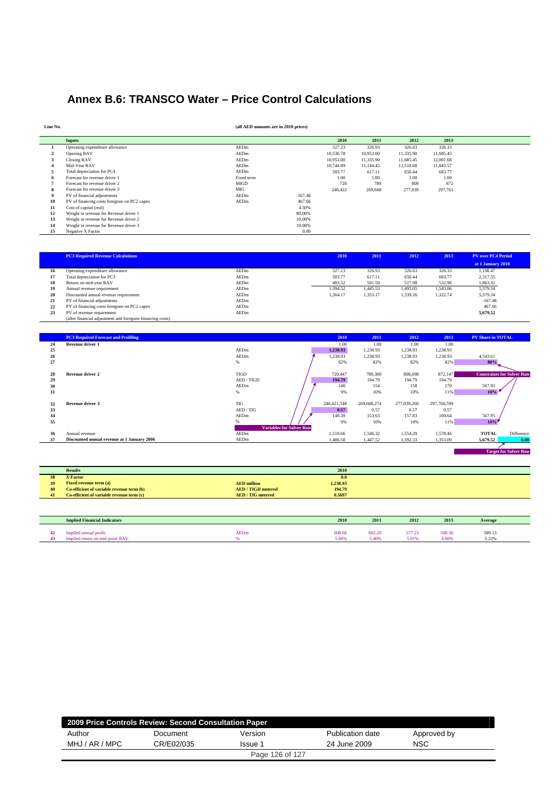## **Annex B.6: TRANSCO Water – Price Control Calculations**

| Line No. |                                             | (all AED amounts are in 2010 prices) |           |           |           |           |           |  |
|----------|---------------------------------------------|--------------------------------------|-----------|-----------|-----------|-----------|-----------|--|
|          | <b>Inputs</b>                               |                                      |           | 2010      | 2011      | 2012      | 2013      |  |
|          | Operating expenditure allowance             | AEDm                                 |           | 327.23    | 326.93    | 326.63    | 326.33    |  |
|          | Opening RAV                                 | AEDm                                 |           | 10,536.78 | 10,953.00 | 11,335.90 | 11,685.45 |  |
|          | Closing RAV                                 | AEDm                                 |           | 10,953.00 | 11,335.90 | 11,685.45 | 12,001.68 |  |
|          | Mid-Year RAV                                | AEDm                                 |           | 10.744.89 | 11.144.45 | 11,510.68 | 11,843.57 |  |
|          | Total depreciation for PC4                  | AEDm                                 |           | 583.77    | 617.11    | 650.44    | 683.77    |  |
|          | Forecast for revenue driver 1               | Fixed term                           |           | 1.00      | 1.00      | 1.00      | 1.00      |  |
|          | Forecast for revenue driver 2               | <b>MIGD</b>                          |           | 720       | 789       | 809       | 872       |  |
|          | Forecast for revenue driver 3               | MIG                                  |           | 246,422   | 269,668   | 277,039   | 297,761   |  |
|          | PV of financial adjustments                 | AEDm                                 | $-167.48$ |           |           |           |           |  |
| 10       | PV of financing costs foregone on PC2 capex | AEDm                                 | 467.66    |           |           |           |           |  |
| 11       | Cost of capital (real)                      |                                      | 4.50%     |           |           |           |           |  |
| 12       | Weight in revenue for Revenue driver 1      |                                      | 80.00%    |           |           |           |           |  |
| 13       | Weight in revenue for Revenue driver 2      |                                      | 10.00%    |           |           |           |           |  |
| 14       | Weight in revenue for Revenue driver 3      |                                      | 10.00%    |           |           |           |           |  |
| 15       | Negative X Factor                           |                                      | 0.00      |           |           |           |           |  |

|    | <b>PC3 Required Revenue Calculations</b>                  |             | 2010     | 2011     | 2012     | 2013     | <b>PV</b> over PC4 Period |  |
|----|-----------------------------------------------------------|-------------|----------|----------|----------|----------|---------------------------|--|
|    |                                                           |             |          |          |          |          | at 1 January 2010         |  |
| 16 | Operating expenditure allowance                           | <b>AEDm</b> | 327.23   | 326.93   | 326.63   | 326.33   | 1,198.47                  |  |
| 17 | Total depreciation for PC3                                | AEDm        | 583.77   | 617.11   | 650.44   | 683.77   | 2.317.55                  |  |
| 18 | Return on mid-year RAV                                    | AEDm        | 483.52   | 501.50   | 517.98   | 532.96   | 1,863.32                  |  |
| 19 | Annual revenue requirement                                | AEDm        | 1.394.52 | 1,445.53 | 1,495.05 | 1.543.06 | 5,379.34                  |  |
| 20 | Discounted annual revenue requirement                     | AEDm        | 1.364.17 | 1.353.17 | 1.339.26 | 1.322.74 | 5,379.34                  |  |
| 21 | PV of financial adjustments                               | AEDm        |          |          |          |          | $-167.48$                 |  |
| 22 | PV of financing costs foregone on PC2 capex               | AEDm        |          |          |          |          | 467.66                    |  |
| 23 | PV of revenue requirement                                 | AEDm        |          |          |          |          | 5,679.52                  |  |
|    | (after financial adjustment and foregone financing costs) |             |          |          |          |          |                           |  |

|    | <b>PC3 Required Forecast and Profiling</b>  |             |                                 | 2010        | 2011        | 2012        | 2013        | <b>PV Share in TOTAL</b>          |                              |
|----|---------------------------------------------|-------------|---------------------------------|-------------|-------------|-------------|-------------|-----------------------------------|------------------------------|
| 24 | Revenue driver 1                            |             |                                 | 1.00        | 1.00        | 1.00        | 1.00        |                                   |                              |
| 25 |                                             | AEDm        |                                 | 1,238.93    | 1,238.93    | 1,238.93    | 1,238.93    |                                   |                              |
| 26 |                                             | AEDm        |                                 | 1,238.93    | 1,238.93    | 1,238.93    | 1,238.93    | 4,543.61                          |                              |
| 27 |                                             | $\%$        |                                 | 82%         | 82%         | 82%         | 82%         | 80%                               |                              |
| 28 | <b>Revenue driver 2</b>                     | <b>TIGD</b> |                                 | 720,447     | 789,300     | 808,698     | 872,147     | <b>Constraints for Solver Run</b> |                              |
| 29 |                                             | AED / TIGD  |                                 | 194.79      | 194.79      | 194.79      | 194.79      |                                   |                              |
| 30 |                                             | AEDm        |                                 | 140         | 154         | 158         | 170         | 567.95                            |                              |
| 31 |                                             | $\%$        |                                 | 9%          | 10%         | 10%         | 11%         | 10%                               |                              |
|    |                                             |             |                                 |             |             |             |             |                                   |                              |
| 32 | Revenue driver 3                            | <b>TIG</b>  |                                 | 246,421,548 | 269,668,274 | 277,039,260 | 297,760,599 |                                   |                              |
| 33 |                                             | AED / TIG   |                                 | 0.57        | 0.57        | 0.57        | 0.57        |                                   |                              |
| 34 |                                             | AEDm        |                                 | 140.39      | 153.63      | 157.83      | 169.64      | 567.95                            |                              |
| 35 |                                             |             |                                 | 9%          | 10%         | 10%         | 11%         | 10%                               |                              |
|    |                                             |             | <b>Variables for Solver Run</b> |             |             |             |             |                                   |                              |
| 36 | Annual revenue                              | AEDm        |                                 | 1,519.66    | 1,546.32    | 1,554.29    | 1,578.46    | <b>TOTAL</b>                      | Difference                   |
| 37 | Discounted annual revenue at 1 January 2006 | AEDm        |                                 | 1,486.58    | 1,447.52    | 1,392.33    | 1,353.09    | 5,679.52                          | 0.00                         |
|    |                                             |             |                                 |             |             |             |             |                                   |                              |
|    |                                             |             |                                 |             |             |             |             |                                   | <b>Target for Solver Run</b> |

|    | <b>Results</b>                            |                                  | 2010     |
|----|-------------------------------------------|----------------------------------|----------|
| 38 | <b>X</b> Factor                           |                                  | 0.0      |
| 39 | <b>Fixed revenue term (a)</b>             | <b>AED</b> million               | 1,238.93 |
| 40 | Co-efficient of variable revenue term (b) | <b>AED</b> / <b>TIGD</b> metered | 194.79   |
| 41 | Co-efficient of variable revenue term (c) | <b>AED</b> / <b>TIG</b> metered  | 0.5697   |
|    |                                           |                                  |          |

|    | <b>Implied Financial Indicators</b>                          |             | 2010            | 2011          | 2012                 | 2013            | Average         |  |
|----|--------------------------------------------------------------|-------------|-----------------|---------------|----------------------|-----------------|-----------------|--|
| 43 | Implied annual profit<br>$.4$ -point RAV<br>ed return on mid | <b>AEDm</b> | 608.66<br>5.66% | 602.28<br>409 | 577.23<br>.<br>5.019 | 568.36<br>4.80% | 589.13<br>5.22% |  |

| 2009 Price Controls Review: Second Consultation Paper |            |                 |                  |             |  |  |  |  |  |
|-------------------------------------------------------|------------|-----------------|------------------|-------------|--|--|--|--|--|
| Author                                                | Document   | Version         | Publication date | Approved by |  |  |  |  |  |
| MHJ / AR / MPC                                        | CR/E02/035 | Issue 1         | 24 June 2009     | <b>NSC</b>  |  |  |  |  |  |
|                                                       |            | Page 126 of 127 |                  |             |  |  |  |  |  |